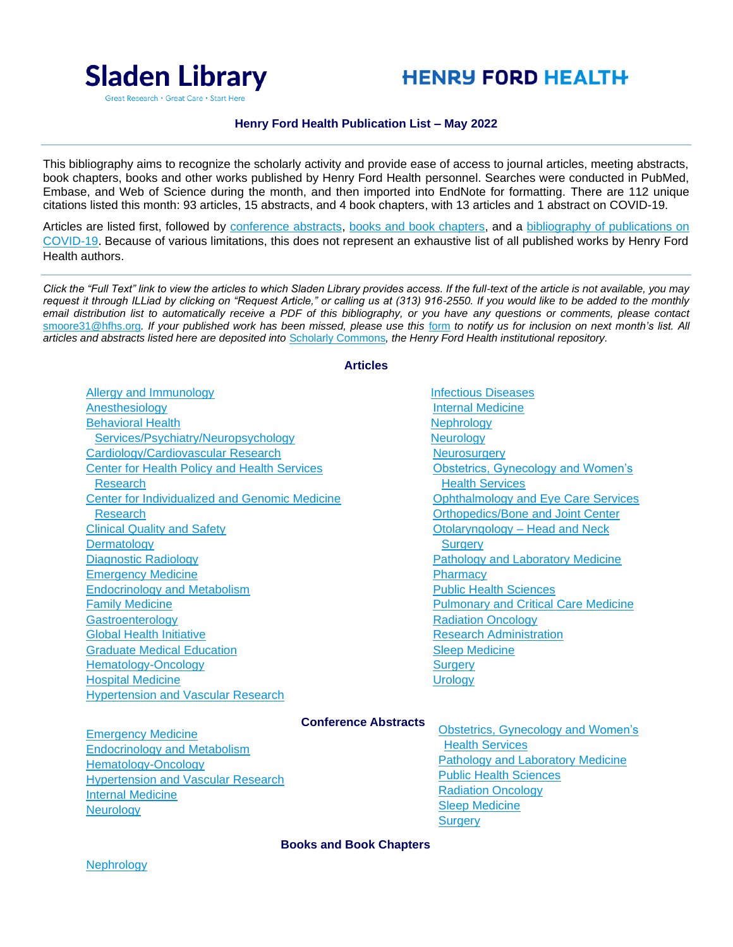

# **HENRY FORD HEALTH**

#### **Henry Ford Health Publication List – May 2022**

This bibliography aims to recognize the scholarly activity and provide ease of access to journal articles, meeting abstracts, book chapters, books and other works published by Henry Ford Health personnel. Searches were conducted in PubMed, Embase, and Web of Science during the month, and then imported into EndNote for formatting. There are 112 unique citations listed this month: 93 articles, 15 abstracts, and 4 book chapters, with 13 articles and 1 abstract on COVID-19.

Articles are listed first, followed by [conference abstracts,](#page-84-0) [books and book chapters,](#page-96-0) and a [bibliography of publications on](#page-98-0) [COVID-19](#page-98-0). Because of various limitations, this does not represent an exhaustive list of all published works by Henry Ford Health authors.

*Click the "Full Text" link to view the articles to which Sladen Library provides access. If the full-text of the article is not available, you may request it through ILLiad by clicking on "Request Article," or calling us at (313) 916-2550. If you would like to be added to the monthly email distribution list to automatically receive a PDF of this bibliography, or you have any questions or comments, please contact*  [smoore31@hfhs.org](mailto:smoore31@hfhs.org). If your published work has been missed, please use this [form](https://henryford.libwizard.com/pubwork) to notify us for inclusion on next month's list. All *articles and abstracts listed here are deposited into* [Scholarly Commons](https://scholarlycommons.henryford.com/)*, the Henry Ford Health institutional repository.*

#### **Articles**

[Allergy and Immunology](#page-1-0) [Anesthesiology](#page-3-0) [Behavioral Health](#page-3-1)  [Services/Psychiatry/Neuropsychology](#page-3-1) [Cardiology/Cardiovascular Research](#page-6-0) [Center for Health Policy and Health Services](#page-15-0)  [Research](#page-15-0) [Center for Individualized and Genomic Medicine](#page-17-0)  [Research](#page-17-0) [Clinical Quality and Safety](#page-18-0) **[Dermatology](#page-18-1)** [Diagnostic Radiology](#page-21-0) [Emergency Medicine](#page-24-0) [Endocrinology and Metabolism](#page-27-0) [Family Medicine](#page-29-0) **[Gastroenterology](#page-29-1)** [Global Health Initiative](#page-30-0) [Graduate Medical Education](#page-31-0) [Hematology-Oncology](#page-31-1) [Hospital Medicine](#page-33-0) [Hypertension and Vascular Research](#page-34-0)

[Infectious Diseases](#page-35-0) [Internal Medicine](#page-38-0) **[Nephrology](#page-42-0) [Neurology](#page-43-0) [Neurosurgery](#page-48-0)** [Obstetrics, Gynecology and Women's](#page-50-0)  [Health Services](#page-50-0) [Ophthalmology and Eye Care Services](#page-51-0) [Orthopedics/Bone and Joint Center](#page-51-1) [Otolaryngology –](#page-53-0) Head and Neck **[Surgery](#page-53-0)** [Pathology and Laboratory Medicine](#page-53-1) **[Pharmacy](#page-55-0)** [Public Health Sciences](#page-57-0) [Pulmonary and Critical Care Medicine](#page-65-0) [Radiation Oncology](#page-67-0) [Research Administration](#page-68-0) [Sleep Medicine](#page-71-0) **[Surgery](#page-72-0) Urology** 

# **Conference Abstracts**

[Emergency Medicine](#page-84-1) [Endocrinology and Metabolism](#page-84-2) [Hematology-Oncology](#page-85-0) [Hypertension and Vascular Research](#page-86-0) [Internal Medicine](#page-90-0) **[Neurology](#page-90-1)** 

**Obstetrics, Gynecology and Women's** [Health Services](#page-90-2) [Pathology and Laboratory Medicine](#page-90-3) [Public Health Sciences](#page-90-4) [Radiation Oncology](#page-92-0) [Sleep Medicine](#page-93-0) **[Surgery](#page-93-1)** 

#### **Books and Book Chapters**

**[Nephrology](#page-96-1)**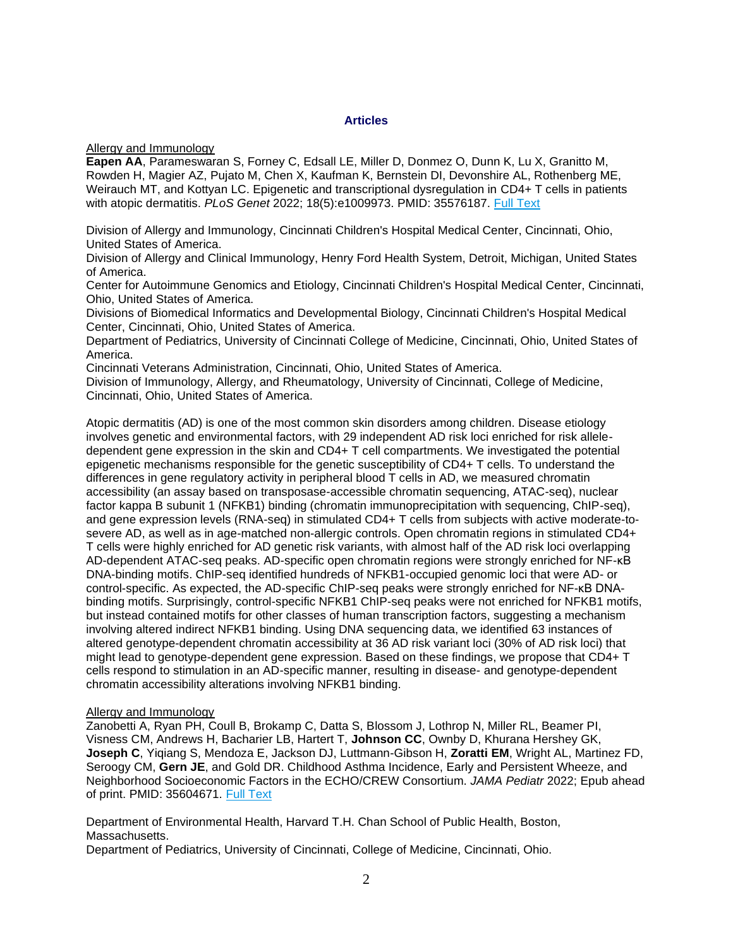#### **Articles**

<span id="page-1-0"></span>Allergy and Immunology

**Eapen AA**, Parameswaran S, Forney C, Edsall LE, Miller D, Donmez O, Dunn K, Lu X, Granitto M, Rowden H, Magier AZ, Pujato M, Chen X, Kaufman K, Bernstein DI, Devonshire AL, Rothenberg ME, Weirauch MT, and Kottyan LC. Epigenetic and transcriptional dysregulation in CD4+ T cells in patients with atopic dermatitis. *PLoS Genet* 2022; 18(5):e1009973. PMID: 35576187. [Full Text](https://libkey.io/35576187)

Division of Allergy and Immunology, Cincinnati Children's Hospital Medical Center, Cincinnati, Ohio, United States of America.

Division of Allergy and Clinical Immunology, Henry Ford Health System, Detroit, Michigan, United States of America.

Center for Autoimmune Genomics and Etiology, Cincinnati Children's Hospital Medical Center, Cincinnati, Ohio, United States of America.

Divisions of Biomedical Informatics and Developmental Biology, Cincinnati Children's Hospital Medical Center, Cincinnati, Ohio, United States of America.

Department of Pediatrics, University of Cincinnati College of Medicine, Cincinnati, Ohio, United States of America.

Cincinnati Veterans Administration, Cincinnati, Ohio, United States of America.

Division of Immunology, Allergy, and Rheumatology, University of Cincinnati, College of Medicine, Cincinnati, Ohio, United States of America.

Atopic dermatitis (AD) is one of the most common skin disorders among children. Disease etiology involves genetic and environmental factors, with 29 independent AD risk loci enriched for risk alleledependent gene expression in the skin and CD4+ T cell compartments. We investigated the potential epigenetic mechanisms responsible for the genetic susceptibility of CD4+ T cells. To understand the differences in gene regulatory activity in peripheral blood T cells in AD, we measured chromatin accessibility (an assay based on transposase-accessible chromatin sequencing, ATAC-seq), nuclear factor kappa B subunit 1 (NFKB1) binding (chromatin immunoprecipitation with sequencing, ChIP-seq), and gene expression levels (RNA-seq) in stimulated CD4+ T cells from subjects with active moderate-tosevere AD, as well as in age-matched non-allergic controls. Open chromatin regions in stimulated CD4+ T cells were highly enriched for AD genetic risk variants, with almost half of the AD risk loci overlapping AD-dependent ATAC-seq peaks. AD-specific open chromatin regions were strongly enriched for NF-κB DNA-binding motifs. ChIP-seq identified hundreds of NFKB1-occupied genomic loci that were AD- or control-specific. As expected, the AD-specific ChIP-seq peaks were strongly enriched for NF-κB DNAbinding motifs. Surprisingly, control-specific NFKB1 ChIP-seq peaks were not enriched for NFKB1 motifs, but instead contained motifs for other classes of human transcription factors, suggesting a mechanism involving altered indirect NFKB1 binding. Using DNA sequencing data, we identified 63 instances of altered genotype-dependent chromatin accessibility at 36 AD risk variant loci (30% of AD risk loci) that might lead to genotype-dependent gene expression. Based on these findings, we propose that CD4+ T cells respond to stimulation in an AD-specific manner, resulting in disease- and genotype-dependent chromatin accessibility alterations involving NFKB1 binding.

# Allergy and Immunology

Zanobetti A, Ryan PH, Coull B, Brokamp C, Datta S, Blossom J, Lothrop N, Miller RL, Beamer PI, Visness CM, Andrews H, Bacharier LB, Hartert T, **Johnson CC**, Ownby D, Khurana Hershey GK, **Joseph C**, Yiqiang S, Mendoza E, Jackson DJ, Luttmann-Gibson H, **Zoratti EM**, Wright AL, Martinez FD, Seroogy CM, **Gern JE**, and Gold DR. Childhood Asthma Incidence, Early and Persistent Wheeze, and Neighborhood Socioeconomic Factors in the ECHO/CREW Consortium. *JAMA Pediatr* 2022; Epub ahead of print. PMID: 35604671. [Full Text](https://libkey.io/35604671)

Department of Environmental Health, Harvard T.H. Chan School of Public Health, Boston, Massachusetts.

Department of Pediatrics, University of Cincinnati, College of Medicine, Cincinnati, Ohio.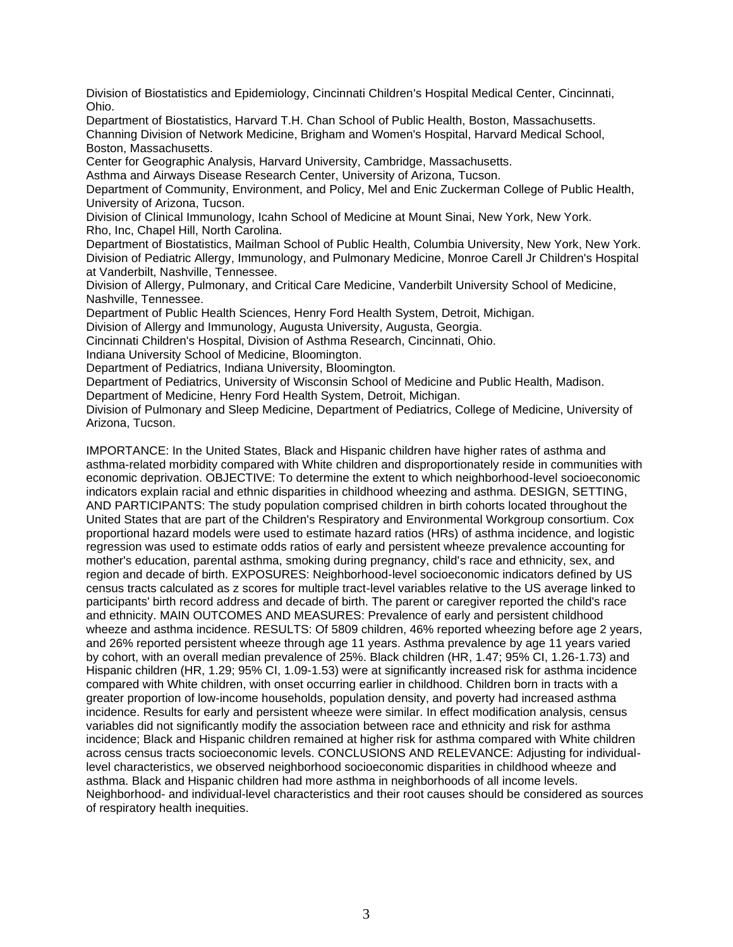Division of Biostatistics and Epidemiology, Cincinnati Children's Hospital Medical Center, Cincinnati, Ohio.

Department of Biostatistics, Harvard T.H. Chan School of Public Health, Boston, Massachusetts. Channing Division of Network Medicine, Brigham and Women's Hospital, Harvard Medical School, Boston, Massachusetts.

Center for Geographic Analysis, Harvard University, Cambridge, Massachusetts.

Asthma and Airways Disease Research Center, University of Arizona, Tucson.

Department of Community, Environment, and Policy, Mel and Enic Zuckerman College of Public Health, University of Arizona, Tucson.

Division of Clinical Immunology, Icahn School of Medicine at Mount Sinai, New York, New York. Rho, Inc, Chapel Hill, North Carolina.

Department of Biostatistics, Mailman School of Public Health, Columbia University, New York, New York. Division of Pediatric Allergy, Immunology, and Pulmonary Medicine, Monroe Carell Jr Children's Hospital at Vanderbilt, Nashville, Tennessee.

Division of Allergy, Pulmonary, and Critical Care Medicine, Vanderbilt University School of Medicine, Nashville, Tennessee.

Department of Public Health Sciences, Henry Ford Health System, Detroit, Michigan.

Division of Allergy and Immunology, Augusta University, Augusta, Georgia.

Cincinnati Children's Hospital, Division of Asthma Research, Cincinnati, Ohio.

Indiana University School of Medicine, Bloomington.

Department of Pediatrics, Indiana University, Bloomington.

Department of Pediatrics, University of Wisconsin School of Medicine and Public Health, Madison.

Department of Medicine, Henry Ford Health System, Detroit, Michigan.

Division of Pulmonary and Sleep Medicine, Department of Pediatrics, College of Medicine, University of Arizona, Tucson.

IMPORTANCE: In the United States, Black and Hispanic children have higher rates of asthma and asthma-related morbidity compared with White children and disproportionately reside in communities with economic deprivation. OBJECTIVE: To determine the extent to which neighborhood-level socioeconomic indicators explain racial and ethnic disparities in childhood wheezing and asthma. DESIGN, SETTING, AND PARTICIPANTS: The study population comprised children in birth cohorts located throughout the United States that are part of the Children's Respiratory and Environmental Workgroup consortium. Cox proportional hazard models were used to estimate hazard ratios (HRs) of asthma incidence, and logistic regression was used to estimate odds ratios of early and persistent wheeze prevalence accounting for mother's education, parental asthma, smoking during pregnancy, child's race and ethnicity, sex, and region and decade of birth. EXPOSURES: Neighborhood-level socioeconomic indicators defined by US census tracts calculated as z scores for multiple tract-level variables relative to the US average linked to participants' birth record address and decade of birth. The parent or caregiver reported the child's race and ethnicity. MAIN OUTCOMES AND MEASURES: Prevalence of early and persistent childhood wheeze and asthma incidence. RESULTS: Of 5809 children, 46% reported wheezing before age 2 years, and 26% reported persistent wheeze through age 11 years. Asthma prevalence by age 11 years varied by cohort, with an overall median prevalence of 25%. Black children (HR, 1.47; 95% CI, 1.26-1.73) and Hispanic children (HR, 1.29; 95% CI, 1.09-1.53) were at significantly increased risk for asthma incidence compared with White children, with onset occurring earlier in childhood. Children born in tracts with a greater proportion of low-income households, population density, and poverty had increased asthma incidence. Results for early and persistent wheeze were similar. In effect modification analysis, census variables did not significantly modify the association between race and ethnicity and risk for asthma incidence; Black and Hispanic children remained at higher risk for asthma compared with White children across census tracts socioeconomic levels. CONCLUSIONS AND RELEVANCE: Adjusting for individuallevel characteristics, we observed neighborhood socioeconomic disparities in childhood wheeze and asthma. Black and Hispanic children had more asthma in neighborhoods of all income levels. Neighborhood- and individual-level characteristics and their root causes should be considered as sources of respiratory health inequities.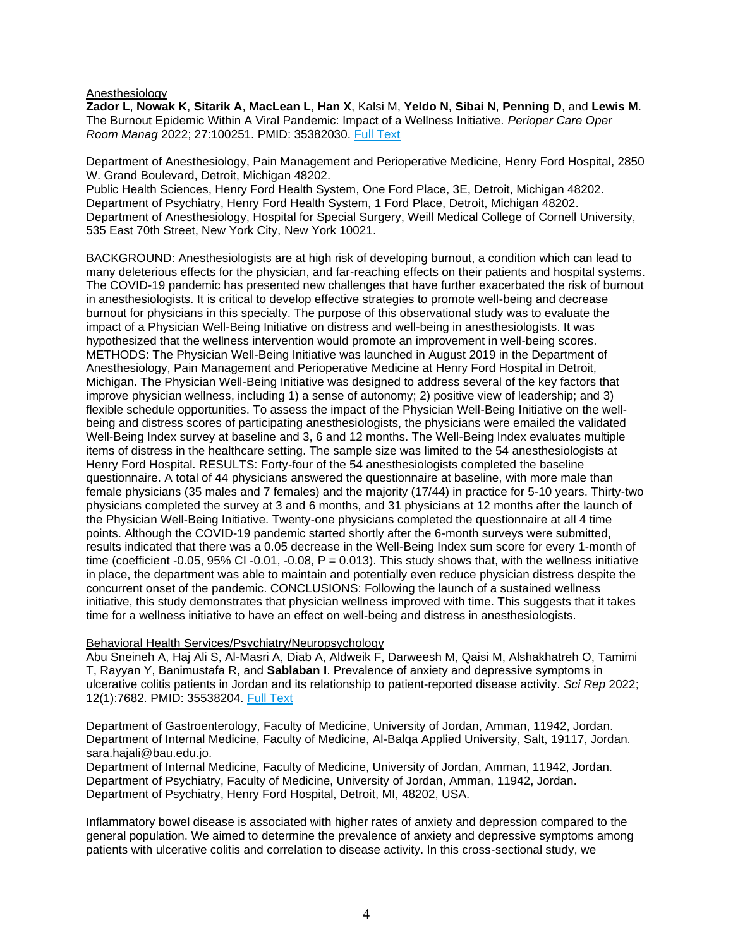#### <span id="page-3-0"></span>Anesthesiology

**Zador L**, **Nowak K**, **Sitarik A**, **MacLean L**, **Han X**, Kalsi M, **Yeldo N**, **Sibai N**, **Penning D**, and **Lewis M**. The Burnout Epidemic Within A Viral Pandemic: Impact of a Wellness Initiative. *Perioper Care Oper Room Manag* 2022; 27:100251. PMID: 35382030. [Full Text](https://libkey.io/35382030)

Department of Anesthesiology, Pain Management and Perioperative Medicine, Henry Ford Hospital, 2850 W. Grand Boulevard, Detroit, Michigan 48202.

Public Health Sciences, Henry Ford Health System, One Ford Place, 3E, Detroit, Michigan 48202. Department of Psychiatry, Henry Ford Health System, 1 Ford Place, Detroit, Michigan 48202. Department of Anesthesiology, Hospital for Special Surgery, Weill Medical College of Cornell University, 535 East 70th Street, New York City, New York 10021.

BACKGROUND: Anesthesiologists are at high risk of developing burnout, a condition which can lead to many deleterious effects for the physician, and far-reaching effects on their patients and hospital systems. The COVID-19 pandemic has presented new challenges that have further exacerbated the risk of burnout in anesthesiologists. It is critical to develop effective strategies to promote well-being and decrease burnout for physicians in this specialty. The purpose of this observational study was to evaluate the impact of a Physician Well-Being Initiative on distress and well-being in anesthesiologists. It was hypothesized that the wellness intervention would promote an improvement in well-being scores. METHODS: The Physician Well-Being Initiative was launched in August 2019 in the Department of Anesthesiology, Pain Management and Perioperative Medicine at Henry Ford Hospital in Detroit, Michigan. The Physician Well-Being Initiative was designed to address several of the key factors that improve physician wellness, including 1) a sense of autonomy; 2) positive view of leadership; and 3) flexible schedule opportunities. To assess the impact of the Physician Well-Being Initiative on the wellbeing and distress scores of participating anesthesiologists, the physicians were emailed the validated Well-Being Index survey at baseline and 3, 6 and 12 months. The Well-Being Index evaluates multiple items of distress in the healthcare setting. The sample size was limited to the 54 anesthesiologists at Henry Ford Hospital. RESULTS: Forty-four of the 54 anesthesiologists completed the baseline questionnaire. A total of 44 physicians answered the questionnaire at baseline, with more male than female physicians (35 males and 7 females) and the majority (17/44) in practice for 5-10 years. Thirty-two physicians completed the survey at 3 and 6 months, and 31 physicians at 12 months after the launch of the Physician Well-Being Initiative. Twenty-one physicians completed the questionnaire at all 4 time points. Although the COVID-19 pandemic started shortly after the 6-month surveys were submitted, results indicated that there was a 0.05 decrease in the Well-Being Index sum score for every 1-month of time (coefficient -0.05, 95% CI -0.01, -0.08,  $P = 0.013$ ). This study shows that, with the wellness initiative in place, the department was able to maintain and potentially even reduce physician distress despite the concurrent onset of the pandemic. CONCLUSIONS: Following the launch of a sustained wellness initiative, this study demonstrates that physician wellness improved with time. This suggests that it takes time for a wellness initiative to have an effect on well-being and distress in anesthesiologists.

# <span id="page-3-1"></span>Behavioral Health Services/Psychiatry/Neuropsychology

Abu Sneineh A, Haj Ali S, Al-Masri A, Diab A, Aldweik F, Darweesh M, Qaisi M, Alshakhatreh O, Tamimi T, Rayyan Y, Banimustafa R, and **Sablaban I**. Prevalence of anxiety and depressive symptoms in ulcerative colitis patients in Jordan and its relationship to patient-reported disease activity. *Sci Rep* 2022; 12(1):7682. PMID: 35538204. [Full Text](https://libkey.io/35538204)

Department of Gastroenterology, Faculty of Medicine, University of Jordan, Amman, 11942, Jordan. Department of Internal Medicine, Faculty of Medicine, Al-Balqa Applied University, Salt, 19117, Jordan. sara.hajali@bau.edu.jo.

Department of Internal Medicine, Faculty of Medicine, University of Jordan, Amman, 11942, Jordan. Department of Psychiatry, Faculty of Medicine, University of Jordan, Amman, 11942, Jordan. Department of Psychiatry, Henry Ford Hospital, Detroit, MI, 48202, USA.

Inflammatory bowel disease is associated with higher rates of anxiety and depression compared to the general population. We aimed to determine the prevalence of anxiety and depressive symptoms among patients with ulcerative colitis and correlation to disease activity. In this cross-sectional study, we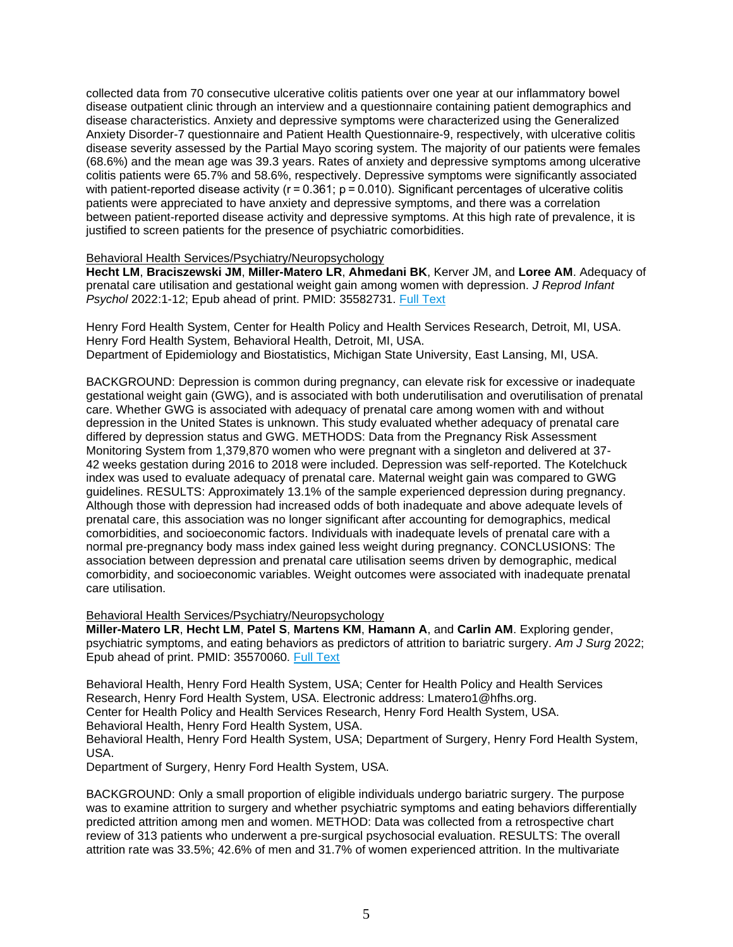collected data from 70 consecutive ulcerative colitis patients over one year at our inflammatory bowel disease outpatient clinic through an interview and a questionnaire containing patient demographics and disease characteristics. Anxiety and depressive symptoms were characterized using the Generalized Anxiety Disorder-7 questionnaire and Patient Health Questionnaire-9, respectively, with ulcerative colitis disease severity assessed by the Partial Mayo scoring system. The majority of our patients were females (68.6%) and the mean age was 39.3 years. Rates of anxiety and depressive symptoms among ulcerative colitis patients were 65.7% and 58.6%, respectively. Depressive symptoms were significantly associated with patient-reported disease activity ( $r = 0.361$ ;  $p = 0.010$ ). Significant percentages of ulcerative colitis patients were appreciated to have anxiety and depressive symptoms, and there was a correlation between patient-reported disease activity and depressive symptoms. At this high rate of prevalence, it is justified to screen patients for the presence of psychiatric comorbidities.

#### Behavioral Health Services/Psychiatry/Neuropsychology

**Hecht LM**, **Braciszewski JM**, **Miller-Matero LR**, **Ahmedani BK**, Kerver JM, and **Loree AM**. Adequacy of prenatal care utilisation and gestational weight gain among women with depression. *J Reprod Infant Psychol* 2022:1-12; Epub ahead of print. PMID: 35582731. [Full Text](https://libkey.io/35582731)

Henry Ford Health System, Center for Health Policy and Health Services Research, Detroit, MI, USA. Henry Ford Health System, Behavioral Health, Detroit, MI, USA. Department of Epidemiology and Biostatistics, Michigan State University, East Lansing, MI, USA.

BACKGROUND: Depression is common during pregnancy, can elevate risk for excessive or inadequate gestational weight gain (GWG), and is associated with both underutilisation and overutilisation of prenatal care. Whether GWG is associated with adequacy of prenatal care among women with and without depression in the United States is unknown. This study evaluated whether adequacy of prenatal care differed by depression status and GWG. METHODS: Data from the Pregnancy Risk Assessment Monitoring System from 1,379,870 women who were pregnant with a singleton and delivered at 37- 42 weeks gestation during 2016 to 2018 were included. Depression was self-reported. The Kotelchuck index was used to evaluate adequacy of prenatal care. Maternal weight gain was compared to GWG guidelines. RESULTS: Approximately 13.1% of the sample experienced depression during pregnancy. Although those with depression had increased odds of both inadequate and above adequate levels of prenatal care, this association was no longer significant after accounting for demographics, medical comorbidities, and socioeconomic factors. Individuals with inadequate levels of prenatal care with a normal pre-pregnancy body mass index gained less weight during pregnancy. CONCLUSIONS: The association between depression and prenatal care utilisation seems driven by demographic, medical comorbidity, and socioeconomic variables. Weight outcomes were associated with inadequate prenatal care utilisation.

# Behavioral Health Services/Psychiatry/Neuropsychology

**Miller-Matero LR**, **Hecht LM**, **Patel S**, **Martens KM**, **Hamann A**, and **Carlin AM**. Exploring gender, psychiatric symptoms, and eating behaviors as predictors of attrition to bariatric surgery. *Am J Surg* 2022; Epub ahead of print. PMID: 35570060. [Full Text](https://libkey.io/35570060)

Behavioral Health, Henry Ford Health System, USA; Center for Health Policy and Health Services Research, Henry Ford Health System, USA. Electronic address: Lmatero1@hfhs.org. Center for Health Policy and Health Services Research, Henry Ford Health System, USA. Behavioral Health, Henry Ford Health System, USA. Behavioral Health, Henry Ford Health System, USA; Department of Surgery, Henry Ford Health System,

USA.

Department of Surgery, Henry Ford Health System, USA.

BACKGROUND: Only a small proportion of eligible individuals undergo bariatric surgery. The purpose was to examine attrition to surgery and whether psychiatric symptoms and eating behaviors differentially predicted attrition among men and women. METHOD: Data was collected from a retrospective chart review of 313 patients who underwent a pre-surgical psychosocial evaluation. RESULTS: The overall attrition rate was 33.5%; 42.6% of men and 31.7% of women experienced attrition. In the multivariate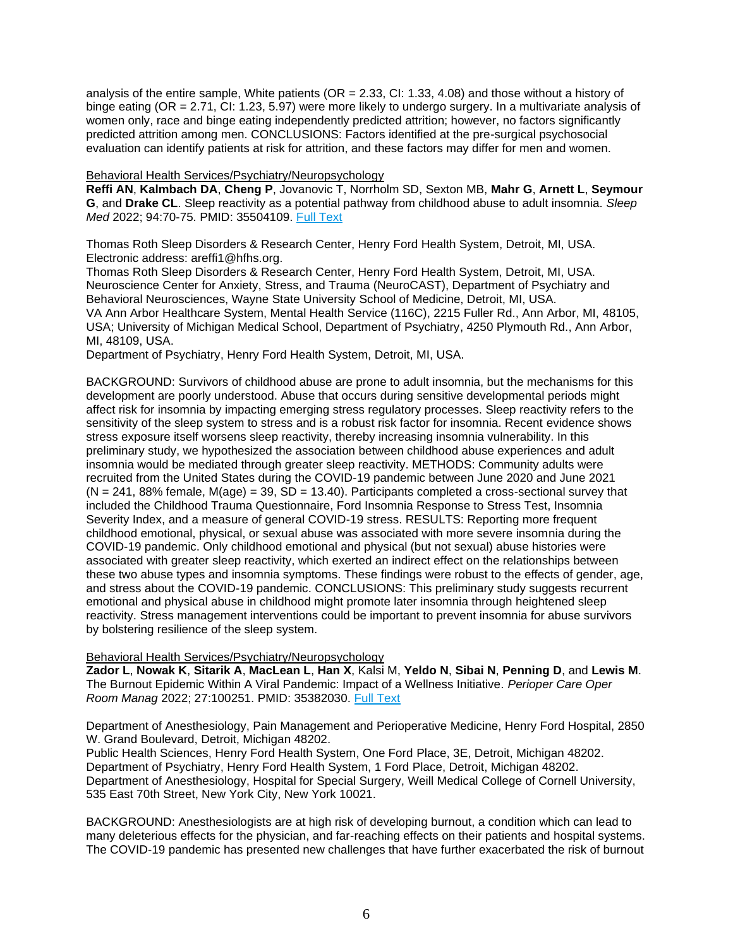analysis of the entire sample, White patients (OR = 2.33, CI: 1.33, 4.08) and those without a history of binge eating (OR = 2.71, CI: 1.23, 5.97) were more likely to undergo surgery. In a multivariate analysis of women only, race and binge eating independently predicted attrition; however, no factors significantly predicted attrition among men. CONCLUSIONS: Factors identified at the pre-surgical psychosocial evaluation can identify patients at risk for attrition, and these factors may differ for men and women.

# Behavioral Health Services/Psychiatry/Neuropsychology

**Reffi AN**, **Kalmbach DA**, **Cheng P**, Jovanovic T, Norrholm SD, Sexton MB, **Mahr G**, **Arnett L**, **Seymour G**, and **Drake CL**. Sleep reactivity as a potential pathway from childhood abuse to adult insomnia. *Sleep Med* 2022; 94:70-75. PMID: 35504109. [Full Text](https://libkey.io/35504109)

Thomas Roth Sleep Disorders & Research Center, Henry Ford Health System, Detroit, MI, USA. Electronic address: areffi1@hfhs.org.

Thomas Roth Sleep Disorders & Research Center, Henry Ford Health System, Detroit, MI, USA. Neuroscience Center for Anxiety, Stress, and Trauma (NeuroCAST), Department of Psychiatry and Behavioral Neurosciences, Wayne State University School of Medicine, Detroit, MI, USA. VA Ann Arbor Healthcare System, Mental Health Service (116C), 2215 Fuller Rd., Ann Arbor, MI, 48105, USA; University of Michigan Medical School, Department of Psychiatry, 4250 Plymouth Rd., Ann Arbor, MI, 48109, USA.

Department of Psychiatry, Henry Ford Health System, Detroit, MI, USA.

BACKGROUND: Survivors of childhood abuse are prone to adult insomnia, but the mechanisms for this development are poorly understood. Abuse that occurs during sensitive developmental periods might affect risk for insomnia by impacting emerging stress regulatory processes. Sleep reactivity refers to the sensitivity of the sleep system to stress and is a robust risk factor for insomnia. Recent evidence shows stress exposure itself worsens sleep reactivity, thereby increasing insomnia vulnerability. In this preliminary study, we hypothesized the association between childhood abuse experiences and adult insomnia would be mediated through greater sleep reactivity. METHODS: Community adults were recruited from the United States during the COVID-19 pandemic between June 2020 and June 2021  $(N = 241, 88\%$  female,  $M(aqe) = 39, SD = 13.40$ . Participants completed a cross-sectional survey that included the Childhood Trauma Questionnaire, Ford Insomnia Response to Stress Test, Insomnia Severity Index, and a measure of general COVID-19 stress. RESULTS: Reporting more frequent childhood emotional, physical, or sexual abuse was associated with more severe insomnia during the COVID-19 pandemic. Only childhood emotional and physical (but not sexual) abuse histories were associated with greater sleep reactivity, which exerted an indirect effect on the relationships between these two abuse types and insomnia symptoms. These findings were robust to the effects of gender, age, and stress about the COVID-19 pandemic. CONCLUSIONS: This preliminary study suggests recurrent emotional and physical abuse in childhood might promote later insomnia through heightened sleep reactivity. Stress management interventions could be important to prevent insomnia for abuse survivors by bolstering resilience of the sleep system.

# Behavioral Health Services/Psychiatry/Neuropsychology

**Zador L**, **Nowak K**, **Sitarik A**, **MacLean L**, **Han X**, Kalsi M, **Yeldo N**, **Sibai N**, **Penning D**, and **Lewis M**. The Burnout Epidemic Within A Viral Pandemic: Impact of a Wellness Initiative. *Perioper Care Oper Room Manag* 2022; 27:100251. PMID: 35382030. [Full Text](https://libkey.io/35382030)

Department of Anesthesiology, Pain Management and Perioperative Medicine, Henry Ford Hospital, 2850 W. Grand Boulevard, Detroit, Michigan 48202.

Public Health Sciences, Henry Ford Health System, One Ford Place, 3E, Detroit, Michigan 48202. Department of Psychiatry, Henry Ford Health System, 1 Ford Place, Detroit, Michigan 48202. Department of Anesthesiology, Hospital for Special Surgery, Weill Medical College of Cornell University, 535 East 70th Street, New York City, New York 10021.

BACKGROUND: Anesthesiologists are at high risk of developing burnout, a condition which can lead to many deleterious effects for the physician, and far-reaching effects on their patients and hospital systems. The COVID-19 pandemic has presented new challenges that have further exacerbated the risk of burnout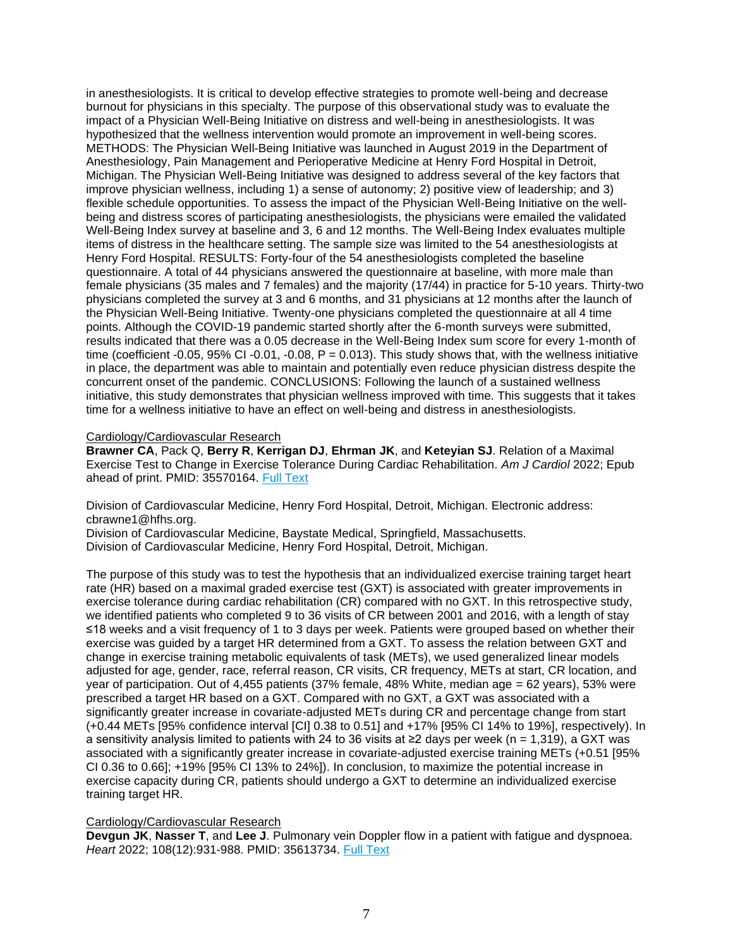in anesthesiologists. It is critical to develop effective strategies to promote well-being and decrease burnout for physicians in this specialty. The purpose of this observational study was to evaluate the impact of a Physician Well-Being Initiative on distress and well-being in anesthesiologists. It was hypothesized that the wellness intervention would promote an improvement in well-being scores. METHODS: The Physician Well-Being Initiative was launched in August 2019 in the Department of Anesthesiology, Pain Management and Perioperative Medicine at Henry Ford Hospital in Detroit, Michigan. The Physician Well-Being Initiative was designed to address several of the key factors that improve physician wellness, including 1) a sense of autonomy; 2) positive view of leadership; and 3) flexible schedule opportunities. To assess the impact of the Physician Well-Being Initiative on the wellbeing and distress scores of participating anesthesiologists, the physicians were emailed the validated Well-Being Index survey at baseline and 3, 6 and 12 months. The Well-Being Index evaluates multiple items of distress in the healthcare setting. The sample size was limited to the 54 anesthesiologists at Henry Ford Hospital. RESULTS: Forty-four of the 54 anesthesiologists completed the baseline questionnaire. A total of 44 physicians answered the questionnaire at baseline, with more male than female physicians (35 males and 7 females) and the majority (17/44) in practice for 5-10 years. Thirty-two physicians completed the survey at 3 and 6 months, and 31 physicians at 12 months after the launch of the Physician Well-Being Initiative. Twenty-one physicians completed the questionnaire at all 4 time points. Although the COVID-19 pandemic started shortly after the 6-month surveys were submitted, results indicated that there was a 0.05 decrease in the Well-Being Index sum score for every 1-month of time (coefficient -0.05, 95% CI -0.01, -0.08,  $P = 0.013$ ). This study shows that, with the wellness initiative in place, the department was able to maintain and potentially even reduce physician distress despite the concurrent onset of the pandemic. CONCLUSIONS: Following the launch of a sustained wellness initiative, this study demonstrates that physician wellness improved with time. This suggests that it takes time for a wellness initiative to have an effect on well-being and distress in anesthesiologists.

<span id="page-6-0"></span>Cardiology/Cardiovascular Research

**Brawner CA**, Pack Q, **Berry R**, **Kerrigan DJ**, **Ehrman JK**, and **Keteyian SJ**. Relation of a Maximal Exercise Test to Change in Exercise Tolerance During Cardiac Rehabilitation. *Am J Cardiol* 2022; Epub ahead of print. PMID: 35570164. [Full Text](https://libkey.io/35570164)

Division of Cardiovascular Medicine, Henry Ford Hospital, Detroit, Michigan. Electronic address: cbrawne1@hfhs.org.

Division of Cardiovascular Medicine, Baystate Medical, Springfield, Massachusetts. Division of Cardiovascular Medicine, Henry Ford Hospital, Detroit, Michigan.

The purpose of this study was to test the hypothesis that an individualized exercise training target heart rate (HR) based on a maximal graded exercise test (GXT) is associated with greater improvements in exercise tolerance during cardiac rehabilitation (CR) compared with no GXT. In this retrospective study, we identified patients who completed 9 to 36 visits of CR between 2001 and 2016, with a length of stay ≤18 weeks and a visit frequency of 1 to 3 days per week. Patients were grouped based on whether their exercise was guided by a target HR determined from a GXT. To assess the relation between GXT and change in exercise training metabolic equivalents of task (METs), we used generalized linear models adjusted for age, gender, race, referral reason, CR visits, CR frequency, METs at start, CR location, and year of participation. Out of 4,455 patients (37% female, 48% White, median age = 62 years), 53% were prescribed a target HR based on a GXT. Compared with no GXT, a GXT was associated with a significantly greater increase in covariate-adjusted METs during CR and percentage change from start (+0.44 METs [95% confidence interval [CI] 0.38 to 0.51] and +17% [95% CI 14% to 19%], respectively). In a sensitivity analysis limited to patients with 24 to 36 visits at ≥2 days per week (n = 1,319), a GXT was associated with a significantly greater increase in covariate-adjusted exercise training METs (+0.51 [95% CI 0.36 to 0.66]; +19% [95% CI 13% to 24%]). In conclusion, to maximize the potential increase in exercise capacity during CR, patients should undergo a GXT to determine an individualized exercise training target HR.

# Cardiology/Cardiovascular Research

**Devgun JK**, **Nasser T**, and **Lee J**. Pulmonary vein Doppler flow in a patient with fatigue and dyspnoea. *Heart* 2022; 108(12):931-988. PMID: 35613734. [Full Text](https://libkey.io/35613734)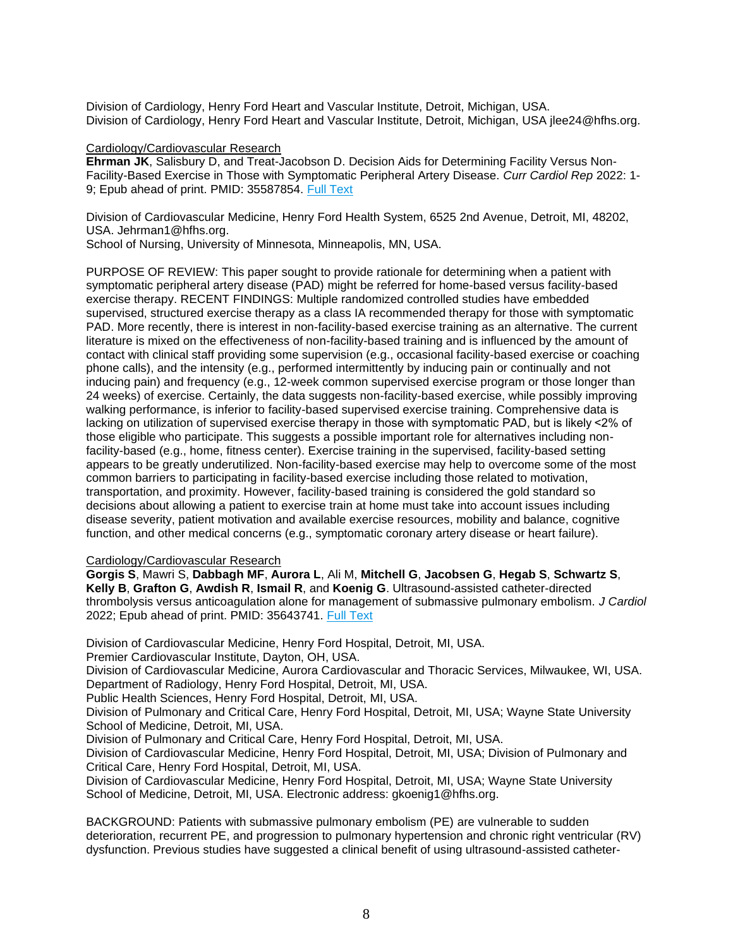Division of Cardiology, Henry Ford Heart and Vascular Institute, Detroit, Michigan, USA. Division of Cardiology, Henry Ford Heart and Vascular Institute, Detroit, Michigan, USA jlee24@hfhs.org.

#### Cardiology/Cardiovascular Research

**Ehrman JK**, Salisbury D, and Treat-Jacobson D. Decision Aids for Determining Facility Versus Non-Facility-Based Exercise in Those with Symptomatic Peripheral Artery Disease. *Curr Cardiol Rep* 2022: 1- 9; Epub ahead of print. PMID: 35587854. [Full Text](https://libkey.io/35587854)

Division of Cardiovascular Medicine, Henry Ford Health System, 6525 2nd Avenue, Detroit, MI, 48202, USA. Jehrman1@hfhs.org.

School of Nursing, University of Minnesota, Minneapolis, MN, USA.

PURPOSE OF REVIEW: This paper sought to provide rationale for determining when a patient with symptomatic peripheral artery disease (PAD) might be referred for home-based versus facility-based exercise therapy. RECENT FINDINGS: Multiple randomized controlled studies have embedded supervised, structured exercise therapy as a class IA recommended therapy for those with symptomatic PAD. More recently, there is interest in non-facility-based exercise training as an alternative. The current literature is mixed on the effectiveness of non-facility-based training and is influenced by the amount of contact with clinical staff providing some supervision (e.g., occasional facility-based exercise or coaching phone calls), and the intensity (e.g., performed intermittently by inducing pain or continually and not inducing pain) and frequency (e.g., 12-week common supervised exercise program or those longer than 24 weeks) of exercise. Certainly, the data suggests non-facility-based exercise, while possibly improving walking performance, is inferior to facility-based supervised exercise training. Comprehensive data is lacking on utilization of supervised exercise therapy in those with symptomatic PAD, but is likely <2% of those eligible who participate. This suggests a possible important role for alternatives including nonfacility-based (e.g., home, fitness center). Exercise training in the supervised, facility-based setting appears to be greatly underutilized. Non-facility-based exercise may help to overcome some of the most common barriers to participating in facility-based exercise including those related to motivation, transportation, and proximity. However, facility-based training is considered the gold standard so decisions about allowing a patient to exercise train at home must take into account issues including disease severity, patient motivation and available exercise resources, mobility and balance, cognitive function, and other medical concerns (e.g., symptomatic coronary artery disease or heart failure).

# Cardiology/Cardiovascular Research

**Gorgis S**, Mawri S, **Dabbagh MF**, **Aurora L**, Ali M, **Mitchell G**, **Jacobsen G**, **Hegab S**, **Schwartz S**, **Kelly B**, **Grafton G**, **Awdish R**, **Ismail R**, and **Koenig G**. Ultrasound-assisted catheter-directed thrombolysis versus anticoagulation alone for management of submassive pulmonary embolism. *J Cardiol* 2022; Epub ahead of print. PMID: 35643741. [Full Text](https://libkey.io/35643741)

Division of Cardiovascular Medicine, Henry Ford Hospital, Detroit, MI, USA.

Premier Cardiovascular Institute, Dayton, OH, USA.

Division of Cardiovascular Medicine, Aurora Cardiovascular and Thoracic Services, Milwaukee, WI, USA. Department of Radiology, Henry Ford Hospital, Detroit, MI, USA.

Public Health Sciences, Henry Ford Hospital, Detroit, MI, USA.

Division of Pulmonary and Critical Care, Henry Ford Hospital, Detroit, MI, USA; Wayne State University School of Medicine, Detroit, MI, USA.

Division of Pulmonary and Critical Care, Henry Ford Hospital, Detroit, MI, USA.

Division of Cardiovascular Medicine, Henry Ford Hospital, Detroit, MI, USA; Division of Pulmonary and Critical Care, Henry Ford Hospital, Detroit, MI, USA.

Division of Cardiovascular Medicine, Henry Ford Hospital, Detroit, MI, USA; Wayne State University School of Medicine, Detroit, MI, USA. Electronic address: gkoenig1@hfhs.org.

BACKGROUND: Patients with submassive pulmonary embolism (PE) are vulnerable to sudden deterioration, recurrent PE, and progression to pulmonary hypertension and chronic right ventricular (RV) dysfunction. Previous studies have suggested a clinical benefit of using ultrasound-assisted catheter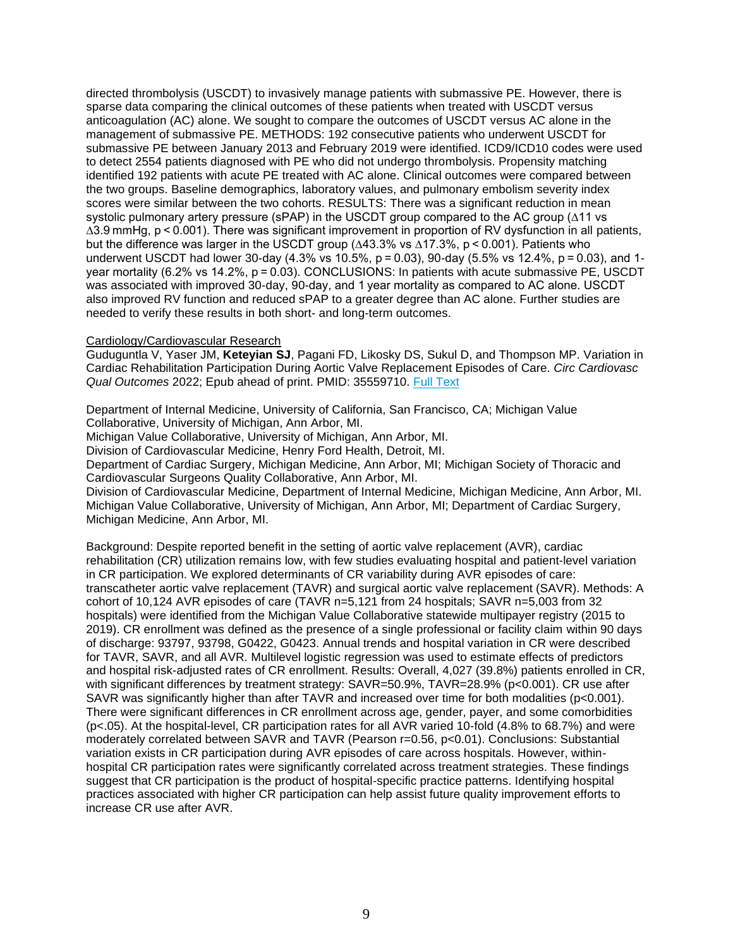directed thrombolysis (USCDT) to invasively manage patients with submassive PE. However, there is sparse data comparing the clinical outcomes of these patients when treated with USCDT versus anticoagulation (AC) alone. We sought to compare the outcomes of USCDT versus AC alone in the management of submassive PE. METHODS: 192 consecutive patients who underwent USCDT for submassive PE between January 2013 and February 2019 were identified. ICD9/ICD10 codes were used to detect 2554 patients diagnosed with PE who did not undergo thrombolysis. Propensity matching identified 192 patients with acute PE treated with AC alone. Clinical outcomes were compared between the two groups. Baseline demographics, laboratory values, and pulmonary embolism severity index scores were similar between the two cohorts. RESULTS: There was a significant reduction in mean systolic pulmonary artery pressure (sPAP) in the USCDT group compared to the AC group (∆11 vs ∆3.9 mmHg, p < 0.001). There was significant improvement in proportion of RV dysfunction in all patients, but the difference was larger in the USCDT group (∆43.3% vs ∆17.3%, p < 0.001). Patients who underwent USCDT had lower 30-day (4.3% vs 10.5%, p = 0.03), 90-day (5.5% vs 12.4%, p = 0.03), and 1 year mortality (6.2% vs 14.2%, p = 0.03). CONCLUSIONS: In patients with acute submassive PE, USCDT was associated with improved 30-day, 90-day, and 1 year mortality as compared to AC alone. USCDT also improved RV function and reduced sPAP to a greater degree than AC alone. Further studies are needed to verify these results in both short- and long-term outcomes.

# Cardiology/Cardiovascular Research

Guduguntla V, Yaser JM, **Keteyian SJ**, Pagani FD, Likosky DS, Sukul D, and Thompson MP. Variation in Cardiac Rehabilitation Participation During Aortic Valve Replacement Episodes of Care. *Circ Cardiovasc Qual Outcomes* 2022; Epub ahead of print. PMID: 35559710. [Full Text](https://libkey.io/35559710)

Department of Internal Medicine, University of California, San Francisco, CA; Michigan Value Collaborative, University of Michigan, Ann Arbor, MI.

Michigan Value Collaborative, University of Michigan, Ann Arbor, MI.

Division of Cardiovascular Medicine, Henry Ford Health, Detroit, MI.

Department of Cardiac Surgery, Michigan Medicine, Ann Arbor, MI; Michigan Society of Thoracic and Cardiovascular Surgeons Quality Collaborative, Ann Arbor, MI.

Division of Cardiovascular Medicine, Department of Internal Medicine, Michigan Medicine, Ann Arbor, MI. Michigan Value Collaborative, University of Michigan, Ann Arbor, MI; Department of Cardiac Surgery, Michigan Medicine, Ann Arbor, MI.

Background: Despite reported benefit in the setting of aortic valve replacement (AVR), cardiac rehabilitation (CR) utilization remains low, with few studies evaluating hospital and patient-level variation in CR participation. We explored determinants of CR variability during AVR episodes of care: transcatheter aortic valve replacement (TAVR) and surgical aortic valve replacement (SAVR). Methods: A cohort of 10,124 AVR episodes of care (TAVR n=5,121 from 24 hospitals; SAVR n=5,003 from 32 hospitals) were identified from the Michigan Value Collaborative statewide multipayer registry (2015 to 2019). CR enrollment was defined as the presence of a single professional or facility claim within 90 days of discharge: 93797, 93798, G0422, G0423. Annual trends and hospital variation in CR were described for TAVR, SAVR, and all AVR. Multilevel logistic regression was used to estimate effects of predictors and hospital risk-adjusted rates of CR enrollment. Results: Overall, 4,027 (39.8%) patients enrolled in CR, with significant differences by treatment strategy: SAVR=50.9%, TAVR=28.9% (p<0.001). CR use after SAVR was significantly higher than after TAVR and increased over time for both modalities (p<0.001). There were significant differences in CR enrollment across age, gender, payer, and some comorbidities (p<.05). At the hospital-level, CR participation rates for all AVR varied 10-fold (4.8% to 68.7%) and were moderately correlated between SAVR and TAVR (Pearson r=0.56, p<0.01). Conclusions: Substantial variation exists in CR participation during AVR episodes of care across hospitals. However, withinhospital CR participation rates were significantly correlated across treatment strategies. These findings suggest that CR participation is the product of hospital-specific practice patterns. Identifying hospital practices associated with higher CR participation can help assist future quality improvement efforts to increase CR use after AVR.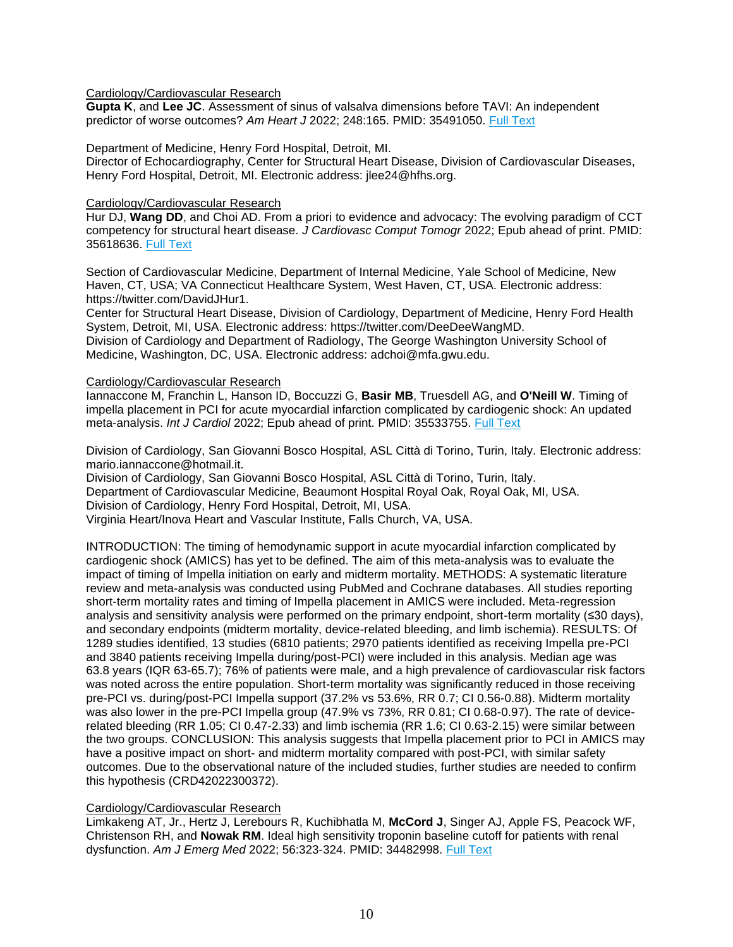# Cardiology/Cardiovascular Research

**Gupta K**, and **Lee JC**. Assessment of sinus of valsalva dimensions before TAVI: An independent predictor of worse outcomes? *Am Heart J* 2022; 248:165. PMID: 35491050. [Full Text](https://libkey.io/35491050)

Department of Medicine, Henry Ford Hospital, Detroit, MI.

Director of Echocardiography, Center for Structural Heart Disease, Division of Cardiovascular Diseases, Henry Ford Hospital, Detroit, MI. Electronic address: jlee24@hfhs.org.

#### Cardiology/Cardiovascular Research

Hur DJ, **Wang DD**, and Choi AD. From a priori to evidence and advocacy: The evolving paradigm of CCT competency for structural heart disease. *J Cardiovasc Comput Tomogr* 2022; Epub ahead of print. PMID: 35618636. [Full Text](https://libkey.io/35618636)

Section of Cardiovascular Medicine, Department of Internal Medicine, Yale School of Medicine, New Haven, CT, USA; VA Connecticut Healthcare System, West Haven, CT, USA. Electronic address: https://twitter.com/DavidJHur1.

Center for Structural Heart Disease, Division of Cardiology, Department of Medicine, Henry Ford Health System, Detroit, MI, USA. Electronic address: https://twitter.com/DeeDeeWangMD.

Division of Cardiology and Department of Radiology, The George Washington University School of Medicine, Washington, DC, USA. Electronic address: adchoi@mfa.gwu.edu.

#### Cardiology/Cardiovascular Research

Iannaccone M, Franchin L, Hanson ID, Boccuzzi G, **Basir MB**, Truesdell AG, and **O'Neill W**. Timing of impella placement in PCI for acute myocardial infarction complicated by cardiogenic shock: An updated meta-analysis. *Int J Cardiol* 2022; Epub ahead of print. PMID: 35533755. [Full Text](https://libkey.io/35533755)

Division of Cardiology, San Giovanni Bosco Hospital, ASL Città di Torino, Turin, Italy. Electronic address: mario.iannaccone@hotmail.it.

Division of Cardiology, San Giovanni Bosco Hospital, ASL Città di Torino, Turin, Italy. Department of Cardiovascular Medicine, Beaumont Hospital Royal Oak, Royal Oak, MI, USA. Division of Cardiology, Henry Ford Hospital, Detroit, MI, USA. Virginia Heart/Inova Heart and Vascular Institute, Falls Church, VA, USA.

INTRODUCTION: The timing of hemodynamic support in acute myocardial infarction complicated by cardiogenic shock (AMICS) has yet to be defined. The aim of this meta-analysis was to evaluate the impact of timing of Impella initiation on early and midterm mortality. METHODS: A systematic literature review and meta-analysis was conducted using PubMed and Cochrane databases. All studies reporting short-term mortality rates and timing of Impella placement in AMICS were included. Meta-regression analysis and sensitivity analysis were performed on the primary endpoint, short-term mortality (≤30 days), and secondary endpoints (midterm mortality, device-related bleeding, and limb ischemia). RESULTS: Of 1289 studies identified, 13 studies (6810 patients; 2970 patients identified as receiving Impella pre-PCI and 3840 patients receiving Impella during/post-PCI) were included in this analysis. Median age was 63.8 years (IQR 63-65.7); 76% of patients were male, and a high prevalence of cardiovascular risk factors was noted across the entire population. Short-term mortality was significantly reduced in those receiving pre-PCI vs. during/post-PCI Impella support (37.2% vs 53.6%, RR 0.7; CI 0.56-0.88). Midterm mortality was also lower in the pre-PCI Impella group (47.9% vs 73%, RR 0.81; CI 0.68-0.97). The rate of devicerelated bleeding (RR 1.05; CI 0.47-2.33) and limb ischemia (RR 1.6; CI 0.63-2.15) were similar between the two groups. CONCLUSION: This analysis suggests that Impella placement prior to PCI in AMICS may have a positive impact on short- and midterm mortality compared with post-PCI, with similar safety outcomes. Due to the observational nature of the included studies, further studies are needed to confirm this hypothesis (CRD42022300372).

# Cardiology/Cardiovascular Research

Limkakeng AT, Jr., Hertz J, Lerebours R, Kuchibhatla M, **McCord J**, Singer AJ, Apple FS, Peacock WF, Christenson RH, and **Nowak RM**. Ideal high sensitivity troponin baseline cutoff for patients with renal dysfunction. *Am J Emerg Med* 2022; 56:323-324. PMID: 34482998. [Full Text](https://libkey.io/34482998)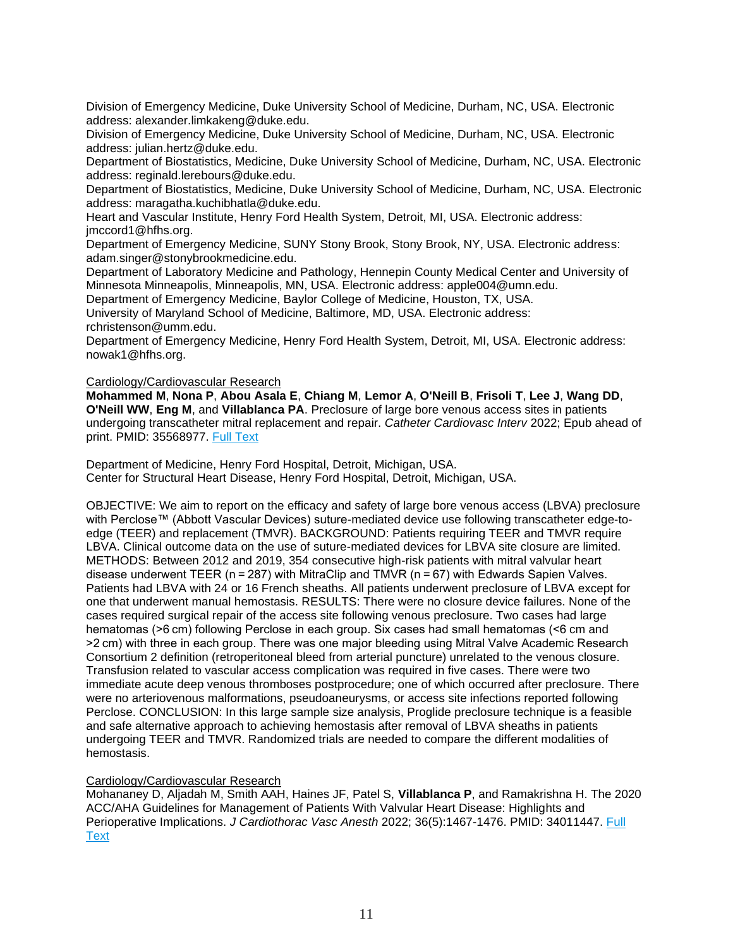Division of Emergency Medicine, Duke University School of Medicine, Durham, NC, USA. Electronic address: alexander.limkakeng@duke.edu.

Division of Emergency Medicine, Duke University School of Medicine, Durham, NC, USA. Electronic address: julian.hertz@duke.edu.

Department of Biostatistics, Medicine, Duke University School of Medicine, Durham, NC, USA. Electronic address: reginald.lerebours@duke.edu.

Department of Biostatistics, Medicine, Duke University School of Medicine, Durham, NC, USA. Electronic address: maragatha.kuchibhatla@duke.edu.

Heart and Vascular Institute, Henry Ford Health System, Detroit, MI, USA. Electronic address: jmccord1@hfhs.org.

Department of Emergency Medicine, SUNY Stony Brook, Stony Brook, NY, USA. Electronic address: adam.singer@stonybrookmedicine.edu.

Department of Laboratory Medicine and Pathology, Hennepin County Medical Center and University of Minnesota Minneapolis, Minneapolis, MN, USA. Electronic address: apple004@umn.edu.

Department of Emergency Medicine, Baylor College of Medicine, Houston, TX, USA.

University of Maryland School of Medicine, Baltimore, MD, USA. Electronic address: rchristenson@umm.edu.

Department of Emergency Medicine, Henry Ford Health System, Detroit, MI, USA. Electronic address: nowak1@hfhs.org.

#### Cardiology/Cardiovascular Research

**Mohammed M**, **Nona P**, **Abou Asala E**, **Chiang M**, **Lemor A**, **O'Neill B**, **Frisoli T**, **Lee J**, **Wang DD**, **O'Neill WW**, **Eng M**, and **Villablanca PA**. Preclosure of large bore venous access sites in patients undergoing transcatheter mitral replacement and repair. *Catheter Cardiovasc Interv* 2022; Epub ahead of print. PMID: 35568977. [Full Text](https://libkey.io/35568977)

Department of Medicine, Henry Ford Hospital, Detroit, Michigan, USA. Center for Structural Heart Disease, Henry Ford Hospital, Detroit, Michigan, USA.

OBJECTIVE: We aim to report on the efficacy and safety of large bore venous access (LBVA) preclosure with Perclose™ (Abbott Vascular Devices) suture-mediated device use following transcatheter edge-toedge (TEER) and replacement (TMVR). BACKGROUND: Patients requiring TEER and TMVR require LBVA. Clinical outcome data on the use of suture-mediated devices for LBVA site closure are limited. METHODS: Between 2012 and 2019, 354 consecutive high-risk patients with mitral valvular heart disease underwent TEER (n = 287) with MitraClip and TMVR (n = 67) with Edwards Sapien Valves. Patients had LBVA with 24 or 16 French sheaths. All patients underwent preclosure of LBVA except for one that underwent manual hemostasis. RESULTS: There were no closure device failures. None of the cases required surgical repair of the access site following venous preclosure. Two cases had large hematomas (>6 cm) following Perclose in each group. Six cases had small hematomas (<6 cm and >2 cm) with three in each group. There was one major bleeding using Mitral Valve Academic Research Consortium 2 definition (retroperitoneal bleed from arterial puncture) unrelated to the venous closure. Transfusion related to vascular access complication was required in five cases. There were two immediate acute deep venous thromboses postprocedure; one of which occurred after preclosure. There were no arteriovenous malformations, pseudoaneurysms, or access site infections reported following Perclose. CONCLUSION: In this large sample size analysis, Proglide preclosure technique is a feasible and safe alternative approach to achieving hemostasis after removal of LBVA sheaths in patients undergoing TEER and TMVR. Randomized trials are needed to compare the different modalities of hemostasis.

#### Cardiology/Cardiovascular Research

Mohananey D, Aljadah M, Smith AAH, Haines JF, Patel S, **Villablanca P**, and Ramakrishna H. The 2020 ACC/AHA Guidelines for Management of Patients With Valvular Heart Disease: Highlights and Perioperative Implications. *J Cardiothorac Vasc Anesth* 2022; 36(5):1467-1476. PMID: 34011447. [Full](https://libkey.io/34011447)  **[Text](https://libkey.io/34011447)**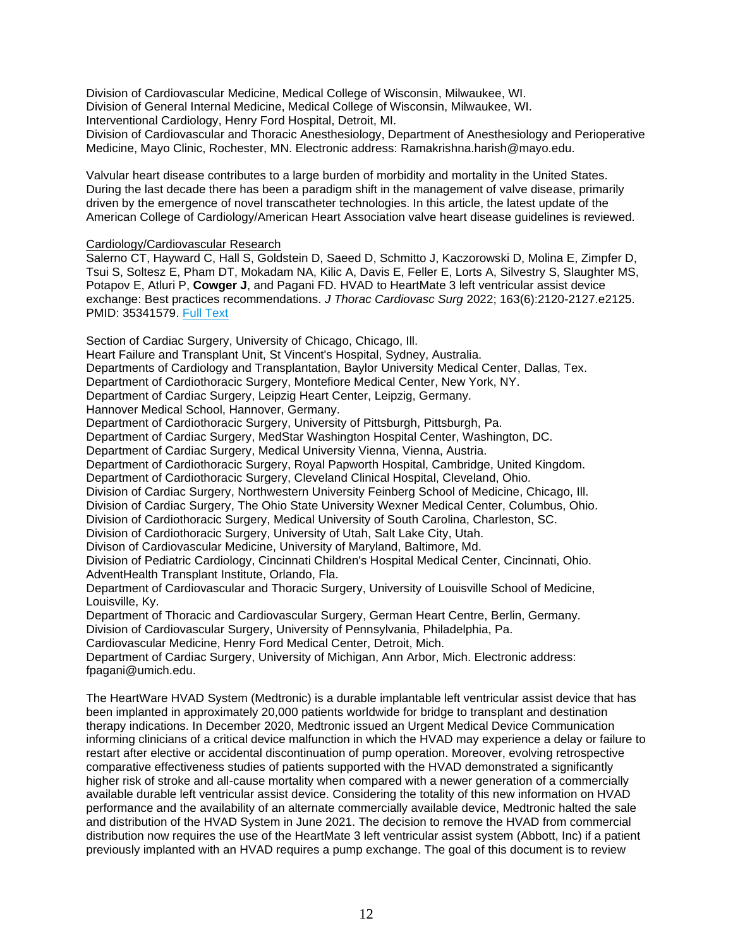Division of Cardiovascular Medicine, Medical College of Wisconsin, Milwaukee, WI. Division of General Internal Medicine, Medical College of Wisconsin, Milwaukee, WI. Interventional Cardiology, Henry Ford Hospital, Detroit, MI.

Division of Cardiovascular and Thoracic Anesthesiology, Department of Anesthesiology and Perioperative Medicine, Mayo Clinic, Rochester, MN. Electronic address: Ramakrishna.harish@mayo.edu.

Valvular heart disease contributes to a large burden of morbidity and mortality in the United States. During the last decade there has been a paradigm shift in the management of valve disease, primarily driven by the emergence of novel transcatheter technologies. In this article, the latest update of the American College of Cardiology/American Heart Association valve heart disease guidelines is reviewed.

# Cardiology/Cardiovascular Research

Salerno CT, Hayward C, Hall S, Goldstein D, Saeed D, Schmitto J, Kaczorowski D, Molina E, Zimpfer D, Tsui S, Soltesz E, Pham DT, Mokadam NA, Kilic A, Davis E, Feller E, Lorts A, Silvestry S, Slaughter MS, Potapov E, Atluri P, **Cowger J**, and Pagani FD. HVAD to HeartMate 3 left ventricular assist device exchange: Best practices recommendations. *J Thorac Cardiovasc Surg* 2022; 163(6):2120-2127.e2125. PMID: 35341579. [Full Text](https://libkey.io/35341579)

Section of Cardiac Surgery, University of Chicago, Chicago, Ill.

Heart Failure and Transplant Unit, St Vincent's Hospital, Sydney, Australia.

Departments of Cardiology and Transplantation, Baylor University Medical Center, Dallas, Tex.

Department of Cardiothoracic Surgery, Montefiore Medical Center, New York, NY.

Department of Cardiac Surgery, Leipzig Heart Center, Leipzig, Germany.

Hannover Medical School, Hannover, Germany.

Department of Cardiothoracic Surgery, University of Pittsburgh, Pittsburgh, Pa.

Department of Cardiac Surgery, MedStar Washington Hospital Center, Washington, DC.

Department of Cardiac Surgery, Medical University Vienna, Vienna, Austria.

Department of Cardiothoracic Surgery, Royal Papworth Hospital, Cambridge, United Kingdom.

Department of Cardiothoracic Surgery, Cleveland Clinical Hospital, Cleveland, Ohio.

Division of Cardiac Surgery, Northwestern University Feinberg School of Medicine, Chicago, Ill.

Division of Cardiac Surgery, The Ohio State University Wexner Medical Center, Columbus, Ohio.

Division of Cardiothoracic Surgery, Medical University of South Carolina, Charleston, SC.

Division of Cardiothoracic Surgery, University of Utah, Salt Lake City, Utah.

Divison of Cardiovascular Medicine, University of Maryland, Baltimore, Md.

Division of Pediatric Cardiology, Cincinnati Children's Hospital Medical Center, Cincinnati, Ohio. AdventHealth Transplant Institute, Orlando, Fla.

Department of Cardiovascular and Thoracic Surgery, University of Louisville School of Medicine, Louisville, Ky.

Department of Thoracic and Cardiovascular Surgery, German Heart Centre, Berlin, Germany.

Division of Cardiovascular Surgery, University of Pennsylvania, Philadelphia, Pa.

Cardiovascular Medicine, Henry Ford Medical Center, Detroit, Mich.

Department of Cardiac Surgery, University of Michigan, Ann Arbor, Mich. Electronic address: fpagani@umich.edu.

The HeartWare HVAD System (Medtronic) is a durable implantable left ventricular assist device that has been implanted in approximately 20,000 patients worldwide for bridge to transplant and destination therapy indications. In December 2020, Medtronic issued an Urgent Medical Device Communication informing clinicians of a critical device malfunction in which the HVAD may experience a delay or failure to restart after elective or accidental discontinuation of pump operation. Moreover, evolving retrospective comparative effectiveness studies of patients supported with the HVAD demonstrated a significantly higher risk of stroke and all-cause mortality when compared with a newer generation of a commercially available durable left ventricular assist device. Considering the totality of this new information on HVAD performance and the availability of an alternate commercially available device, Medtronic halted the sale and distribution of the HVAD System in June 2021. The decision to remove the HVAD from commercial distribution now requires the use of the HeartMate 3 left ventricular assist system (Abbott, Inc) if a patient previously implanted with an HVAD requires a pump exchange. The goal of this document is to review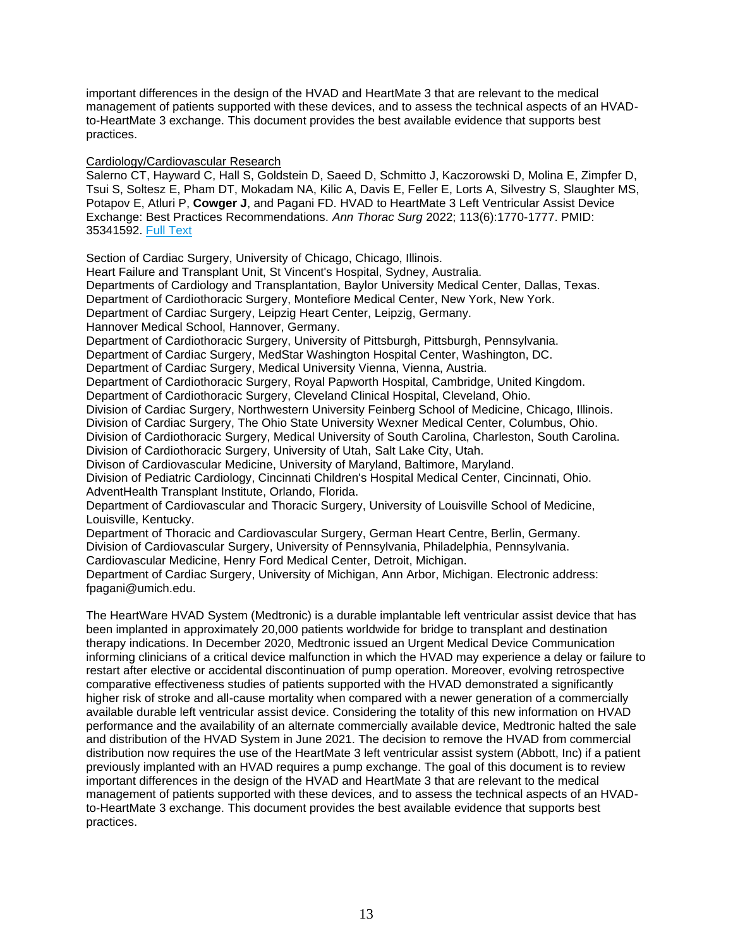important differences in the design of the HVAD and HeartMate 3 that are relevant to the medical management of patients supported with these devices, and to assess the technical aspects of an HVADto-HeartMate 3 exchange. This document provides the best available evidence that supports best practices.

Cardiology/Cardiovascular Research

Salerno CT, Hayward C, Hall S, Goldstein D, Saeed D, Schmitto J, Kaczorowski D, Molina E, Zimpfer D, Tsui S, Soltesz E, Pham DT, Mokadam NA, Kilic A, Davis E, Feller E, Lorts A, Silvestry S, Slaughter MS, Potapov E, Atluri P, **Cowger J**, and Pagani FD. HVAD to HeartMate 3 Left Ventricular Assist Device Exchange: Best Practices Recommendations. *Ann Thorac Surg* 2022; 113(6):1770-1777. PMID: 35341592. [Full Text](https://libkey.io/35341592)

Section of Cardiac Surgery, University of Chicago, Chicago, Illinois.

Heart Failure and Transplant Unit, St Vincent's Hospital, Sydney, Australia.

Departments of Cardiology and Transplantation, Baylor University Medical Center, Dallas, Texas.

Department of Cardiothoracic Surgery, Montefiore Medical Center, New York, New York.

Department of Cardiac Surgery, Leipzig Heart Center, Leipzig, Germany.

Hannover Medical School, Hannover, Germany.

Department of Cardiothoracic Surgery, University of Pittsburgh, Pittsburgh, Pennsylvania.

Department of Cardiac Surgery, MedStar Washington Hospital Center, Washington, DC.

Department of Cardiac Surgery, Medical University Vienna, Vienna, Austria.

Department of Cardiothoracic Surgery, Royal Papworth Hospital, Cambridge, United Kingdom.

Department of Cardiothoracic Surgery, Cleveland Clinical Hospital, Cleveland, Ohio.

Division of Cardiac Surgery, Northwestern University Feinberg School of Medicine, Chicago, Illinois.

Division of Cardiac Surgery, The Ohio State University Wexner Medical Center, Columbus, Ohio.

Division of Cardiothoracic Surgery, Medical University of South Carolina, Charleston, South Carolina. Division of Cardiothoracic Surgery, University of Utah, Salt Lake City, Utah.

Divison of Cardiovascular Medicine, University of Maryland, Baltimore, Maryland.

Division of Pediatric Cardiology, Cincinnati Children's Hospital Medical Center, Cincinnati, Ohio. AdventHealth Transplant Institute, Orlando, Florida.

Department of Cardiovascular and Thoracic Surgery, University of Louisville School of Medicine, Louisville, Kentucky.

Department of Thoracic and Cardiovascular Surgery, German Heart Centre, Berlin, Germany.

Division of Cardiovascular Surgery, University of Pennsylvania, Philadelphia, Pennsylvania.

Cardiovascular Medicine, Henry Ford Medical Center, Detroit, Michigan.

Department of Cardiac Surgery, University of Michigan, Ann Arbor, Michigan. Electronic address: fpagani@umich.edu.

The HeartWare HVAD System (Medtronic) is a durable implantable left ventricular assist device that has been implanted in approximately 20,000 patients worldwide for bridge to transplant and destination therapy indications. In December 2020, Medtronic issued an Urgent Medical Device Communication informing clinicians of a critical device malfunction in which the HVAD may experience a delay or failure to restart after elective or accidental discontinuation of pump operation. Moreover, evolving retrospective comparative effectiveness studies of patients supported with the HVAD demonstrated a significantly higher risk of stroke and all-cause mortality when compared with a newer generation of a commercially available durable left ventricular assist device. Considering the totality of this new information on HVAD performance and the availability of an alternate commercially available device, Medtronic halted the sale and distribution of the HVAD System in June 2021. The decision to remove the HVAD from commercial distribution now requires the use of the HeartMate 3 left ventricular assist system (Abbott, Inc) if a patient previously implanted with an HVAD requires a pump exchange. The goal of this document is to review important differences in the design of the HVAD and HeartMate 3 that are relevant to the medical management of patients supported with these devices, and to assess the technical aspects of an HVADto-HeartMate 3 exchange. This document provides the best available evidence that supports best practices.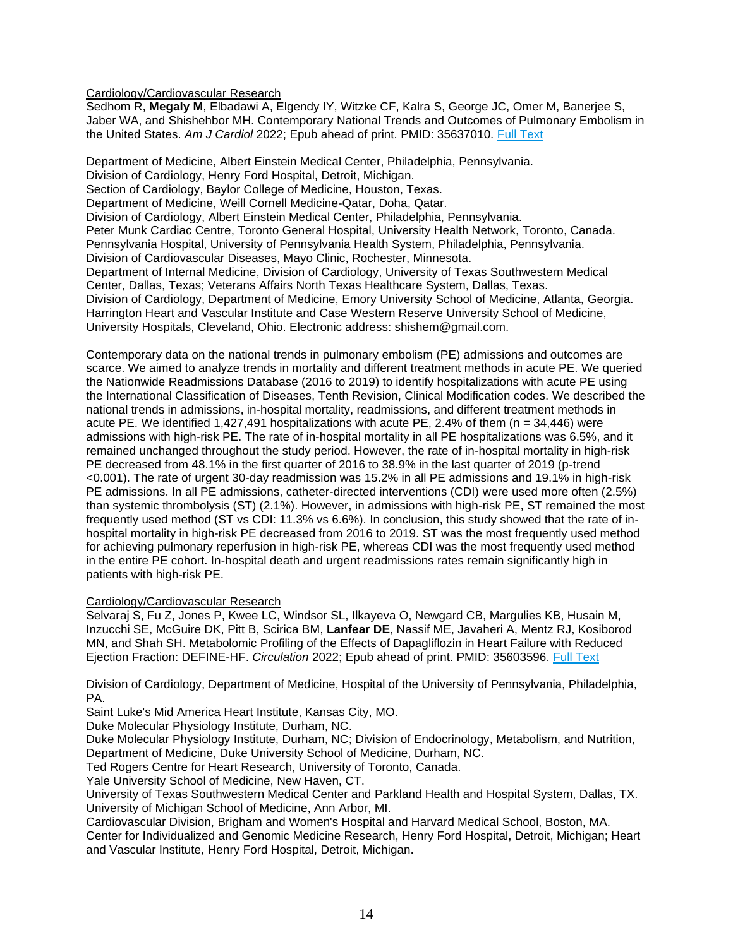Cardiology/Cardiovascular Research

Sedhom R, **Megaly M**, Elbadawi A, Elgendy IY, Witzke CF, Kalra S, George JC, Omer M, Banerjee S, Jaber WA, and Shishehbor MH. Contemporary National Trends and Outcomes of Pulmonary Embolism in the United States. *Am J Cardiol* 2022; Epub ahead of print. PMID: 35637010. [Full Text](https://libkey.io/35637010)

Department of Medicine, Albert Einstein Medical Center, Philadelphia, Pennsylvania. Division of Cardiology, Henry Ford Hospital, Detroit, Michigan. Section of Cardiology, Baylor College of Medicine, Houston, Texas. Department of Medicine, Weill Cornell Medicine-Qatar, Doha, Qatar. Division of Cardiology, Albert Einstein Medical Center, Philadelphia, Pennsylvania. Peter Munk Cardiac Centre, Toronto General Hospital, University Health Network, Toronto, Canada. Pennsylvania Hospital, University of Pennsylvania Health System, Philadelphia, Pennsylvania. Division of Cardiovascular Diseases, Mayo Clinic, Rochester, Minnesota. Department of Internal Medicine, Division of Cardiology, University of Texas Southwestern Medical Center, Dallas, Texas; Veterans Affairs North Texas Healthcare System, Dallas, Texas. Division of Cardiology, Department of Medicine, Emory University School of Medicine, Atlanta, Georgia. Harrington Heart and Vascular Institute and Case Western Reserve University School of Medicine, University Hospitals, Cleveland, Ohio. Electronic address: shishem@gmail.com.

Contemporary data on the national trends in pulmonary embolism (PE) admissions and outcomes are scarce. We aimed to analyze trends in mortality and different treatment methods in acute PE. We queried the Nationwide Readmissions Database (2016 to 2019) to identify hospitalizations with acute PE using the International Classification of Diseases, Tenth Revision, Clinical Modification codes. We described the national trends in admissions, in-hospital mortality, readmissions, and different treatment methods in acute PE. We identified 1,427,491 hospitalizations with acute PE, 2.4% of them (n = 34,446) were admissions with high-risk PE. The rate of in-hospital mortality in all PE hospitalizations was 6.5%, and it remained unchanged throughout the study period. However, the rate of in-hospital mortality in high-risk PE decreased from 48.1% in the first quarter of 2016 to 38.9% in the last quarter of 2019 (p-trend <0.001). The rate of urgent 30-day readmission was 15.2% in all PE admissions and 19.1% in high-risk PE admissions. In all PE admissions, catheter-directed interventions (CDI) were used more often (2.5%) than systemic thrombolysis (ST) (2.1%). However, in admissions with high-risk PE, ST remained the most frequently used method (ST vs CDI: 11.3% vs 6.6%). In conclusion, this study showed that the rate of inhospital mortality in high-risk PE decreased from 2016 to 2019. ST was the most frequently used method for achieving pulmonary reperfusion in high-risk PE, whereas CDI was the most frequently used method in the entire PE cohort. In-hospital death and urgent readmissions rates remain significantly high in patients with high-risk PE.

# Cardiology/Cardiovascular Research

Selvaraj S, Fu Z, Jones P, Kwee LC, Windsor SL, Ilkayeva O, Newgard CB, Margulies KB, Husain M, Inzucchi SE, McGuire DK, Pitt B, Scirica BM, **Lanfear DE**, Nassif ME, Javaheri A, Mentz RJ, Kosiborod MN, and Shah SH. Metabolomic Profiling of the Effects of Dapagliflozin in Heart Failure with Reduced Ejection Fraction: DEFINE-HF. *Circulation* 2022; Epub ahead of print. PMID: 35603596. [Full Text](https://libkey.io/35603596)

Division of Cardiology, Department of Medicine, Hospital of the University of Pennsylvania, Philadelphia, PA.

Saint Luke's Mid America Heart Institute, Kansas City, MO.

Duke Molecular Physiology Institute, Durham, NC.

Duke Molecular Physiology Institute, Durham, NC; Division of Endocrinology, Metabolism, and Nutrition, Department of Medicine, Duke University School of Medicine, Durham, NC.

Ted Rogers Centre for Heart Research, University of Toronto, Canada.

Yale University School of Medicine, New Haven, CT.

University of Texas Southwestern Medical Center and Parkland Health and Hospital System, Dallas, TX. University of Michigan School of Medicine, Ann Arbor, MI.

Cardiovascular Division, Brigham and Women's Hospital and Harvard Medical School, Boston, MA. Center for Individualized and Genomic Medicine Research, Henry Ford Hospital, Detroit, Michigan; Heart and Vascular Institute, Henry Ford Hospital, Detroit, Michigan.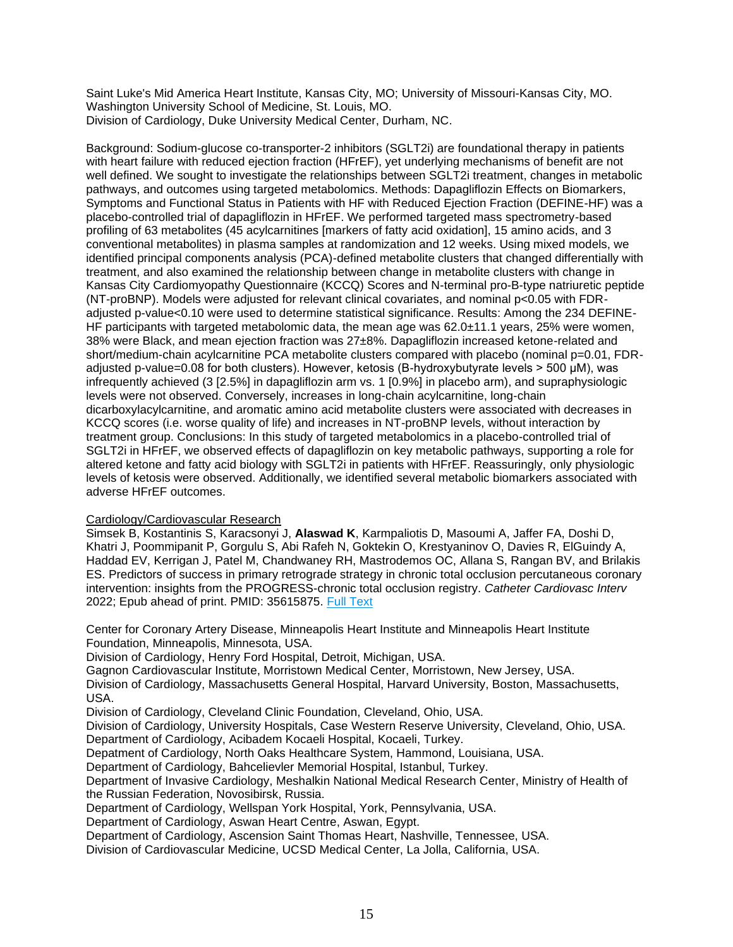Saint Luke's Mid America Heart Institute, Kansas City, MO; University of Missouri-Kansas City, MO. Washington University School of Medicine, St. Louis, MO. Division of Cardiology, Duke University Medical Center, Durham, NC.

Background: Sodium-glucose co-transporter-2 inhibitors (SGLT2i) are foundational therapy in patients with heart failure with reduced ejection fraction (HFrEF), yet underlying mechanisms of benefit are not well defined. We sought to investigate the relationships between SGLT2i treatment, changes in metabolic pathways, and outcomes using targeted metabolomics. Methods: Dapagliflozin Effects on Biomarkers, Symptoms and Functional Status in Patients with HF with Reduced Ejection Fraction (DEFINE-HF) was a placebo-controlled trial of dapagliflozin in HFrEF. We performed targeted mass spectrometry-based profiling of 63 metabolites (45 acylcarnitines [markers of fatty acid oxidation], 15 amino acids, and 3 conventional metabolites) in plasma samples at randomization and 12 weeks. Using mixed models, we identified principal components analysis (PCA)-defined metabolite clusters that changed differentially with treatment, and also examined the relationship between change in metabolite clusters with change in Kansas City Cardiomyopathy Questionnaire (KCCQ) Scores and N-terminal pro-B-type natriuretic peptide (NT-proBNP). Models were adjusted for relevant clinical covariates, and nominal p<0.05 with FDRadjusted p-value<0.10 were used to determine statistical significance. Results: Among the 234 DEFINE-HF participants with targeted metabolomic data, the mean age was 62.0±11.1 years, 25% were women, 38% were Black, and mean ejection fraction was 27±8%. Dapagliflozin increased ketone-related and short/medium-chain acylcarnitine PCA metabolite clusters compared with placebo (nominal p=0.01, FDRadjusted p-value=0.08 for both clusters). However, ketosis (Β-hydroxybutyrate levels > 500 μM), was infrequently achieved (3 [2.5%] in dapagliflozin arm vs. 1 [0.9%] in placebo arm), and supraphysiologic levels were not observed. Conversely, increases in long-chain acylcarnitine, long-chain dicarboxylacylcarnitine, and aromatic amino acid metabolite clusters were associated with decreases in KCCQ scores (i.e. worse quality of life) and increases in NT-proBNP levels, without interaction by treatment group. Conclusions: In this study of targeted metabolomics in a placebo-controlled trial of SGLT2i in HFrEF, we observed effects of dapagliflozin on key metabolic pathways, supporting a role for altered ketone and fatty acid biology with SGLT2i in patients with HFrEF. Reassuringly, only physiologic levels of ketosis were observed. Additionally, we identified several metabolic biomarkers associated with adverse HFrEF outcomes.

# Cardiology/Cardiovascular Research

Simsek B, Kostantinis S, Karacsonyi J, **Alaswad K**, Karmpaliotis D, Masoumi A, Jaffer FA, Doshi D, Khatri J, Poommipanit P, Gorgulu S, Abi Rafeh N, Goktekin O, Krestyaninov O, Davies R, ElGuindy A, Haddad EV, Kerrigan J, Patel M, Chandwaney RH, Mastrodemos OC, Allana S, Rangan BV, and Brilakis ES. Predictors of success in primary retrograde strategy in chronic total occlusion percutaneous coronary intervention: insights from the PROGRESS-chronic total occlusion registry. *Catheter Cardiovasc Interv* 2022; Epub ahead of print. PMID: 35615875. [Full Text](https://libkey.io/35615875)

Center for Coronary Artery Disease, Minneapolis Heart Institute and Minneapolis Heart Institute Foundation, Minneapolis, Minnesota, USA.

Division of Cardiology, Henry Ford Hospital, Detroit, Michigan, USA.

Gagnon Cardiovascular Institute, Morristown Medical Center, Morristown, New Jersey, USA.

Division of Cardiology, Massachusetts General Hospital, Harvard University, Boston, Massachusetts, USA.

Division of Cardiology, Cleveland Clinic Foundation, Cleveland, Ohio, USA.

Division of Cardiology, University Hospitals, Case Western Reserve University, Cleveland, Ohio, USA. Department of Cardiology, Acibadem Kocaeli Hospital, Kocaeli, Turkey.

Depatment of Cardiology, North Oaks Healthcare System, Hammond, Louisiana, USA.

Department of Cardiology, Bahcelievler Memorial Hospital, Istanbul, Turkey.

Department of Invasive Cardiology, Meshalkin National Medical Research Center, Ministry of Health of the Russian Federation, Novosibirsk, Russia.

Department of Cardiology, Wellspan York Hospital, York, Pennsylvania, USA.

Department of Cardiology, Aswan Heart Centre, Aswan, Egypt.

Department of Cardiology, Ascension Saint Thomas Heart, Nashville, Tennessee, USA.

Division of Cardiovascular Medicine, UCSD Medical Center, La Jolla, California, USA.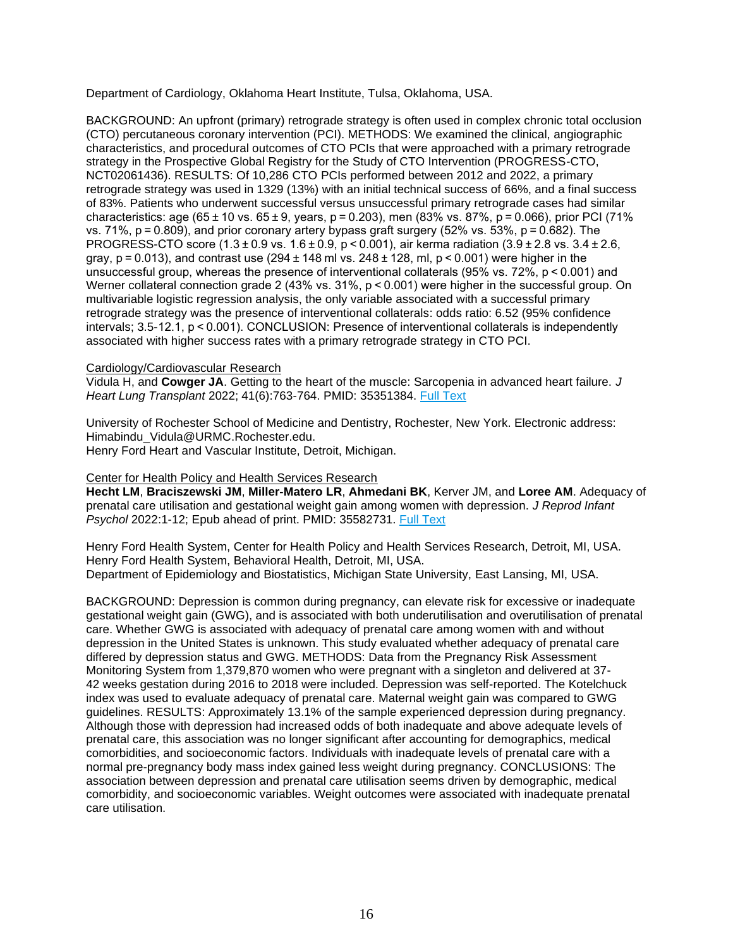Department of Cardiology, Oklahoma Heart Institute, Tulsa, Oklahoma, USA.

BACKGROUND: An upfront (primary) retrograde strategy is often used in complex chronic total occlusion (CTO) percutaneous coronary intervention (PCI). METHODS: We examined the clinical, angiographic characteristics, and procedural outcomes of CTO PCIs that were approached with a primary retrograde strategy in the Prospective Global Registry for the Study of CTO Intervention (PROGRESS-CTO, NCT02061436). RESULTS: Of 10,286 CTO PCIs performed between 2012 and 2022, a primary retrograde strategy was used in 1329 (13%) with an initial technical success of 66%, and a final success of 83%. Patients who underwent successful versus unsuccessful primary retrograde cases had similar characteristics: age (65 $\pm$ 10 vs. 65 $\pm$ 9, years, p = 0.203), men (83% vs. 87%, p = 0.066), prior PCI (71% vs. 71%,  $p = 0.809$ ), and prior coronary artery bypass graft surgery (52% vs. 53%,  $p = 0.682$ ). The PROGRESS-CTO score (1.3 ± 0.9 vs. 1.6 ± 0.9, p < 0.001), air kerma radiation (3.9 ± 2.8 vs. 3.4 ± 2.6, gray,  $p = 0.013$ ), and contrast use (294  $\pm$  148 ml vs. 248  $\pm$  128, ml, p < 0.001) were higher in the unsuccessful group, whereas the presence of interventional collaterals (95% vs. 72%, p < 0.001) and Werner collateral connection grade 2 (43% vs. 31%, p < 0.001) were higher in the successful group. On multivariable logistic regression analysis, the only variable associated with a successful primary retrograde strategy was the presence of interventional collaterals: odds ratio: 6.52 (95% confidence intervals; 3.5-12.1, p < 0.001). CONCLUSION: Presence of interventional collaterals is independently associated with higher success rates with a primary retrograde strategy in CTO PCI.

# Cardiology/Cardiovascular Research

Vidula H, and **Cowger JA**. Getting to the heart of the muscle: Sarcopenia in advanced heart failure. *J Heart Lung Transplant* 2022; 41(6):763-764. PMID: 35351384. [Full Text](https://libkey.io/35351384)

University of Rochester School of Medicine and Dentistry, Rochester, New York. Electronic address: Himabindu\_Vidula@URMC.Rochester.edu. Henry Ford Heart and Vascular Institute, Detroit, Michigan.

# <span id="page-15-0"></span>Center for Health Policy and Health Services Research

**Hecht LM**, **Braciszewski JM**, **Miller-Matero LR**, **Ahmedani BK**, Kerver JM, and **Loree AM**. Adequacy of prenatal care utilisation and gestational weight gain among women with depression. *J Reprod Infant*  Psychol 2022:1-12; Epub ahead of print. PMID: 35582731. [Full Text](https://libkey.io/35582731)

Henry Ford Health System, Center for Health Policy and Health Services Research, Detroit, MI, USA. Henry Ford Health System, Behavioral Health, Detroit, MI, USA. Department of Epidemiology and Biostatistics, Michigan State University, East Lansing, MI, USA.

BACKGROUND: Depression is common during pregnancy, can elevate risk for excessive or inadequate gestational weight gain (GWG), and is associated with both underutilisation and overutilisation of prenatal care. Whether GWG is associated with adequacy of prenatal care among women with and without depression in the United States is unknown. This study evaluated whether adequacy of prenatal care differed by depression status and GWG. METHODS: Data from the Pregnancy Risk Assessment Monitoring System from 1,379,870 women who were pregnant with a singleton and delivered at 37- 42 weeks gestation during 2016 to 2018 were included. Depression was self-reported. The Kotelchuck index was used to evaluate adequacy of prenatal care. Maternal weight gain was compared to GWG guidelines. RESULTS: Approximately 13.1% of the sample experienced depression during pregnancy. Although those with depression had increased odds of both inadequate and above adequate levels of prenatal care, this association was no longer significant after accounting for demographics, medical comorbidities, and socioeconomic factors. Individuals with inadequate levels of prenatal care with a normal pre-pregnancy body mass index gained less weight during pregnancy. CONCLUSIONS: The association between depression and prenatal care utilisation seems driven by demographic, medical comorbidity, and socioeconomic variables. Weight outcomes were associated with inadequate prenatal care utilisation.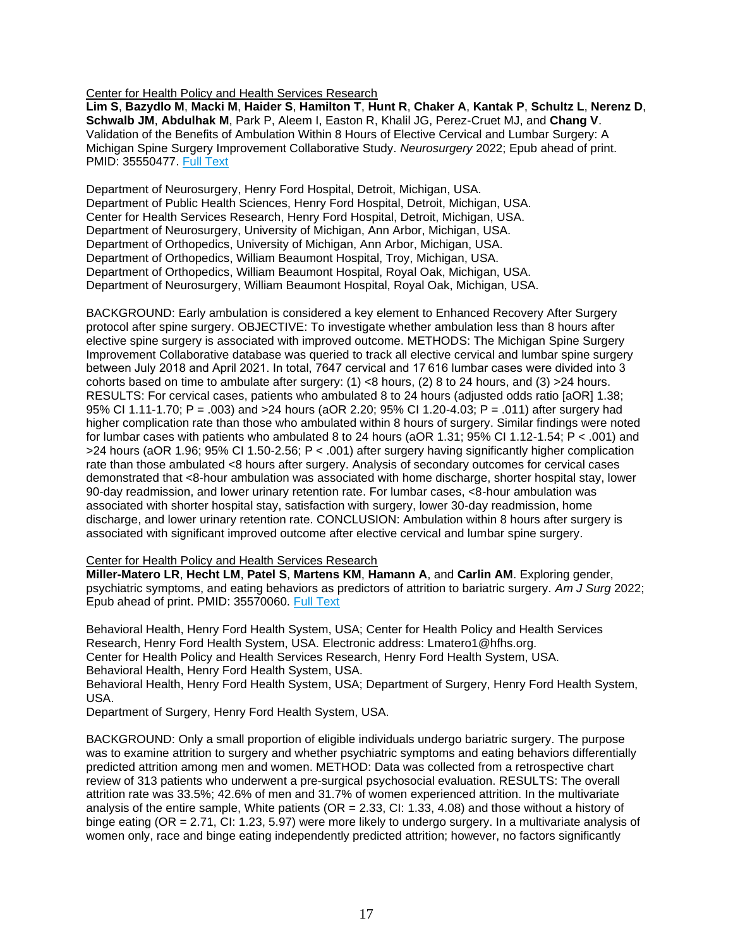Center for Health Policy and Health Services Research

**Lim S**, **Bazydlo M**, **Macki M**, **Haider S**, **Hamilton T**, **Hunt R**, **Chaker A**, **Kantak P**, **Schultz L**, **Nerenz D**, **Schwalb JM**, **Abdulhak M**, Park P, Aleem I, Easton R, Khalil JG, Perez-Cruet MJ, and **Chang V**. Validation of the Benefits of Ambulation Within 8 Hours of Elective Cervical and Lumbar Surgery: A Michigan Spine Surgery Improvement Collaborative Study. *Neurosurgery* 2022; Epub ahead of print. PMID: 35550477. [Full Text](https://libkey.io/35550477)

Department of Neurosurgery, Henry Ford Hospital, Detroit, Michigan, USA. Department of Public Health Sciences, Henry Ford Hospital, Detroit, Michigan, USA. Center for Health Services Research, Henry Ford Hospital, Detroit, Michigan, USA. Department of Neurosurgery, University of Michigan, Ann Arbor, Michigan, USA. Department of Orthopedics, University of Michigan, Ann Arbor, Michigan, USA. Department of Orthopedics, William Beaumont Hospital, Troy, Michigan, USA. Department of Orthopedics, William Beaumont Hospital, Royal Oak, Michigan, USA. Department of Neurosurgery, William Beaumont Hospital, Royal Oak, Michigan, USA.

BACKGROUND: Early ambulation is considered a key element to Enhanced Recovery After Surgery protocol after spine surgery. OBJECTIVE: To investigate whether ambulation less than 8 hours after elective spine surgery is associated with improved outcome. METHODS: The Michigan Spine Surgery Improvement Collaborative database was queried to track all elective cervical and lumbar spine surgery between July 2018 and April 2021. In total, 7647 cervical and 17 616 lumbar cases were divided into 3 cohorts based on time to ambulate after surgery: (1) <8 hours, (2) 8 to 24 hours, and (3) >24 hours. RESULTS: For cervical cases, patients who ambulated 8 to 24 hours (adjusted odds ratio [aOR] 1.38; 95% CI 1.11-1.70; P = .003) and >24 hours (aOR 2.20; 95% CI 1.20-4.03; P = .011) after surgery had higher complication rate than those who ambulated within 8 hours of surgery. Similar findings were noted for lumbar cases with patients who ambulated 8 to 24 hours (aOR 1.31; 95% CI 1.12-1.54; P < .001) and >24 hours (aOR 1.96; 95% CI 1.50-2.56; P < .001) after surgery having significantly higher complication rate than those ambulated <8 hours after surgery. Analysis of secondary outcomes for cervical cases demonstrated that <8-hour ambulation was associated with home discharge, shorter hospital stay, lower 90-day readmission, and lower urinary retention rate. For lumbar cases, <8-hour ambulation was associated with shorter hospital stay, satisfaction with surgery, lower 30-day readmission, home discharge, and lower urinary retention rate. CONCLUSION: Ambulation within 8 hours after surgery is associated with significant improved outcome after elective cervical and lumbar spine surgery.

# Center for Health Policy and Health Services Research

**Miller-Matero LR**, **Hecht LM**, **Patel S**, **Martens KM**, **Hamann A**, and **Carlin AM**. Exploring gender, psychiatric symptoms, and eating behaviors as predictors of attrition to bariatric surgery. *Am J Surg* 2022; Epub ahead of print. PMID: 35570060. [Full Text](https://libkey.io/35570060)

Behavioral Health, Henry Ford Health System, USA; Center for Health Policy and Health Services Research, Henry Ford Health System, USA. Electronic address: Lmatero1@hfhs.org. Center for Health Policy and Health Services Research, Henry Ford Health System, USA. Behavioral Health, Henry Ford Health System, USA. Behavioral Health, Henry Ford Health System, USA; Department of Surgery, Henry Ford Health System, USA.

Department of Surgery, Henry Ford Health System, USA.

BACKGROUND: Only a small proportion of eligible individuals undergo bariatric surgery. The purpose was to examine attrition to surgery and whether psychiatric symptoms and eating behaviors differentially predicted attrition among men and women. METHOD: Data was collected from a retrospective chart review of 313 patients who underwent a pre-surgical psychosocial evaluation. RESULTS: The overall attrition rate was 33.5%; 42.6% of men and 31.7% of women experienced attrition. In the multivariate analysis of the entire sample, White patients (OR = 2.33, CI: 1.33, 4.08) and those without a history of binge eating (OR = 2.71, CI: 1.23, 5.97) were more likely to undergo surgery. In a multivariate analysis of women only, race and binge eating independently predicted attrition; however, no factors significantly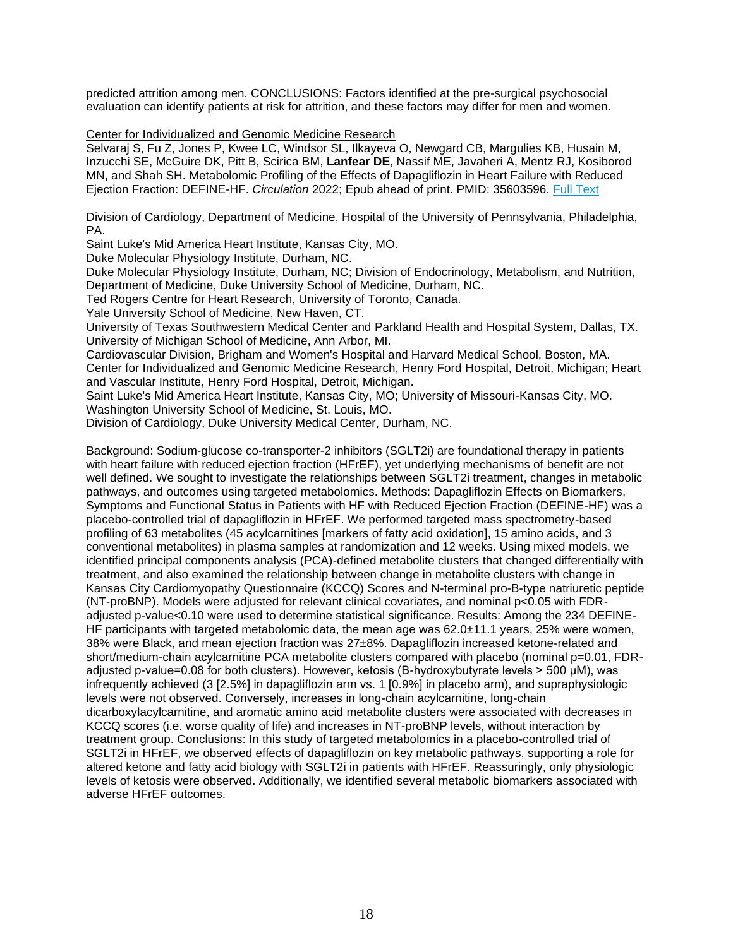predicted attrition among men. CONCLUSIONS: Factors identified at the pre-surgical psychosocial evaluation can identify patients at risk for attrition, and these factors may differ for men and women.

<span id="page-17-0"></span>Center for Individualized and Genomic Medicine Research

Selvaraj S, Fu Z, Jones P, Kwee LC, Windsor SL, Ilkayeva O, Newgard CB, Margulies KB, Husain M, Inzucchi SE, McGuire DK, Pitt B, Scirica BM, **Lanfear DE**, Nassif ME, Javaheri A, Mentz RJ, Kosiborod MN, and Shah SH. Metabolomic Profiling of the Effects of Dapagliflozin in Heart Failure with Reduced Ejection Fraction: DEFINE-HF. *Circulation* 2022; Epub ahead of print. PMID: 35603596. [Full Text](https://libkey.io/35603596)

Division of Cardiology, Department of Medicine, Hospital of the University of Pennsylvania, Philadelphia, PA.

Saint Luke's Mid America Heart Institute, Kansas City, MO.

Duke Molecular Physiology Institute, Durham, NC.

Duke Molecular Physiology Institute, Durham, NC; Division of Endocrinology, Metabolism, and Nutrition, Department of Medicine, Duke University School of Medicine, Durham, NC.

Ted Rogers Centre for Heart Research, University of Toronto, Canada.

Yale University School of Medicine, New Haven, CT.

University of Texas Southwestern Medical Center and Parkland Health and Hospital System, Dallas, TX. University of Michigan School of Medicine, Ann Arbor, MI.

Cardiovascular Division, Brigham and Women's Hospital and Harvard Medical School, Boston, MA. Center for Individualized and Genomic Medicine Research, Henry Ford Hospital, Detroit, Michigan; Heart and Vascular Institute, Henry Ford Hospital, Detroit, Michigan.

Saint Luke's Mid America Heart Institute, Kansas City, MO; University of Missouri-Kansas City, MO. Washington University School of Medicine, St. Louis, MO.

Division of Cardiology, Duke University Medical Center, Durham, NC.

Background: Sodium-glucose co-transporter-2 inhibitors (SGLT2i) are foundational therapy in patients with heart failure with reduced ejection fraction (HFrEF), yet underlying mechanisms of benefit are not well defined. We sought to investigate the relationships between SGLT2i treatment, changes in metabolic pathways, and outcomes using targeted metabolomics. Methods: Dapagliflozin Effects on Biomarkers, Symptoms and Functional Status in Patients with HF with Reduced Ejection Fraction (DEFINE-HF) was a placebo-controlled trial of dapagliflozin in HFrEF. We performed targeted mass spectrometry-based profiling of 63 metabolites (45 acylcarnitines [markers of fatty acid oxidation], 15 amino acids, and 3 conventional metabolites) in plasma samples at randomization and 12 weeks. Using mixed models, we identified principal components analysis (PCA)-defined metabolite clusters that changed differentially with treatment, and also examined the relationship between change in metabolite clusters with change in Kansas City Cardiomyopathy Questionnaire (KCCQ) Scores and N-terminal pro-B-type natriuretic peptide (NT-proBNP). Models were adjusted for relevant clinical covariates, and nominal p<0.05 with FDRadjusted p-value<0.10 were used to determine statistical significance. Results: Among the 234 DEFINE-HF participants with targeted metabolomic data, the mean age was 62.0±11.1 years, 25% were women, 38% were Black, and mean ejection fraction was 27±8%. Dapagliflozin increased ketone-related and short/medium-chain acylcarnitine PCA metabolite clusters compared with placebo (nominal p=0.01, FDRadjusted p-value=0.08 for both clusters). However, ketosis (Β-hydroxybutyrate levels > 500 μM), was infrequently achieved (3 [2.5%] in dapagliflozin arm vs. 1 [0.9%] in placebo arm), and supraphysiologic levels were not observed. Conversely, increases in long-chain acylcarnitine, long-chain dicarboxylacylcarnitine, and aromatic amino acid metabolite clusters were associated with decreases in KCCQ scores (i.e. worse quality of life) and increases in NT-proBNP levels, without interaction by treatment group. Conclusions: In this study of targeted metabolomics in a placebo-controlled trial of SGLT2i in HFrEF, we observed effects of dapagliflozin on key metabolic pathways, supporting a role for altered ketone and fatty acid biology with SGLT2i in patients with HFrEF. Reassuringly, only physiologic levels of ketosis were observed. Additionally, we identified several metabolic biomarkers associated with adverse HFrEF outcomes.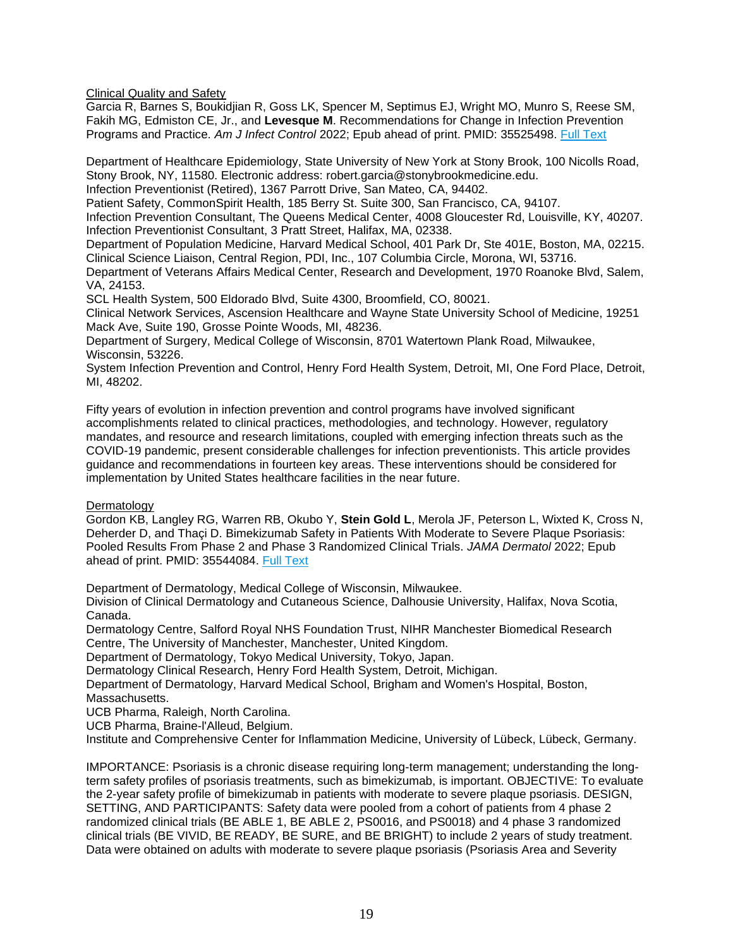<span id="page-18-0"></span>Clinical Quality and Safety

Garcia R, Barnes S, Boukidjian R, Goss LK, Spencer M, Septimus EJ, Wright MO, Munro S, Reese SM, Fakih MG, Edmiston CE, Jr., and **Levesque M**. Recommendations for Change in Infection Prevention Programs and Practice. *Am J Infect Control* 2022; Epub ahead of print. PMID: 35525498. [Full Text](https://libkey.io/35525498)

Department of Healthcare Epidemiology, State University of New York at Stony Brook, 100 Nicolls Road, Stony Brook, NY, 11580. Electronic address: robert.garcia@stonybrookmedicine.edu.

Infection Preventionist (Retired), 1367 Parrott Drive, San Mateo, CA, 94402.

Patient Safety, CommonSpirit Health, 185 Berry St. Suite 300, San Francisco, CA, 94107.

Infection Prevention Consultant, The Queens Medical Center, 4008 Gloucester Rd, Louisville, KY, 40207. Infection Preventionist Consultant, 3 Pratt Street, Halifax, MA, 02338.

Department of Population Medicine, Harvard Medical School, 401 Park Dr, Ste 401E, Boston, MA, 02215. Clinical Science Liaison, Central Region, PDI, Inc., 107 Columbia Circle, Morona, WI, 53716.

Department of Veterans Affairs Medical Center, Research and Development, 1970 Roanoke Blvd, Salem, VA, 24153.

SCL Health System, 500 Eldorado Blvd, Suite 4300, Broomfield, CO, 80021.

Clinical Network Services, Ascension Healthcare and Wayne State University School of Medicine, 19251 Mack Ave, Suite 190, Grosse Pointe Woods, MI, 48236.

Department of Surgery, Medical College of Wisconsin, 8701 Watertown Plank Road, Milwaukee, Wisconsin, 53226.

System Infection Prevention and Control, Henry Ford Health System, Detroit, MI, One Ford Place, Detroit, MI, 48202.

Fifty years of evolution in infection prevention and control programs have involved significant accomplishments related to clinical practices, methodologies, and technology. However, regulatory mandates, and resource and research limitations, coupled with emerging infection threats such as the COVID-19 pandemic, present considerable challenges for infection preventionists. This article provides guidance and recommendations in fourteen key areas. These interventions should be considered for implementation by United States healthcare facilities in the near future.

<span id="page-18-1"></span>**Dermatology** 

Gordon KB, Langley RG, Warren RB, Okubo Y, **Stein Gold L**, Merola JF, Peterson L, Wixted K, Cross N, Deherder D, and Thaçi D. Bimekizumab Safety in Patients With Moderate to Severe Plaque Psoriasis: Pooled Results From Phase 2 and Phase 3 Randomized Clinical Trials. *JAMA Dermatol* 2022; Epub ahead of print. PMID: 35544084. [Full Text](https://libkey.io/35544084)

Department of Dermatology, Medical College of Wisconsin, Milwaukee.

Division of Clinical Dermatology and Cutaneous Science, Dalhousie University, Halifax, Nova Scotia, Canada.

Dermatology Centre, Salford Royal NHS Foundation Trust, NIHR Manchester Biomedical Research Centre, The University of Manchester, Manchester, United Kingdom.

Department of Dermatology, Tokyo Medical University, Tokyo, Japan.

Dermatology Clinical Research, Henry Ford Health System, Detroit, Michigan.

Department of Dermatology, Harvard Medical School, Brigham and Women's Hospital, Boston, Massachusetts.

UCB Pharma, Raleigh, North Carolina.

UCB Pharma, Braine-l'Alleud, Belgium.

Institute and Comprehensive Center for Inflammation Medicine, University of Lübeck, Lübeck, Germany.

IMPORTANCE: Psoriasis is a chronic disease requiring long-term management; understanding the longterm safety profiles of psoriasis treatments, such as bimekizumab, is important. OBJECTIVE: To evaluate the 2-year safety profile of bimekizumab in patients with moderate to severe plaque psoriasis. DESIGN, SETTING, AND PARTICIPANTS: Safety data were pooled from a cohort of patients from 4 phase 2 randomized clinical trials (BE ABLE 1, BE ABLE 2, PS0016, and PS0018) and 4 phase 3 randomized clinical trials (BE VIVID, BE READY, BE SURE, and BE BRIGHT) to include 2 years of study treatment. Data were obtained on adults with moderate to severe plaque psoriasis (Psoriasis Area and Severity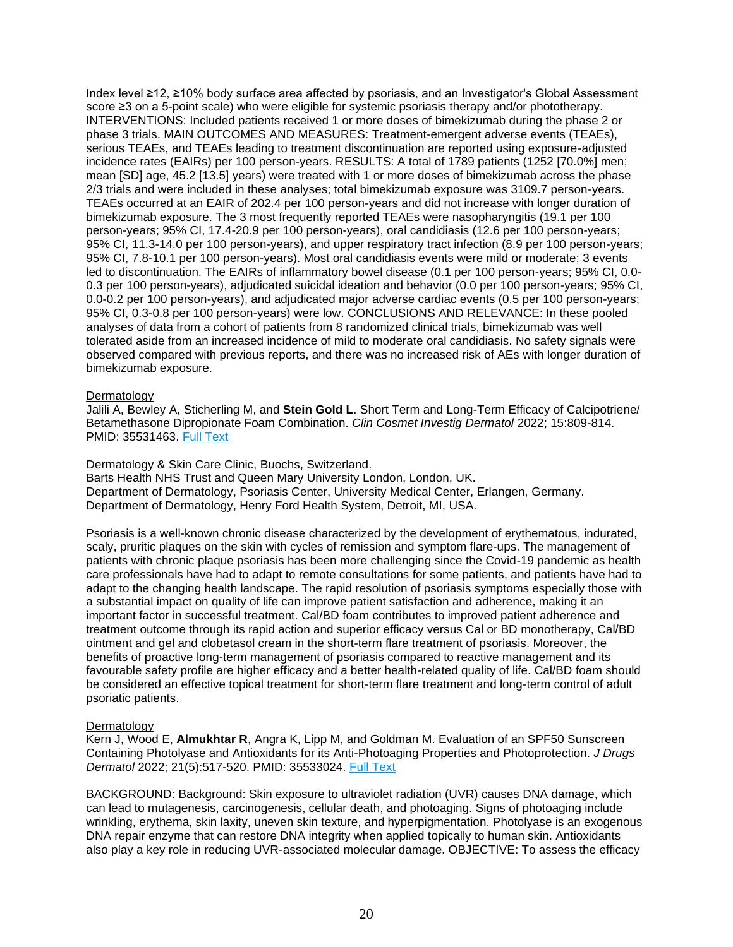Index level ≥12, ≥10% body surface area affected by psoriasis, and an Investigator's Global Assessment score ≥3 on a 5-point scale) who were eligible for systemic psoriasis therapy and/or phototherapy. INTERVENTIONS: Included patients received 1 or more doses of bimekizumab during the phase 2 or phase 3 trials. MAIN OUTCOMES AND MEASURES: Treatment-emergent adverse events (TEAEs), serious TEAEs, and TEAEs leading to treatment discontinuation are reported using exposure-adjusted incidence rates (EAIRs) per 100 person-years. RESULTS: A total of 1789 patients (1252 [70.0%] men; mean [SD] age, 45.2 [13.5] years) were treated with 1 or more doses of bimekizumab across the phase 2/3 trials and were included in these analyses; total bimekizumab exposure was 3109.7 person-years. TEAEs occurred at an EAIR of 202.4 per 100 person-years and did not increase with longer duration of bimekizumab exposure. The 3 most frequently reported TEAEs were nasopharyngitis (19.1 per 100 person-years; 95% CI, 17.4-20.9 per 100 person-years), oral candidiasis (12.6 per 100 person-years; 95% CI, 11.3-14.0 per 100 person-years), and upper respiratory tract infection (8.9 per 100 person-years; 95% CI, 7.8-10.1 per 100 person-years). Most oral candidiasis events were mild or moderate; 3 events led to discontinuation. The EAIRs of inflammatory bowel disease (0.1 per 100 person-years; 95% CI, 0.0- 0.3 per 100 person-years), adjudicated suicidal ideation and behavior (0.0 per 100 person-years; 95% CI, 0.0-0.2 per 100 person-years), and adjudicated major adverse cardiac events (0.5 per 100 person-years; 95% CI, 0.3-0.8 per 100 person-years) were low. CONCLUSIONS AND RELEVANCE: In these pooled analyses of data from a cohort of patients from 8 randomized clinical trials, bimekizumab was well tolerated aside from an increased incidence of mild to moderate oral candidiasis. No safety signals were observed compared with previous reports, and there was no increased risk of AEs with longer duration of bimekizumab exposure.

#### Dermatology

Jalili A, Bewley A, Sticherling M, and **Stein Gold L**. Short Term and Long-Term Efficacy of Calcipotriene/ Betamethasone Dipropionate Foam Combination. *Clin Cosmet Investig Dermatol* 2022; 15:809-814. PMID: 35531463. [Full Text](https://libkey.io/35531463)

Dermatology & Skin Care Clinic, Buochs, Switzerland. Barts Health NHS Trust and Queen Mary University London, London, UK. Department of Dermatology, Psoriasis Center, University Medical Center, Erlangen, Germany. Department of Dermatology, Henry Ford Health System, Detroit, MI, USA.

Psoriasis is a well-known chronic disease characterized by the development of erythematous, indurated, scaly, pruritic plaques on the skin with cycles of remission and symptom flare-ups. The management of patients with chronic plaque psoriasis has been more challenging since the Covid-19 pandemic as health care professionals have had to adapt to remote consultations for some patients, and patients have had to adapt to the changing health landscape. The rapid resolution of psoriasis symptoms especially those with a substantial impact on quality of life can improve patient satisfaction and adherence, making it an important factor in successful treatment. Cal/BD foam contributes to improved patient adherence and treatment outcome through its rapid action and superior efficacy versus Cal or BD monotherapy, Cal/BD ointment and gel and clobetasol cream in the short-term flare treatment of psoriasis. Moreover, the benefits of proactive long-term management of psoriasis compared to reactive management and its favourable safety profile are higher efficacy and a better health-related quality of life. Cal/BD foam should be considered an effective topical treatment for short-term flare treatment and long-term control of adult psoriatic patients.

#### **Dermatology**

Kern J, Wood E, **Almukhtar R**, Angra K, Lipp M, and Goldman M. Evaluation of an SPF50 Sunscreen Containing Photolyase and Antioxidants for its Anti-Photoaging Properties and Photoprotection. *J Drugs Dermatol* 2022; 21(5):517-520. PMID: 35533024. [Full Text](http://jddonline.com/articles/dermatology/S1545961622P0517X)

BACKGROUND: Background: Skin exposure to ultraviolet radiation (UVR) causes DNA damage, which can lead to mutagenesis, carcinogenesis, cellular death, and photoaging. Signs of photoaging include wrinkling, erythema, skin laxity, uneven skin texture, and hyperpigmentation. Photolyase is an exogenous DNA repair enzyme that can restore DNA integrity when applied topically to human skin. Antioxidants also play a key role in reducing UVR-associated molecular damage. OBJECTIVE: To assess the efficacy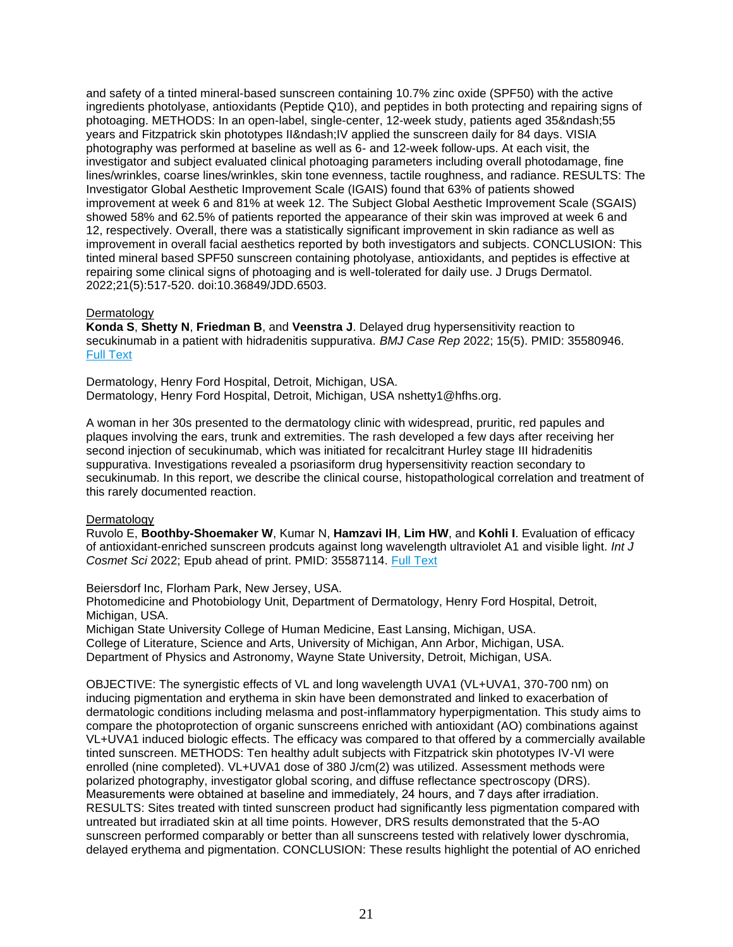and safety of a tinted mineral-based sunscreen containing 10.7% zinc oxide (SPF50) with the active ingredients photolyase, antioxidants (Peptide Q10), and peptides in both protecting and repairing signs of photoaging. METHODS: In an open-label, single-center, 12-week study, patients aged 35&ndash:55 years and Fitzpatrick skin phototypes II– IV applied the sunscreen daily for 84 days. VISIA photography was performed at baseline as well as 6- and 12-week follow-ups. At each visit, the investigator and subject evaluated clinical photoaging parameters including overall photodamage, fine lines/wrinkles, coarse lines/wrinkles, skin tone evenness, tactile roughness, and radiance. RESULTS: The Investigator Global Aesthetic Improvement Scale (IGAIS) found that 63% of patients showed improvement at week 6 and 81% at week 12. The Subject Global Aesthetic Improvement Scale (SGAIS) showed 58% and 62.5% of patients reported the appearance of their skin was improved at week 6 and 12, respectively. Overall, there was a statistically significant improvement in skin radiance as well as improvement in overall facial aesthetics reported by both investigators and subjects. CONCLUSION: This tinted mineral based SPF50 sunscreen containing photolyase, antioxidants, and peptides is effective at repairing some clinical signs of photoaging and is well-tolerated for daily use. J Drugs Dermatol. 2022;21(5):517-520. doi:10.36849/JDD.6503.

#### **Dermatology**

**Konda S**, **Shetty N**, **Friedman B**, and **Veenstra J**. Delayed drug hypersensitivity reaction to secukinumab in a patient with hidradenitis suppurativa. *BMJ Case Rep* 2022; 15(5). PMID: 35580946. [Full Text](https://libkey.io/35580946)

Dermatology, Henry Ford Hospital, Detroit, Michigan, USA. Dermatology, Henry Ford Hospital, Detroit, Michigan, USA nshetty1@hfhs.org.

A woman in her 30s presented to the dermatology clinic with widespread, pruritic, red papules and plaques involving the ears, trunk and extremities. The rash developed a few days after receiving her second injection of secukinumab, which was initiated for recalcitrant Hurley stage III hidradenitis suppurativa. Investigations revealed a psoriasiform drug hypersensitivity reaction secondary to secukinumab. In this report, we describe the clinical course, histopathological correlation and treatment of this rarely documented reaction.

# Dermatology

Ruvolo E, **Boothby-Shoemaker W**, Kumar N, **Hamzavi IH**, **Lim HW**, and **Kohli I**. Evaluation of efficacy of antioxidant-enriched sunscreen prodcuts against long wavelength ultraviolet A1 and visible light. *Int J Cosmet Sci* 2022; Epub ahead of print. PMID: 35587114. [Full Text](https://libkey.io/35587114)

Beiersdorf Inc, Florham Park, New Jersey, USA.

Photomedicine and Photobiology Unit, Department of Dermatology, Henry Ford Hospital, Detroit, Michigan, USA.

Michigan State University College of Human Medicine, East Lansing, Michigan, USA. College of Literature, Science and Arts, University of Michigan, Ann Arbor, Michigan, USA. Department of Physics and Astronomy, Wayne State University, Detroit, Michigan, USA.

OBJECTIVE: The synergistic effects of VL and long wavelength UVA1 (VL+UVA1, 370-700 nm) on inducing pigmentation and erythema in skin have been demonstrated and linked to exacerbation of dermatologic conditions including melasma and post-inflammatory hyperpigmentation. This study aims to compare the photoprotection of organic sunscreens enriched with antioxidant (AO) combinations against VL+UVA1 induced biologic effects. The efficacy was compared to that offered by a commercially available tinted sunscreen. METHODS: Ten healthy adult subjects with Fitzpatrick skin phototypes IV-VI were enrolled (nine completed). VL+UVA1 dose of 380 J/cm(2) was utilized. Assessment methods were polarized photography, investigator global scoring, and diffuse reflectance spectroscopy (DRS). Measurements were obtained at baseline and immediately, 24 hours, and 7 days after irradiation. RESULTS: Sites treated with tinted sunscreen product had significantly less pigmentation compared with untreated but irradiated skin at all time points. However, DRS results demonstrated that the 5-AO sunscreen performed comparably or better than all sunscreens tested with relatively lower dyschromia, delayed erythema and pigmentation. CONCLUSION: These results highlight the potential of AO enriched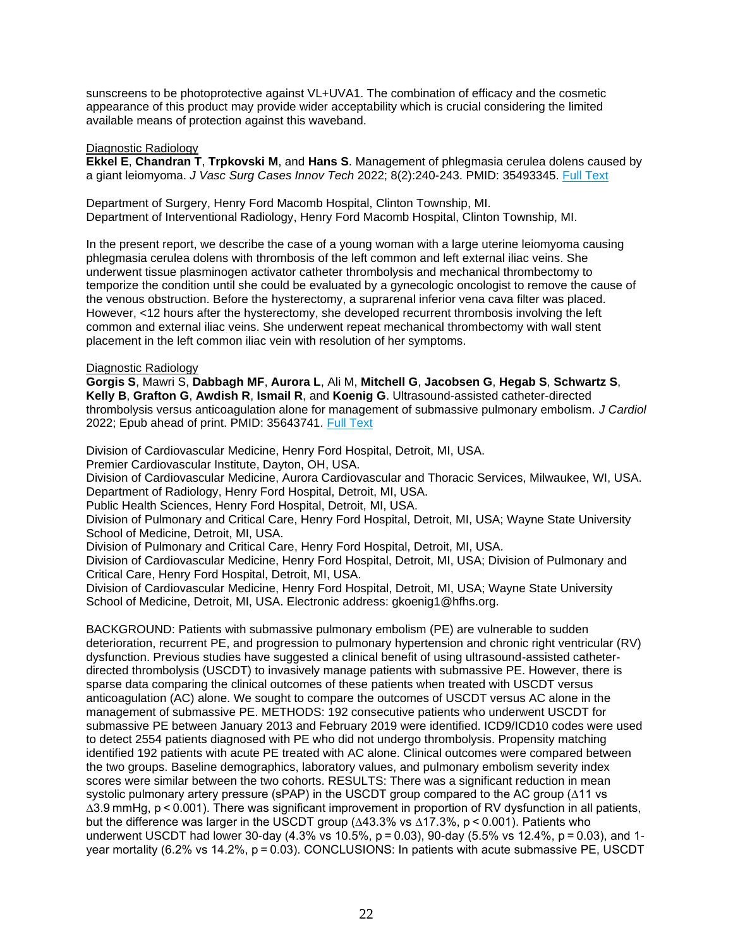sunscreens to be photoprotective against VL+UVA1. The combination of efficacy and the cosmetic appearance of this product may provide wider acceptability which is crucial considering the limited available means of protection against this waveband.

# <span id="page-21-0"></span>Diagnostic Radiology

**Ekkel E**, **Chandran T**, **Trpkovski M**, and **Hans S**. Management of phlegmasia cerulea dolens caused by a giant leiomyoma. *J Vasc Surg Cases Innov Tech* 2022; 8(2):240-243. PMID: 35493345. [Full Text](https://libkey.io/35493345)

Department of Surgery, Henry Ford Macomb Hospital, Clinton Township, MI. Department of Interventional Radiology, Henry Ford Macomb Hospital, Clinton Township, MI.

In the present report, we describe the case of a young woman with a large uterine leiomyoma causing phlegmasia cerulea dolens with thrombosis of the left common and left external iliac veins. She underwent tissue plasminogen activator catheter thrombolysis and mechanical thrombectomy to temporize the condition until she could be evaluated by a gynecologic oncologist to remove the cause of the venous obstruction. Before the hysterectomy, a suprarenal inferior vena cava filter was placed. However, <12 hours after the hysterectomy, she developed recurrent thrombosis involving the left common and external iliac veins. She underwent repeat mechanical thrombectomy with wall stent placement in the left common iliac vein with resolution of her symptoms.

# Diagnostic Radiology

**Gorgis S**, Mawri S, **Dabbagh MF**, **Aurora L**, Ali M, **Mitchell G**, **Jacobsen G**, **Hegab S**, **Schwartz S**, **Kelly B**, **Grafton G**, **Awdish R**, **Ismail R**, and **Koenig G**. Ultrasound-assisted catheter-directed thrombolysis versus anticoagulation alone for management of submassive pulmonary embolism. *J Cardiol* 2022; Epub ahead of print. PMID: 35643741. [Full Text](https://libkey.io/35643741)

Division of Cardiovascular Medicine, Henry Ford Hospital, Detroit, MI, USA.

Premier Cardiovascular Institute, Dayton, OH, USA.

Division of Cardiovascular Medicine, Aurora Cardiovascular and Thoracic Services, Milwaukee, WI, USA. Department of Radiology, Henry Ford Hospital, Detroit, MI, USA.

Public Health Sciences, Henry Ford Hospital, Detroit, MI, USA.

Division of Pulmonary and Critical Care, Henry Ford Hospital, Detroit, MI, USA; Wayne State University School of Medicine, Detroit, MI, USA.

Division of Pulmonary and Critical Care, Henry Ford Hospital, Detroit, MI, USA.

Division of Cardiovascular Medicine, Henry Ford Hospital, Detroit, MI, USA; Division of Pulmonary and Critical Care, Henry Ford Hospital, Detroit, MI, USA.

Division of Cardiovascular Medicine, Henry Ford Hospital, Detroit, MI, USA; Wayne State University School of Medicine, Detroit, MI, USA. Electronic address: gkoenig1@hfhs.org.

BACKGROUND: Patients with submassive pulmonary embolism (PE) are vulnerable to sudden deterioration, recurrent PE, and progression to pulmonary hypertension and chronic right ventricular (RV) dysfunction. Previous studies have suggested a clinical benefit of using ultrasound-assisted catheterdirected thrombolysis (USCDT) to invasively manage patients with submassive PE. However, there is sparse data comparing the clinical outcomes of these patients when treated with USCDT versus anticoagulation (AC) alone. We sought to compare the outcomes of USCDT versus AC alone in the management of submassive PE. METHODS: 192 consecutive patients who underwent USCDT for submassive PE between January 2013 and February 2019 were identified. ICD9/ICD10 codes were used to detect 2554 patients diagnosed with PE who did not undergo thrombolysis. Propensity matching identified 192 patients with acute PE treated with AC alone. Clinical outcomes were compared between the two groups. Baseline demographics, laboratory values, and pulmonary embolism severity index scores were similar between the two cohorts. RESULTS: There was a significant reduction in mean systolic pulmonary artery pressure (sPAP) in the USCDT group compared to the AC group (∆11 vs ∆3.9 mmHg, p < 0.001). There was significant improvement in proportion of RV dysfunction in all patients, but the difference was larger in the USCDT group (∆43.3% vs ∆17.3%, p < 0.001). Patients who underwent USCDT had lower 30-day (4.3% vs 10.5%, p = 0.03), 90-day (5.5% vs 12.4%, p = 0.03), and 1 year mortality (6.2% vs 14.2%, p = 0.03). CONCLUSIONS: In patients with acute submassive PE, USCDT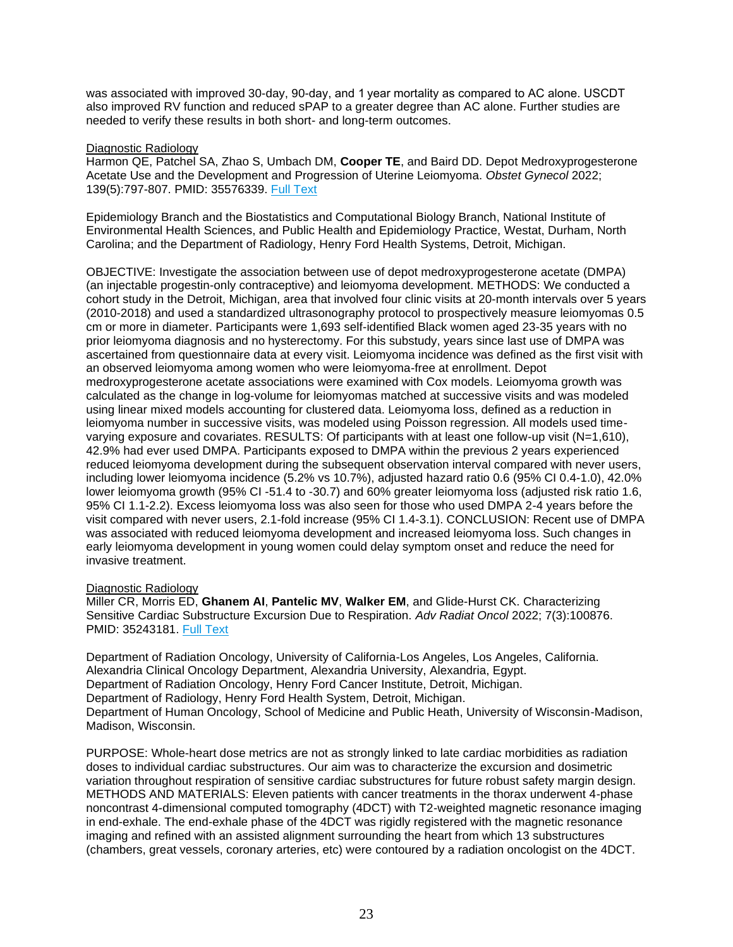was associated with improved 30-day, 90-day, and 1 year mortality as compared to AC alone. USCDT also improved RV function and reduced sPAP to a greater degree than AC alone. Further studies are needed to verify these results in both short- and long-term outcomes.

# Diagnostic Radiology

Harmon QE, Patchel SA, Zhao S, Umbach DM, **Cooper TE**, and Baird DD. Depot Medroxyprogesterone Acetate Use and the Development and Progression of Uterine Leiomyoma. *Obstet Gynecol* 2022; 139(5):797-807. PMID: 35576339. [Full Text](https://libkey.io/35576339)

Epidemiology Branch and the Biostatistics and Computational Biology Branch, National Institute of Environmental Health Sciences, and Public Health and Epidemiology Practice, Westat, Durham, North Carolina; and the Department of Radiology, Henry Ford Health Systems, Detroit, Michigan.

OBJECTIVE: Investigate the association between use of depot medroxyprogesterone acetate (DMPA) (an injectable progestin-only contraceptive) and leiomyoma development. METHODS: We conducted a cohort study in the Detroit, Michigan, area that involved four clinic visits at 20-month intervals over 5 years (2010-2018) and used a standardized ultrasonography protocol to prospectively measure leiomyomas 0.5 cm or more in diameter. Participants were 1,693 self-identified Black women aged 23-35 years with no prior leiomyoma diagnosis and no hysterectomy. For this substudy, years since last use of DMPA was ascertained from questionnaire data at every visit. Leiomyoma incidence was defined as the first visit with an observed leiomyoma among women who were leiomyoma-free at enrollment. Depot medroxyprogesterone acetate associations were examined with Cox models. Leiomyoma growth was calculated as the change in log-volume for leiomyomas matched at successive visits and was modeled using linear mixed models accounting for clustered data. Leiomyoma loss, defined as a reduction in leiomyoma number in successive visits, was modeled using Poisson regression. All models used timevarying exposure and covariates. RESULTS: Of participants with at least one follow-up visit (N=1,610), 42.9% had ever used DMPA. Participants exposed to DMPA within the previous 2 years experienced reduced leiomyoma development during the subsequent observation interval compared with never users, including lower leiomyoma incidence (5.2% vs 10.7%), adjusted hazard ratio 0.6 (95% CI 0.4-1.0), 42.0% lower leiomyoma growth (95% CI -51.4 to -30.7) and 60% greater leiomyoma loss (adjusted risk ratio 1.6, 95% CI 1.1-2.2). Excess leiomyoma loss was also seen for those who used DMPA 2-4 years before the visit compared with never users, 2.1-fold increase (95% CI 1.4-3.1). CONCLUSION: Recent use of DMPA was associated with reduced leiomyoma development and increased leiomyoma loss. Such changes in early leiomyoma development in young women could delay symptom onset and reduce the need for invasive treatment.

# Diagnostic Radiology

Miller CR, Morris ED, **Ghanem AI**, **Pantelic MV**, **Walker EM**, and Glide-Hurst CK. Characterizing Sensitive Cardiac Substructure Excursion Due to Respiration. *Adv Radiat Oncol* 2022; 7(3):100876. PMID: 35243181. [Full Text](https://libkey.io/35243181)

Department of Radiation Oncology, University of California-Los Angeles, Los Angeles, California. Alexandria Clinical Oncology Department, Alexandria University, Alexandria, Egypt. Department of Radiation Oncology, Henry Ford Cancer Institute, Detroit, Michigan. Department of Radiology, Henry Ford Health System, Detroit, Michigan. Department of Human Oncology, School of Medicine and Public Heath, University of Wisconsin-Madison, Madison, Wisconsin.

PURPOSE: Whole-heart dose metrics are not as strongly linked to late cardiac morbidities as radiation doses to individual cardiac substructures. Our aim was to characterize the excursion and dosimetric variation throughout respiration of sensitive cardiac substructures for future robust safety margin design. METHODS AND MATERIALS: Eleven patients with cancer treatments in the thorax underwent 4-phase noncontrast 4-dimensional computed tomography (4DCT) with T2-weighted magnetic resonance imaging in end-exhale. The end-exhale phase of the 4DCT was rigidly registered with the magnetic resonance imaging and refined with an assisted alignment surrounding the heart from which 13 substructures (chambers, great vessels, coronary arteries, etc) were contoured by a radiation oncologist on the 4DCT.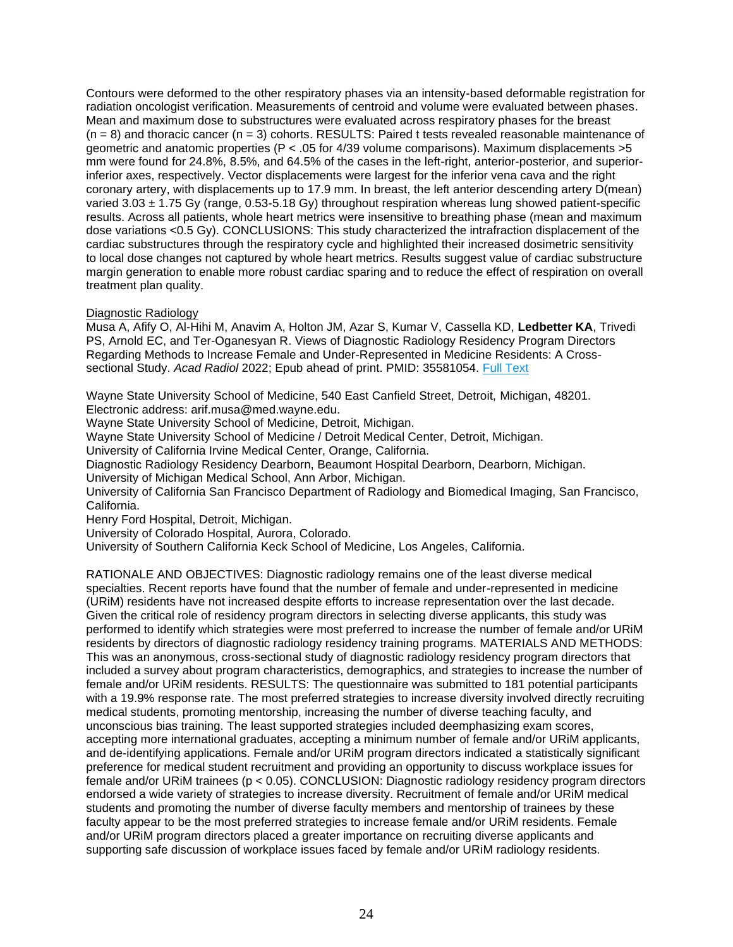Contours were deformed to the other respiratory phases via an intensity-based deformable registration for radiation oncologist verification. Measurements of centroid and volume were evaluated between phases. Mean and maximum dose to substructures were evaluated across respiratory phases for the breast  $(n = 8)$  and thoracic cancer  $(n = 3)$  cohorts. RESULTS: Paired t tests revealed reasonable maintenance of geometric and anatomic properties (P < .05 for 4/39 volume comparisons). Maximum displacements >5 mm were found for 24.8%, 8.5%, and 64.5% of the cases in the left-right, anterior-posterior, and superiorinferior axes, respectively. Vector displacements were largest for the inferior vena cava and the right coronary artery, with displacements up to 17.9 mm. In breast, the left anterior descending artery D(mean) varied  $3.03 \pm 1.75$  Gy (range, 0.53-5.18 Gy) throughout respiration whereas lung showed patient-specific results. Across all patients, whole heart metrics were insensitive to breathing phase (mean and maximum dose variations <0.5 Gy). CONCLUSIONS: This study characterized the intrafraction displacement of the cardiac substructures through the respiratory cycle and highlighted their increased dosimetric sensitivity to local dose changes not captured by whole heart metrics. Results suggest value of cardiac substructure margin generation to enable more robust cardiac sparing and to reduce the effect of respiration on overall treatment plan quality.

# Diagnostic Radiology

Musa A, Afify O, Al-Hihi M, Anavim A, Holton JM, Azar S, Kumar V, Cassella KD, **Ledbetter KA**, Trivedi PS, Arnold EC, and Ter-Oganesyan R. Views of Diagnostic Radiology Residency Program Directors Regarding Methods to Increase Female and Under-Represented in Medicine Residents: A Crosssectional Study. *Acad Radiol* 2022; Epub ahead of print. PMID: 35581054. [Full Text](https://libkey.io/35581054)

Wayne State University School of Medicine, 540 East Canfield Street, Detroit, Michigan, 48201. Electronic address: arif.musa@med.wayne.edu.

Wayne State University School of Medicine, Detroit, Michigan.

Wayne State University School of Medicine / Detroit Medical Center, Detroit, Michigan.

University of California Irvine Medical Center, Orange, California.

Diagnostic Radiology Residency Dearborn, Beaumont Hospital Dearborn, Dearborn, Michigan.

University of Michigan Medical School, Ann Arbor, Michigan.

University of California San Francisco Department of Radiology and Biomedical Imaging, San Francisco, California.

Henry Ford Hospital, Detroit, Michigan.

University of Colorado Hospital, Aurora, Colorado.

University of Southern California Keck School of Medicine, Los Angeles, California.

RATIONALE AND OBJECTIVES: Diagnostic radiology remains one of the least diverse medical specialties. Recent reports have found that the number of female and under-represented in medicine (URiM) residents have not increased despite efforts to increase representation over the last decade. Given the critical role of residency program directors in selecting diverse applicants, this study was performed to identify which strategies were most preferred to increase the number of female and/or URiM residents by directors of diagnostic radiology residency training programs. MATERIALS AND METHODS: This was an anonymous, cross-sectional study of diagnostic radiology residency program directors that included a survey about program characteristics, demographics, and strategies to increase the number of female and/or URiM residents. RESULTS: The questionnaire was submitted to 181 potential participants with a 19.9% response rate. The most preferred strategies to increase diversity involved directly recruiting medical students, promoting mentorship, increasing the number of diverse teaching faculty, and unconscious bias training. The least supported strategies included deemphasizing exam scores, accepting more international graduates, accepting a minimum number of female and/or URiM applicants, and de-identifying applications. Female and/or URiM program directors indicated a statistically significant preference for medical student recruitment and providing an opportunity to discuss workplace issues for female and/or URiM trainees (p < 0.05). CONCLUSION: Diagnostic radiology residency program directors endorsed a wide variety of strategies to increase diversity. Recruitment of female and/or URiM medical students and promoting the number of diverse faculty members and mentorship of trainees by these faculty appear to be the most preferred strategies to increase female and/or URiM residents. Female and/or URiM program directors placed a greater importance on recruiting diverse applicants and supporting safe discussion of workplace issues faced by female and/or URiM radiology residents.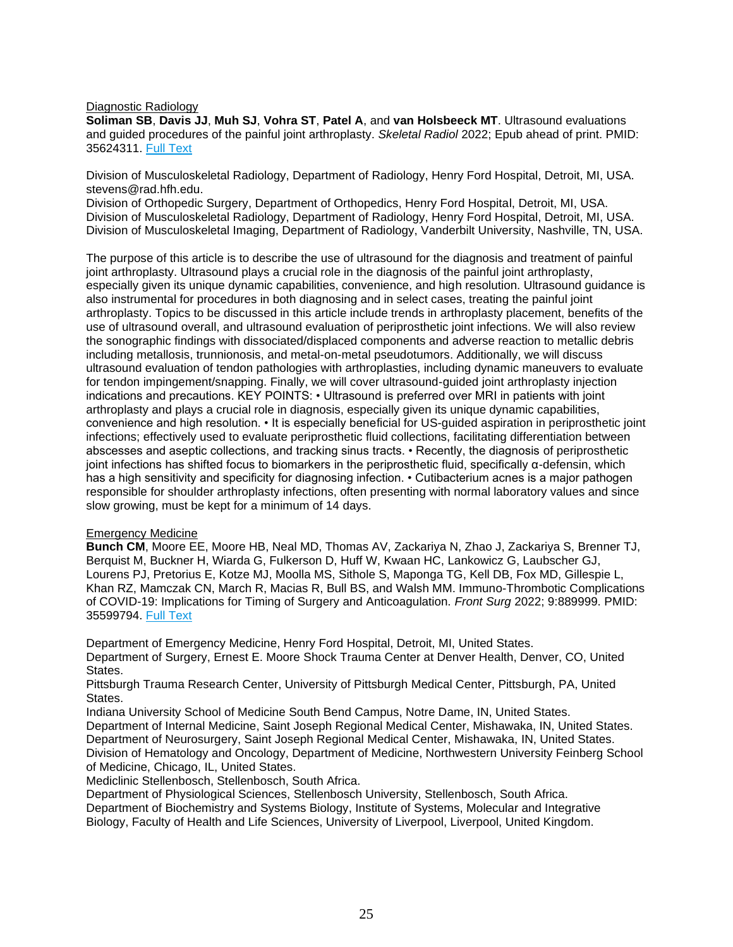Diagnostic Radiology

**Soliman SB**, **Davis JJ**, **Muh SJ**, **Vohra ST**, **Patel A**, and **van Holsbeeck MT**. Ultrasound evaluations and guided procedures of the painful joint arthroplasty. *Skeletal Radiol* 2022; Epub ahead of print. PMID: 35624311. [Full Text](https://libkey.io/35624311)

Division of Musculoskeletal Radiology, Department of Radiology, Henry Ford Hospital, Detroit, MI, USA. stevens@rad.hfh.edu.

Division of Orthopedic Surgery, Department of Orthopedics, Henry Ford Hospital, Detroit, MI, USA. Division of Musculoskeletal Radiology, Department of Radiology, Henry Ford Hospital, Detroit, MI, USA. Division of Musculoskeletal Imaging, Department of Radiology, Vanderbilt University, Nashville, TN, USA.

The purpose of this article is to describe the use of ultrasound for the diagnosis and treatment of painful joint arthroplasty. Ultrasound plays a crucial role in the diagnosis of the painful joint arthroplasty, especially given its unique dynamic capabilities, convenience, and high resolution. Ultrasound guidance is also instrumental for procedures in both diagnosing and in select cases, treating the painful joint arthroplasty. Topics to be discussed in this article include trends in arthroplasty placement, benefits of the use of ultrasound overall, and ultrasound evaluation of periprosthetic joint infections. We will also review the sonographic findings with dissociated/displaced components and adverse reaction to metallic debris including metallosis, trunnionosis, and metal-on-metal pseudotumors. Additionally, we will discuss ultrasound evaluation of tendon pathologies with arthroplasties, including dynamic maneuvers to evaluate for tendon impingement/snapping. Finally, we will cover ultrasound-guided joint arthroplasty injection indications and precautions. KEY POINTS: • Ultrasound is preferred over MRI in patients with joint arthroplasty and plays a crucial role in diagnosis, especially given its unique dynamic capabilities, convenience and high resolution. • It is especially beneficial for US-guided aspiration in periprosthetic joint infections; effectively used to evaluate periprosthetic fluid collections, facilitating differentiation between abscesses and aseptic collections, and tracking sinus tracts. • Recently, the diagnosis of periprosthetic joint infections has shifted focus to biomarkers in the periprosthetic fluid, specifically α-defensin, which has a high sensitivity and specificity for diagnosing infection. • Cutibacterium acnes is a major pathogen responsible for shoulder arthroplasty infections, often presenting with normal laboratory values and since slow growing, must be kept for a minimum of 14 days.

# <span id="page-24-0"></span>Emergency Medicine

**Bunch CM**, Moore EE, Moore HB, Neal MD, Thomas AV, Zackariya N, Zhao J, Zackariya S, Brenner TJ, Berquist M, Buckner H, Wiarda G, Fulkerson D, Huff W, Kwaan HC, Lankowicz G, Laubscher GJ, Lourens PJ, Pretorius E, Kotze MJ, Moolla MS, Sithole S, Maponga TG, Kell DB, Fox MD, Gillespie L, Khan RZ, Mamczak CN, March R, Macias R, Bull BS, and Walsh MM. Immuno-Thrombotic Complications of COVID-19: Implications for Timing of Surgery and Anticoagulation. *Front Surg* 2022; 9:889999. PMID: 35599794. [Full Text](https://libkey.io/35599794)

Department of Emergency Medicine, Henry Ford Hospital, Detroit, MI, United States. Department of Surgery, Ernest E. Moore Shock Trauma Center at Denver Health, Denver, CO, United States.

Pittsburgh Trauma Research Center, University of Pittsburgh Medical Center, Pittsburgh, PA, United States.

Indiana University School of Medicine South Bend Campus, Notre Dame, IN, United States. Department of Internal Medicine, Saint Joseph Regional Medical Center, Mishawaka, IN, United States. Department of Neurosurgery, Saint Joseph Regional Medical Center, Mishawaka, IN, United States. Division of Hematology and Oncology, Department of Medicine, Northwestern University Feinberg School of Medicine, Chicago, IL, United States.

Mediclinic Stellenbosch, Stellenbosch, South Africa.

Department of Physiological Sciences, Stellenbosch University, Stellenbosch, South Africa. Department of Biochemistry and Systems Biology, Institute of Systems, Molecular and Integrative Biology, Faculty of Health and Life Sciences, University of Liverpool, Liverpool, United Kingdom.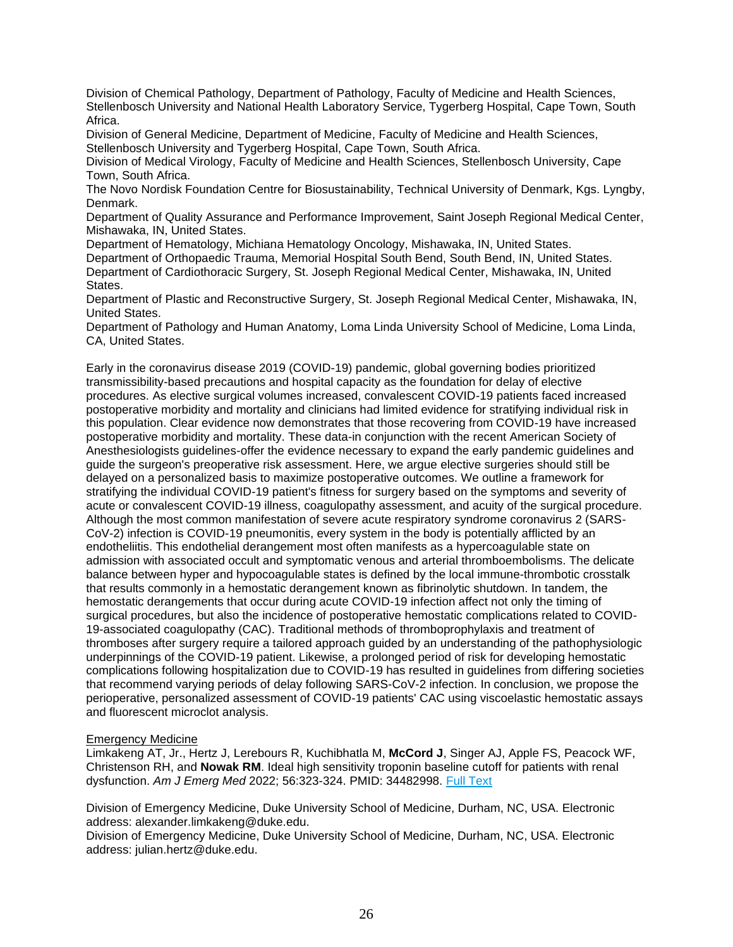Division of Chemical Pathology, Department of Pathology, Faculty of Medicine and Health Sciences, Stellenbosch University and National Health Laboratory Service, Tygerberg Hospital, Cape Town, South Africa.

Division of General Medicine, Department of Medicine, Faculty of Medicine and Health Sciences, Stellenbosch University and Tygerberg Hospital, Cape Town, South Africa.

Division of Medical Virology, Faculty of Medicine and Health Sciences, Stellenbosch University, Cape Town, South Africa.

The Novo Nordisk Foundation Centre for Biosustainability, Technical University of Denmark, Kgs. Lyngby, Denmark.

Department of Quality Assurance and Performance Improvement, Saint Joseph Regional Medical Center, Mishawaka, IN, United States.

Department of Hematology, Michiana Hematology Oncology, Mishawaka, IN, United States. Department of Orthopaedic Trauma, Memorial Hospital South Bend, South Bend, IN, United States. Department of Cardiothoracic Surgery, St. Joseph Regional Medical Center, Mishawaka, IN, United States.

Department of Plastic and Reconstructive Surgery, St. Joseph Regional Medical Center, Mishawaka, IN, United States.

Department of Pathology and Human Anatomy, Loma Linda University School of Medicine, Loma Linda, CA, United States.

Early in the coronavirus disease 2019 (COVID-19) pandemic, global governing bodies prioritized transmissibility-based precautions and hospital capacity as the foundation for delay of elective procedures. As elective surgical volumes increased, convalescent COVID-19 patients faced increased postoperative morbidity and mortality and clinicians had limited evidence for stratifying individual risk in this population. Clear evidence now demonstrates that those recovering from COVID-19 have increased postoperative morbidity and mortality. These data-in conjunction with the recent American Society of Anesthesiologists guidelines-offer the evidence necessary to expand the early pandemic guidelines and guide the surgeon's preoperative risk assessment. Here, we argue elective surgeries should still be delayed on a personalized basis to maximize postoperative outcomes. We outline a framework for stratifying the individual COVID-19 patient's fitness for surgery based on the symptoms and severity of acute or convalescent COVID-19 illness, coagulopathy assessment, and acuity of the surgical procedure. Although the most common manifestation of severe acute respiratory syndrome coronavirus 2 (SARS-CoV-2) infection is COVID-19 pneumonitis, every system in the body is potentially afflicted by an endotheliitis. This endothelial derangement most often manifests as a hypercoagulable state on admission with associated occult and symptomatic venous and arterial thromboembolisms. The delicate balance between hyper and hypocoagulable states is defined by the local immune-thrombotic crosstalk that results commonly in a hemostatic derangement known as fibrinolytic shutdown. In tandem, the hemostatic derangements that occur during acute COVID-19 infection affect not only the timing of surgical procedures, but also the incidence of postoperative hemostatic complications related to COVID-19-associated coagulopathy (CAC). Traditional methods of thromboprophylaxis and treatment of thromboses after surgery require a tailored approach guided by an understanding of the pathophysiologic underpinnings of the COVID-19 patient. Likewise, a prolonged period of risk for developing hemostatic complications following hospitalization due to COVID-19 has resulted in guidelines from differing societies that recommend varying periods of delay following SARS-CoV-2 infection. In conclusion, we propose the perioperative, personalized assessment of COVID-19 patients' CAC using viscoelastic hemostatic assays and fluorescent microclot analysis.

# Emergency Medicine

Limkakeng AT, Jr., Hertz J, Lerebours R, Kuchibhatla M, **McCord J**, Singer AJ, Apple FS, Peacock WF, Christenson RH, and **Nowak RM**. Ideal high sensitivity troponin baseline cutoff for patients with renal dysfunction. *Am J Emerg Med* 2022; 56:323-324. PMID: 34482998. [Full Text](https://libkey.io/34482998)

Division of Emergency Medicine, Duke University School of Medicine, Durham, NC, USA. Electronic address: alexander.limkakeng@duke.edu.

Division of Emergency Medicine, Duke University School of Medicine, Durham, NC, USA. Electronic address: julian.hertz@duke.edu.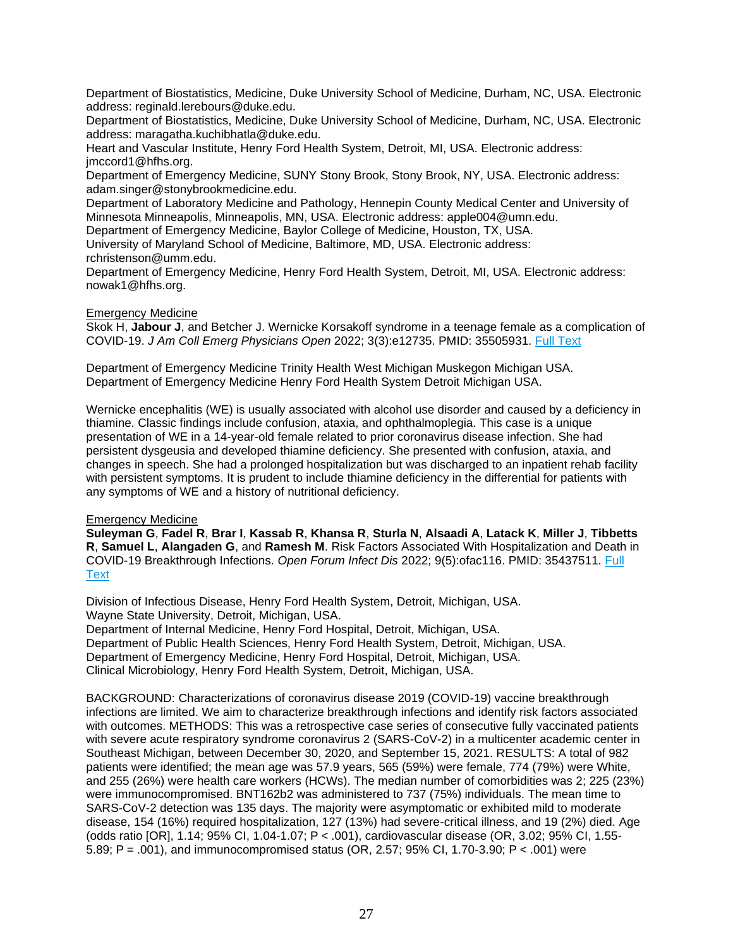Department of Biostatistics, Medicine, Duke University School of Medicine, Durham, NC, USA. Electronic address: reginald.lerebours@duke.edu.

Department of Biostatistics, Medicine, Duke University School of Medicine, Durham, NC, USA. Electronic address: maragatha.kuchibhatla@duke.edu.

Heart and Vascular Institute, Henry Ford Health System, Detroit, MI, USA. Electronic address: jmccord1@hfhs.org.

Department of Emergency Medicine, SUNY Stony Brook, Stony Brook, NY, USA. Electronic address: adam.singer@stonybrookmedicine.edu.

Department of Laboratory Medicine and Pathology, Hennepin County Medical Center and University of Minnesota Minneapolis, Minneapolis, MN, USA. Electronic address: apple004@umn.edu.

Department of Emergency Medicine, Baylor College of Medicine, Houston, TX, USA.

University of Maryland School of Medicine, Baltimore, MD, USA. Electronic address: rchristenson@umm.edu.

Department of Emergency Medicine, Henry Ford Health System, Detroit, MI, USA. Electronic address: nowak1@hfhs.org.

#### Emergency Medicine

Skok H, **Jabour J**, and Betcher J. Wernicke Korsakoff syndrome in a teenage female as a complication of COVID-19. *J Am Coll Emerg Physicians Open* 2022; 3(3):e12735. PMID: 35505931. [Full Text](https://libkey.io/35505931)

Department of Emergency Medicine Trinity Health West Michigan Muskegon Michigan USA. Department of Emergency Medicine Henry Ford Health System Detroit Michigan USA.

Wernicke encephalitis (WE) is usually associated with alcohol use disorder and caused by a deficiency in thiamine. Classic findings include confusion, ataxia, and ophthalmoplegia. This case is a unique presentation of WE in a 14-year-old female related to prior coronavirus disease infection. She had persistent dysgeusia and developed thiamine deficiency. She presented with confusion, ataxia, and changes in speech. She had a prolonged hospitalization but was discharged to an inpatient rehab facility with persistent symptoms. It is prudent to include thiamine deficiency in the differential for patients with any symptoms of WE and a history of nutritional deficiency.

# Emergency Medicine

**Suleyman G**, **Fadel R**, **Brar I**, **Kassab R**, **Khansa R**, **Sturla N**, **Alsaadi A**, **Latack K**, **Miller J**, **Tibbetts R**, **Samuel L**, **Alangaden G**, and **Ramesh M**. Risk Factors Associated With Hospitalization and Death in COVID-19 Breakthrough Infections. *Open Forum Infect Dis* 2022; 9(5):ofac116. PMID: 35437511. [Full](https://libkey.io/35437511)  **[Text](https://libkey.io/35437511)** 

Division of Infectious Disease, Henry Ford Health System, Detroit, Michigan, USA. Wayne State University, Detroit, Michigan, USA.

Department of Internal Medicine, Henry Ford Hospital, Detroit, Michigan, USA. Department of Public Health Sciences, Henry Ford Health System, Detroit, Michigan, USA. Department of Emergency Medicine, Henry Ford Hospital, Detroit, Michigan, USA. Clinical Microbiology, Henry Ford Health System, Detroit, Michigan, USA.

BACKGROUND: Characterizations of coronavirus disease 2019 (COVID-19) vaccine breakthrough infections are limited. We aim to characterize breakthrough infections and identify risk factors associated with outcomes. METHODS: This was a retrospective case series of consecutive fully vaccinated patients with severe acute respiratory syndrome coronavirus 2 (SARS-CoV-2) in a multicenter academic center in Southeast Michigan, between December 30, 2020, and September 15, 2021. RESULTS: A total of 982 patients were identified; the mean age was 57.9 years, 565 (59%) were female, 774 (79%) were White, and 255 (26%) were health care workers (HCWs). The median number of comorbidities was 2; 225 (23%) were immunocompromised. BNT162b2 was administered to 737 (75%) individuals. The mean time to SARS-CoV-2 detection was 135 days. The majority were asymptomatic or exhibited mild to moderate disease, 154 (16%) required hospitalization, 127 (13%) had severe-critical illness, and 19 (2%) died. Age (odds ratio [OR], 1.14; 95% CI, 1.04-1.07; P < .001), cardiovascular disease (OR, 3.02; 95% CI, 1.55- 5.89; P = .001), and immunocompromised status (OR, 2.57; 95% CI, 1.70-3.90; P < .001) were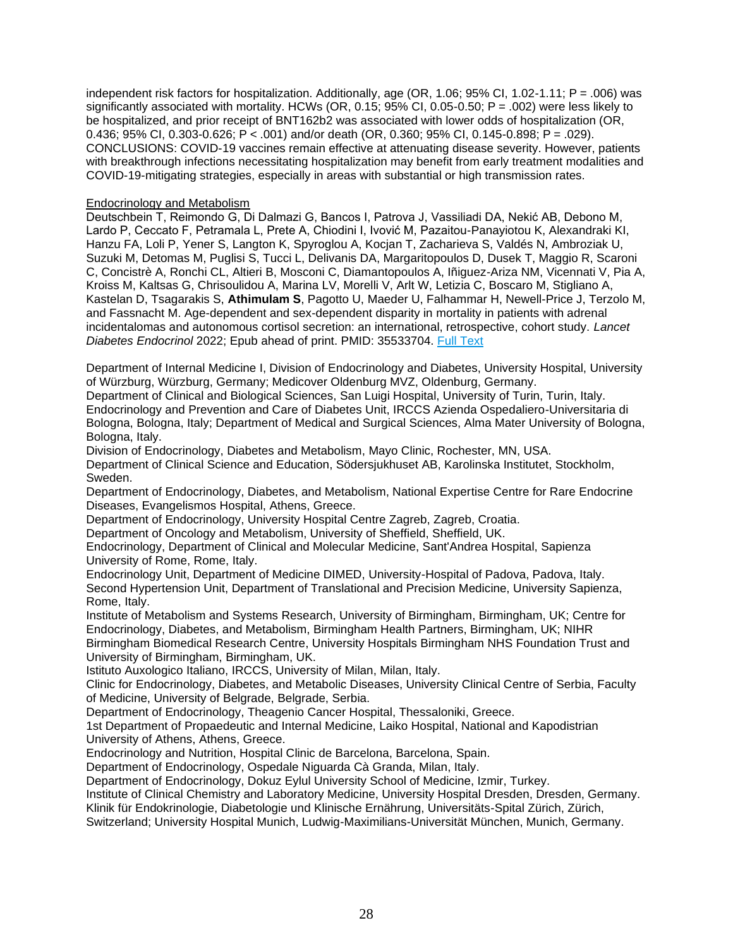independent risk factors for hospitalization. Additionally, age (OR, 1.06; 95% CI, 1.02-1.11; P = .006) was significantly associated with mortality. HCWs (OR, 0.15; 95% CI, 0.05-0.50; P = .002) were less likely to be hospitalized, and prior receipt of BNT162b2 was associated with lower odds of hospitalization (OR, 0.436; 95% CI, 0.303-0.626; P < .001) and/or death (OR, 0.360; 95% CI, 0.145-0.898; P = .029). CONCLUSIONS: COVID-19 vaccines remain effective at attenuating disease severity. However, patients with breakthrough infections necessitating hospitalization may benefit from early treatment modalities and COVID-19-mitigating strategies, especially in areas with substantial or high transmission rates.

# <span id="page-27-0"></span>Endocrinology and Metabolism

Deutschbein T, Reimondo G, Di Dalmazi G, Bancos I, Patrova J, Vassiliadi DA, Nekić AB, Debono M, Lardo P, Ceccato F, Petramala L, Prete A, Chiodini I, Ivović M, Pazaitou-Panayiotou K, Alexandraki KI, Hanzu FA, Loli P, Yener S, Langton K, Spyroglou A, Kocjan T, Zacharieva S, Valdés N, Ambroziak U, Suzuki M, Detomas M, Puglisi S, Tucci L, Delivanis DA, Margaritopoulos D, Dusek T, Maggio R, Scaroni C, Concistrè A, Ronchi CL, Altieri B, Mosconi C, Diamantopoulos A, Iñiguez-Ariza NM, Vicennati V, Pia A, Kroiss M, Kaltsas G, Chrisoulidou A, Marina LV, Morelli V, Arlt W, Letizia C, Boscaro M, Stigliano A, Kastelan D, Tsagarakis S, **Athimulam S**, Pagotto U, Maeder U, Falhammar H, Newell-Price J, Terzolo M, and Fassnacht M. Age-dependent and sex-dependent disparity in mortality in patients with adrenal incidentalomas and autonomous cortisol secretion: an international, retrospective, cohort study. *Lancet Diabetes Endocrinol* 2022; Epub ahead of print. PMID: 35533704. [Full Text](https://libkey.io/35533704)

Department of Internal Medicine I, Division of Endocrinology and Diabetes, University Hospital, University of Würzburg, Würzburg, Germany; Medicover Oldenburg MVZ, Oldenburg, Germany.

Department of Clinical and Biological Sciences, San Luigi Hospital, University of Turin, Turin, Italy. Endocrinology and Prevention and Care of Diabetes Unit, IRCCS Azienda Ospedaliero-Universitaria di Bologna, Bologna, Italy; Department of Medical and Surgical Sciences, Alma Mater University of Bologna, Bologna, Italy.

Division of Endocrinology, Diabetes and Metabolism, Mayo Clinic, Rochester, MN, USA. Department of Clinical Science and Education, Södersjukhuset AB, Karolinska Institutet, Stockholm, Sweden.

Department of Endocrinology, Diabetes, and Metabolism, National Expertise Centre for Rare Endocrine Diseases, Evangelismos Hospital, Athens, Greece.

Department of Endocrinology, University Hospital Centre Zagreb, Zagreb, Croatia.

Department of Oncology and Metabolism, University of Sheffield, Sheffield, UK.

Endocrinology, Department of Clinical and Molecular Medicine, Sant'Andrea Hospital, Sapienza University of Rome, Rome, Italy.

Endocrinology Unit, Department of Medicine DIMED, University-Hospital of Padova, Padova, Italy. Second Hypertension Unit, Department of Translational and Precision Medicine, University Sapienza, Rome, Italy.

Institute of Metabolism and Systems Research, University of Birmingham, Birmingham, UK; Centre for Endocrinology, Diabetes, and Metabolism, Birmingham Health Partners, Birmingham, UK; NIHR Birmingham Biomedical Research Centre, University Hospitals Birmingham NHS Foundation Trust and University of Birmingham, Birmingham, UK.

Istituto Auxologico Italiano, IRCCS, University of Milan, Milan, Italy.

Clinic for Endocrinology, Diabetes, and Metabolic Diseases, University Clinical Centre of Serbia, Faculty of Medicine, University of Belgrade, Belgrade, Serbia.

Department of Endocrinology, Theagenio Cancer Hospital, Thessaloniki, Greece.

1st Department of Propaedeutic and Internal Medicine, Laiko Hospital, National and Kapodistrian University of Athens, Athens, Greece.

Endocrinology and Nutrition, Hospital Clinic de Barcelona, Barcelona, Spain.

Department of Endocrinology, Ospedale Niguarda Cà Granda, Milan, Italy.

Department of Endocrinology, Dokuz Eylul University School of Medicine, Izmir, Turkey.

Institute of Clinical Chemistry and Laboratory Medicine, University Hospital Dresden, Dresden, Germany. Klinik für Endokrinologie, Diabetologie und Klinische Ernährung, Universitäts-Spital Zürich, Zürich,

Switzerland; University Hospital Munich, Ludwig-Maximilians-Universität München, Munich, Germany.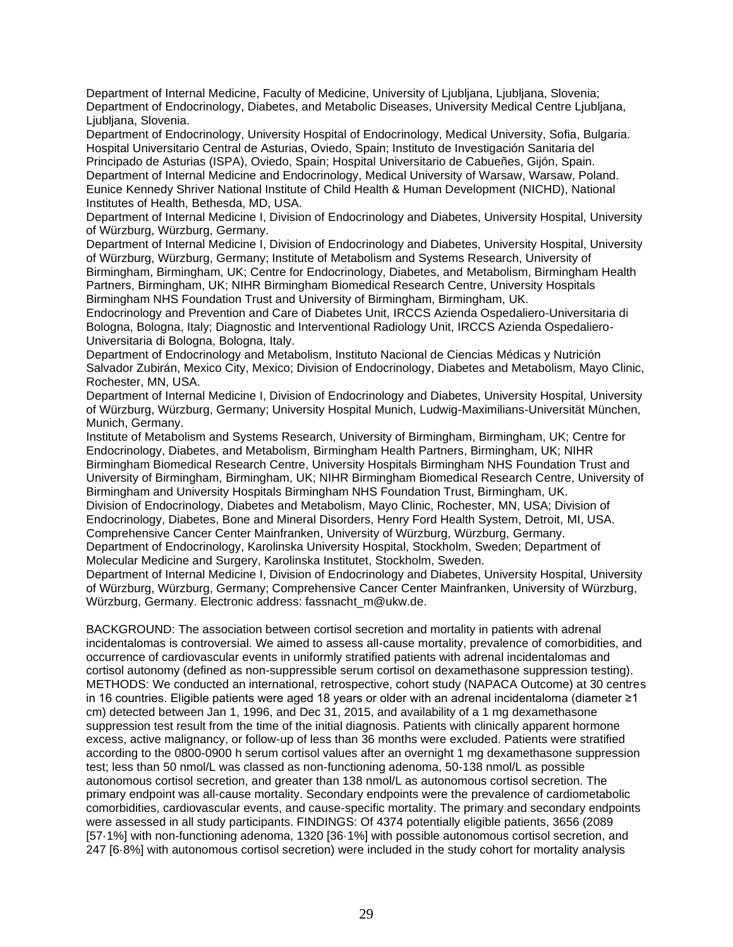Department of Internal Medicine, Faculty of Medicine, University of Ljubljana, Ljubljana, Slovenia; Department of Endocrinology, Diabetes, and Metabolic Diseases, University Medical Centre Ljubljana, Liubliana, Slovenia.

Department of Endocrinology, University Hospital of Endocrinology, Medical University, Sofia, Bulgaria. Hospital Universitario Central de Asturias, Oviedo, Spain; Instituto de Investigación Sanitaria del Principado de Asturias (ISPA), Oviedo, Spain; Hospital Universitario de Cabueñes, Gijón, Spain. Department of Internal Medicine and Endocrinology, Medical University of Warsaw, Warsaw, Poland. Eunice Kennedy Shriver National Institute of Child Health & Human Development (NICHD), National Institutes of Health, Bethesda, MD, USA.

Department of Internal Medicine I, Division of Endocrinology and Diabetes, University Hospital, University of Würzburg, Würzburg, Germany.

Department of Internal Medicine I, Division of Endocrinology and Diabetes, University Hospital, University of Würzburg, Würzburg, Germany; Institute of Metabolism and Systems Research, University of Birmingham, Birmingham, UK; Centre for Endocrinology, Diabetes, and Metabolism, Birmingham Health Partners, Birmingham, UK; NIHR Birmingham Biomedical Research Centre, University Hospitals Birmingham NHS Foundation Trust and University of Birmingham, Birmingham, UK.

Endocrinology and Prevention and Care of Diabetes Unit, IRCCS Azienda Ospedaliero-Universitaria di Bologna, Bologna, Italy; Diagnostic and Interventional Radiology Unit, IRCCS Azienda Ospedaliero-Universitaria di Bologna, Bologna, Italy.

Department of Endocrinology and Metabolism, Instituto Nacional de Ciencias Médicas y Nutrición Salvador Zubirán, Mexico City, Mexico; Division of Endocrinology, Diabetes and Metabolism, Mayo Clinic, Rochester, MN, USA.

Department of Internal Medicine I, Division of Endocrinology and Diabetes, University Hospital, University of Würzburg, Würzburg, Germany; University Hospital Munich, Ludwig-Maximilians-Universität München, Munich, Germany.

Institute of Metabolism and Systems Research, University of Birmingham, Birmingham, UK; Centre for Endocrinology, Diabetes, and Metabolism, Birmingham Health Partners, Birmingham, UK; NIHR Birmingham Biomedical Research Centre, University Hospitals Birmingham NHS Foundation Trust and University of Birmingham, Birmingham, UK; NIHR Birmingham Biomedical Research Centre, University of Birmingham and University Hospitals Birmingham NHS Foundation Trust, Birmingham, UK. Division of Endocrinology, Diabetes and Metabolism, Mayo Clinic, Rochester, MN, USA; Division of Endocrinology, Diabetes, Bone and Mineral Disorders, Henry Ford Health System, Detroit, MI, USA. Comprehensive Cancer Center Mainfranken, University of Würzburg, Würzburg, Germany. Department of Endocrinology, Karolinska University Hospital, Stockholm, Sweden; Department of Molecular Medicine and Surgery, Karolinska Institutet, Stockholm, Sweden.

Department of Internal Medicine I, Division of Endocrinology and Diabetes, University Hospital, University of Würzburg, Würzburg, Germany; Comprehensive Cancer Center Mainfranken, University of Würzburg, Würzburg, Germany. Electronic address: fassnacht\_m@ukw.de.

BACKGROUND: The association between cortisol secretion and mortality in patients with adrenal incidentalomas is controversial. We aimed to assess all-cause mortality, prevalence of comorbidities, and occurrence of cardiovascular events in uniformly stratified patients with adrenal incidentalomas and cortisol autonomy (defined as non-suppressible serum cortisol on dexamethasone suppression testing). METHODS: We conducted an international, retrospective, cohort study (NAPACA Outcome) at 30 centres in 16 countries. Eligible patients were aged 18 years or older with an adrenal incidentaloma (diameter ≥1 cm) detected between Jan 1, 1996, and Dec 31, 2015, and availability of a 1 mg dexamethasone suppression test result from the time of the initial diagnosis. Patients with clinically apparent hormone excess, active malignancy, or follow-up of less than 36 months were excluded. Patients were stratified according to the 0800-0900 h serum cortisol values after an overnight 1 mg dexamethasone suppression test; less than 50 nmol/L was classed as non-functioning adenoma, 50-138 nmol/L as possible autonomous cortisol secretion, and greater than 138 nmol/L as autonomous cortisol secretion. The primary endpoint was all-cause mortality. Secondary endpoints were the prevalence of cardiometabolic comorbidities, cardiovascular events, and cause-specific mortality. The primary and secondary endpoints were assessed in all study participants. FINDINGS: Of 4374 potentially eligible patients, 3656 (2089 [57·1%] with non-functioning adenoma, 1320 [36·1%] with possible autonomous cortisol secretion, and 247 [6·8%] with autonomous cortisol secretion) were included in the study cohort for mortality analysis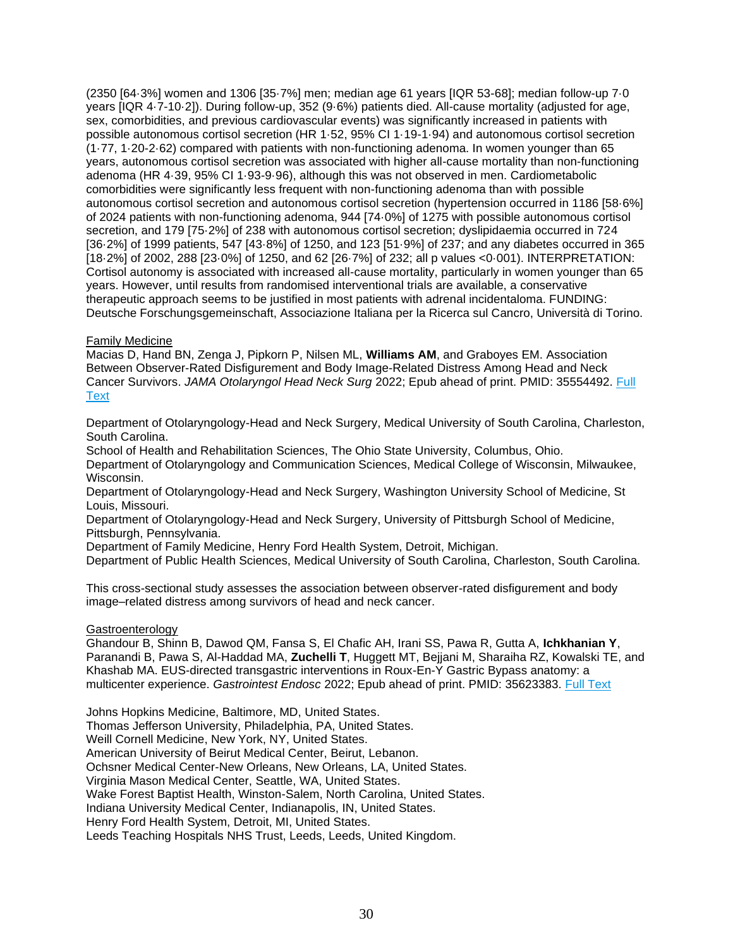(2350 [64·3%] women and 1306 [35·7%] men; median age 61 years [IQR 53-68]; median follow-up 7·0 years [IQR 4·7-10·2]). During follow-up, 352 (9·6%) patients died. All-cause mortality (adjusted for age, sex, comorbidities, and previous cardiovascular events) was significantly increased in patients with possible autonomous cortisol secretion (HR 1·52, 95% CI 1·19-1·94) and autonomous cortisol secretion (1·77, 1·20-2·62) compared with patients with non-functioning adenoma. In women younger than 65 years, autonomous cortisol secretion was associated with higher all-cause mortality than non-functioning adenoma (HR 4·39, 95% CI 1·93-9·96), although this was not observed in men. Cardiometabolic comorbidities were significantly less frequent with non-functioning adenoma than with possible autonomous cortisol secretion and autonomous cortisol secretion (hypertension occurred in 1186 [58·6%] of 2024 patients with non-functioning adenoma, 944 [74·0%] of 1275 with possible autonomous cortisol secretion, and 179 [75·2%] of 238 with autonomous cortisol secretion; dyslipidaemia occurred in 724 [36·2%] of 1999 patients, 547 [43·8%] of 1250, and 123 [51·9%] of 237; and any diabetes occurred in 365 [18·2%] of 2002, 288 [23·0%] of 1250, and 62 [26·7%] of 232; all p values <0·001). INTERPRETATION: Cortisol autonomy is associated with increased all-cause mortality, particularly in women younger than 65 years. However, until results from randomised interventional trials are available, a conservative therapeutic approach seems to be justified in most patients with adrenal incidentaloma. FUNDING: Deutsche Forschungsgemeinschaft, Associazione Italiana per la Ricerca sul Cancro, Università di Torino.

# <span id="page-29-0"></span>Family Medicine

Macias D, Hand BN, Zenga J, Pipkorn P, Nilsen ML, **Williams AM**, and Graboyes EM. Association Between Observer-Rated Disfigurement and Body Image-Related Distress Among Head and Neck Cancer Survivors. *JAMA Otolaryngol Head Neck Surg* 2022; Epub ahead of print. PMID: 35554492. [Full](https://libkey.io/35554492)  **[Text](https://libkey.io/35554492)** 

Department of Otolaryngology-Head and Neck Surgery, Medical University of South Carolina, Charleston, South Carolina.

School of Health and Rehabilitation Sciences, The Ohio State University, Columbus, Ohio.

Department of Otolaryngology and Communication Sciences, Medical College of Wisconsin, Milwaukee, Wisconsin.

Department of Otolaryngology-Head and Neck Surgery, Washington University School of Medicine, St Louis, Missouri.

Department of Otolaryngology-Head and Neck Surgery, University of Pittsburgh School of Medicine, Pittsburgh, Pennsylvania.

Department of Family Medicine, Henry Ford Health System, Detroit, Michigan.

Department of Public Health Sciences, Medical University of South Carolina, Charleston, South Carolina.

This cross-sectional study assesses the association between observer-rated disfigurement and body image–related distress among survivors of head and neck cancer.

# <span id="page-29-1"></span>Gastroenterology

Ghandour B, Shinn B, Dawod QM, Fansa S, El Chafic AH, Irani SS, Pawa R, Gutta A, **Ichkhanian Y**, Paranandi B, Pawa S, Al-Haddad MA, **Zuchelli T**, Huggett MT, Bejjani M, Sharaiha RZ, Kowalski TE, and Khashab MA. EUS-directed transgastric interventions in Roux-En-Y Gastric Bypass anatomy: a multicenter experience. *Gastrointest Endosc* 2022; Epub ahead of print. PMID: 35623383. [Full Text](https://libkey.io/35623383)

Johns Hopkins Medicine, Baltimore, MD, United States. Thomas Jefferson University, Philadelphia, PA, United States. Weill Cornell Medicine, New York, NY, United States. American University of Beirut Medical Center, Beirut, Lebanon. Ochsner Medical Center-New Orleans, New Orleans, LA, United States. Virginia Mason Medical Center, Seattle, WA, United States. Wake Forest Baptist Health, Winston-Salem, North Carolina, United States. Indiana University Medical Center, Indianapolis, IN, United States. Henry Ford Health System, Detroit, MI, United States. Leeds Teaching Hospitals NHS Trust, Leeds, Leeds, United Kingdom.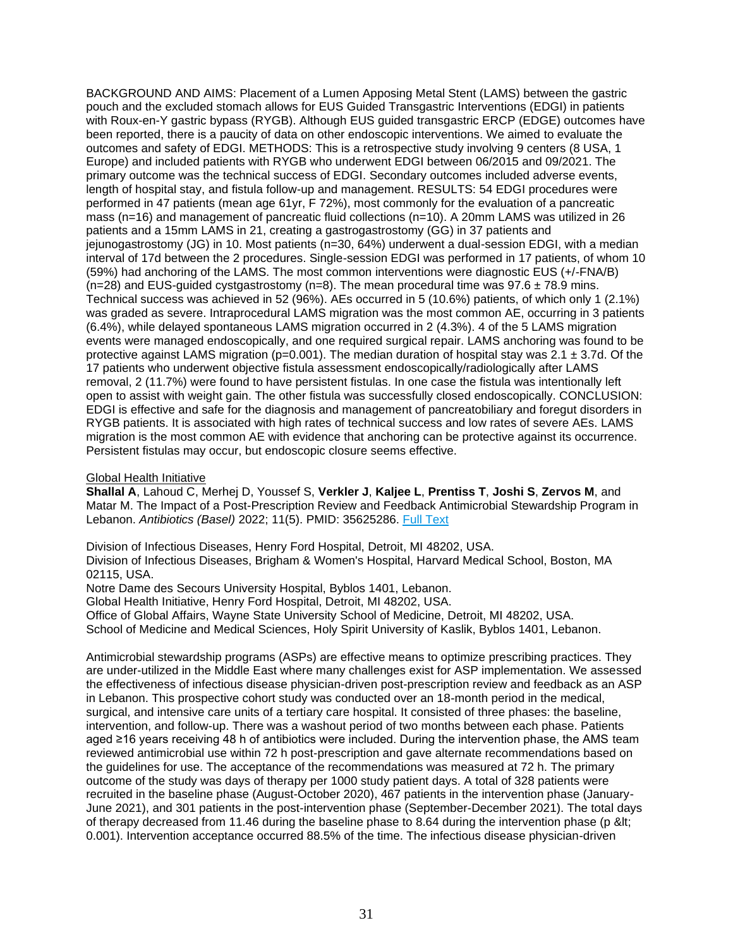BACKGROUND AND AIMS: Placement of a Lumen Apposing Metal Stent (LAMS) between the gastric pouch and the excluded stomach allows for EUS Guided Transgastric Interventions (EDGI) in patients with Roux-en-Y gastric bypass (RYGB). Although EUS guided transgastric ERCP (EDGE) outcomes have been reported, there is a paucity of data on other endoscopic interventions. We aimed to evaluate the outcomes and safety of EDGI. METHODS: This is a retrospective study involving 9 centers (8 USA, 1 Europe) and included patients with RYGB who underwent EDGI between 06/2015 and 09/2021. The primary outcome was the technical success of EDGI. Secondary outcomes included adverse events, length of hospital stay, and fistula follow-up and management. RESULTS: 54 EDGI procedures were performed in 47 patients (mean age 61yr, F 72%), most commonly for the evaluation of a pancreatic mass (n=16) and management of pancreatic fluid collections (n=10). A 20mm LAMS was utilized in 26 patients and a 15mm LAMS in 21, creating a gastrogastrostomy (GG) in 37 patients and jejunogastrostomy (JG) in 10. Most patients (n=30, 64%) underwent a dual-session EDGI, with a median interval of 17d between the 2 procedures. Single-session EDGI was performed in 17 patients, of whom 10 (59%) had anchoring of the LAMS. The most common interventions were diagnostic EUS (+/-FNA/B)  $(n=28)$  and EUS-guided cystgastrostomy  $(n=8)$ . The mean procedural time was  $97.6 \pm 78.9$  mins. Technical success was achieved in 52 (96%). AEs occurred in 5 (10.6%) patients, of which only 1 (2.1%) was graded as severe. Intraprocedural LAMS migration was the most common AE, occurring in 3 patients (6.4%), while delayed spontaneous LAMS migration occurred in 2 (4.3%). 4 of the 5 LAMS migration events were managed endoscopically, and one required surgical repair. LAMS anchoring was found to be protective against LAMS migration ( $p=0.001$ ). The median duration of hospital stay was 2.1  $\pm$  3.7d. Of the 17 patients who underwent objective fistula assessment endoscopically/radiologically after LAMS removal, 2 (11.7%) were found to have persistent fistulas. In one case the fistula was intentionally left open to assist with weight gain. The other fistula was successfully closed endoscopically. CONCLUSION: EDGI is effective and safe for the diagnosis and management of pancreatobiliary and foregut disorders in RYGB patients. It is associated with high rates of technical success and low rates of severe AEs. LAMS migration is the most common AE with evidence that anchoring can be protective against its occurrence. Persistent fistulas may occur, but endoscopic closure seems effective.

<span id="page-30-0"></span>Global Health Initiative

**Shallal A**, Lahoud C, Merhej D, Youssef S, **Verkler J**, **Kaljee L**, **Prentiss T**, **Joshi S**, **Zervos M**, and Matar M. The Impact of a Post-Prescription Review and Feedback Antimicrobial Stewardship Program in Lebanon. Antibiotics (Basel) 2022; 11(5). PMID: 35625286. [Full Text](https://libkey.io/35625286)

Division of Infectious Diseases, Henry Ford Hospital, Detroit, MI 48202, USA.

Division of Infectious Diseases, Brigham & Women's Hospital, Harvard Medical School, Boston, MA 02115, USA.

Notre Dame des Secours University Hospital, Byblos 1401, Lebanon.

Global Health Initiative, Henry Ford Hospital, Detroit, MI 48202, USA.

Office of Global Affairs, Wayne State University School of Medicine, Detroit, MI 48202, USA. School of Medicine and Medical Sciences, Holy Spirit University of Kaslik, Byblos 1401, Lebanon.

Antimicrobial stewardship programs (ASPs) are effective means to optimize prescribing practices. They are under-utilized in the Middle East where many challenges exist for ASP implementation. We assessed the effectiveness of infectious disease physician-driven post-prescription review and feedback as an ASP in Lebanon. This prospective cohort study was conducted over an 18-month period in the medical, surgical, and intensive care units of a tertiary care hospital. It consisted of three phases: the baseline, intervention, and follow-up. There was a washout period of two months between each phase. Patients aged ≥16 years receiving 48 h of antibiotics were included. During the intervention phase, the AMS team reviewed antimicrobial use within 72 h post-prescription and gave alternate recommendations based on the guidelines for use. The acceptance of the recommendations was measured at 72 h. The primary outcome of the study was days of therapy per 1000 study patient days. A total of 328 patients were recruited in the baseline phase (August-October 2020), 467 patients in the intervention phase (January-June 2021), and 301 patients in the post-intervention phase (September-December 2021). The total days of therapy decreased from 11.46 during the baseline phase to 8.64 during the intervention phase (p < 0.001). Intervention acceptance occurred 88.5% of the time. The infectious disease physician-driven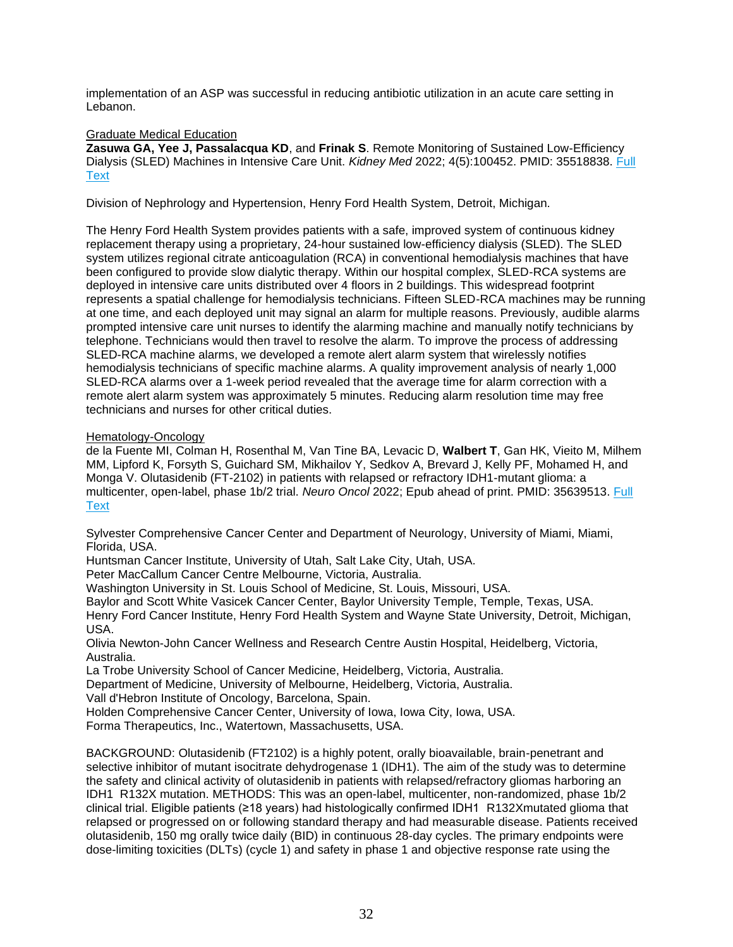implementation of an ASP was successful in reducing antibiotic utilization in an acute care setting in Lebanon.

# <span id="page-31-0"></span>Graduate Medical Education

**Zasuwa GA, Yee J, Passalacqua KD**, and **Frinak S**. Remote Monitoring of Sustained Low-Efficiency Dialysis (SLED) Machines in Intensive Care Unit. *Kidney Med* 2022; 4(5):100452. PMID: 35518838. [Full](https://libkey.io/35518838)  **[Text](https://libkey.io/35518838)** 

Division of Nephrology and Hypertension, Henry Ford Health System, Detroit, Michigan.

The Henry Ford Health System provides patients with a safe, improved system of continuous kidney replacement therapy using a proprietary, 24-hour sustained low-efficiency dialysis (SLED). The SLED system utilizes regional citrate anticoagulation (RCA) in conventional hemodialysis machines that have been configured to provide slow dialytic therapy. Within our hospital complex, SLED-RCA systems are deployed in intensive care units distributed over 4 floors in 2 buildings. This widespread footprint represents a spatial challenge for hemodialysis technicians. Fifteen SLED-RCA machines may be running at one time, and each deployed unit may signal an alarm for multiple reasons. Previously, audible alarms prompted intensive care unit nurses to identify the alarming machine and manually notify technicians by telephone. Technicians would then travel to resolve the alarm. To improve the process of addressing SLED-RCA machine alarms, we developed a remote alert alarm system that wirelessly notifies hemodialysis technicians of specific machine alarms. A quality improvement analysis of nearly 1,000 SLED-RCA alarms over a 1-week period revealed that the average time for alarm correction with a remote alert alarm system was approximately 5 minutes. Reducing alarm resolution time may free technicians and nurses for other critical duties.

# <span id="page-31-1"></span>Hematology-Oncology

de la Fuente MI, Colman H, Rosenthal M, Van Tine BA, Levacic D, **Walbert T**, Gan HK, Vieito M, Milhem MM, Lipford K, Forsyth S, Guichard SM, Mikhailov Y, Sedkov A, Brevard J, Kelly PF, Mohamed H, and Monga V. Olutasidenib (FT-2102) in patients with relapsed or refractory IDH1-mutant glioma: a multicenter, open-label, phase 1b/2 trial. *Neuro Oncol* 2022; Epub ahead of print. PMID: 35639513. [Full](https://libkey.io/35639513)  **[Text](https://libkey.io/35639513)** 

Sylvester Comprehensive Cancer Center and Department of Neurology, University of Miami, Miami, Florida, USA.

Huntsman Cancer Institute, University of Utah, Salt Lake City, Utah, USA.

Peter MacCallum Cancer Centre Melbourne, Victoria, Australia.

Washington University in St. Louis School of Medicine, St. Louis, Missouri, USA.

Baylor and Scott White Vasicek Cancer Center, Baylor University Temple, Temple, Texas, USA. Henry Ford Cancer Institute, Henry Ford Health System and Wayne State University, Detroit, Michigan, USA.

Olivia Newton-John Cancer Wellness and Research Centre Austin Hospital, Heidelberg, Victoria, Australia.

La Trobe University School of Cancer Medicine, Heidelberg, Victoria, Australia.

Department of Medicine, University of Melbourne, Heidelberg, Victoria, Australia.

Vall d'Hebron Institute of Oncology, Barcelona, Spain.

Holden Comprehensive Cancer Center, University of Iowa, Iowa City, Iowa, USA.

Forma Therapeutics, Inc., Watertown, Massachusetts, USA.

BACKGROUND: Olutasidenib (FT2102) is a highly potent, orally bioavailable, brain-penetrant and selective inhibitor of mutant isocitrate dehydrogenase 1 (IDH1). The aim of the study was to determine the safety and clinical activity of olutasidenib in patients with relapsed/refractory gliomas harboring an IDH1 R132X mutation. METHODS: This was an open-label, multicenter, non-randomized, phase 1b/2 clinical trial. Eligible patients (≥18 years) had histologically confirmed IDH1 R132Xmutated glioma that relapsed or progressed on or following standard therapy and had measurable disease. Patients received olutasidenib, 150 mg orally twice daily (BID) in continuous 28-day cycles. The primary endpoints were dose-limiting toxicities (DLTs) (cycle 1) and safety in phase 1 and objective response rate using the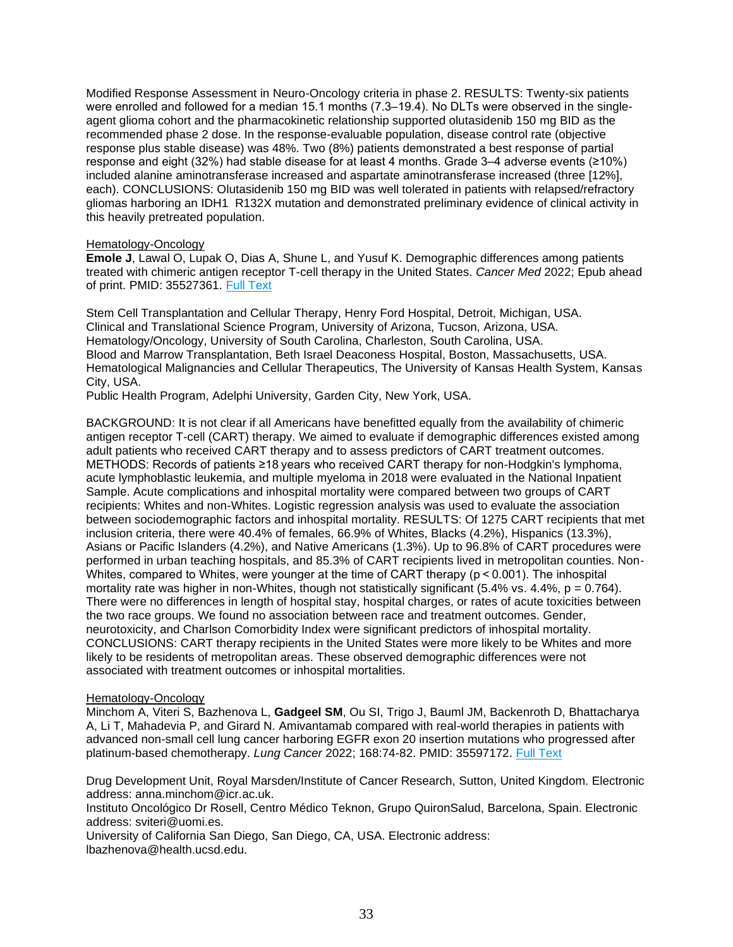Modified Response Assessment in Neuro-Oncology criteria in phase 2. RESULTS: Twenty-six patients were enrolled and followed for a median 15.1 months (7.3–19.4). No DLTs were observed in the singleagent glioma cohort and the pharmacokinetic relationship supported olutasidenib 150 mg BID as the recommended phase 2 dose. In the response-evaluable population, disease control rate (objective response plus stable disease) was 48%. Two (8%) patients demonstrated a best response of partial response and eight (32%) had stable disease for at least 4 months. Grade 3–4 adverse events (≥10%) included alanine aminotransferase increased and aspartate aminotransferase increased (three [12%], each). CONCLUSIONS: Olutasidenib 150 mg BID was well tolerated in patients with relapsed/refractory gliomas harboring an IDH1 R132X mutation and demonstrated preliminary evidence of clinical activity in this heavily pretreated population.

# Hematology-Oncology

**Emole J**, Lawal O, Lupak O, Dias A, Shune L, and Yusuf K. Demographic differences among patients treated with chimeric antigen receptor T-cell therapy in the United States. *Cancer Med* 2022; Epub ahead of print. PMID: 35527361. [Full Text](https://libkey.io/35527361)

Stem Cell Transplantation and Cellular Therapy, Henry Ford Hospital, Detroit, Michigan, USA. Clinical and Translational Science Program, University of Arizona, Tucson, Arizona, USA. Hematology/Oncology, University of South Carolina, Charleston, South Carolina, USA. Blood and Marrow Transplantation, Beth Israel Deaconess Hospital, Boston, Massachusetts, USA. Hematological Malignancies and Cellular Therapeutics, The University of Kansas Health System, Kansas City, USA.

Public Health Program, Adelphi University, Garden City, New York, USA.

BACKGROUND: It is not clear if all Americans have benefitted equally from the availability of chimeric antigen receptor T-cell (CART) therapy. We aimed to evaluate if demographic differences existed among adult patients who received CART therapy and to assess predictors of CART treatment outcomes. METHODS: Records of patients ≥18 years who received CART therapy for non-Hodgkin's lymphoma, acute lymphoblastic leukemia, and multiple myeloma in 2018 were evaluated in the National Inpatient Sample. Acute complications and inhospital mortality were compared between two groups of CART recipients: Whites and non-Whites. Logistic regression analysis was used to evaluate the association between sociodemographic factors and inhospital mortality. RESULTS: Of 1275 CART recipients that met inclusion criteria, there were 40.4% of females, 66.9% of Whites, Blacks (4.2%), Hispanics (13.3%), Asians or Pacific Islanders (4.2%), and Native Americans (1.3%). Up to 96.8% of CART procedures were performed in urban teaching hospitals, and 85.3% of CART recipients lived in metropolitan counties. Non-Whites, compared to Whites, were younger at the time of CART therapy ( $p < 0.001$ ). The inhospital mortality rate was higher in non-Whites, though not statistically significant  $(5.4\% \text{ vs. } 4.4\%, p = 0.764)$ . There were no differences in length of hospital stay, hospital charges, or rates of acute toxicities between the two race groups. We found no association between race and treatment outcomes. Gender, neurotoxicity, and Charlson Comorbidity Index were significant predictors of inhospital mortality. CONCLUSIONS: CART therapy recipients in the United States were more likely to be Whites and more likely to be residents of metropolitan areas. These observed demographic differences were not associated with treatment outcomes or inhospital mortalities.

# Hematology-Oncology

Minchom A, Viteri S, Bazhenova L, **Gadgeel SM**, Ou SI, Trigo J, Bauml JM, Backenroth D, Bhattacharya A, Li T, Mahadevia P, and Girard N. Amivantamab compared with real-world therapies in patients with advanced non-small cell lung cancer harboring EGFR exon 20 insertion mutations who progressed after platinum-based chemotherapy. *Lung Cancer* 2022; 168:74-82. PMID: 35597172. [Full Text](https://libkey.io/35597172)

Drug Development Unit, Royal Marsden/Institute of Cancer Research, Sutton, United Kingdom. Electronic address: anna.minchom@icr.ac.uk.

Instituto Oncológico Dr Rosell, Centro Médico Teknon, Grupo QuironSalud, Barcelona, Spain. Electronic address: sviteri@uomi.es.

University of California San Diego, San Diego, CA, USA. Electronic address: lbazhenova@health.ucsd.edu.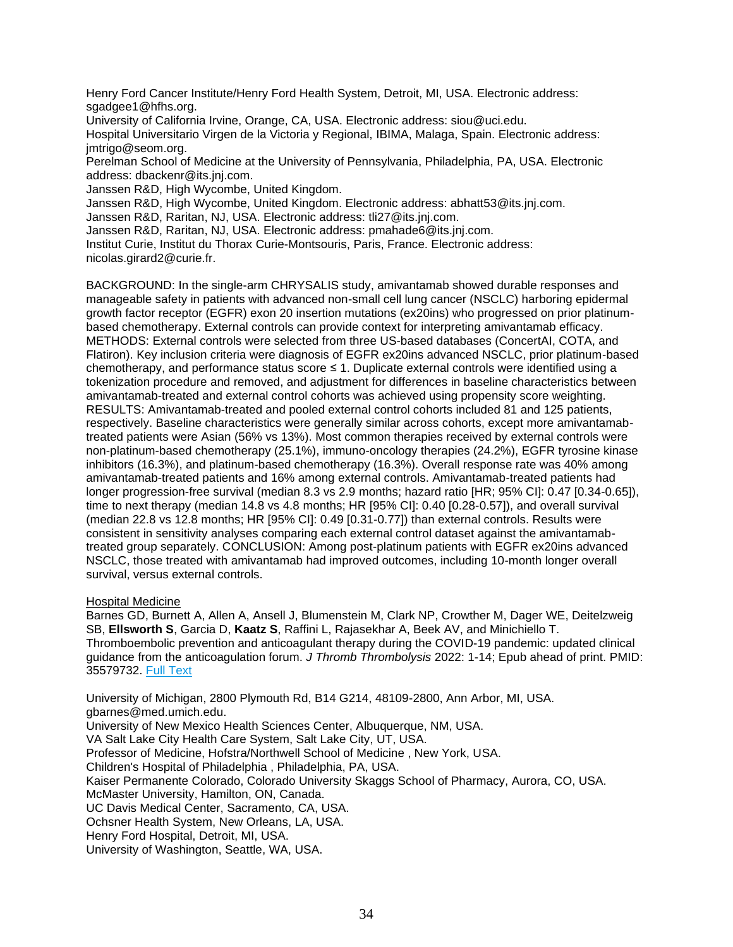Henry Ford Cancer Institute/Henry Ford Health System, Detroit, MI, USA. Electronic address: sgadgee1@hfhs.org.

University of California Irvine, Orange, CA, USA. Electronic address: siou@uci.edu.

Hospital Universitario Virgen de la Victoria y Regional, IBIMA, Malaga, Spain. Electronic address: jmtrigo@seom.org.

Perelman School of Medicine at the University of Pennsylvania, Philadelphia, PA, USA. Electronic address: dbackenr@its.jnj.com.

Janssen R&D, High Wycombe, United Kingdom.

Janssen R&D, High Wycombe, United Kingdom. Electronic address: abhatt53@its.jnj.com.

Janssen R&D, Raritan, NJ, USA. Electronic address: tli27@its.jnj.com.

Janssen R&D, Raritan, NJ, USA. Electronic address: pmahade6@its.jnj.com.

Institut Curie, Institut du Thorax Curie-Montsouris, Paris, France. Electronic address:

nicolas.girard2@curie.fr.

BACKGROUND: In the single-arm CHRYSALIS study, amivantamab showed durable responses and manageable safety in patients with advanced non-small cell lung cancer (NSCLC) harboring epidermal growth factor receptor (EGFR) exon 20 insertion mutations (ex20ins) who progressed on prior platinumbased chemotherapy. External controls can provide context for interpreting amivantamab efficacy. METHODS: External controls were selected from three US-based databases (ConcertAI, COTA, and Flatiron). Key inclusion criteria were diagnosis of EGFR ex20ins advanced NSCLC, prior platinum-based chemotherapy, and performance status score ≤ 1. Duplicate external controls were identified using a tokenization procedure and removed, and adjustment for differences in baseline characteristics between amivantamab-treated and external control cohorts was achieved using propensity score weighting. RESULTS: Amivantamab-treated and pooled external control cohorts included 81 and 125 patients, respectively. Baseline characteristics were generally similar across cohorts, except more amivantamabtreated patients were Asian (56% vs 13%). Most common therapies received by external controls were non-platinum-based chemotherapy (25.1%), immuno-oncology therapies (24.2%), EGFR tyrosine kinase inhibitors (16.3%), and platinum-based chemotherapy (16.3%). Overall response rate was 40% among amivantamab-treated patients and 16% among external controls. Amivantamab-treated patients had longer progression-free survival (median 8.3 vs 2.9 months; hazard ratio [HR; 95% CI]: 0.47 [0.34-0.65]), time to next therapy (median 14.8 vs 4.8 months; HR [95% CI]: 0.40 [0.28-0.57]), and overall survival (median 22.8 vs 12.8 months; HR [95% CI]: 0.49 [0.31-0.77]) than external controls. Results were consistent in sensitivity analyses comparing each external control dataset against the amivantamabtreated group separately. CONCLUSION: Among post-platinum patients with EGFR ex20ins advanced NSCLC, those treated with amivantamab had improved outcomes, including 10-month longer overall survival, versus external controls.

# <span id="page-33-0"></span>Hospital Medicine

Barnes GD, Burnett A, Allen A, Ansell J, Blumenstein M, Clark NP, Crowther M, Dager WE, Deitelzweig SB, **Ellsworth S**, Garcia D, **Kaatz S**, Raffini L, Rajasekhar A, Beek AV, and Minichiello T. Thromboembolic prevention and anticoagulant therapy during the COVID-19 pandemic: updated clinical guidance from the anticoagulation forum. *J Thromb Thrombolysis* 2022: 1-14; Epub ahead of print. PMID: 35579732. [Full Text](https://libkey.io/35579732)

University of Michigan, 2800 Plymouth Rd, B14 G214, 48109-2800, Ann Arbor, MI, USA. gbarnes@med.umich.edu. University of New Mexico Health Sciences Center, Albuquerque, NM, USA. VA Salt Lake City Health Care System, Salt Lake City, UT, USA. Professor of Medicine, Hofstra/Northwell School of Medicine , New York, USA. Children's Hospital of Philadelphia , Philadelphia, PA, USA. Kaiser Permanente Colorado, Colorado University Skaggs School of Pharmacy, Aurora, CO, USA. McMaster University, Hamilton, ON, Canada. UC Davis Medical Center, Sacramento, CA, USA. Ochsner Health System, New Orleans, LA, USA. Henry Ford Hospital, Detroit, MI, USA. University of Washington, Seattle, WA, USA.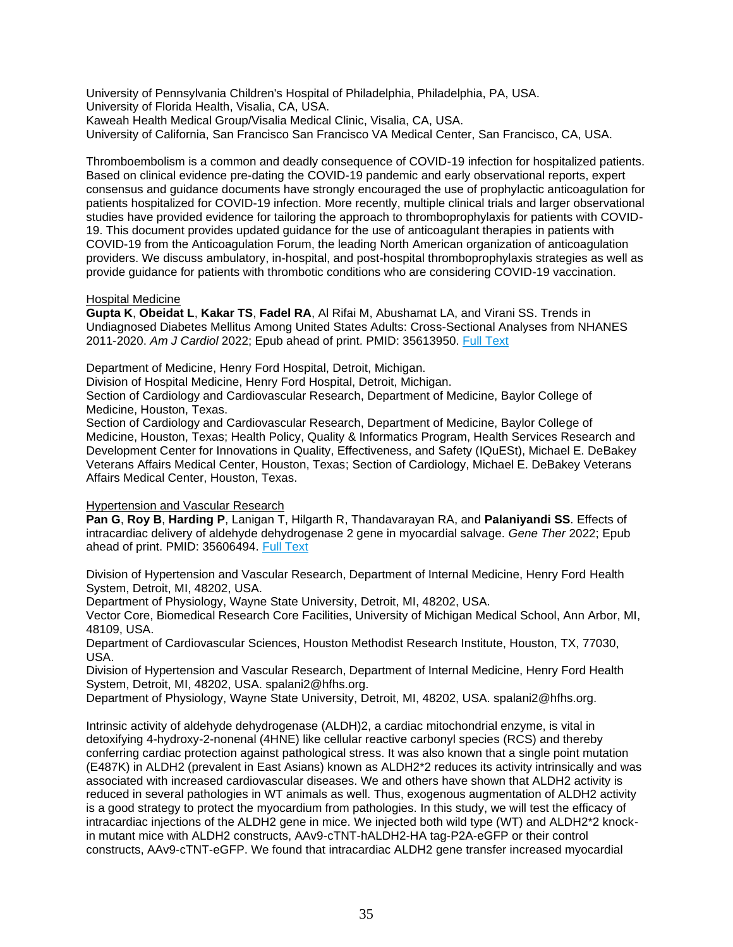University of Pennsylvania Children's Hospital of Philadelphia, Philadelphia, PA, USA. University of Florida Health, Visalia, CA, USA. Kaweah Health Medical Group/Visalia Medical Clinic, Visalia, CA, USA. University of California, San Francisco San Francisco VA Medical Center, San Francisco, CA, USA.

Thromboembolism is a common and deadly consequence of COVID-19 infection for hospitalized patients. Based on clinical evidence pre-dating the COVID-19 pandemic and early observational reports, expert consensus and guidance documents have strongly encouraged the use of prophylactic anticoagulation for patients hospitalized for COVID-19 infection. More recently, multiple clinical trials and larger observational studies have provided evidence for tailoring the approach to thromboprophylaxis for patients with COVID-19. This document provides updated guidance for the use of anticoagulant therapies in patients with COVID-19 from the Anticoagulation Forum, the leading North American organization of anticoagulation providers. We discuss ambulatory, in-hospital, and post-hospital thromboprophylaxis strategies as well as provide guidance for patients with thrombotic conditions who are considering COVID-19 vaccination.

# Hospital Medicine

**Gupta K**, **Obeidat L**, **Kakar TS**, **Fadel RA**, Al Rifai M, Abushamat LA, and Virani SS. Trends in Undiagnosed Diabetes Mellitus Among United States Adults: Cross-Sectional Analyses from NHANES 2011-2020. *Am J Cardiol* 2022; Epub ahead of print. PMID: 35613950. [Full Text](https://libkey.io/35613950)

Department of Medicine, Henry Ford Hospital, Detroit, Michigan.

Division of Hospital Medicine, Henry Ford Hospital, Detroit, Michigan.

Section of Cardiology and Cardiovascular Research, Department of Medicine, Baylor College of Medicine, Houston, Texas.

Section of Cardiology and Cardiovascular Research, Department of Medicine, Baylor College of Medicine, Houston, Texas; Health Policy, Quality & Informatics Program, Health Services Research and Development Center for Innovations in Quality, Effectiveness, and Safety (IQuESt), Michael E. DeBakey Veterans Affairs Medical Center, Houston, Texas; Section of Cardiology, Michael E. DeBakey Veterans Affairs Medical Center, Houston, Texas.

<span id="page-34-0"></span>Hypertension and Vascular Research

**Pan G**, **Roy B**, **Harding P**, Lanigan T, Hilgarth R, Thandavarayan RA, and **Palaniyandi SS**. Effects of intracardiac delivery of aldehyde dehydrogenase 2 gene in myocardial salvage. *Gene Ther* 2022; Epub ahead of print. PMID: 35606494. [Full Text](https://libkey.io/35606494)

Division of Hypertension and Vascular Research, Department of Internal Medicine, Henry Ford Health System, Detroit, MI, 48202, USA.

Department of Physiology, Wayne State University, Detroit, MI, 48202, USA.

Vector Core, Biomedical Research Core Facilities, University of Michigan Medical School, Ann Arbor, MI, 48109, USA.

Department of Cardiovascular Sciences, Houston Methodist Research Institute, Houston, TX, 77030, USA.

Division of Hypertension and Vascular Research, Department of Internal Medicine, Henry Ford Health System, Detroit, MI, 48202, USA. spalani2@hfhs.org.

Department of Physiology, Wayne State University, Detroit, MI, 48202, USA. spalani2@hfhs.org.

Intrinsic activity of aldehyde dehydrogenase (ALDH)2, a cardiac mitochondrial enzyme, is vital in detoxifying 4-hydroxy-2-nonenal (4HNE) like cellular reactive carbonyl species (RCS) and thereby conferring cardiac protection against pathological stress. It was also known that a single point mutation (E487K) in ALDH2 (prevalent in East Asians) known as ALDH2\*2 reduces its activity intrinsically and was associated with increased cardiovascular diseases. We and others have shown that ALDH2 activity is reduced in several pathologies in WT animals as well. Thus, exogenous augmentation of ALDH2 activity is a good strategy to protect the myocardium from pathologies. In this study, we will test the efficacy of intracardiac injections of the ALDH2 gene in mice. We injected both wild type (WT) and ALDH2\*2 knockin mutant mice with ALDH2 constructs, AAv9-cTNT-hALDH2-HA tag-P2A-eGFP or their control constructs, AAv9-cTNT-eGFP. We found that intracardiac ALDH2 gene transfer increased myocardial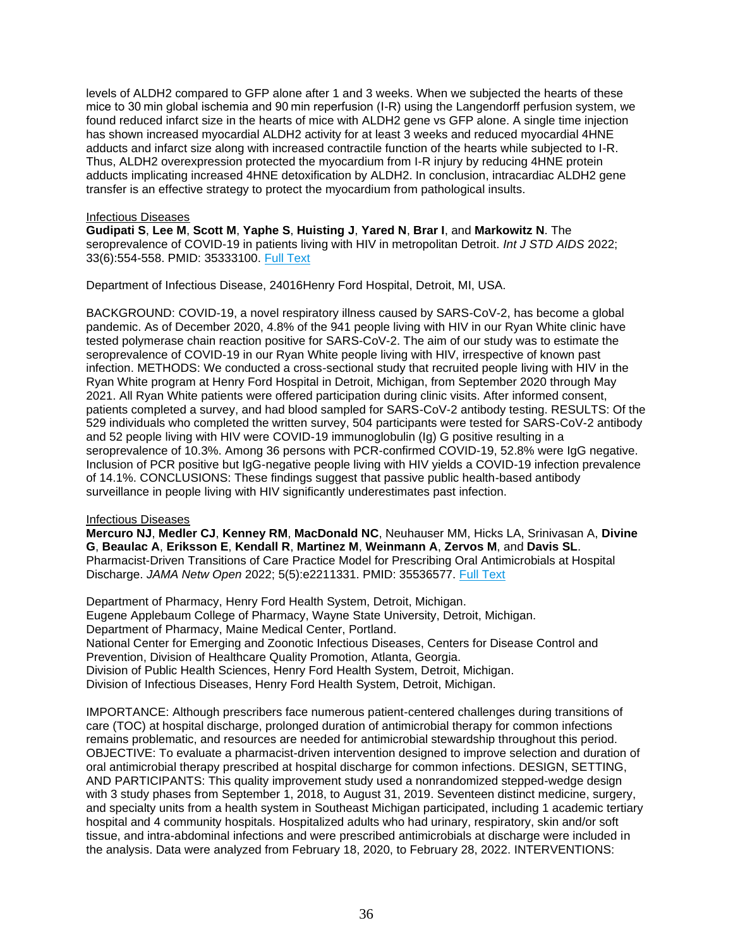levels of ALDH2 compared to GFP alone after 1 and 3 weeks. When we subjected the hearts of these mice to 30 min global ischemia and 90 min reperfusion (I-R) using the Langendorff perfusion system, we found reduced infarct size in the hearts of mice with ALDH2 gene vs GFP alone. A single time injection has shown increased myocardial ALDH2 activity for at least 3 weeks and reduced myocardial 4HNE adducts and infarct size along with increased contractile function of the hearts while subjected to I-R. Thus, ALDH2 overexpression protected the myocardium from I-R injury by reducing 4HNE protein adducts implicating increased 4HNE detoxification by ALDH2. In conclusion, intracardiac ALDH2 gene transfer is an effective strategy to protect the myocardium from pathological insults.

# <span id="page-35-0"></span>Infectious Diseases

**Gudipati S**, **Lee M**, **Scott M**, **Yaphe S**, **Huisting J**, **Yared N**, **Brar I**, and **Markowitz N**. The seroprevalence of COVID-19 in patients living with HIV in metropolitan Detroit. *Int J STD AIDS* 2022; 33(6):554-558. PMID: 35333100. [Full Text](https://libkey.io/35333100)

Department of Infectious Disease, 24016Henry Ford Hospital, Detroit, MI, USA.

BACKGROUND: COVID-19, a novel respiratory illness caused by SARS-CoV-2, has become a global pandemic. As of December 2020, 4.8% of the 941 people living with HIV in our Ryan White clinic have tested polymerase chain reaction positive for SARS-CoV-2. The aim of our study was to estimate the seroprevalence of COVID-19 in our Ryan White people living with HIV, irrespective of known past infection. METHODS: We conducted a cross-sectional study that recruited people living with HIV in the Ryan White program at Henry Ford Hospital in Detroit, Michigan, from September 2020 through May 2021. All Ryan White patients were offered participation during clinic visits. After informed consent, patients completed a survey, and had blood sampled for SARS-CoV-2 antibody testing. RESULTS: Of the 529 individuals who completed the written survey, 504 participants were tested for SARS-CoV-2 antibody and 52 people living with HIV were COVID-19 immunoglobulin (Ig) G positive resulting in a seroprevalence of 10.3%. Among 36 persons with PCR-confirmed COVID-19, 52.8% were IgG negative. Inclusion of PCR positive but IgG-negative people living with HIV yields a COVID-19 infection prevalence of 14.1%. CONCLUSIONS: These findings suggest that passive public health-based antibody surveillance in people living with HIV significantly underestimates past infection.

# Infectious Diseases

**Mercuro NJ**, **Medler CJ**, **Kenney RM**, **MacDonald NC**, Neuhauser MM, Hicks LA, Srinivasan A, **Divine G**, **Beaulac A**, **Eriksson E**, **Kendall R**, **Martinez M**, **Weinmann A**, **Zervos M**, and **Davis SL**. Pharmacist-Driven Transitions of Care Practice Model for Prescribing Oral Antimicrobials at Hospital Discharge. *JAMA Netw Open* 2022; 5(5):e2211331. PMID: 35536577. [Full Text](https://libkey.io/35536577)

Department of Pharmacy, Henry Ford Health System, Detroit, Michigan. Eugene Applebaum College of Pharmacy, Wayne State University, Detroit, Michigan. Department of Pharmacy, Maine Medical Center, Portland. National Center for Emerging and Zoonotic Infectious Diseases, Centers for Disease Control and Prevention, Division of Healthcare Quality Promotion, Atlanta, Georgia. Division of Public Health Sciences, Henry Ford Health System, Detroit, Michigan. Division of Infectious Diseases, Henry Ford Health System, Detroit, Michigan.

IMPORTANCE: Although prescribers face numerous patient-centered challenges during transitions of care (TOC) at hospital discharge, prolonged duration of antimicrobial therapy for common infections remains problematic, and resources are needed for antimicrobial stewardship throughout this period. OBJECTIVE: To evaluate a pharmacist-driven intervention designed to improve selection and duration of oral antimicrobial therapy prescribed at hospital discharge for common infections. DESIGN, SETTING, AND PARTICIPANTS: This quality improvement study used a nonrandomized stepped-wedge design with 3 study phases from September 1, 2018, to August 31, 2019. Seventeen distinct medicine, surgery, and specialty units from a health system in Southeast Michigan participated, including 1 academic tertiary hospital and 4 community hospitals. Hospitalized adults who had urinary, respiratory, skin and/or soft tissue, and intra-abdominal infections and were prescribed antimicrobials at discharge were included in the analysis. Data were analyzed from February 18, 2020, to February 28, 2022. INTERVENTIONS: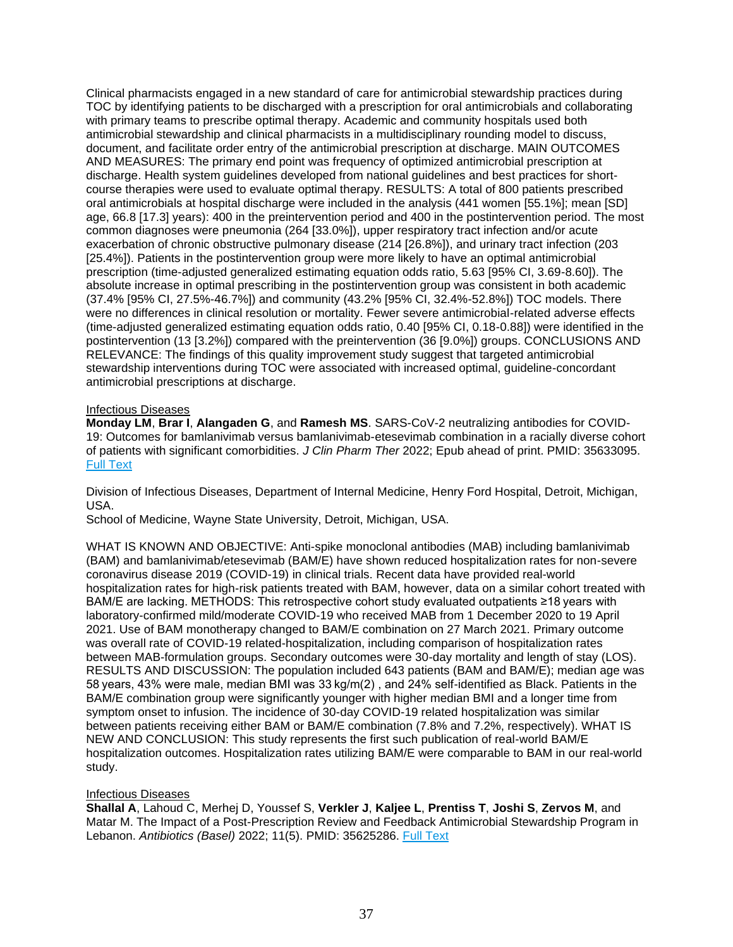Clinical pharmacists engaged in a new standard of care for antimicrobial stewardship practices during TOC by identifying patients to be discharged with a prescription for oral antimicrobials and collaborating with primary teams to prescribe optimal therapy. Academic and community hospitals used both antimicrobial stewardship and clinical pharmacists in a multidisciplinary rounding model to discuss, document, and facilitate order entry of the antimicrobial prescription at discharge. MAIN OUTCOMES AND MEASURES: The primary end point was frequency of optimized antimicrobial prescription at discharge. Health system guidelines developed from national guidelines and best practices for shortcourse therapies were used to evaluate optimal therapy. RESULTS: A total of 800 patients prescribed oral antimicrobials at hospital discharge were included in the analysis (441 women [55.1%]; mean [SD] age, 66.8 [17.3] years): 400 in the preintervention period and 400 in the postintervention period. The most common diagnoses were pneumonia (264 [33.0%]), upper respiratory tract infection and/or acute exacerbation of chronic obstructive pulmonary disease (214 [26.8%]), and urinary tract infection (203 [25.4%]). Patients in the postintervention group were more likely to have an optimal antimicrobial prescription (time-adjusted generalized estimating equation odds ratio, 5.63 [95% CI, 3.69-8.60]). The absolute increase in optimal prescribing in the postintervention group was consistent in both academic (37.4% [95% CI, 27.5%-46.7%]) and community (43.2% [95% CI, 32.4%-52.8%]) TOC models. There were no differences in clinical resolution or mortality. Fewer severe antimicrobial-related adverse effects (time-adjusted generalized estimating equation odds ratio, 0.40 [95% CI, 0.18-0.88]) were identified in the postintervention (13 [3.2%]) compared with the preintervention (36 [9.0%]) groups. CONCLUSIONS AND RELEVANCE: The findings of this quality improvement study suggest that targeted antimicrobial stewardship interventions during TOC were associated with increased optimal, guideline-concordant antimicrobial prescriptions at discharge.

## Infectious Diseases

**Monday LM**, **Brar I**, **Alangaden G**, and **Ramesh MS**. SARS-CoV-2 neutralizing antibodies for COVID-19: Outcomes for bamlanivimab versus bamlanivimab-etesevimab combination in a racially diverse cohort of patients with significant comorbidities. *J Clin Pharm Ther* 2022; Epub ahead of print. PMID: 35633095. [Full Text](https://libkey.io/35633095)

Division of Infectious Diseases, Department of Internal Medicine, Henry Ford Hospital, Detroit, Michigan, USA.

School of Medicine, Wayne State University, Detroit, Michigan, USA.

WHAT IS KNOWN AND OBJECTIVE: Anti-spike monoclonal antibodies (MAB) including bamlanivimab (BAM) and bamlanivimab/etesevimab (BAM/E) have shown reduced hospitalization rates for non-severe coronavirus disease 2019 (COVID-19) in clinical trials. Recent data have provided real-world hospitalization rates for high-risk patients treated with BAM, however, data on a similar cohort treated with BAM/E are lacking. METHODS: This retrospective cohort study evaluated outpatients ≥18 years with laboratory-confirmed mild/moderate COVID-19 who received MAB from 1 December 2020 to 19 April 2021. Use of BAM monotherapy changed to BAM/E combination on 27 March 2021. Primary outcome was overall rate of COVID-19 related-hospitalization, including comparison of hospitalization rates between MAB-formulation groups. Secondary outcomes were 30-day mortality and length of stay (LOS). RESULTS AND DISCUSSION: The population included 643 patients (BAM and BAM/E); median age was 58 years, 43% were male, median BMI was 33 kg/m(2) , and 24% self-identified as Black. Patients in the BAM/E combination group were significantly younger with higher median BMI and a longer time from symptom onset to infusion. The incidence of 30-day COVID-19 related hospitalization was similar between patients receiving either BAM or BAM/E combination (7.8% and 7.2%, respectively). WHAT IS NEW AND CONCLUSION: This study represents the first such publication of real-world BAM/E hospitalization outcomes. Hospitalization rates utilizing BAM/E were comparable to BAM in our real-world study.

#### Infectious Diseases

**Shallal A**, Lahoud C, Merhej D, Youssef S, **Verkler J**, **Kaljee L**, **Prentiss T**, **Joshi S**, **Zervos M**, and Matar M. The Impact of a Post-Prescription Review and Feedback Antimicrobial Stewardship Program in Lebanon. *Antibiotics (Basel)* 2022; 11(5). PMID: 35625286. [Full Text](https://libkey.io/35625286)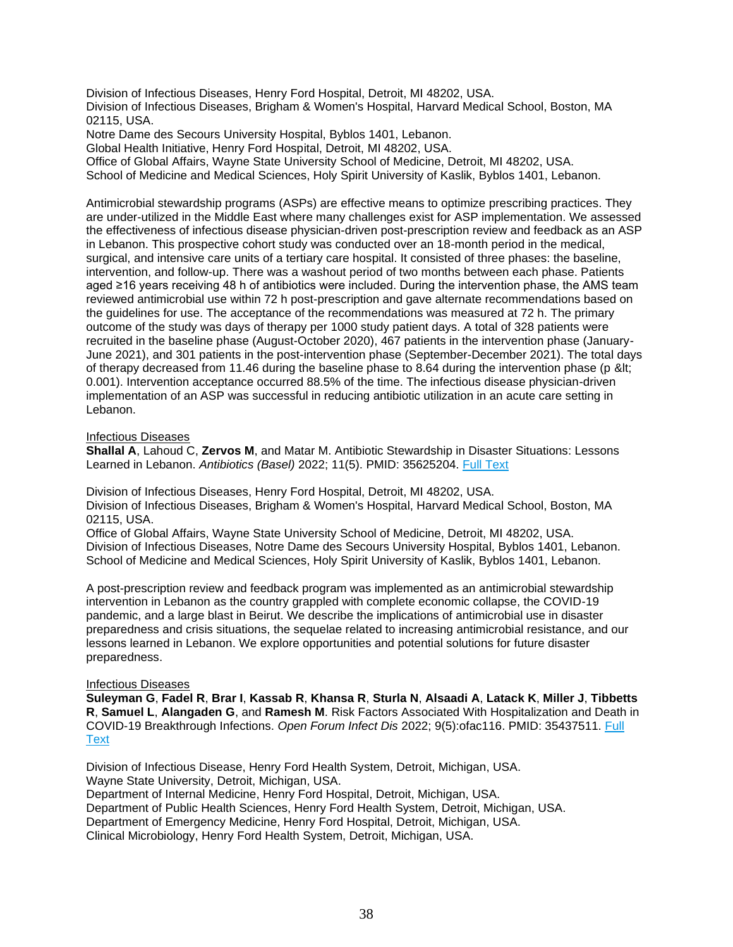Division of Infectious Diseases, Henry Ford Hospital, Detroit, MI 48202, USA. Division of Infectious Diseases, Brigham & Women's Hospital, Harvard Medical School, Boston, MA 02115, USA.

Notre Dame des Secours University Hospital, Byblos 1401, Lebanon.

Global Health Initiative, Henry Ford Hospital, Detroit, MI 48202, USA.

Office of Global Affairs, Wayne State University School of Medicine, Detroit, MI 48202, USA.

School of Medicine and Medical Sciences, Holy Spirit University of Kaslik, Byblos 1401, Lebanon.

Antimicrobial stewardship programs (ASPs) are effective means to optimize prescribing practices. They are under-utilized in the Middle East where many challenges exist for ASP implementation. We assessed the effectiveness of infectious disease physician-driven post-prescription review and feedback as an ASP in Lebanon. This prospective cohort study was conducted over an 18-month period in the medical, surgical, and intensive care units of a tertiary care hospital. It consisted of three phases: the baseline, intervention, and follow-up. There was a washout period of two months between each phase. Patients aged ≥16 years receiving 48 h of antibiotics were included. During the intervention phase, the AMS team reviewed antimicrobial use within 72 h post-prescription and gave alternate recommendations based on the guidelines for use. The acceptance of the recommendations was measured at 72 h. The primary outcome of the study was days of therapy per 1000 study patient days. A total of 328 patients were recruited in the baseline phase (August-October 2020), 467 patients in the intervention phase (January-June 2021), and 301 patients in the post-intervention phase (September-December 2021). The total days of therapy decreased from 11.46 during the baseline phase to 8.64 during the intervention phase (p < 0.001). Intervention acceptance occurred 88.5% of the time. The infectious disease physician-driven implementation of an ASP was successful in reducing antibiotic utilization in an acute care setting in Lebanon.

Infectious Diseases

**Shallal A**, Lahoud C, **Zervos M**, and Matar M. Antibiotic Stewardship in Disaster Situations: Lessons Learned in Lebanon. *Antibiotics (Basel)* 2022; 11(5). PMID: 35625204. [Full Text](https://libkey.io/35625204)

Division of Infectious Diseases, Henry Ford Hospital, Detroit, MI 48202, USA. Division of Infectious Diseases, Brigham & Women's Hospital, Harvard Medical School, Boston, MA 02115, USA.

Office of Global Affairs, Wayne State University School of Medicine, Detroit, MI 48202, USA. Division of Infectious Diseases, Notre Dame des Secours University Hospital, Byblos 1401, Lebanon. School of Medicine and Medical Sciences, Holy Spirit University of Kaslik, Byblos 1401, Lebanon.

A post-prescription review and feedback program was implemented as an antimicrobial stewardship intervention in Lebanon as the country grappled with complete economic collapse, the COVID-19 pandemic, and a large blast in Beirut. We describe the implications of antimicrobial use in disaster preparedness and crisis situations, the sequelae related to increasing antimicrobial resistance, and our lessons learned in Lebanon. We explore opportunities and potential solutions for future disaster preparedness.

## Infectious Diseases

**Suleyman G**, **Fadel R**, **Brar I**, **Kassab R**, **Khansa R**, **Sturla N**, **Alsaadi A**, **Latack K**, **Miller J**, **Tibbetts R**, **Samuel L**, **Alangaden G**, and **Ramesh M**. Risk Factors Associated With Hospitalization and Death in COVID-19 Breakthrough Infections. *Open Forum Infect Dis* 2022; 9(5):ofac116. PMID: 35437511. [Full](https://libkey.io/35437511)  **[Text](https://libkey.io/35437511)** 

Division of Infectious Disease, Henry Ford Health System, Detroit, Michigan, USA. Wayne State University, Detroit, Michigan, USA. Department of Internal Medicine, Henry Ford Hospital, Detroit, Michigan, USA. Department of Public Health Sciences, Henry Ford Health System, Detroit, Michigan, USA. Department of Emergency Medicine, Henry Ford Hospital, Detroit, Michigan, USA. Clinical Microbiology, Henry Ford Health System, Detroit, Michigan, USA.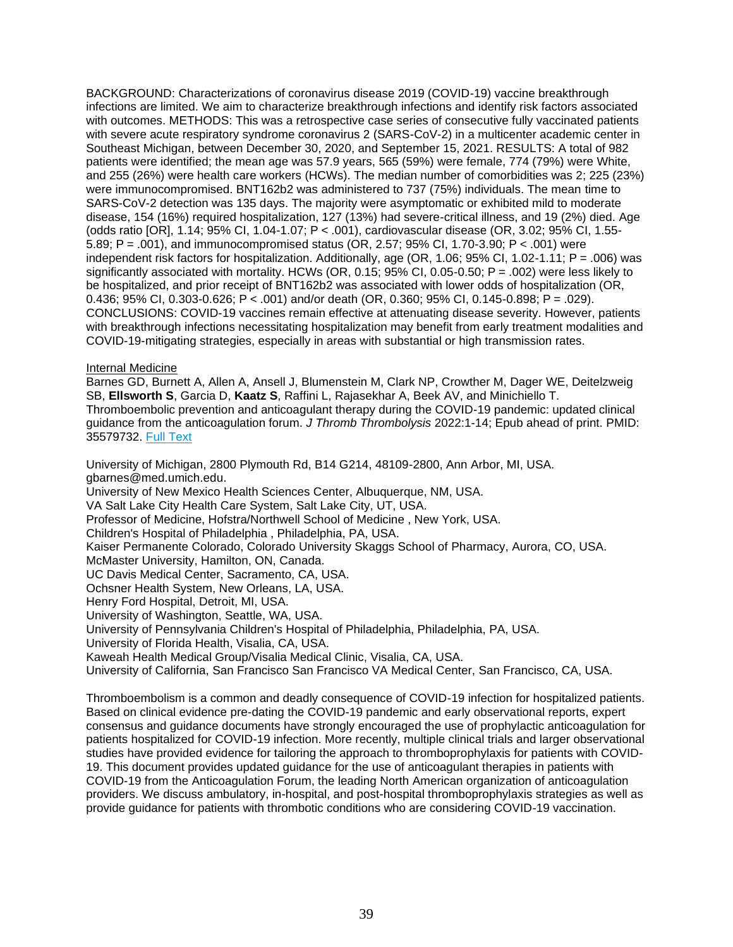BACKGROUND: Characterizations of coronavirus disease 2019 (COVID-19) vaccine breakthrough infections are limited. We aim to characterize breakthrough infections and identify risk factors associated with outcomes. METHODS: This was a retrospective case series of consecutive fully vaccinated patients with severe acute respiratory syndrome coronavirus 2 (SARS-CoV-2) in a multicenter academic center in Southeast Michigan, between December 30, 2020, and September 15, 2021. RESULTS: A total of 982 patients were identified; the mean age was 57.9 years, 565 (59%) were female, 774 (79%) were White, and 255 (26%) were health care workers (HCWs). The median number of comorbidities was 2; 225 (23%) were immunocompromised. BNT162b2 was administered to 737 (75%) individuals. The mean time to SARS-CoV-2 detection was 135 days. The majority were asymptomatic or exhibited mild to moderate disease, 154 (16%) required hospitalization, 127 (13%) had severe-critical illness, and 19 (2%) died. Age (odds ratio [OR], 1.14; 95% CI, 1.04-1.07; P < .001), cardiovascular disease (OR, 3.02; 95% CI, 1.55- 5.89; P = .001), and immunocompromised status (OR, 2.57; 95% CI, 1.70-3.90; P < .001) were independent risk factors for hospitalization. Additionally, age (OR, 1.06; 95% CI, 1.02-1.11; P = .006) was significantly associated with mortality. HCWs (OR, 0.15;  $95\%$  CI, 0.05-0.50; P = .002) were less likely to be hospitalized, and prior receipt of BNT162b2 was associated with lower odds of hospitalization (OR, 0.436; 95% CI, 0.303-0.626; P < .001) and/or death (OR, 0.360; 95% CI, 0.145-0.898; P = .029). CONCLUSIONS: COVID-19 vaccines remain effective at attenuating disease severity. However, patients with breakthrough infections necessitating hospitalization may benefit from early treatment modalities and COVID-19-mitigating strategies, especially in areas with substantial or high transmission rates.

## Internal Medicine

Barnes GD, Burnett A, Allen A, Ansell J, Blumenstein M, Clark NP, Crowther M, Dager WE, Deitelzweig SB, **Ellsworth S**, Garcia D, **Kaatz S**, Raffini L, Rajasekhar A, Beek AV, and Minichiello T. Thromboembolic prevention and anticoagulant therapy during the COVID-19 pandemic: updated clinical guidance from the anticoagulation forum. *J Thromb Thrombolysis* 2022:1-14; Epub ahead of print. PMID: 35579732. [Full Text](https://libkey.io/35579732)

University of Michigan, 2800 Plymouth Rd, B14 G214, 48109-2800, Ann Arbor, MI, USA. gbarnes@med.umich.edu.

University of New Mexico Health Sciences Center, Albuquerque, NM, USA.

VA Salt Lake City Health Care System, Salt Lake City, UT, USA.

Professor of Medicine, Hofstra/Northwell School of Medicine , New York, USA.

Children's Hospital of Philadelphia , Philadelphia, PA, USA.

Kaiser Permanente Colorado, Colorado University Skaggs School of Pharmacy, Aurora, CO, USA.

McMaster University, Hamilton, ON, Canada.

UC Davis Medical Center, Sacramento, CA, USA.

Ochsner Health System, New Orleans, LA, USA.

Henry Ford Hospital, Detroit, MI, USA.

University of Washington, Seattle, WA, USA.

University of Pennsylvania Children's Hospital of Philadelphia, Philadelphia, PA, USA.

University of Florida Health, Visalia, CA, USA.

Kaweah Health Medical Group/Visalia Medical Clinic, Visalia, CA, USA.

University of California, San Francisco San Francisco VA Medical Center, San Francisco, CA, USA.

Thromboembolism is a common and deadly consequence of COVID-19 infection for hospitalized patients. Based on clinical evidence pre-dating the COVID-19 pandemic and early observational reports, expert consensus and guidance documents have strongly encouraged the use of prophylactic anticoagulation for patients hospitalized for COVID-19 infection. More recently, multiple clinical trials and larger observational studies have provided evidence for tailoring the approach to thromboprophylaxis for patients with COVID-19. This document provides updated guidance for the use of anticoagulant therapies in patients with COVID-19 from the Anticoagulation Forum, the leading North American organization of anticoagulation providers. We discuss ambulatory, in-hospital, and post-hospital thromboprophylaxis strategies as well as provide guidance for patients with thrombotic conditions who are considering COVID-19 vaccination.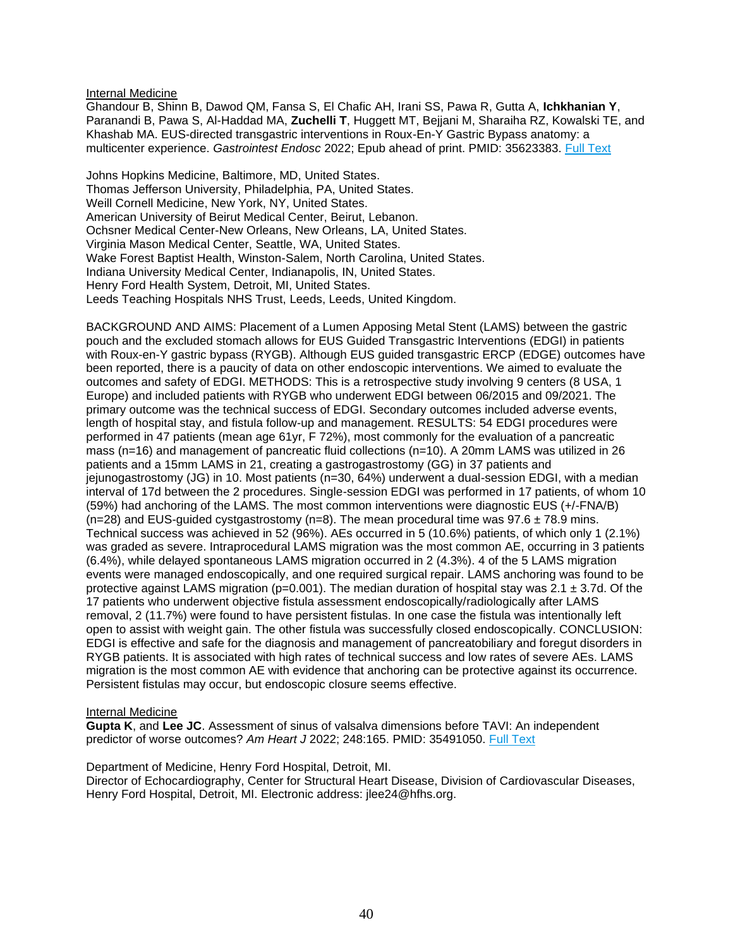Internal Medicine

Ghandour B, Shinn B, Dawod QM, Fansa S, El Chafic AH, Irani SS, Pawa R, Gutta A, **Ichkhanian Y**, Paranandi B, Pawa S, Al-Haddad MA, **Zuchelli T**, Huggett MT, Bejjani M, Sharaiha RZ, Kowalski TE, and Khashab MA. EUS-directed transgastric interventions in Roux-En-Y Gastric Bypass anatomy: a multicenter experience. *Gastrointest Endosc* 2022; Epub ahead of print. PMID: 35623383. [Full Text](https://libkey.io/35623383)

Johns Hopkins Medicine, Baltimore, MD, United States. Thomas Jefferson University, Philadelphia, PA, United States. Weill Cornell Medicine, New York, NY, United States. American University of Beirut Medical Center, Beirut, Lebanon. Ochsner Medical Center-New Orleans, New Orleans, LA, United States. Virginia Mason Medical Center, Seattle, WA, United States. Wake Forest Baptist Health, Winston-Salem, North Carolina, United States. Indiana University Medical Center, Indianapolis, IN, United States. Henry Ford Health System, Detroit, MI, United States. Leeds Teaching Hospitals NHS Trust, Leeds, Leeds, United Kingdom.

BACKGROUND AND AIMS: Placement of a Lumen Apposing Metal Stent (LAMS) between the gastric pouch and the excluded stomach allows for EUS Guided Transgastric Interventions (EDGI) in patients with Roux-en-Y gastric bypass (RYGB). Although EUS guided transgastric ERCP (EDGE) outcomes have been reported, there is a paucity of data on other endoscopic interventions. We aimed to evaluate the outcomes and safety of EDGI. METHODS: This is a retrospective study involving 9 centers (8 USA, 1 Europe) and included patients with RYGB who underwent EDGI between 06/2015 and 09/2021. The primary outcome was the technical success of EDGI. Secondary outcomes included adverse events, length of hospital stay, and fistula follow-up and management. RESULTS: 54 EDGI procedures were performed in 47 patients (mean age 61yr, F 72%), most commonly for the evaluation of a pancreatic mass (n=16) and management of pancreatic fluid collections (n=10). A 20mm LAMS was utilized in 26 patients and a 15mm LAMS in 21, creating a gastrogastrostomy (GG) in 37 patients and jejunogastrostomy (JG) in 10. Most patients (n=30, 64%) underwent a dual-session EDGI, with a median interval of 17d between the 2 procedures. Single-session EDGI was performed in 17 patients, of whom 10 (59%) had anchoring of the LAMS. The most common interventions were diagnostic EUS (+/-FNA/B) (n=28) and EUS-guided cystgastrostomy (n=8). The mean procedural time was  $97.6 \pm 78.9$  mins. Technical success was achieved in 52 (96%). AEs occurred in 5 (10.6%) patients, of which only 1 (2.1%) was graded as severe. Intraprocedural LAMS migration was the most common AE, occurring in 3 patients (6.4%), while delayed spontaneous LAMS migration occurred in 2 (4.3%). 4 of the 5 LAMS migration events were managed endoscopically, and one required surgical repair. LAMS anchoring was found to be protective against LAMS migration ( $p=0.001$ ). The median duration of hospital stay was 2.1  $\pm$  3.7d. Of the 17 patients who underwent objective fistula assessment endoscopically/radiologically after LAMS removal, 2 (11.7%) were found to have persistent fistulas. In one case the fistula was intentionally left open to assist with weight gain. The other fistula was successfully closed endoscopically. CONCLUSION: EDGI is effective and safe for the diagnosis and management of pancreatobiliary and foregut disorders in RYGB patients. It is associated with high rates of technical success and low rates of severe AEs. LAMS migration is the most common AE with evidence that anchoring can be protective against its occurrence. Persistent fistulas may occur, but endoscopic closure seems effective.

## Internal Medicine

**Gupta K**, and **Lee JC**. Assessment of sinus of valsalva dimensions before TAVI: An independent predictor of worse outcomes? *Am Heart J* 2022; 248:165. PMID: 35491050. [Full Text](https://libkey.io/35491050)

Department of Medicine, Henry Ford Hospital, Detroit, MI. Director of Echocardiography, Center for Structural Heart Disease, Division of Cardiovascular Diseases, Henry Ford Hospital, Detroit, MI. Electronic address: jlee24@hfhs.org.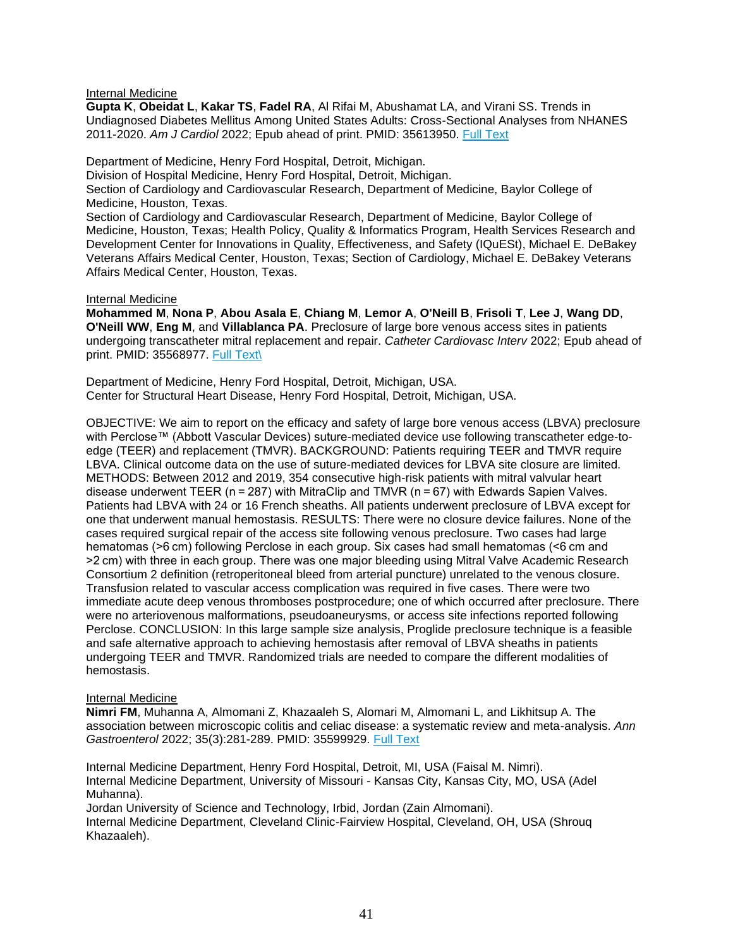### Internal Medicine

**Gupta K**, **Obeidat L**, **Kakar TS**, **Fadel RA**, Al Rifai M, Abushamat LA, and Virani SS. Trends in Undiagnosed Diabetes Mellitus Among United States Adults: Cross-Sectional Analyses from NHANES 2011-2020. *Am J Cardiol* 2022; Epub ahead of print. PMID: 35613950. [Full Text](https://libkey.io/35613950)

Department of Medicine, Henry Ford Hospital, Detroit, Michigan.

Division of Hospital Medicine, Henry Ford Hospital, Detroit, Michigan.

Section of Cardiology and Cardiovascular Research, Department of Medicine, Baylor College of Medicine, Houston, Texas.

Section of Cardiology and Cardiovascular Research, Department of Medicine, Baylor College of Medicine, Houston, Texas; Health Policy, Quality & Informatics Program, Health Services Research and Development Center for Innovations in Quality, Effectiveness, and Safety (IQuESt), Michael E. DeBakey Veterans Affairs Medical Center, Houston, Texas; Section of Cardiology, Michael E. DeBakey Veterans Affairs Medical Center, Houston, Texas.

### Internal Medicine

**Mohammed M**, **Nona P**, **Abou Asala E**, **Chiang M**, **Lemor A**, **O'Neill B**, **Frisoli T**, **Lee J**, **Wang DD**, **O'Neill WW**, **Eng M**, and **Villablanca PA**. Preclosure of large bore venous access sites in patients undergoing transcatheter mitral replacement and repair. *Catheter Cardiovasc Interv* 2022; Epub ahead of print. PMID: 35568977. [Full Text\](https://libkey.io/35568977/)

Department of Medicine, Henry Ford Hospital, Detroit, Michigan, USA. Center for Structural Heart Disease, Henry Ford Hospital, Detroit, Michigan, USA.

OBJECTIVE: We aim to report on the efficacy and safety of large bore venous access (LBVA) preclosure with Perclose™ (Abbott Vascular Devices) suture-mediated device use following transcatheter edge-toedge (TEER) and replacement (TMVR). BACKGROUND: Patients requiring TEER and TMVR require LBVA. Clinical outcome data on the use of suture-mediated devices for LBVA site closure are limited. METHODS: Between 2012 and 2019, 354 consecutive high-risk patients with mitral valvular heart disease underwent TEER (n = 287) with MitraClip and TMVR (n = 67) with Edwards Sapien Valves. Patients had LBVA with 24 or 16 French sheaths. All patients underwent preclosure of LBVA except for one that underwent manual hemostasis. RESULTS: There were no closure device failures. None of the cases required surgical repair of the access site following venous preclosure. Two cases had large hematomas (>6 cm) following Perclose in each group. Six cases had small hematomas (<6 cm and >2 cm) with three in each group. There was one major bleeding using Mitral Valve Academic Research Consortium 2 definition (retroperitoneal bleed from arterial puncture) unrelated to the venous closure. Transfusion related to vascular access complication was required in five cases. There were two immediate acute deep venous thromboses postprocedure; one of which occurred after preclosure. There were no arteriovenous malformations, pseudoaneurysms, or access site infections reported following Perclose. CONCLUSION: In this large sample size analysis, Proglide preclosure technique is a feasible and safe alternative approach to achieving hemostasis after removal of LBVA sheaths in patients undergoing TEER and TMVR. Randomized trials are needed to compare the different modalities of hemostasis.

## Internal Medicine

**Nimri FM**, Muhanna A, Almomani Z, Khazaaleh S, Alomari M, Almomani L, and Likhitsup A. The association between microscopic colitis and celiac disease: a systematic review and meta-analysis. *Ann Gastroenterol* 2022; 35(3):281-289. PMID: 35599929. [Full Text](https://libkey.io/35599929)

Internal Medicine Department, Henry Ford Hospital, Detroit, MI, USA (Faisal M. Nimri). Internal Medicine Department, University of Missouri - Kansas City, Kansas City, MO, USA (Adel Muhanna).

Jordan University of Science and Technology, Irbid, Jordan (Zain Almomani). Internal Medicine Department, Cleveland Clinic-Fairview Hospital, Cleveland, OH, USA (Shrouq Khazaaleh).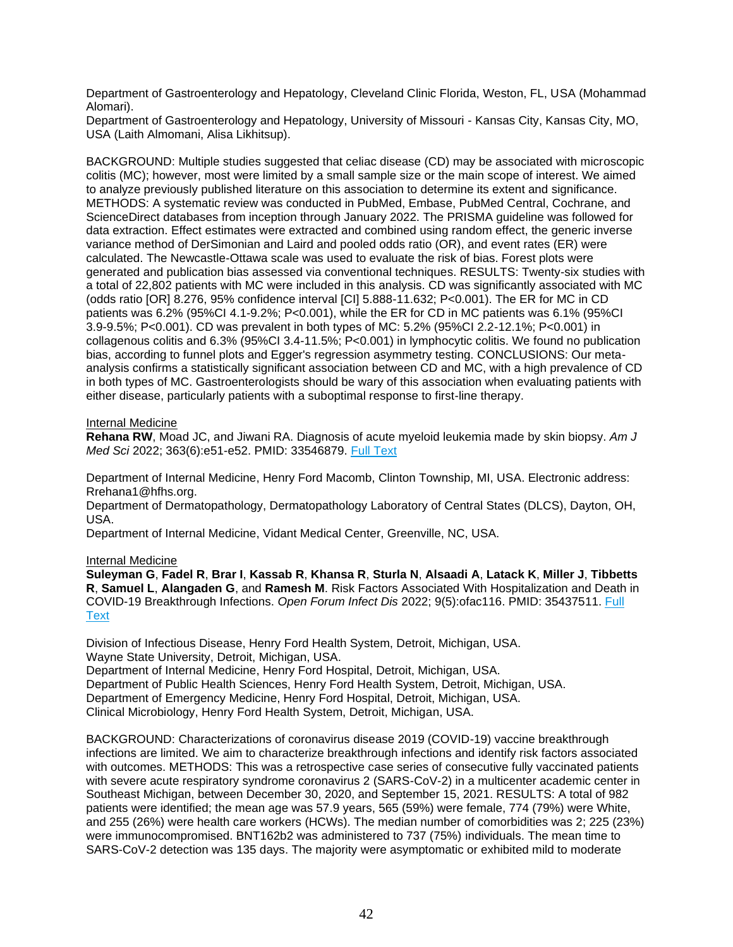Department of Gastroenterology and Hepatology, Cleveland Clinic Florida, Weston, FL, USA (Mohammad Alomari).

Department of Gastroenterology and Hepatology, University of Missouri - Kansas City, Kansas City, MO, USA (Laith Almomani, Alisa Likhitsup).

BACKGROUND: Multiple studies suggested that celiac disease (CD) may be associated with microscopic colitis (MC); however, most were limited by a small sample size or the main scope of interest. We aimed to analyze previously published literature on this association to determine its extent and significance. METHODS: A systematic review was conducted in PubMed, Embase, PubMed Central, Cochrane, and ScienceDirect databases from inception through January 2022. The PRISMA guideline was followed for data extraction. Effect estimates were extracted and combined using random effect, the generic inverse variance method of DerSimonian and Laird and pooled odds ratio (OR), and event rates (ER) were calculated. The Newcastle-Ottawa scale was used to evaluate the risk of bias. Forest plots were generated and publication bias assessed via conventional techniques. RESULTS: Twenty-six studies with a total of 22,802 patients with MC were included in this analysis. CD was significantly associated with MC (odds ratio [OR] 8.276, 95% confidence interval [CI] 5.888-11.632; P<0.001). The ER for MC in CD patients was 6.2% (95%CI 4.1-9.2%; P<0.001), while the ER for CD in MC patients was 6.1% (95%CI 3.9-9.5%; P<0.001). CD was prevalent in both types of MC: 5.2% (95%CI 2.2-12.1%; P<0.001) in collagenous colitis and 6.3% (95%CI 3.4-11.5%; P<0.001) in lymphocytic colitis. We found no publication bias, according to funnel plots and Egger's regression asymmetry testing. CONCLUSIONS: Our metaanalysis confirms a statistically significant association between CD and MC, with a high prevalence of CD in both types of MC. Gastroenterologists should be wary of this association when evaluating patients with either disease, particularly patients with a suboptimal response to first-line therapy.

## Internal Medicine

**Rehana RW**, Moad JC, and Jiwani RA. Diagnosis of acute myeloid leukemia made by skin biopsy. *Am J Med Sci* 2022; 363(6):e51-e52. PMID: 33546879. [Full Text](https://libkey.io/33546879)

Department of Internal Medicine, Henry Ford Macomb, Clinton Township, MI, USA. Electronic address: Rrehana1@hfhs.org.

Department of Dermatopathology, Dermatopathology Laboratory of Central States (DLCS), Dayton, OH, USA.

Department of Internal Medicine, Vidant Medical Center, Greenville, NC, USA.

#### Internal Medicine

**Suleyman G**, **Fadel R**, **Brar I**, **Kassab R**, **Khansa R**, **Sturla N**, **Alsaadi A**, **Latack K**, **Miller J**, **Tibbetts R**, **Samuel L**, **Alangaden G**, and **Ramesh M**. Risk Factors Associated With Hospitalization and Death in COVID-19 Breakthrough Infections. *Open Forum Infect Dis* 2022; 9(5):ofac116. PMID: 35437511. [Full](https://libkey.io/35437511)  [Text](https://libkey.io/35437511)

Division of Infectious Disease, Henry Ford Health System, Detroit, Michigan, USA. Wayne State University, Detroit, Michigan, USA.

Department of Internal Medicine, Henry Ford Hospital, Detroit, Michigan, USA. Department of Public Health Sciences, Henry Ford Health System, Detroit, Michigan, USA. Department of Emergency Medicine, Henry Ford Hospital, Detroit, Michigan, USA. Clinical Microbiology, Henry Ford Health System, Detroit, Michigan, USA.

BACKGROUND: Characterizations of coronavirus disease 2019 (COVID-19) vaccine breakthrough infections are limited. We aim to characterize breakthrough infections and identify risk factors associated with outcomes. METHODS: This was a retrospective case series of consecutive fully vaccinated patients with severe acute respiratory syndrome coronavirus 2 (SARS-CoV-2) in a multicenter academic center in Southeast Michigan, between December 30, 2020, and September 15, 2021. RESULTS: A total of 982 patients were identified; the mean age was 57.9 years, 565 (59%) were female, 774 (79%) were White, and 255 (26%) were health care workers (HCWs). The median number of comorbidities was 2; 225 (23%) were immunocompromised. BNT162b2 was administered to 737 (75%) individuals. The mean time to SARS-CoV-2 detection was 135 days. The majority were asymptomatic or exhibited mild to moderate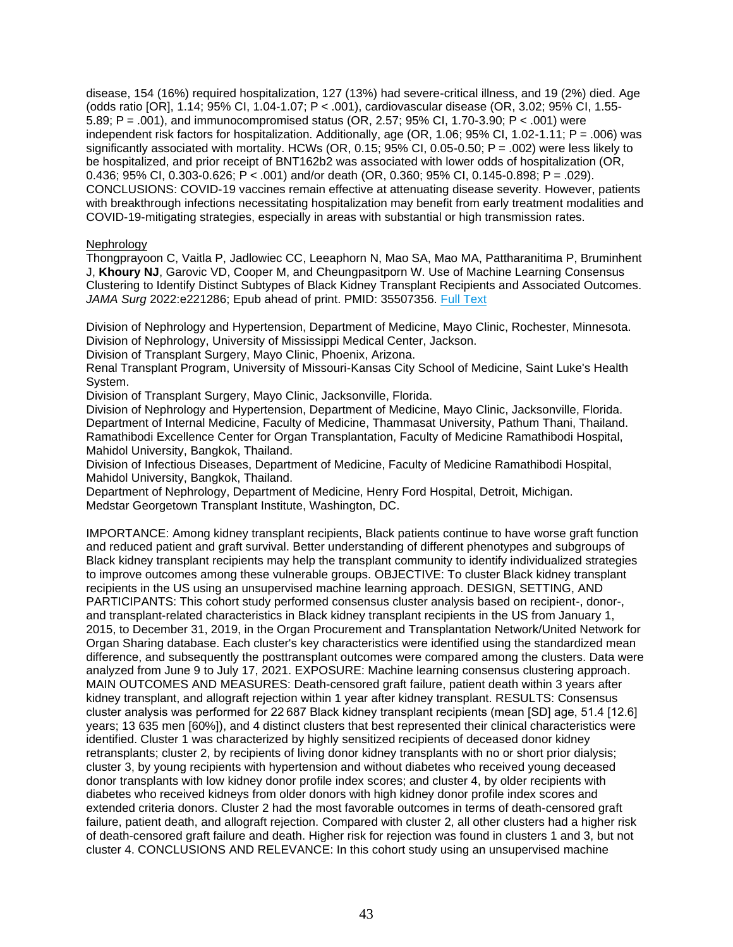disease, 154 (16%) required hospitalization, 127 (13%) had severe-critical illness, and 19 (2%) died. Age (odds ratio [OR], 1.14; 95% CI, 1.04-1.07; P < .001), cardiovascular disease (OR, 3.02; 95% CI, 1.55- 5.89; P = .001), and immunocompromised status (OR, 2.57; 95% CI, 1.70-3.90; P < .001) were independent risk factors for hospitalization. Additionally, age (OR, 1.06; 95% CI, 1.02-1.11; P = .006) was significantly associated with mortality. HCWs (OR, 0.15; 95% CI, 0.05-0.50; P = .002) were less likely to be hospitalized, and prior receipt of BNT162b2 was associated with lower odds of hospitalization (OR, 0.436; 95% CI, 0.303-0.626; P < .001) and/or death (OR, 0.360; 95% CI, 0.145-0.898; P = .029). CONCLUSIONS: COVID-19 vaccines remain effective at attenuating disease severity. However, patients with breakthrough infections necessitating hospitalization may benefit from early treatment modalities and COVID-19-mitigating strategies, especially in areas with substantial or high transmission rates.

## Nephrology

Thongprayoon C, Vaitla P, Jadlowiec CC, Leeaphorn N, Mao SA, Mao MA, Pattharanitima P, Bruminhent J, **Khoury NJ**, Garovic VD, Cooper M, and Cheungpasitporn W. Use of Machine Learning Consensus Clustering to Identify Distinct Subtypes of Black Kidney Transplant Recipients and Associated Outcomes. *JAMA Surg* 2022:e221286; Epub ahead of print. PMID: 35507356. [Full Text](https://libkey.io/35507356)

Division of Nephrology and Hypertension, Department of Medicine, Mayo Clinic, Rochester, Minnesota. Division of Nephrology, University of Mississippi Medical Center, Jackson.

Division of Transplant Surgery, Mayo Clinic, Phoenix, Arizona.

Renal Transplant Program, University of Missouri-Kansas City School of Medicine, Saint Luke's Health System.

Division of Transplant Surgery, Mayo Clinic, Jacksonville, Florida.

Division of Nephrology and Hypertension, Department of Medicine, Mayo Clinic, Jacksonville, Florida. Department of Internal Medicine, Faculty of Medicine, Thammasat University, Pathum Thani, Thailand. Ramathibodi Excellence Center for Organ Transplantation, Faculty of Medicine Ramathibodi Hospital, Mahidol University, Bangkok, Thailand.

Division of Infectious Diseases, Department of Medicine, Faculty of Medicine Ramathibodi Hospital, Mahidol University, Bangkok, Thailand.

Department of Nephrology, Department of Medicine, Henry Ford Hospital, Detroit, Michigan. Medstar Georgetown Transplant Institute, Washington, DC.

IMPORTANCE: Among kidney transplant recipients, Black patients continue to have worse graft function and reduced patient and graft survival. Better understanding of different phenotypes and subgroups of Black kidney transplant recipients may help the transplant community to identify individualized strategies to improve outcomes among these vulnerable groups. OBJECTIVE: To cluster Black kidney transplant recipients in the US using an unsupervised machine learning approach. DESIGN, SETTING, AND PARTICIPANTS: This cohort study performed consensus cluster analysis based on recipient-, donor-, and transplant-related characteristics in Black kidney transplant recipients in the US from January 1, 2015, to December 31, 2019, in the Organ Procurement and Transplantation Network/United Network for Organ Sharing database. Each cluster's key characteristics were identified using the standardized mean difference, and subsequently the posttransplant outcomes were compared among the clusters. Data were analyzed from June 9 to July 17, 2021. EXPOSURE: Machine learning consensus clustering approach. MAIN OUTCOMES AND MEASURES: Death-censored graft failure, patient death within 3 years after kidney transplant, and allograft rejection within 1 year after kidney transplant. RESULTS: Consensus cluster analysis was performed for 22 687 Black kidney transplant recipients (mean [SD] age, 51.4 [12.6] years; 13 635 men [60%]), and 4 distinct clusters that best represented their clinical characteristics were identified. Cluster 1 was characterized by highly sensitized recipients of deceased donor kidney retransplants; cluster 2, by recipients of living donor kidney transplants with no or short prior dialysis; cluster 3, by young recipients with hypertension and without diabetes who received young deceased donor transplants with low kidney donor profile index scores; and cluster 4, by older recipients with diabetes who received kidneys from older donors with high kidney donor profile index scores and extended criteria donors. Cluster 2 had the most favorable outcomes in terms of death-censored graft failure, patient death, and allograft rejection. Compared with cluster 2, all other clusters had a higher risk of death-censored graft failure and death. Higher risk for rejection was found in clusters 1 and 3, but not cluster 4. CONCLUSIONS AND RELEVANCE: In this cohort study using an unsupervised machine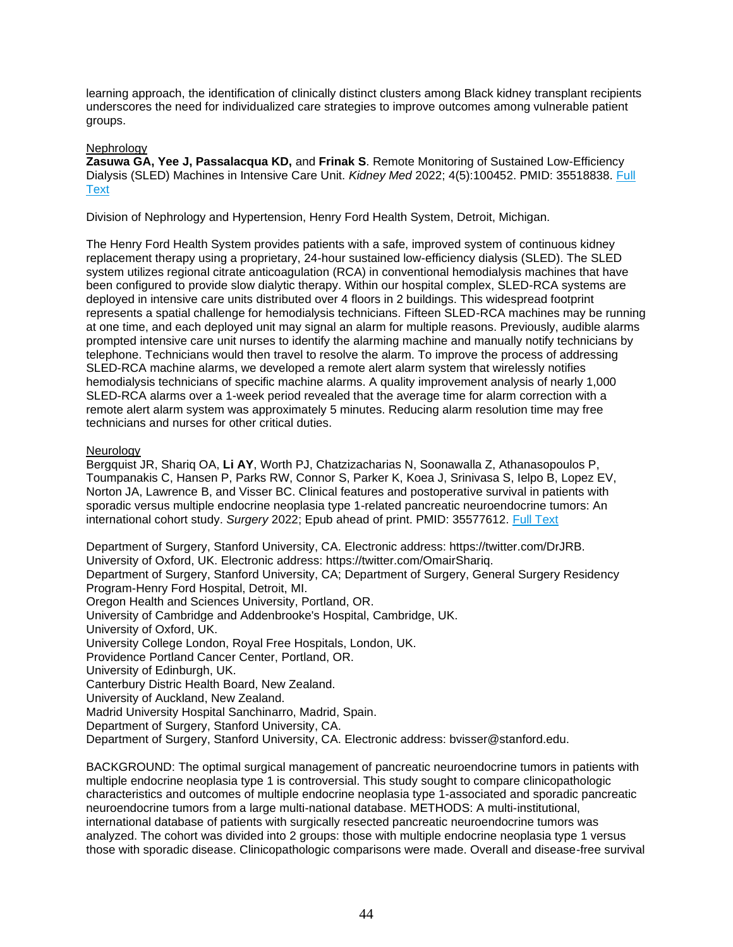learning approach, the identification of clinically distinct clusters among Black kidney transplant recipients underscores the need for individualized care strategies to improve outcomes among vulnerable patient groups.

# **Nephrology**

**Zasuwa GA, Yee J, Passalacqua KD,** and **Frinak S**. Remote Monitoring of Sustained Low-Efficiency Dialysis (SLED) Machines in Intensive Care Unit. *Kidney Med* 2022; 4(5):100452. PMID: 35518838. [Full](https://libkey.io/35518838)  **[Text](https://libkey.io/35518838)** 

Division of Nephrology and Hypertension, Henry Ford Health System, Detroit, Michigan.

The Henry Ford Health System provides patients with a safe, improved system of continuous kidney replacement therapy using a proprietary, 24-hour sustained low-efficiency dialysis (SLED). The SLED system utilizes regional citrate anticoagulation (RCA) in conventional hemodialysis machines that have been configured to provide slow dialytic therapy. Within our hospital complex, SLED-RCA systems are deployed in intensive care units distributed over 4 floors in 2 buildings. This widespread footprint represents a spatial challenge for hemodialysis technicians. Fifteen SLED-RCA machines may be running at one time, and each deployed unit may signal an alarm for multiple reasons. Previously, audible alarms prompted intensive care unit nurses to identify the alarming machine and manually notify technicians by telephone. Technicians would then travel to resolve the alarm. To improve the process of addressing SLED-RCA machine alarms, we developed a remote alert alarm system that wirelessly notifies hemodialysis technicians of specific machine alarms. A quality improvement analysis of nearly 1,000 SLED-RCA alarms over a 1-week period revealed that the average time for alarm correction with a remote alert alarm system was approximately 5 minutes. Reducing alarm resolution time may free technicians and nurses for other critical duties.

## **Neurology**

Bergquist JR, Shariq OA, **Li AY**, Worth PJ, Chatzizacharias N, Soonawalla Z, Athanasopoulos P, Toumpanakis C, Hansen P, Parks RW, Connor S, Parker K, Koea J, Srinivasa S, Ielpo B, Lopez EV, Norton JA, Lawrence B, and Visser BC. Clinical features and postoperative survival in patients with sporadic versus multiple endocrine neoplasia type 1-related pancreatic neuroendocrine tumors: An international cohort study. *Surgery* 2022; Epub ahead of print. PMID: 35577612. [Full Text](https://libkey.io/35577612)

Department of Surgery, Stanford University, CA. Electronic address: https://twitter.com/DrJRB. University of Oxford, UK. Electronic address: https://twitter.com/OmairShariq. Department of Surgery, Stanford University, CA; Department of Surgery, General Surgery Residency Program-Henry Ford Hospital, Detroit, MI. Oregon Health and Sciences University, Portland, OR. University of Cambridge and Addenbrooke's Hospital, Cambridge, UK. University of Oxford, UK. University College London, Royal Free Hospitals, London, UK. Providence Portland Cancer Center, Portland, OR. University of Edinburgh, UK. Canterbury Distric Health Board, New Zealand. University of Auckland, New Zealand. Madrid University Hospital Sanchinarro, Madrid, Spain. Department of Surgery, Stanford University, CA. Department of Surgery, Stanford University, CA. Electronic address: bvisser@stanford.edu.

BACKGROUND: The optimal surgical management of pancreatic neuroendocrine tumors in patients with multiple endocrine neoplasia type 1 is controversial. This study sought to compare clinicopathologic characteristics and outcomes of multiple endocrine neoplasia type 1-associated and sporadic pancreatic neuroendocrine tumors from a large multi-national database. METHODS: A multi-institutional, international database of patients with surgically resected pancreatic neuroendocrine tumors was analyzed. The cohort was divided into 2 groups: those with multiple endocrine neoplasia type 1 versus those with sporadic disease. Clinicopathologic comparisons were made. Overall and disease-free survival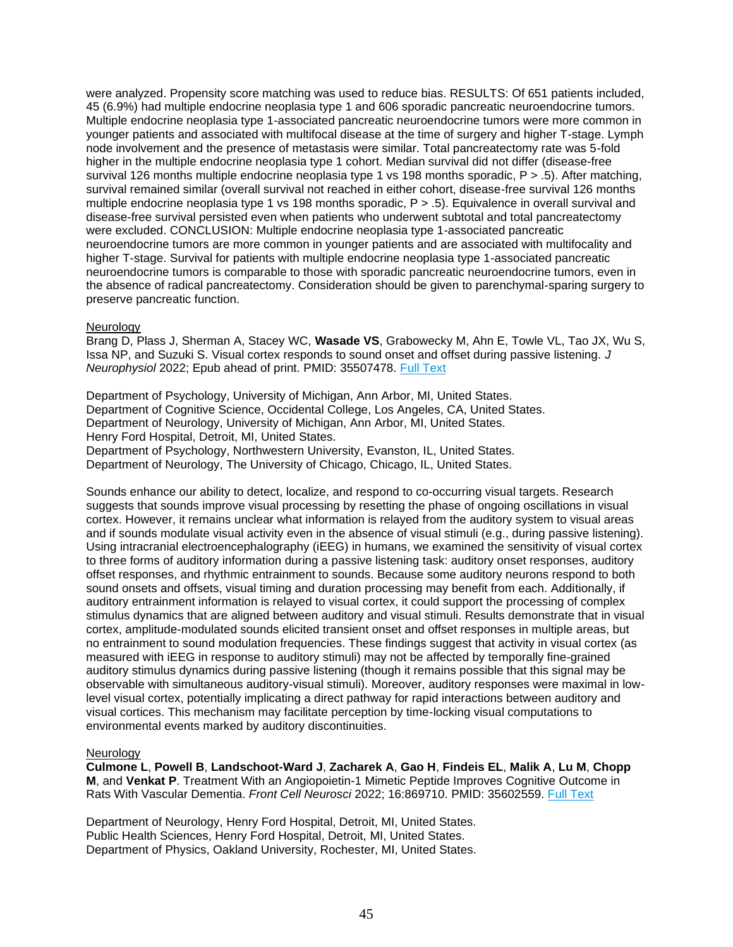were analyzed. Propensity score matching was used to reduce bias. RESULTS: Of 651 patients included, 45 (6.9%) had multiple endocrine neoplasia type 1 and 606 sporadic pancreatic neuroendocrine tumors. Multiple endocrine neoplasia type 1-associated pancreatic neuroendocrine tumors were more common in younger patients and associated with multifocal disease at the time of surgery and higher T-stage. Lymph node involvement and the presence of metastasis were similar. Total pancreatectomy rate was 5-fold higher in the multiple endocrine neoplasia type 1 cohort. Median survival did not differ (disease-free survival 126 months multiple endocrine neoplasia type 1 vs 198 months sporadic, P > .5). After matching, survival remained similar (overall survival not reached in either cohort, disease-free survival 126 months multiple endocrine neoplasia type 1 vs 198 months sporadic, P > .5). Equivalence in overall survival and disease-free survival persisted even when patients who underwent subtotal and total pancreatectomy were excluded. CONCLUSION: Multiple endocrine neoplasia type 1-associated pancreatic neuroendocrine tumors are more common in younger patients and are associated with multifocality and higher T-stage. Survival for patients with multiple endocrine neoplasia type 1-associated pancreatic neuroendocrine tumors is comparable to those with sporadic pancreatic neuroendocrine tumors, even in the absence of radical pancreatectomy. Consideration should be given to parenchymal-sparing surgery to preserve pancreatic function.

### **Neurology**

Brang D, Plass J, Sherman A, Stacey WC, **Wasade VS**, Grabowecky M, Ahn E, Towle VL, Tao JX, Wu S, Issa NP, and Suzuki S. Visual cortex responds to sound onset and offset during passive listening. *J Neurophysiol* 2022; Epub ahead of print. PMID: 35507478. [Full Text](https://libkey.io/35507478)

Department of Psychology, University of Michigan, Ann Arbor, MI, United States. Department of Cognitive Science, Occidental College, Los Angeles, CA, United States. Department of Neurology, University of Michigan, Ann Arbor, MI, United States. Henry Ford Hospital, Detroit, MI, United States. Department of Psychology, Northwestern University, Evanston, IL, United States. Department of Neurology, The University of Chicago, Chicago, IL, United States.

Sounds enhance our ability to detect, localize, and respond to co-occurring visual targets. Research suggests that sounds improve visual processing by resetting the phase of ongoing oscillations in visual cortex. However, it remains unclear what information is relayed from the auditory system to visual areas and if sounds modulate visual activity even in the absence of visual stimuli (e.g., during passive listening). Using intracranial electroencephalography (iEEG) in humans, we examined the sensitivity of visual cortex to three forms of auditory information during a passive listening task: auditory onset responses, auditory offset responses, and rhythmic entrainment to sounds. Because some auditory neurons respond to both sound onsets and offsets, visual timing and duration processing may benefit from each. Additionally, if auditory entrainment information is relayed to visual cortex, it could support the processing of complex stimulus dynamics that are aligned between auditory and visual stimuli. Results demonstrate that in visual cortex, amplitude-modulated sounds elicited transient onset and offset responses in multiple areas, but no entrainment to sound modulation frequencies. These findings suggest that activity in visual cortex (as measured with iEEG in response to auditory stimuli) may not be affected by temporally fine-grained auditory stimulus dynamics during passive listening (though it remains possible that this signal may be observable with simultaneous auditory-visual stimuli). Moreover, auditory responses were maximal in lowlevel visual cortex, potentially implicating a direct pathway for rapid interactions between auditory and visual cortices. This mechanism may facilitate perception by time-locking visual computations to environmental events marked by auditory discontinuities.

#### **Neurology**

**Culmone L**, **Powell B**, **Landschoot-Ward J**, **Zacharek A**, **Gao H**, **Findeis EL**, **Malik A**, **Lu M**, **Chopp M**, and **Venkat P**. Treatment With an Angiopoietin-1 Mimetic Peptide Improves Cognitive Outcome in Rats With Vascular Dementia. *Front Cell Neurosci* 2022; 16:869710. PMID: 35602559. [Full Text](https://libkey.io/35602559)

Department of Neurology, Henry Ford Hospital, Detroit, MI, United States. Public Health Sciences, Henry Ford Hospital, Detroit, MI, United States. Department of Physics, Oakland University, Rochester, MI, United States.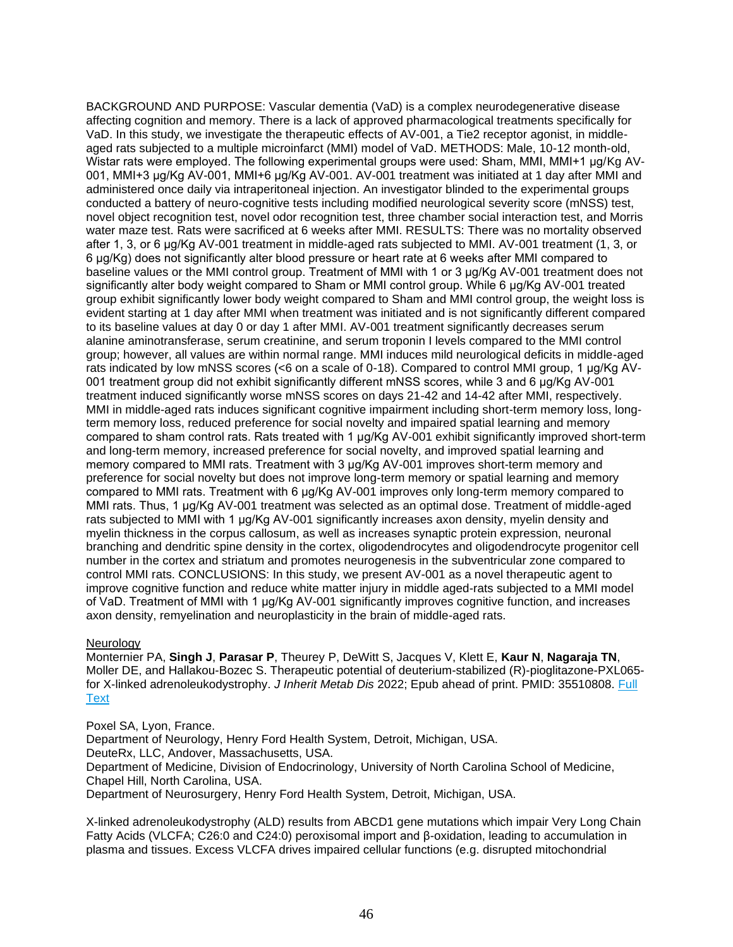BACKGROUND AND PURPOSE: Vascular dementia (VaD) is a complex neurodegenerative disease affecting cognition and memory. There is a lack of approved pharmacological treatments specifically for VaD. In this study, we investigate the therapeutic effects of AV-001, a Tie2 receptor agonist, in middleaged rats subjected to a multiple microinfarct (MMI) model of VaD. METHODS: Male, 10-12 month-old, Wistar rats were employed. The following experimental groups were used: Sham, MMI, MMI+1 μg/Kg AV-001, MMI+3 μg/Kg AV-001, MMI+6 μg/Kg AV-001. AV-001 treatment was initiated at 1 day after MMI and administered once daily via intraperitoneal injection. An investigator blinded to the experimental groups conducted a battery of neuro-cognitive tests including modified neurological severity score (mNSS) test, novel object recognition test, novel odor recognition test, three chamber social interaction test, and Morris water maze test. Rats were sacrificed at 6 weeks after MMI. RESULTS: There was no mortality observed after 1, 3, or 6 μg/Kg AV-001 treatment in middle-aged rats subjected to MMI. AV-001 treatment (1, 3, or 6 μg/Kg) does not significantly alter blood pressure or heart rate at 6 weeks after MMI compared to baseline values or the MMI control group. Treatment of MMI with 1 or 3 µg/Kg AV-001 treatment does not significantly alter body weight compared to Sham or MMI control group. While 6 μg/Kg AV-001 treated group exhibit significantly lower body weight compared to Sham and MMI control group, the weight loss is evident starting at 1 day after MMI when treatment was initiated and is not significantly different compared to its baseline values at day 0 or day 1 after MMI. AV-001 treatment significantly decreases serum alanine aminotransferase, serum creatinine, and serum troponin I levels compared to the MMI control group; however, all values are within normal range. MMI induces mild neurological deficits in middle-aged rats indicated by low mNSS scores (<6 on a scale of 0-18). Compared to control MMI group, 1 μg/Kg AV-001 treatment group did not exhibit significantly different mNSS scores, while 3 and 6 μg/Kg AV-001 treatment induced significantly worse mNSS scores on days 21-42 and 14-42 after MMI, respectively. MMI in middle-aged rats induces significant cognitive impairment including short-term memory loss, longterm memory loss, reduced preference for social novelty and impaired spatial learning and memory compared to sham control rats. Rats treated with 1 μg/Kg AV-001 exhibit significantly improved short-term and long-term memory, increased preference for social novelty, and improved spatial learning and memory compared to MMI rats. Treatment with 3 μg/Kg AV-001 improves short-term memory and preference for social novelty but does not improve long-term memory or spatial learning and memory compared to MMI rats. Treatment with 6 μg/Kg AV-001 improves only long-term memory compared to MMI rats. Thus, 1 μg/Kg AV-001 treatment was selected as an optimal dose. Treatment of middle-aged rats subjected to MMI with 1 μg/Kg AV-001 significantly increases axon density, myelin density and myelin thickness in the corpus callosum, as well as increases synaptic protein expression, neuronal branching and dendritic spine density in the cortex, oligodendrocytes and oligodendrocyte progenitor cell number in the cortex and striatum and promotes neurogenesis in the subventricular zone compared to control MMI rats. CONCLUSIONS: In this study, we present AV-001 as a novel therapeutic agent to improve cognitive function and reduce white matter injury in middle aged-rats subjected to a MMI model of VaD. Treatment of MMI with 1 μg/Kg AV-001 significantly improves cognitive function, and increases axon density, remyelination and neuroplasticity in the brain of middle-aged rats.

## **Neurology**

Monternier PA, **Singh J**, **Parasar P**, Theurey P, DeWitt S, Jacques V, Klett E, **Kaur N**, **Nagaraja TN**, Moller DE, and Hallakou-Bozec S. Therapeutic potential of deuterium-stabilized (R)-pioglitazone-PXL065 for X-linked adrenoleukodystrophy. *J Inherit Metab Dis* 2022; Epub ahead of print. PMID: 35510808. [Full](https://libkey.io/35510808)  **[Text](https://libkey.io/35510808)** 

Poxel SA, Lyon, France.

Department of Neurology, Henry Ford Health System, Detroit, Michigan, USA. DeuteRx, LLC, Andover, Massachusetts, USA. Department of Medicine, Division of Endocrinology, University of North Carolina School of Medicine, Chapel Hill, North Carolina, USA.

Department of Neurosurgery, Henry Ford Health System, Detroit, Michigan, USA.

X-linked adrenoleukodystrophy (ALD) results from ABCD1 gene mutations which impair Very Long Chain Fatty Acids (VLCFA; C26:0 and C24:0) peroxisomal import and β-oxidation, leading to accumulation in plasma and tissues. Excess VLCFA drives impaired cellular functions (e.g. disrupted mitochondrial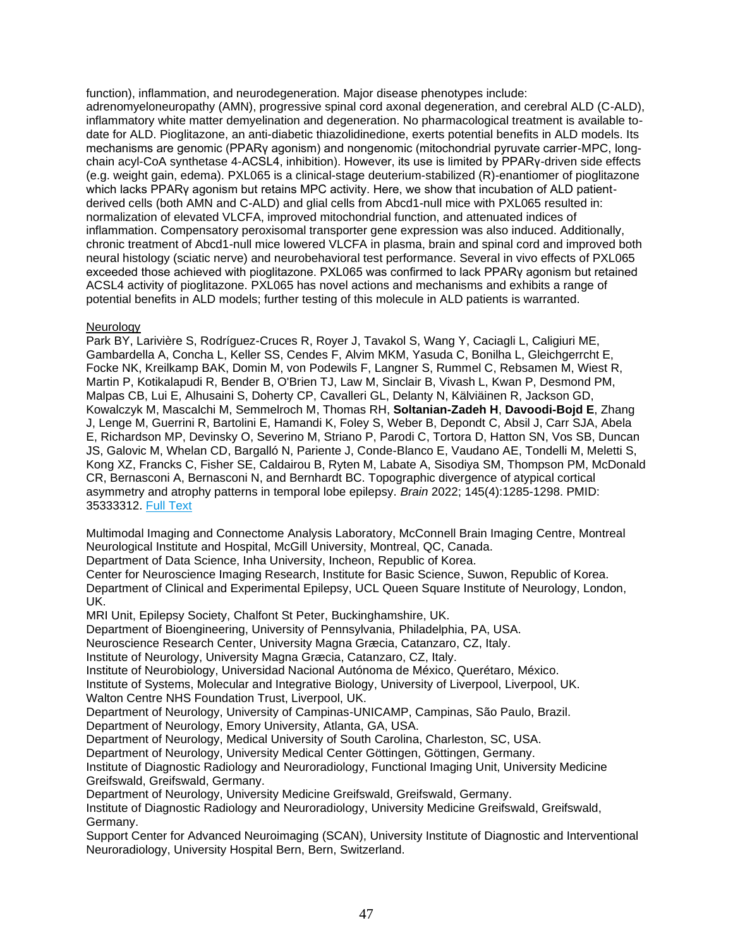function), inflammation, and neurodegeneration. Major disease phenotypes include: adrenomyeloneuropathy (AMN), progressive spinal cord axonal degeneration, and cerebral ALD (C-ALD), inflammatory white matter demyelination and degeneration. No pharmacological treatment is available todate for ALD. Pioglitazone, an anti-diabetic thiazolidinedione, exerts potential benefits in ALD models. Its mechanisms are genomic (PPARγ agonism) and nongenomic (mitochondrial pyruvate carrier-MPC, longchain acyl-CoA synthetase 4-ACSL4, inhibition). However, its use is limited by PPARγ-driven side effects (e.g. weight gain, edema). PXL065 is a clinical-stage deuterium-stabilized (R)-enantiomer of pioglitazone which lacks PPARγ agonism but retains MPC activity. Here, we show that incubation of ALD patientderived cells (both AMN and C-ALD) and glial cells from Abcd1-null mice with PXL065 resulted in: normalization of elevated VLCFA, improved mitochondrial function, and attenuated indices of inflammation. Compensatory peroxisomal transporter gene expression was also induced. Additionally, chronic treatment of Abcd1-null mice lowered VLCFA in plasma, brain and spinal cord and improved both neural histology (sciatic nerve) and neurobehavioral test performance. Several in vivo effects of PXL065 exceeded those achieved with pioglitazone. PXL065 was confirmed to lack PPARγ agonism but retained ACSL4 activity of pioglitazone. PXL065 has novel actions and mechanisms and exhibits a range of potential benefits in ALD models; further testing of this molecule in ALD patients is warranted.

# Neurology

Park BY, Larivière S, Rodríguez-Cruces R, Royer J, Tavakol S, Wang Y, Caciagli L, Caligiuri ME, Gambardella A, Concha L, Keller SS, Cendes F, Alvim MKM, Yasuda C, Bonilha L, Gleichgerrcht E, Focke NK, Kreilkamp BAK, Domin M, von Podewils F, Langner S, Rummel C, Rebsamen M, Wiest R, Martin P, Kotikalapudi R, Bender B, O'Brien TJ, Law M, Sinclair B, Vivash L, Kwan P, Desmond PM, Malpas CB, Lui E, Alhusaini S, Doherty CP, Cavalleri GL, Delanty N, Kälviäinen R, Jackson GD, Kowalczyk M, Mascalchi M, Semmelroch M, Thomas RH, **Soltanian-Zadeh H**, **Davoodi-Bojd E**, Zhang J, Lenge M, Guerrini R, Bartolini E, Hamandi K, Foley S, Weber B, Depondt C, Absil J, Carr SJA, Abela E, Richardson MP, Devinsky O, Severino M, Striano P, Parodi C, Tortora D, Hatton SN, Vos SB, Duncan JS, Galovic M, Whelan CD, Bargalló N, Pariente J, Conde-Blanco E, Vaudano AE, Tondelli M, Meletti S, Kong XZ, Francks C, Fisher SE, Caldairou B, Ryten M, Labate A, Sisodiya SM, Thompson PM, McDonald CR, Bernasconi A, Bernasconi N, and Bernhardt BC. Topographic divergence of atypical cortical asymmetry and atrophy patterns in temporal lobe epilepsy. *Brain* 2022; 145(4):1285-1298. PMID: 35333312. [Full Text](https://libkey.io/35333312)

Multimodal Imaging and Connectome Analysis Laboratory, McConnell Brain Imaging Centre, Montreal Neurological Institute and Hospital, McGill University, Montreal, QC, Canada.

Department of Data Science, Inha University, Incheon, Republic of Korea.

Center for Neuroscience Imaging Research, Institute for Basic Science, Suwon, Republic of Korea. Department of Clinical and Experimental Epilepsy, UCL Queen Square Institute of Neurology, London, UK.

MRI Unit, Epilepsy Society, Chalfont St Peter, Buckinghamshire, UK.

Department of Bioengineering, University of Pennsylvania, Philadelphia, PA, USA.

Neuroscience Research Center, University Magna Græcia, Catanzaro, CZ, Italy.

Institute of Neurology, University Magna Græcia, Catanzaro, CZ, Italy.

Institute of Neurobiology, Universidad Nacional Autónoma de México, Querétaro, México.

Institute of Systems, Molecular and Integrative Biology, University of Liverpool, Liverpool, UK. Walton Centre NHS Foundation Trust, Liverpool, UK.

Department of Neurology, University of Campinas-UNICAMP, Campinas, São Paulo, Brazil.

Department of Neurology, Emory University, Atlanta, GA, USA.

Department of Neurology, Medical University of South Carolina, Charleston, SC, USA.

Department of Neurology, University Medical Center Göttingen, Göttingen, Germany.

Institute of Diagnostic Radiology and Neuroradiology, Functional Imaging Unit, University Medicine Greifswald, Greifswald, Germany.

Department of Neurology, University Medicine Greifswald, Greifswald, Germany.

Institute of Diagnostic Radiology and Neuroradiology, University Medicine Greifswald, Greifswald, Germany.

Support Center for Advanced Neuroimaging (SCAN), University Institute of Diagnostic and Interventional Neuroradiology, University Hospital Bern, Bern, Switzerland.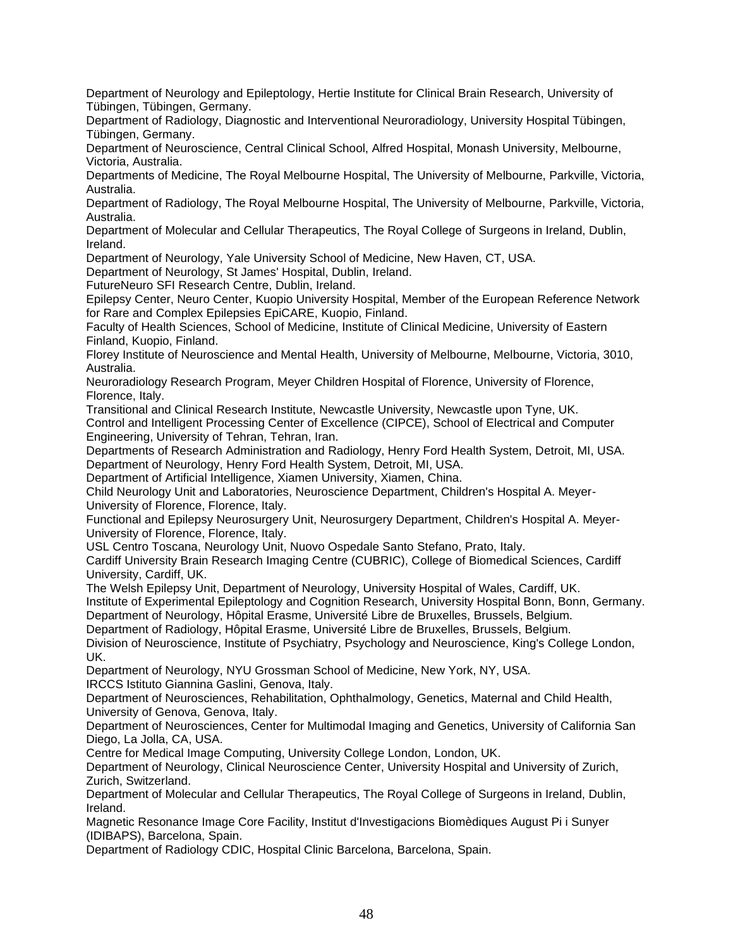Department of Neurology and Epileptology, Hertie Institute for Clinical Brain Research, University of Tübingen, Tübingen, Germany.

Department of Radiology, Diagnostic and Interventional Neuroradiology, University Hospital Tübingen, Tübingen, Germany.

Department of Neuroscience, Central Clinical School, Alfred Hospital, Monash University, Melbourne, Victoria, Australia.

Departments of Medicine, The Royal Melbourne Hospital, The University of Melbourne, Parkville, Victoria, Australia.

Department of Radiology, The Royal Melbourne Hospital, The University of Melbourne, Parkville, Victoria, Australia.

Department of Molecular and Cellular Therapeutics, The Royal College of Surgeons in Ireland, Dublin, Ireland.

Department of Neurology, Yale University School of Medicine, New Haven, CT, USA.

Department of Neurology, St James' Hospital, Dublin, Ireland.

FutureNeuro SFI Research Centre, Dublin, Ireland.

Epilepsy Center, Neuro Center, Kuopio University Hospital, Member of the European Reference Network for Rare and Complex Epilepsies EpiCARE, Kuopio, Finland.

Faculty of Health Sciences, School of Medicine, Institute of Clinical Medicine, University of Eastern Finland, Kuopio, Finland.

Florey Institute of Neuroscience and Mental Health, University of Melbourne, Melbourne, Victoria, 3010, Australia.

Neuroradiology Research Program, Meyer Children Hospital of Florence, University of Florence, Florence, Italy.

Transitional and Clinical Research Institute, Newcastle University, Newcastle upon Tyne, UK. Control and Intelligent Processing Center of Excellence (CIPCE), School of Electrical and Computer Engineering, University of Tehran, Tehran, Iran.

Departments of Research Administration and Radiology, Henry Ford Health System, Detroit, MI, USA. Department of Neurology, Henry Ford Health System, Detroit, MI, USA.

Department of Artificial Intelligence, Xiamen University, Xiamen, China.

Child Neurology Unit and Laboratories, Neuroscience Department, Children's Hospital A. Meyer-University of Florence, Florence, Italy.

Functional and Epilepsy Neurosurgery Unit, Neurosurgery Department, Children's Hospital A. Meyer-University of Florence, Florence, Italy.

USL Centro Toscana, Neurology Unit, Nuovo Ospedale Santo Stefano, Prato, Italy.

Cardiff University Brain Research Imaging Centre (CUBRIC), College of Biomedical Sciences, Cardiff University, Cardiff, UK.

The Welsh Epilepsy Unit, Department of Neurology, University Hospital of Wales, Cardiff, UK.

Institute of Experimental Epileptology and Cognition Research, University Hospital Bonn, Bonn, Germany. Department of Neurology, Hôpital Erasme, Université Libre de Bruxelles, Brussels, Belgium.

Department of Radiology, Hôpital Erasme, Université Libre de Bruxelles, Brussels, Belgium.

Division of Neuroscience, Institute of Psychiatry, Psychology and Neuroscience, King's College London, UK.

Department of Neurology, NYU Grossman School of Medicine, New York, NY, USA. IRCCS Istituto Giannina Gaslini, Genova, Italy.

Department of Neurosciences, Rehabilitation, Ophthalmology, Genetics, Maternal and Child Health, University of Genova, Genova, Italy.

Department of Neurosciences, Center for Multimodal Imaging and Genetics, University of California San Diego, La Jolla, CA, USA.

Centre for Medical Image Computing, University College London, London, UK.

Department of Neurology, Clinical Neuroscience Center, University Hospital and University of Zurich, Zurich, Switzerland.

Department of Molecular and Cellular Therapeutics, The Royal College of Surgeons in Ireland, Dublin, Ireland.

Magnetic Resonance Image Core Facility, Institut d'Investigacions Biomèdiques August Pi i Sunyer (IDIBAPS), Barcelona, Spain.

Department of Radiology CDIC, Hospital Clinic Barcelona, Barcelona, Spain.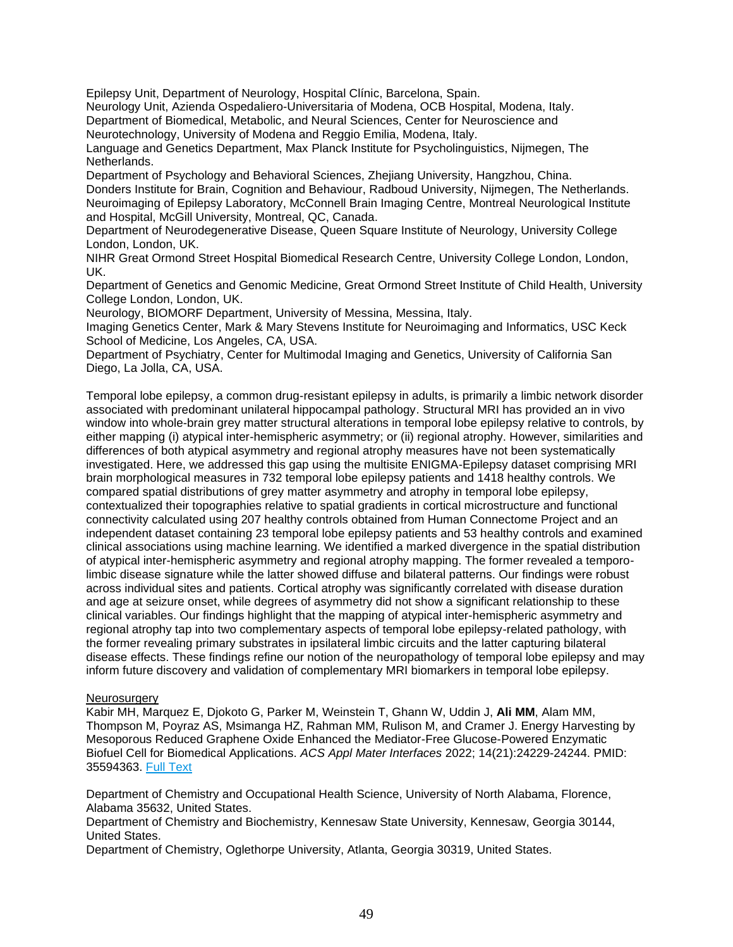Epilepsy Unit, Department of Neurology, Hospital Clínic, Barcelona, Spain.

Neurology Unit, Azienda Ospedaliero-Universitaria of Modena, OCB Hospital, Modena, Italy. Department of Biomedical, Metabolic, and Neural Sciences, Center for Neuroscience and

Neurotechnology, University of Modena and Reggio Emilia, Modena, Italy.

Language and Genetics Department, Max Planck Institute for Psycholinguistics, Nijmegen, The Netherlands.

Department of Psychology and Behavioral Sciences, Zhejiang University, Hangzhou, China. Donders Institute for Brain, Cognition and Behaviour, Radboud University, Nijmegen, The Netherlands. Neuroimaging of Epilepsy Laboratory, McConnell Brain Imaging Centre, Montreal Neurological Institute and Hospital, McGill University, Montreal, QC, Canada.

Department of Neurodegenerative Disease, Queen Square Institute of Neurology, University College London, London, UK.

NIHR Great Ormond Street Hospital Biomedical Research Centre, University College London, London, UK.

Department of Genetics and Genomic Medicine, Great Ormond Street Institute of Child Health, University College London, London, UK.

Neurology, BIOMORF Department, University of Messina, Messina, Italy.

Imaging Genetics Center, Mark & Mary Stevens Institute for Neuroimaging and Informatics, USC Keck School of Medicine, Los Angeles, CA, USA.

Department of Psychiatry, Center for Multimodal Imaging and Genetics, University of California San Diego, La Jolla, CA, USA.

Temporal lobe epilepsy, a common drug-resistant epilepsy in adults, is primarily a limbic network disorder associated with predominant unilateral hippocampal pathology. Structural MRI has provided an in vivo window into whole-brain grey matter structural alterations in temporal lobe epilepsy relative to controls, by either mapping (i) atypical inter-hemispheric asymmetry; or (ii) regional atrophy. However, similarities and differences of both atypical asymmetry and regional atrophy measures have not been systematically investigated. Here, we addressed this gap using the multisite ENIGMA-Epilepsy dataset comprising MRI brain morphological measures in 732 temporal lobe epilepsy patients and 1418 healthy controls. We compared spatial distributions of grey matter asymmetry and atrophy in temporal lobe epilepsy, contextualized their topographies relative to spatial gradients in cortical microstructure and functional connectivity calculated using 207 healthy controls obtained from Human Connectome Project and an independent dataset containing 23 temporal lobe epilepsy patients and 53 healthy controls and examined clinical associations using machine learning. We identified a marked divergence in the spatial distribution of atypical inter-hemispheric asymmetry and regional atrophy mapping. The former revealed a temporolimbic disease signature while the latter showed diffuse and bilateral patterns. Our findings were robust across individual sites and patients. Cortical atrophy was significantly correlated with disease duration and age at seizure onset, while degrees of asymmetry did not show a significant relationship to these clinical variables. Our findings highlight that the mapping of atypical inter-hemispheric asymmetry and regional atrophy tap into two complementary aspects of temporal lobe epilepsy-related pathology, with the former revealing primary substrates in ipsilateral limbic circuits and the latter capturing bilateral disease effects. These findings refine our notion of the neuropathology of temporal lobe epilepsy and may inform future discovery and validation of complementary MRI biomarkers in temporal lobe epilepsy.

## **Neurosurgery**

Kabir MH, Marquez E, Djokoto G, Parker M, Weinstein T, Ghann W, Uddin J, **Ali MM**, Alam MM, Thompson M, Poyraz AS, Msimanga HZ, Rahman MM, Rulison M, and Cramer J. Energy Harvesting by Mesoporous Reduced Graphene Oxide Enhanced the Mediator-Free Glucose-Powered Enzymatic Biofuel Cell for Biomedical Applications. *ACS Appl Mater Interfaces* 2022; 14(21):24229-24244. PMID: 35594363. [Full Text](https://libkey.io/35594363)

Department of Chemistry and Occupational Health Science, University of North Alabama, Florence, Alabama 35632, United States.

Department of Chemistry and Biochemistry, Kennesaw State University, Kennesaw, Georgia 30144, United States.

Department of Chemistry, Oglethorpe University, Atlanta, Georgia 30319, United States.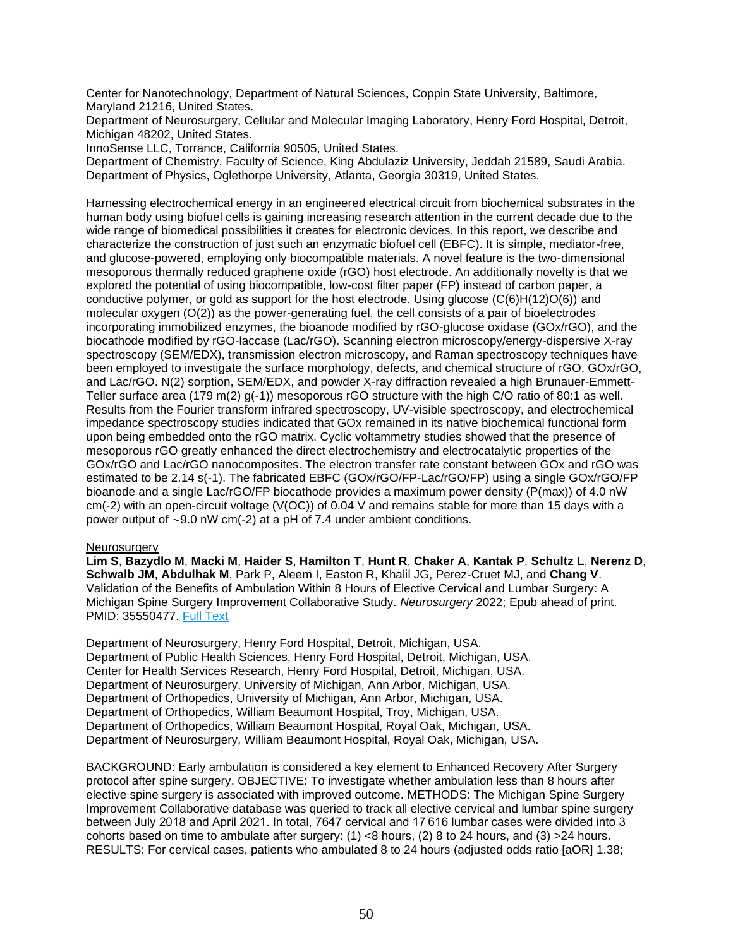Center for Nanotechnology, Department of Natural Sciences, Coppin State University, Baltimore, Maryland 21216, United States.

Department of Neurosurgery, Cellular and Molecular Imaging Laboratory, Henry Ford Hospital, Detroit, Michigan 48202, United States.

InnoSense LLC, Torrance, California 90505, United States.

Department of Chemistry, Faculty of Science, King Abdulaziz University, Jeddah 21589, Saudi Arabia. Department of Physics, Oglethorpe University, Atlanta, Georgia 30319, United States.

Harnessing electrochemical energy in an engineered electrical circuit from biochemical substrates in the human body using biofuel cells is gaining increasing research attention in the current decade due to the wide range of biomedical possibilities it creates for electronic devices. In this report, we describe and characterize the construction of just such an enzymatic biofuel cell (EBFC). It is simple, mediator-free, and glucose-powered, employing only biocompatible materials. A novel feature is the two-dimensional mesoporous thermally reduced graphene oxide (rGO) host electrode. An additionally novelty is that we explored the potential of using biocompatible, low-cost filter paper (FP) instead of carbon paper, a conductive polymer, or gold as support for the host electrode. Using glucose (C(6)H(12)O(6)) and molecular oxygen  $(O(2))$  as the power-generating fuel, the cell consists of a pair of bioelectrodes incorporating immobilized enzymes, the bioanode modified by rGO-glucose oxidase (GOx/rGO), and the biocathode modified by rGO-laccase (Lac/rGO). Scanning electron microscopy/energy-dispersive X-ray spectroscopy (SEM/EDX), transmission electron microscopy, and Raman spectroscopy techniques have been employed to investigate the surface morphology, defects, and chemical structure of rGO, GOx/rGO, and Lac/rGO. N(2) sorption, SEM/EDX, and powder X-ray diffraction revealed a high Brunauer-Emmett-Teller surface area (179 m(2) g(-1)) mesoporous rGO structure with the high C/O ratio of 80:1 as well. Results from the Fourier transform infrared spectroscopy, UV-visible spectroscopy, and electrochemical impedance spectroscopy studies indicated that GOx remained in its native biochemical functional form upon being embedded onto the rGO matrix. Cyclic voltammetry studies showed that the presence of mesoporous rGO greatly enhanced the direct electrochemistry and electrocatalytic properties of the GOx/rGO and Lac/rGO nanocomposites. The electron transfer rate constant between GOx and rGO was estimated to be 2.14 s(-1). The fabricated EBFC (GOx/rGO/FP-Lac/rGO/FP) using a single GOx/rGO/FP bioanode and a single Lac/rGO/FP biocathode provides a maximum power density (P(max)) of 4.0 nW cm(-2) with an open-circuit voltage (V(OC)) of 0.04 V and remains stable for more than 15 days with a power output of ∼9.0 nW cm(-2) at a pH of 7.4 under ambient conditions.

## **Neurosurgery**

**Lim S**, **Bazydlo M**, **Macki M**, **Haider S**, **Hamilton T**, **Hunt R**, **Chaker A**, **Kantak P**, **Schultz L**, **Nerenz D**, **Schwalb JM**, **Abdulhak M**, Park P, Aleem I, Easton R, Khalil JG, Perez-Cruet MJ, and **Chang V**. Validation of the Benefits of Ambulation Within 8 Hours of Elective Cervical and Lumbar Surgery: A Michigan Spine Surgery Improvement Collaborative Study. *Neurosurgery* 2022; Epub ahead of print. PMID: 35550477. [Full Text](https://libkey.io/35550477)

Department of Neurosurgery, Henry Ford Hospital, Detroit, Michigan, USA. Department of Public Health Sciences, Henry Ford Hospital, Detroit, Michigan, USA. Center for Health Services Research, Henry Ford Hospital, Detroit, Michigan, USA. Department of Neurosurgery, University of Michigan, Ann Arbor, Michigan, USA. Department of Orthopedics, University of Michigan, Ann Arbor, Michigan, USA. Department of Orthopedics, William Beaumont Hospital, Troy, Michigan, USA. Department of Orthopedics, William Beaumont Hospital, Royal Oak, Michigan, USA. Department of Neurosurgery, William Beaumont Hospital, Royal Oak, Michigan, USA.

BACKGROUND: Early ambulation is considered a key element to Enhanced Recovery After Surgery protocol after spine surgery. OBJECTIVE: To investigate whether ambulation less than 8 hours after elective spine surgery is associated with improved outcome. METHODS: The Michigan Spine Surgery Improvement Collaborative database was queried to track all elective cervical and lumbar spine surgery between July 2018 and April 2021. In total, 7647 cervical and 17 616 lumbar cases were divided into 3 cohorts based on time to ambulate after surgery:  $(1)$  <8 hours,  $(2)$  8 to 24 hours, and  $(3)$  >24 hours. RESULTS: For cervical cases, patients who ambulated 8 to 24 hours (adjusted odds ratio [aOR] 1.38;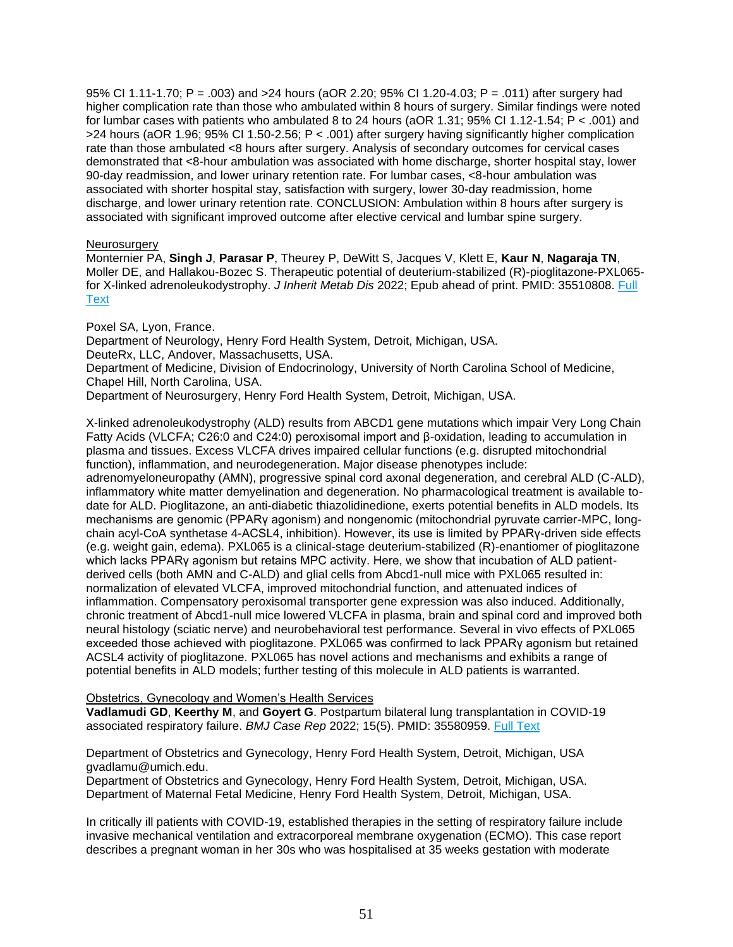95% CI 1.11-1.70; P = .003) and >24 hours (aOR 2.20; 95% CI 1.20-4.03; P = .011) after surgery had higher complication rate than those who ambulated within 8 hours of surgery. Similar findings were noted for lumbar cases with patients who ambulated 8 to 24 hours (aOR 1.31; 95% CI 1.12-1.54; P < .001) and >24 hours (aOR 1.96; 95% CI 1.50-2.56; P < .001) after surgery having significantly higher complication rate than those ambulated <8 hours after surgery. Analysis of secondary outcomes for cervical cases demonstrated that <8-hour ambulation was associated with home discharge, shorter hospital stay, lower 90-day readmission, and lower urinary retention rate. For lumbar cases, <8-hour ambulation was associated with shorter hospital stay, satisfaction with surgery, lower 30-day readmission, home discharge, and lower urinary retention rate. CONCLUSION: Ambulation within 8 hours after surgery is associated with significant improved outcome after elective cervical and lumbar spine surgery.

# **Neurosurgery**

Monternier PA, **Singh J**, **Parasar P**, Theurey P, DeWitt S, Jacques V, Klett E, **Kaur N**, **Nagaraja TN**, Moller DE, and Hallakou-Bozec S. Therapeutic potential of deuterium-stabilized (R)-pioglitazone-PXL065 for X-linked adrenoleukodystrophy. *J Inherit Metab Dis* 2022; Epub ahead of print. PMID: 35510808. [Full](https://libkey.io/35510808)  **[Text](https://libkey.io/35510808)** 

Poxel SA, Lyon, France.

Department of Neurology, Henry Ford Health System, Detroit, Michigan, USA.

DeuteRx, LLC, Andover, Massachusetts, USA.

Department of Medicine, Division of Endocrinology, University of North Carolina School of Medicine, Chapel Hill, North Carolina, USA.

Department of Neurosurgery, Henry Ford Health System, Detroit, Michigan, USA.

X-linked adrenoleukodystrophy (ALD) results from ABCD1 gene mutations which impair Very Long Chain Fatty Acids (VLCFA; C26:0 and C24:0) peroxisomal import and β-oxidation, leading to accumulation in plasma and tissues. Excess VLCFA drives impaired cellular functions (e.g. disrupted mitochondrial function), inflammation, and neurodegeneration. Major disease phenotypes include:

adrenomyeloneuropathy (AMN), progressive spinal cord axonal degeneration, and cerebral ALD (C-ALD), inflammatory white matter demyelination and degeneration. No pharmacological treatment is available todate for ALD. Pioglitazone, an anti-diabetic thiazolidinedione, exerts potential benefits in ALD models. Its mechanisms are genomic (PPARγ agonism) and nongenomic (mitochondrial pyruvate carrier-MPC, longchain acyl-CoA synthetase 4-ACSL4, inhibition). However, its use is limited by PPARγ-driven side effects (e.g. weight gain, edema). PXL065 is a clinical-stage deuterium-stabilized (R)-enantiomer of pioglitazone which lacks PPARγ agonism but retains MPC activity. Here, we show that incubation of ALD patientderived cells (both AMN and C-ALD) and glial cells from Abcd1-null mice with PXL065 resulted in: normalization of elevated VLCFA, improved mitochondrial function, and attenuated indices of inflammation. Compensatory peroxisomal transporter gene expression was also induced. Additionally, chronic treatment of Abcd1-null mice lowered VLCFA in plasma, brain and spinal cord and improved both neural histology (sciatic nerve) and neurobehavioral test performance. Several in vivo effects of PXL065 exceeded those achieved with pioglitazone. PXL065 was confirmed to lack PPARγ agonism but retained ACSL4 activity of pioglitazone. PXL065 has novel actions and mechanisms and exhibits a range of potential benefits in ALD models; further testing of this molecule in ALD patients is warranted.

Obstetrics, Gynecology and Women's Health Services

**Vadlamudi GD**, **Keerthy M**, and **Goyert G**. Postpartum bilateral lung transplantation in COVID-19 associated respiratory failure. *BMJ Case Rep* 2022; 15(5). PMID: 35580959. [Full Text](https://libkey.io/35580959)

Department of Obstetrics and Gynecology, Henry Ford Health System, Detroit, Michigan, USA gvadlamu@umich.edu.

Department of Obstetrics and Gynecology, Henry Ford Health System, Detroit, Michigan, USA. Department of Maternal Fetal Medicine, Henry Ford Health System, Detroit, Michigan, USA.

In critically ill patients with COVID-19, established therapies in the setting of respiratory failure include invasive mechanical ventilation and extracorporeal membrane oxygenation (ECMO). This case report describes a pregnant woman in her 30s who was hospitalised at 35 weeks gestation with moderate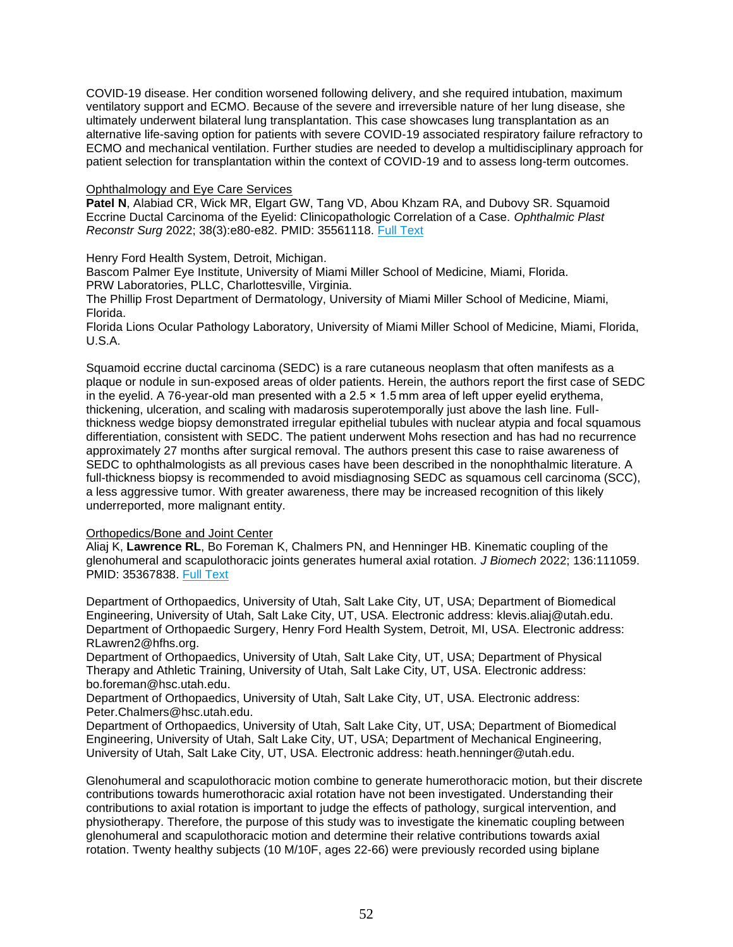COVID-19 disease. Her condition worsened following delivery, and she required intubation, maximum ventilatory support and ECMO. Because of the severe and irreversible nature of her lung disease, she ultimately underwent bilateral lung transplantation. This case showcases lung transplantation as an alternative life-saving option for patients with severe COVID-19 associated respiratory failure refractory to ECMO and mechanical ventilation. Further studies are needed to develop a multidisciplinary approach for patient selection for transplantation within the context of COVID-19 and to assess long-term outcomes.

### Ophthalmology and Eye Care Services

**Patel N**, Alabiad CR, Wick MR, Elgart GW, Tang VD, Abou Khzam RA, and Dubovy SR. Squamoid Eccrine Ductal Carcinoma of the Eyelid: Clinicopathologic Correlation of a Case. *Ophthalmic Plast Reconstr Surg* 2022; 38(3):e80-e82. PMID: 35561118. [Full Text](https://libkey.io/35561118)

Henry Ford Health System, Detroit, Michigan.

Bascom Palmer Eye Institute, University of Miami Miller School of Medicine, Miami, Florida. PRW Laboratories, PLLC, Charlottesville, Virginia.

The Phillip Frost Department of Dermatology, University of Miami Miller School of Medicine, Miami, Florida.

Florida Lions Ocular Pathology Laboratory, University of Miami Miller School of Medicine, Miami, Florida, U.S.A.

Squamoid eccrine ductal carcinoma (SEDC) is a rare cutaneous neoplasm that often manifests as a plaque or nodule in sun-exposed areas of older patients. Herein, the authors report the first case of SEDC in the eyelid. A 76-year-old man presented with a  $2.5 \times 1.5$  mm area of left upper eyelid erythema, thickening, ulceration, and scaling with madarosis superotemporally just above the lash line. Fullthickness wedge biopsy demonstrated irregular epithelial tubules with nuclear atypia and focal squamous differentiation, consistent with SEDC. The patient underwent Mohs resection and has had no recurrence approximately 27 months after surgical removal. The authors present this case to raise awareness of SEDC to ophthalmologists as all previous cases have been described in the nonophthalmic literature. A full-thickness biopsy is recommended to avoid misdiagnosing SEDC as squamous cell carcinoma (SCC), a less aggressive tumor. With greater awareness, there may be increased recognition of this likely underreported, more malignant entity.

## Orthopedics/Bone and Joint Center

Aliaj K, **Lawrence RL**, Bo Foreman K, Chalmers PN, and Henninger HB. Kinematic coupling of the glenohumeral and scapulothoracic joints generates humeral axial rotation. *J Biomech* 2022; 136:111059. PMID: 35367838. [Full Text](https://libkey.io/35367838)

Department of Orthopaedics, University of Utah, Salt Lake City, UT, USA; Department of Biomedical Engineering, University of Utah, Salt Lake City, UT, USA. Electronic address: klevis.aliaj@utah.edu. Department of Orthopaedic Surgery, Henry Ford Health System, Detroit, MI, USA. Electronic address: RLawren2@hfhs.org.

Department of Orthopaedics, University of Utah, Salt Lake City, UT, USA; Department of Physical Therapy and Athletic Training, University of Utah, Salt Lake City, UT, USA. Electronic address: bo.foreman@hsc.utah.edu.

Department of Orthopaedics, University of Utah, Salt Lake City, UT, USA. Electronic address: Peter.Chalmers@hsc.utah.edu.

Department of Orthopaedics, University of Utah, Salt Lake City, UT, USA; Department of Biomedical Engineering, University of Utah, Salt Lake City, UT, USA; Department of Mechanical Engineering, University of Utah, Salt Lake City, UT, USA. Electronic address: heath.henninger@utah.edu.

Glenohumeral and scapulothoracic motion combine to generate humerothoracic motion, but their discrete contributions towards humerothoracic axial rotation have not been investigated. Understanding their contributions to axial rotation is important to judge the effects of pathology, surgical intervention, and physiotherapy. Therefore, the purpose of this study was to investigate the kinematic coupling between glenohumeral and scapulothoracic motion and determine their relative contributions towards axial rotation. Twenty healthy subjects (10 M/10F, ages 22-66) were previously recorded using biplane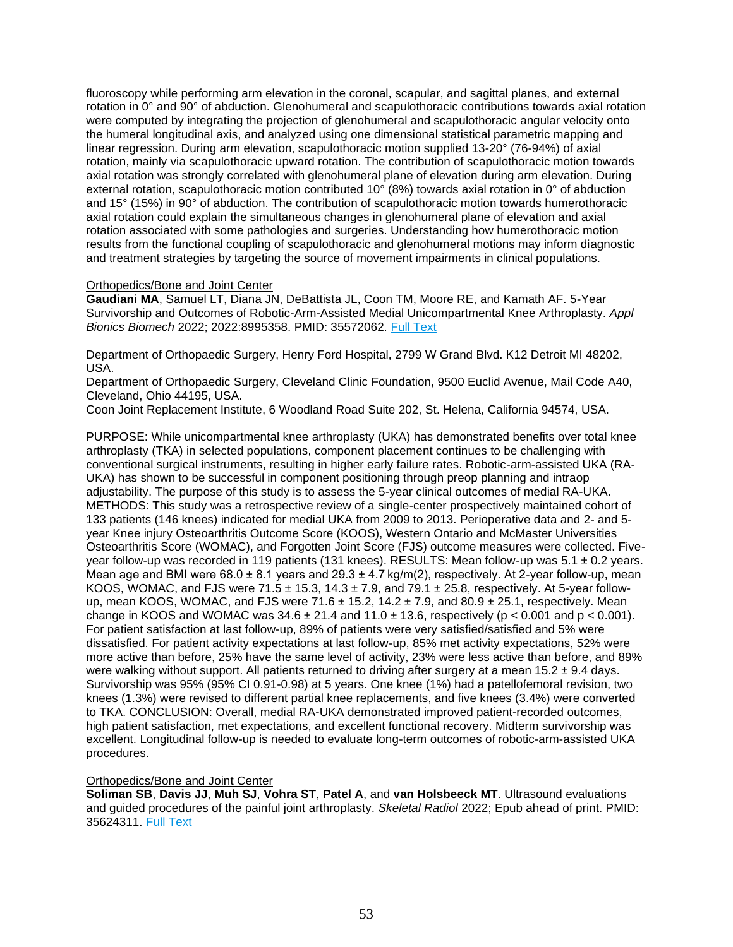fluoroscopy while performing arm elevation in the coronal, scapular, and sagittal planes, and external rotation in 0° and 90° of abduction. Glenohumeral and scapulothoracic contributions towards axial rotation were computed by integrating the projection of glenohumeral and scapulothoracic angular velocity onto the humeral longitudinal axis, and analyzed using one dimensional statistical parametric mapping and linear regression. During arm elevation, scapulothoracic motion supplied 13-20° (76-94%) of axial rotation, mainly via scapulothoracic upward rotation. The contribution of scapulothoracic motion towards axial rotation was strongly correlated with glenohumeral plane of elevation during arm elevation. During external rotation, scapulothoracic motion contributed 10° (8%) towards axial rotation in 0° of abduction and 15° (15%) in 90° of abduction. The contribution of scapulothoracic motion towards humerothoracic axial rotation could explain the simultaneous changes in glenohumeral plane of elevation and axial rotation associated with some pathologies and surgeries. Understanding how humerothoracic motion results from the functional coupling of scapulothoracic and glenohumeral motions may inform diagnostic and treatment strategies by targeting the source of movement impairments in clinical populations.

## Orthopedics/Bone and Joint Center

**Gaudiani MA**, Samuel LT, Diana JN, DeBattista JL, Coon TM, Moore RE, and Kamath AF. 5-Year Survivorship and Outcomes of Robotic-Arm-Assisted Medial Unicompartmental Knee Arthroplasty. *Appl Bionics Biomech* 2022; 2022:8995358. PMID: 35572062. [Full Text](https://libkey.io/35572062)

Department of Orthopaedic Surgery, Henry Ford Hospital, 2799 W Grand Blvd. K12 Detroit MI 48202, USA.

Department of Orthopaedic Surgery, Cleveland Clinic Foundation, 9500 Euclid Avenue, Mail Code A40, Cleveland, Ohio 44195, USA.

Coon Joint Replacement Institute, 6 Woodland Road Suite 202, St. Helena, California 94574, USA.

PURPOSE: While unicompartmental knee arthroplasty (UKA) has demonstrated benefits over total knee arthroplasty (TKA) in selected populations, component placement continues to be challenging with conventional surgical instruments, resulting in higher early failure rates. Robotic-arm-assisted UKA (RA-UKA) has shown to be successful in component positioning through preop planning and intraop adjustability. The purpose of this study is to assess the 5-year clinical outcomes of medial RA-UKA. METHODS: This study was a retrospective review of a single-center prospectively maintained cohort of 133 patients (146 knees) indicated for medial UKA from 2009 to 2013. Perioperative data and 2- and 5 year Knee injury Osteoarthritis Outcome Score (KOOS), Western Ontario and McMaster Universities Osteoarthritis Score (WOMAC), and Forgotten Joint Score (FJS) outcome measures were collected. Fiveyear follow-up was recorded in 119 patients (131 knees). RESULTS: Mean follow-up was 5.1 ± 0.2 years. Mean age and BMI were  $68.0 \pm 8.1$  years and  $29.3 \pm 4.7$  kg/m(2), respectively. At 2-year follow-up, mean KOOS, WOMAC, and FJS were 71.5  $\pm$  15.3, 14.3  $\pm$  7.9, and 79.1  $\pm$  25.8, respectively. At 5-year followup, mean KOOS, WOMAC, and FJS were  $71.6 \pm 15.2$ ,  $14.2 \pm 7.9$ , and  $80.9 \pm 25.1$ , respectively. Mean change in KOOS and WOMAC was  $34.6 \pm 21.4$  and  $11.0 \pm 13.6$ , respectively (p < 0.001 and p < 0.001). For patient satisfaction at last follow-up, 89% of patients were very satisfied/satisfied and 5% were dissatisfied. For patient activity expectations at last follow-up, 85% met activity expectations, 52% were more active than before, 25% have the same level of activity, 23% were less active than before, and 89% were walking without support. All patients returned to driving after surgery at a mean  $15.2 \pm 9.4$  days. Survivorship was 95% (95% CI 0.91-0.98) at 5 years. One knee (1%) had a patellofemoral revision, two knees (1.3%) were revised to different partial knee replacements, and five knees (3.4%) were converted to TKA. CONCLUSION: Overall, medial RA-UKA demonstrated improved patient-recorded outcomes, high patient satisfaction, met expectations, and excellent functional recovery. Midterm survivorship was excellent. Longitudinal follow-up is needed to evaluate long-term outcomes of robotic-arm-assisted UKA procedures.

## Orthopedics/Bone and Joint Center

**Soliman SB**, **Davis JJ**, **Muh SJ**, **Vohra ST**, **Patel A**, and **van Holsbeeck MT**. Ultrasound evaluations and guided procedures of the painful joint arthroplasty. *Skeletal Radiol* 2022; Epub ahead of print. PMID: 35624311. [Full Text](https://libkey.io/35624311)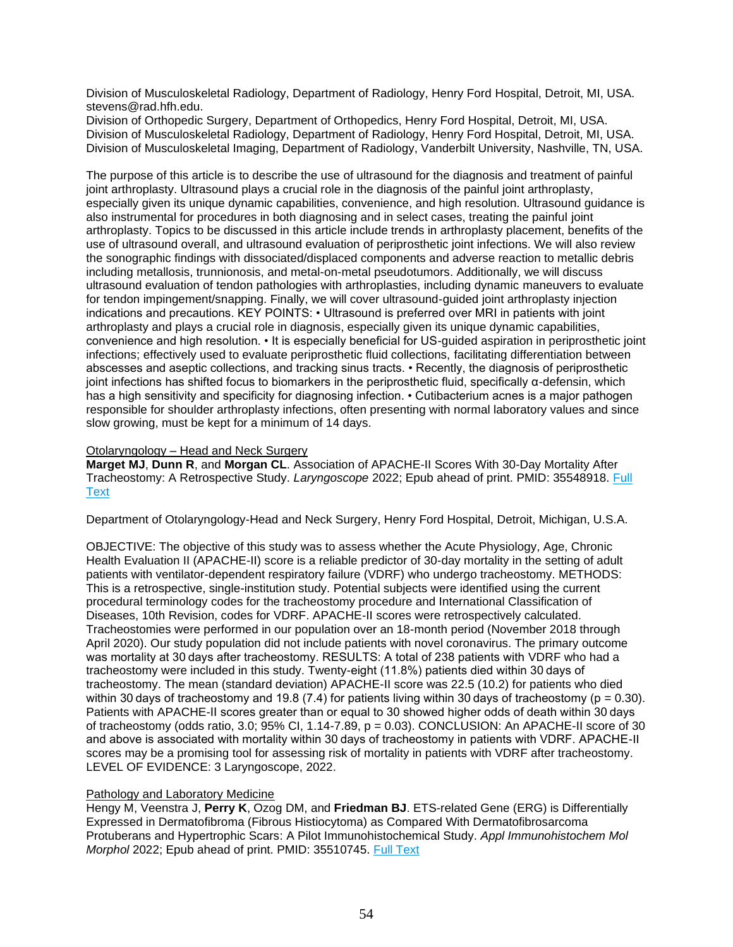Division of Musculoskeletal Radiology, Department of Radiology, Henry Ford Hospital, Detroit, MI, USA. stevens@rad.hfh.edu.

Division of Orthopedic Surgery, Department of Orthopedics, Henry Ford Hospital, Detroit, MI, USA. Division of Musculoskeletal Radiology, Department of Radiology, Henry Ford Hospital, Detroit, MI, USA. Division of Musculoskeletal Imaging, Department of Radiology, Vanderbilt University, Nashville, TN, USA.

The purpose of this article is to describe the use of ultrasound for the diagnosis and treatment of painful joint arthroplasty. Ultrasound plays a crucial role in the diagnosis of the painful joint arthroplasty, especially given its unique dynamic capabilities, convenience, and high resolution. Ultrasound guidance is also instrumental for procedures in both diagnosing and in select cases, treating the painful joint arthroplasty. Topics to be discussed in this article include trends in arthroplasty placement, benefits of the use of ultrasound overall, and ultrasound evaluation of periprosthetic joint infections. We will also review the sonographic findings with dissociated/displaced components and adverse reaction to metallic debris including metallosis, trunnionosis, and metal-on-metal pseudotumors. Additionally, we will discuss ultrasound evaluation of tendon pathologies with arthroplasties, including dynamic maneuvers to evaluate for tendon impingement/snapping. Finally, we will cover ultrasound-guided joint arthroplasty injection indications and precautions. KEY POINTS: • Ultrasound is preferred over MRI in patients with joint arthroplasty and plays a crucial role in diagnosis, especially given its unique dynamic capabilities, convenience and high resolution. • It is especially beneficial for US-guided aspiration in periprosthetic joint infections; effectively used to evaluate periprosthetic fluid collections, facilitating differentiation between abscesses and aseptic collections, and tracking sinus tracts. • Recently, the diagnosis of periprosthetic joint infections has shifted focus to biomarkers in the periprosthetic fluid, specifically α-defensin, which has a high sensitivity and specificity for diagnosing infection. • Cutibacterium acnes is a major pathogen responsible for shoulder arthroplasty infections, often presenting with normal laboratory values and since slow growing, must be kept for a minimum of 14 days.

# Otolaryngology – Head and Neck Surgery

**Marget MJ**, **Dunn R**, and **Morgan CL**. Association of APACHE-II Scores With 30-Day Mortality After Tracheostomy: A Retrospective Study. *Laryngoscope* 2022; Epub ahead of print. PMID: 35548918. [Full](https://libkey.io/35548918)  **[Text](https://libkey.io/35548918)** 

Department of Otolaryngology-Head and Neck Surgery, Henry Ford Hospital, Detroit, Michigan, U.S.A.

OBJECTIVE: The objective of this study was to assess whether the Acute Physiology, Age, Chronic Health Evaluation II (APACHE-II) score is a reliable predictor of 30-day mortality in the setting of adult patients with ventilator-dependent respiratory failure (VDRF) who undergo tracheostomy. METHODS: This is a retrospective, single-institution study. Potential subjects were identified using the current procedural terminology codes for the tracheostomy procedure and International Classification of Diseases, 10th Revision, codes for VDRF. APACHE-II scores were retrospectively calculated. Tracheostomies were performed in our population over an 18-month period (November 2018 through April 2020). Our study population did not include patients with novel coronavirus. The primary outcome was mortality at 30 days after tracheostomy. RESULTS: A total of 238 patients with VDRF who had a tracheostomy were included in this study. Twenty-eight (11.8%) patients died within 30 days of tracheostomy. The mean (standard deviation) APACHE-II score was 22.5 (10.2) for patients who died within 30 days of tracheostomy and 19.8 (7.4) for patients living within 30 days of tracheostomy ( $p = 0.30$ ). Patients with APACHE-II scores greater than or equal to 30 showed higher odds of death within 30 days of tracheostomy (odds ratio,  $3.0$ ;  $95\%$  Cl,  $1.14$ -7.89,  $p = 0.03$ ). CONCLUSION: An APACHE-II score of 30 and above is associated with mortality within 30 days of tracheostomy in patients with VDRF. APACHE-II scores may be a promising tool for assessing risk of mortality in patients with VDRF after tracheostomy. LEVEL OF EVIDENCE: 3 Laryngoscope, 2022.

# Pathology and Laboratory Medicine

Hengy M, Veenstra J, **Perry K**, Ozog DM, and **Friedman BJ**. ETS-related Gene (ERG) is Differentially Expressed in Dermatofibroma (Fibrous Histiocytoma) as Compared With Dermatofibrosarcoma Protuberans and Hypertrophic Scars: A Pilot Immunohistochemical Study. *Appl Immunohistochem Mol Morphol* 2022; Epub ahead of print. PMID: 35510745. [Full Text](https://libkey.io/35510745)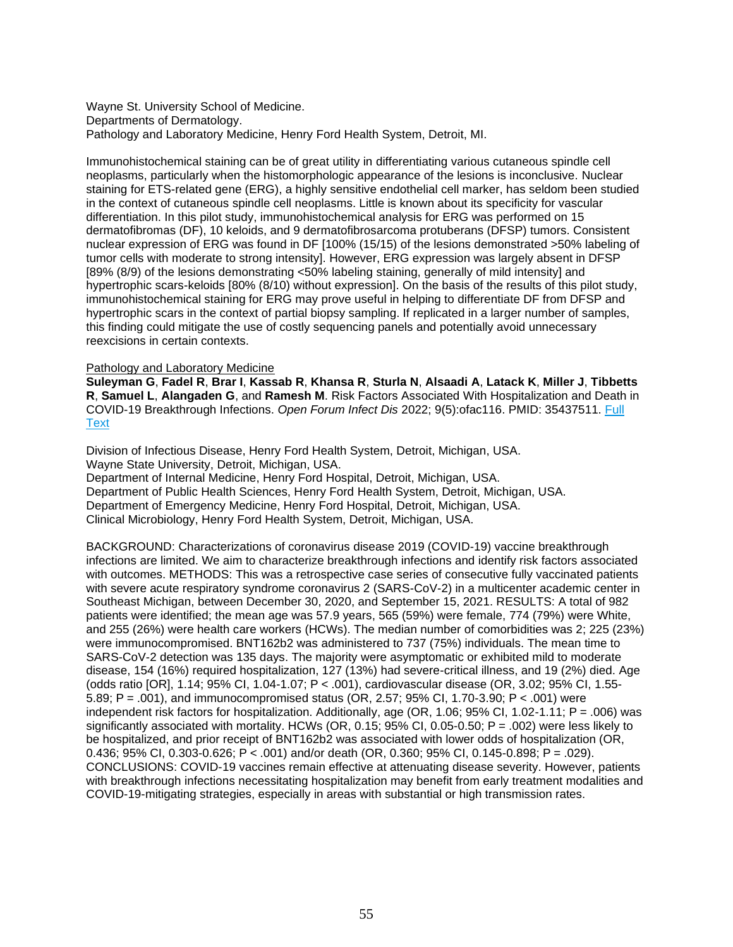Wayne St. University School of Medicine. Departments of Dermatology. Pathology and Laboratory Medicine, Henry Ford Health System, Detroit, MI.

Immunohistochemical staining can be of great utility in differentiating various cutaneous spindle cell neoplasms, particularly when the histomorphologic appearance of the lesions is inconclusive. Nuclear staining for ETS-related gene (ERG), a highly sensitive endothelial cell marker, has seldom been studied in the context of cutaneous spindle cell neoplasms. Little is known about its specificity for vascular differentiation. In this pilot study, immunohistochemical analysis for ERG was performed on 15 dermatofibromas (DF), 10 keloids, and 9 dermatofibrosarcoma protuberans (DFSP) tumors. Consistent nuclear expression of ERG was found in DF [100% (15/15) of the lesions demonstrated >50% labeling of tumor cells with moderate to strong intensity]. However, ERG expression was largely absent in DFSP [89% (8/9) of the lesions demonstrating <50% labeling staining, generally of mild intensity] and hypertrophic scars-keloids [80% (8/10) without expression]. On the basis of the results of this pilot study, immunohistochemical staining for ERG may prove useful in helping to differentiate DF from DFSP and hypertrophic scars in the context of partial biopsy sampling. If replicated in a larger number of samples, this finding could mitigate the use of costly sequencing panels and potentially avoid unnecessary reexcisions in certain contexts.

### Pathology and Laboratory Medicine

**Suleyman G**, **Fadel R**, **Brar I**, **Kassab R**, **Khansa R**, **Sturla N**, **Alsaadi A**, **Latack K**, **Miller J**, **Tibbetts R**, **Samuel L**, **Alangaden G**, and **Ramesh M**. Risk Factors Associated With Hospitalization and Death in COVID-19 Breakthrough Infections. *Open Forum Infect Dis* 2022; 9(5):ofac116. PMID: 35437511. [Full](https://libkey.io/35437511)  **[Text](https://libkey.io/35437511)** 

Division of Infectious Disease, Henry Ford Health System, Detroit, Michigan, USA. Wayne State University, Detroit, Michigan, USA. Department of Internal Medicine, Henry Ford Hospital, Detroit, Michigan, USA. Department of Public Health Sciences, Henry Ford Health System, Detroit, Michigan, USA. Department of Emergency Medicine, Henry Ford Hospital, Detroit, Michigan, USA. Clinical Microbiology, Henry Ford Health System, Detroit, Michigan, USA.

BACKGROUND: Characterizations of coronavirus disease 2019 (COVID-19) vaccine breakthrough infections are limited. We aim to characterize breakthrough infections and identify risk factors associated with outcomes. METHODS: This was a retrospective case series of consecutive fully vaccinated patients with severe acute respiratory syndrome coronavirus 2 (SARS-CoV-2) in a multicenter academic center in Southeast Michigan, between December 30, 2020, and September 15, 2021. RESULTS: A total of 982 patients were identified; the mean age was 57.9 years, 565 (59%) were female, 774 (79%) were White, and 255 (26%) were health care workers (HCWs). The median number of comorbidities was 2; 225 (23%) were immunocompromised. BNT162b2 was administered to 737 (75%) individuals. The mean time to SARS-CoV-2 detection was 135 days. The majority were asymptomatic or exhibited mild to moderate disease, 154 (16%) required hospitalization, 127 (13%) had severe-critical illness, and 19 (2%) died. Age (odds ratio [OR], 1.14; 95% CI, 1.04-1.07; P < .001), cardiovascular disease (OR, 3.02; 95% CI, 1.55- 5.89; P = .001), and immunocompromised status (OR, 2.57; 95% CI, 1.70-3.90; P < .001) were independent risk factors for hospitalization. Additionally, age (OR, 1.06; 95% CI, 1.02-1.11; P = .006) was significantly associated with mortality. HCWs (OR, 0.15; 95% CI, 0.05-0.50; P = .002) were less likely to be hospitalized, and prior receipt of BNT162b2 was associated with lower odds of hospitalization (OR, 0.436; 95% CI, 0.303-0.626; P < .001) and/or death (OR, 0.360; 95% CI, 0.145-0.898; P = .029). CONCLUSIONS: COVID-19 vaccines remain effective at attenuating disease severity. However, patients with breakthrough infections necessitating hospitalization may benefit from early treatment modalities and COVID-19-mitigating strategies, especially in areas with substantial or high transmission rates.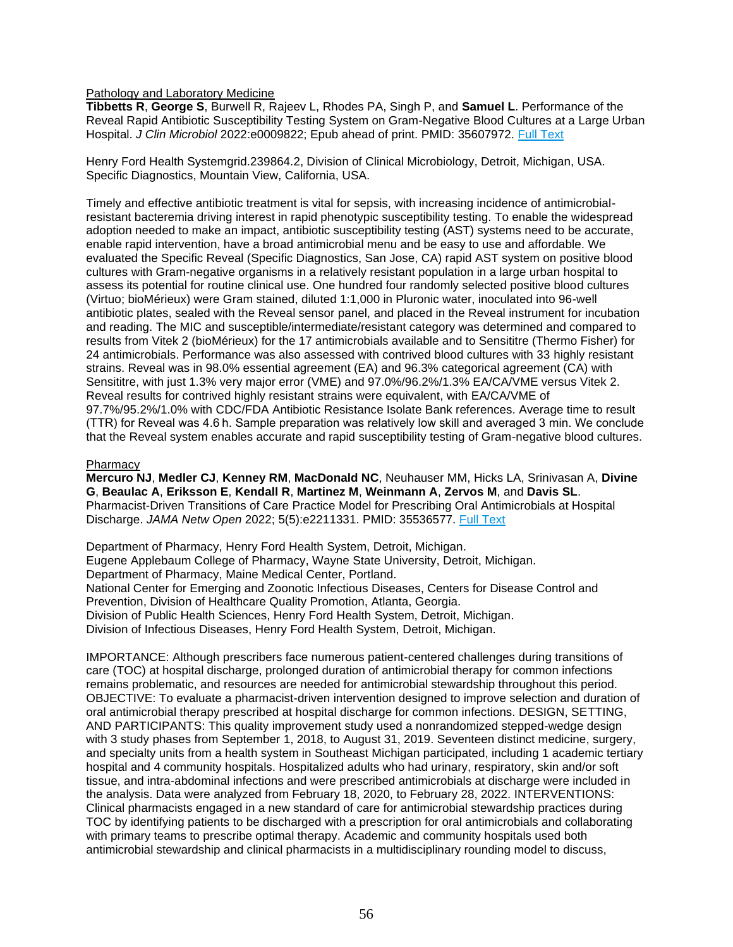Pathology and Laboratory Medicine

**Tibbetts R**, **George S**, Burwell R, Rajeev L, Rhodes PA, Singh P, and **Samuel L**. Performance of the Reveal Rapid Antibiotic Susceptibility Testing System on Gram-Negative Blood Cultures at a Large Urban Hospital. *J Clin Microbiol* 2022:e0009822; Epub ahead of print. PMID: 35607972. [Full Text](https://journals.asm.org/doi/abs/10.1128/jcm.00098-22?url_ver=Z39.88-2003&rfr_id=ori:rid:crossref.org&rfr_dat=cr_pub%20%200pubmed)

Henry Ford Health Systemgrid.239864.2, Division of Clinical Microbiology, Detroit, Michigan, USA. Specific Diagnostics, Mountain View, California, USA.

Timely and effective antibiotic treatment is vital for sepsis, with increasing incidence of antimicrobialresistant bacteremia driving interest in rapid phenotypic susceptibility testing. To enable the widespread adoption needed to make an impact, antibiotic susceptibility testing (AST) systems need to be accurate, enable rapid intervention, have a broad antimicrobial menu and be easy to use and affordable. We evaluated the Specific Reveal (Specific Diagnostics, San Jose, CA) rapid AST system on positive blood cultures with Gram-negative organisms in a relatively resistant population in a large urban hospital to assess its potential for routine clinical use. One hundred four randomly selected positive blood cultures (Virtuo; bioMérieux) were Gram stained, diluted 1:1,000 in Pluronic water, inoculated into 96-well antibiotic plates, sealed with the Reveal sensor panel, and placed in the Reveal instrument for incubation and reading. The MIC and susceptible/intermediate/resistant category was determined and compared to results from Vitek 2 (bioMérieux) for the 17 antimicrobials available and to Sensititre (Thermo Fisher) for 24 antimicrobials. Performance was also assessed with contrived blood cultures with 33 highly resistant strains. Reveal was in 98.0% essential agreement (EA) and 96.3% categorical agreement (CA) with Sensititre, with just 1.3% very major error (VME) and 97.0%/96.2%/1.3% EA/CA/VME versus Vitek 2. Reveal results for contrived highly resistant strains were equivalent, with EA/CA/VME of 97.7%/95.2%/1.0% with CDC/FDA Antibiotic Resistance Isolate Bank references. Average time to result (TTR) for Reveal was 4.6 h. Sample preparation was relatively low skill and averaged 3 min. We conclude that the Reveal system enables accurate and rapid susceptibility testing of Gram-negative blood cultures.

### **Pharmacy**

**Mercuro NJ**, **Medler CJ**, **Kenney RM**, **MacDonald NC**, Neuhauser MM, Hicks LA, Srinivasan A, **Divine G**, **Beaulac A**, **Eriksson E**, **Kendall R**, **Martinez M**, **Weinmann A**, **Zervos M**, and **Davis SL**. Pharmacist-Driven Transitions of Care Practice Model for Prescribing Oral Antimicrobials at Hospital Discharge. *JAMA Netw Open* 2022; 5(5):e2211331. PMID: 35536577. [Full Text](https://libkey.io/35536577)

Department of Pharmacy, Henry Ford Health System, Detroit, Michigan. Eugene Applebaum College of Pharmacy, Wayne State University, Detroit, Michigan. Department of Pharmacy, Maine Medical Center, Portland. National Center for Emerging and Zoonotic Infectious Diseases, Centers for Disease Control and Prevention, Division of Healthcare Quality Promotion, Atlanta, Georgia. Division of Public Health Sciences, Henry Ford Health System, Detroit, Michigan. Division of Infectious Diseases, Henry Ford Health System, Detroit, Michigan.

IMPORTANCE: Although prescribers face numerous patient-centered challenges during transitions of care (TOC) at hospital discharge, prolonged duration of antimicrobial therapy for common infections remains problematic, and resources are needed for antimicrobial stewardship throughout this period. OBJECTIVE: To evaluate a pharmacist-driven intervention designed to improve selection and duration of oral antimicrobial therapy prescribed at hospital discharge for common infections. DESIGN, SETTING, AND PARTICIPANTS: This quality improvement study used a nonrandomized stepped-wedge design with 3 study phases from September 1, 2018, to August 31, 2019. Seventeen distinct medicine, surgery, and specialty units from a health system in Southeast Michigan participated, including 1 academic tertiary hospital and 4 community hospitals. Hospitalized adults who had urinary, respiratory, skin and/or soft tissue, and intra-abdominal infections and were prescribed antimicrobials at discharge were included in the analysis. Data were analyzed from February 18, 2020, to February 28, 2022. INTERVENTIONS: Clinical pharmacists engaged in a new standard of care for antimicrobial stewardship practices during TOC by identifying patients to be discharged with a prescription for oral antimicrobials and collaborating with primary teams to prescribe optimal therapy. Academic and community hospitals used both antimicrobial stewardship and clinical pharmacists in a multidisciplinary rounding model to discuss,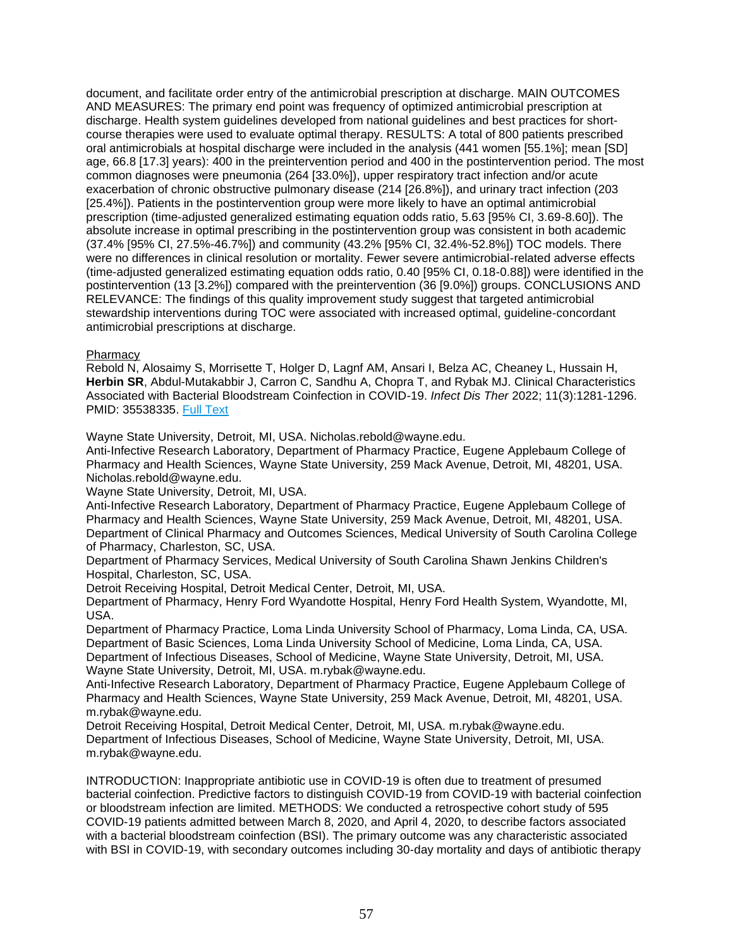document, and facilitate order entry of the antimicrobial prescription at discharge. MAIN OUTCOMES AND MEASURES: The primary end point was frequency of optimized antimicrobial prescription at discharge. Health system guidelines developed from national guidelines and best practices for shortcourse therapies were used to evaluate optimal therapy. RESULTS: A total of 800 patients prescribed oral antimicrobials at hospital discharge were included in the analysis (441 women [55.1%]; mean [SD] age, 66.8 [17.3] years): 400 in the preintervention period and 400 in the postintervention period. The most common diagnoses were pneumonia (264 [33.0%]), upper respiratory tract infection and/or acute exacerbation of chronic obstructive pulmonary disease (214 [26.8%]), and urinary tract infection (203 [25.4%]). Patients in the postintervention group were more likely to have an optimal antimicrobial prescription (time-adjusted generalized estimating equation odds ratio, 5.63 [95% CI, 3.69-8.60]). The absolute increase in optimal prescribing in the postintervention group was consistent in both academic (37.4% [95% CI, 27.5%-46.7%]) and community (43.2% [95% CI, 32.4%-52.8%]) TOC models. There were no differences in clinical resolution or mortality. Fewer severe antimicrobial-related adverse effects (time-adjusted generalized estimating equation odds ratio, 0.40 [95% CI, 0.18-0.88]) were identified in the postintervention (13 [3.2%]) compared with the preintervention (36 [9.0%]) groups. CONCLUSIONS AND RELEVANCE: The findings of this quality improvement study suggest that targeted antimicrobial stewardship interventions during TOC were associated with increased optimal, guideline-concordant antimicrobial prescriptions at discharge.

# Pharmacy

Rebold N, Alosaimy S, Morrisette T, Holger D, Lagnf AM, Ansari I, Belza AC, Cheaney L, Hussain H, **Herbin SR**, Abdul-Mutakabbir J, Carron C, Sandhu A, Chopra T, and Rybak MJ. Clinical Characteristics Associated with Bacterial Bloodstream Coinfection in COVID-19. *Infect Dis Ther* 2022; 11(3):1281-1296. PMID: 35538335. [Full Text](https://libkey.io/35538335)

Wayne State University, Detroit, MI, USA. Nicholas.rebold@wayne.edu.

Anti-Infective Research Laboratory, Department of Pharmacy Practice, Eugene Applebaum College of Pharmacy and Health Sciences, Wayne State University, 259 Mack Avenue, Detroit, MI, 48201, USA. Nicholas.rebold@wayne.edu.

Wayne State University, Detroit, MI, USA.

Anti-Infective Research Laboratory, Department of Pharmacy Practice, Eugene Applebaum College of Pharmacy and Health Sciences, Wayne State University, 259 Mack Avenue, Detroit, MI, 48201, USA. Department of Clinical Pharmacy and Outcomes Sciences, Medical University of South Carolina College of Pharmacy, Charleston, SC, USA.

Department of Pharmacy Services, Medical University of South Carolina Shawn Jenkins Children's Hospital, Charleston, SC, USA.

Detroit Receiving Hospital, Detroit Medical Center, Detroit, MI, USA.

Department of Pharmacy, Henry Ford Wyandotte Hospital, Henry Ford Health System, Wyandotte, MI, USA.

Department of Pharmacy Practice, Loma Linda University School of Pharmacy, Loma Linda, CA, USA. Department of Basic Sciences, Loma Linda University School of Medicine, Loma Linda, CA, USA. Department of Infectious Diseases, School of Medicine, Wayne State University, Detroit, MI, USA. Wayne State University, Detroit, MI, USA. m.rybak@wayne.edu.

Anti-Infective Research Laboratory, Department of Pharmacy Practice, Eugene Applebaum College of Pharmacy and Health Sciences, Wayne State University, 259 Mack Avenue, Detroit, MI, 48201, USA. m.rybak@wayne.edu.

Detroit Receiving Hospital, Detroit Medical Center, Detroit, MI, USA. m.rybak@wayne.edu. Department of Infectious Diseases, School of Medicine, Wayne State University, Detroit, MI, USA. m.rybak@wayne.edu.

INTRODUCTION: Inappropriate antibiotic use in COVID-19 is often due to treatment of presumed bacterial coinfection. Predictive factors to distinguish COVID-19 from COVID-19 with bacterial coinfection or bloodstream infection are limited. METHODS: We conducted a retrospective cohort study of 595 COVID-19 patients admitted between March 8, 2020, and April 4, 2020, to describe factors associated with a bacterial bloodstream coinfection (BSI). The primary outcome was any characteristic associated with BSI in COVID-19, with secondary outcomes including 30-day mortality and days of antibiotic therapy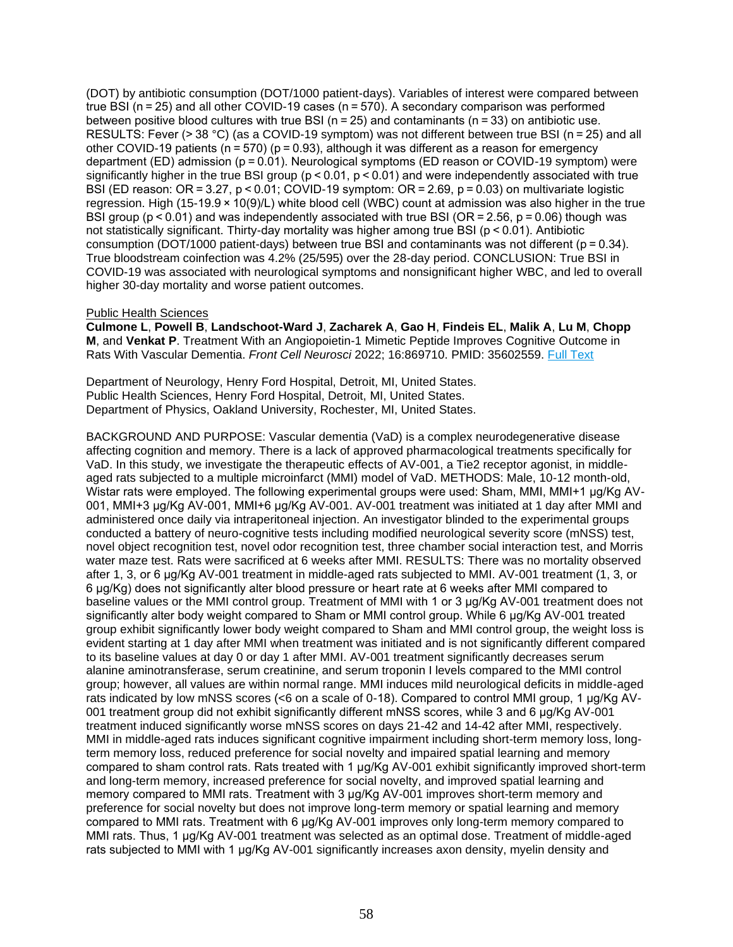(DOT) by antibiotic consumption (DOT/1000 patient-days). Variables of interest were compared between true BSI (n = 25) and all other COVID-19 cases (n = 570). A secondary comparison was performed between positive blood cultures with true BSI (n = 25) and contaminants (n = 33) on antibiotic use. RESULTS: Fever (> 38 °C) (as a COVID-19 symptom) was not different between true BSI (n = 25) and all other COVID-19 patients ( $n = 570$ ) ( $p = 0.93$ ), although it was different as a reason for emergency department (ED) admission (p = 0.01). Neurological symptoms (ED reason or COVID-19 symptom) were significantly higher in the true BSI group ( $p < 0.01$ ,  $p < 0.01$ ) and were independently associated with true BSI (ED reason: OR = 3.27, p < 0.01; COVID-19 symptom: OR = 2.69, p = 0.03) on multivariate logistic regression. High (15-19.9 × 10(9)/L) white blood cell (WBC) count at admission was also higher in the true BSI group ( $p < 0.01$ ) and was independently associated with true BSI (OR = 2.56,  $p = 0.06$ ) though was not statistically significant. Thirty-day mortality was higher among true BSI (p < 0.01). Antibiotic consumption (DOT/1000 patient-days) between true BSI and contaminants was not different (p = 0.34). True bloodstream coinfection was 4.2% (25/595) over the 28-day period. CONCLUSION: True BSI in COVID-19 was associated with neurological symptoms and nonsignificant higher WBC, and led to overall higher 30-day mortality and worse patient outcomes.

## Public Health Sciences

**Culmone L**, **Powell B**, **Landschoot-Ward J**, **Zacharek A**, **Gao H**, **Findeis EL**, **Malik A**, **Lu M**, **Chopp M**, and **Venkat P**. Treatment With an Angiopoietin-1 Mimetic Peptide Improves Cognitive Outcome in Rats With Vascular Dementia. *Front Cell Neurosci* 2022; 16:869710. PMID: 35602559. [Full Text](https://libkey.io/35602559)

Department of Neurology, Henry Ford Hospital, Detroit, MI, United States. Public Health Sciences, Henry Ford Hospital, Detroit, MI, United States. Department of Physics, Oakland University, Rochester, MI, United States.

BACKGROUND AND PURPOSE: Vascular dementia (VaD) is a complex neurodegenerative disease affecting cognition and memory. There is a lack of approved pharmacological treatments specifically for VaD. In this study, we investigate the therapeutic effects of AV-001, a Tie2 receptor agonist, in middleaged rats subjected to a multiple microinfarct (MMI) model of VaD. METHODS: Male, 10-12 month-old, Wistar rats were employed. The following experimental groups were used: Sham, MMI, MMI+1 μg/Kg AV-001, MMI+3 μg/Kg AV-001, MMI+6 μg/Kg AV-001. AV-001 treatment was initiated at 1 day after MMI and administered once daily via intraperitoneal injection. An investigator blinded to the experimental groups conducted a battery of neuro-cognitive tests including modified neurological severity score (mNSS) test, novel object recognition test, novel odor recognition test, three chamber social interaction test, and Morris water maze test. Rats were sacrificed at 6 weeks after MMI. RESULTS: There was no mortality observed after 1, 3, or 6 μg/Kg AV-001 treatment in middle-aged rats subjected to MMI. AV-001 treatment (1, 3, or 6 μg/Kg) does not significantly alter blood pressure or heart rate at 6 weeks after MMI compared to baseline values or the MMI control group. Treatment of MMI with 1 or 3 μg/Kg AV-001 treatment does not significantly alter body weight compared to Sham or MMI control group. While 6 μg/Kg AV-001 treated group exhibit significantly lower body weight compared to Sham and MMI control group, the weight loss is evident starting at 1 day after MMI when treatment was initiated and is not significantly different compared to its baseline values at day 0 or day 1 after MMI. AV-001 treatment significantly decreases serum alanine aminotransferase, serum creatinine, and serum troponin I levels compared to the MMI control group; however, all values are within normal range. MMI induces mild neurological deficits in middle-aged rats indicated by low mNSS scores (<6 on a scale of 0-18). Compared to control MMI group, 1 μg/Kg AV-001 treatment group did not exhibit significantly different mNSS scores, while 3 and 6 μg/Kg AV-001 treatment induced significantly worse mNSS scores on days 21-42 and 14-42 after MMI, respectively. MMI in middle-aged rats induces significant cognitive impairment including short-term memory loss, longterm memory loss, reduced preference for social novelty and impaired spatial learning and memory compared to sham control rats. Rats treated with 1 μg/Kg AV-001 exhibit significantly improved short-term and long-term memory, increased preference for social novelty, and improved spatial learning and memory compared to MMI rats. Treatment with 3 μg/Kg AV-001 improves short-term memory and preference for social novelty but does not improve long-term memory or spatial learning and memory compared to MMI rats. Treatment with 6 μg/Kg AV-001 improves only long-term memory compared to MMI rats. Thus, 1 μg/Kg AV-001 treatment was selected as an optimal dose. Treatment of middle-aged rats subjected to MMI with 1 μg/Kg AV-001 significantly increases axon density, myelin density and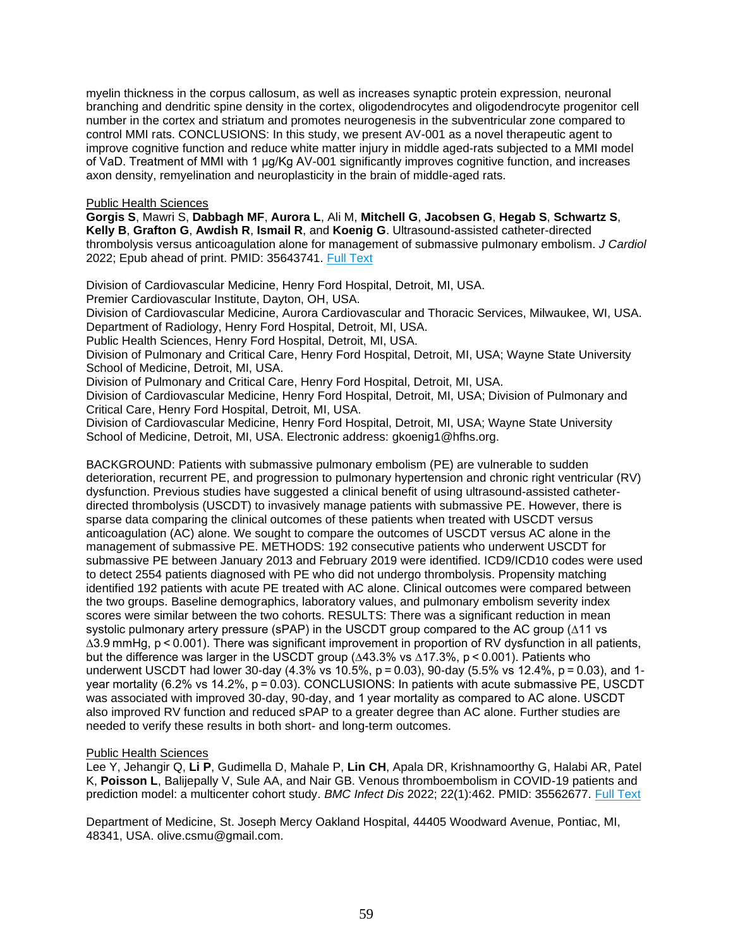myelin thickness in the corpus callosum, as well as increases synaptic protein expression, neuronal branching and dendritic spine density in the cortex, oligodendrocytes and oligodendrocyte progenitor cell number in the cortex and striatum and promotes neurogenesis in the subventricular zone compared to control MMI rats. CONCLUSIONS: In this study, we present AV-001 as a novel therapeutic agent to improve cognitive function and reduce white matter injury in middle aged-rats subjected to a MMI model of VaD. Treatment of MMI with 1 μg/Kg AV-001 significantly improves cognitive function, and increases axon density, remyelination and neuroplasticity in the brain of middle-aged rats.

### Public Health Sciences

**Gorgis S**, Mawri S, **Dabbagh MF**, **Aurora L**, Ali M, **Mitchell G**, **Jacobsen G**, **Hegab S**, **Schwartz S**, **Kelly B**, **Grafton G**, **Awdish R**, **Ismail R**, and **Koenig G**. Ultrasound-assisted catheter-directed thrombolysis versus anticoagulation alone for management of submassive pulmonary embolism. *J Cardiol* 2022; Epub ahead of print. PMID: 35643741. [Full Text](https://libkey.io/35643741)

Division of Cardiovascular Medicine, Henry Ford Hospital, Detroit, MI, USA.

Premier Cardiovascular Institute, Dayton, OH, USA.

Division of Cardiovascular Medicine, Aurora Cardiovascular and Thoracic Services, Milwaukee, WI, USA. Department of Radiology, Henry Ford Hospital, Detroit, MI, USA.

Public Health Sciences, Henry Ford Hospital, Detroit, MI, USA.

Division of Pulmonary and Critical Care, Henry Ford Hospital, Detroit, MI, USA; Wayne State University School of Medicine, Detroit, MI, USA.

Division of Pulmonary and Critical Care, Henry Ford Hospital, Detroit, MI, USA.

Division of Cardiovascular Medicine, Henry Ford Hospital, Detroit, MI, USA; Division of Pulmonary and Critical Care, Henry Ford Hospital, Detroit, MI, USA.

Division of Cardiovascular Medicine, Henry Ford Hospital, Detroit, MI, USA; Wayne State University School of Medicine, Detroit, MI, USA. Electronic address: gkoenig1@hfhs.org.

BACKGROUND: Patients with submassive pulmonary embolism (PE) are vulnerable to sudden deterioration, recurrent PE, and progression to pulmonary hypertension and chronic right ventricular (RV) dysfunction. Previous studies have suggested a clinical benefit of using ultrasound-assisted catheterdirected thrombolysis (USCDT) to invasively manage patients with submassive PE. However, there is sparse data comparing the clinical outcomes of these patients when treated with USCDT versus anticoagulation (AC) alone. We sought to compare the outcomes of USCDT versus AC alone in the management of submassive PE. METHODS: 192 consecutive patients who underwent USCDT for submassive PE between January 2013 and February 2019 were identified. ICD9/ICD10 codes were used to detect 2554 patients diagnosed with PE who did not undergo thrombolysis. Propensity matching identified 192 patients with acute PE treated with AC alone. Clinical outcomes were compared between the two groups. Baseline demographics, laboratory values, and pulmonary embolism severity index scores were similar between the two cohorts. RESULTS: There was a significant reduction in mean systolic pulmonary artery pressure (sPAP) in the USCDT group compared to the AC group (∆11 vs ∆3.9 mmHg, p < 0.001). There was significant improvement in proportion of RV dysfunction in all patients, but the difference was larger in the USCDT group (∆43.3% vs ∆17.3%, p < 0.001). Patients who underwent USCDT had lower 30-day (4.3% vs 10.5%, p = 0.03), 90-day (5.5% vs 12.4%, p = 0.03), and 1 year mortality (6.2% vs 14.2%, p = 0.03). CONCLUSIONS: In patients with acute submassive PE, USCDT was associated with improved 30-day, 90-day, and 1 year mortality as compared to AC alone. USCDT also improved RV function and reduced sPAP to a greater degree than AC alone. Further studies are needed to verify these results in both short- and long-term outcomes.

## Public Health Sciences

Lee Y, Jehangir Q, **Li P**, Gudimella D, Mahale P, **Lin CH**, Apala DR, Krishnamoorthy G, Halabi AR, Patel K, **Poisson L**, Balijepally V, Sule AA, and Nair GB. Venous thromboembolism in COVID-19 patients and prediction model: a multicenter cohort study. *BMC Infect Dis* 2022; 22(1):462. PMID: 35562677. [Full Text](https://libkey.io/35562677)

Department of Medicine, St. Joseph Mercy Oakland Hospital, 44405 Woodward Avenue, Pontiac, MI, 48341, USA. olive.csmu@gmail.com.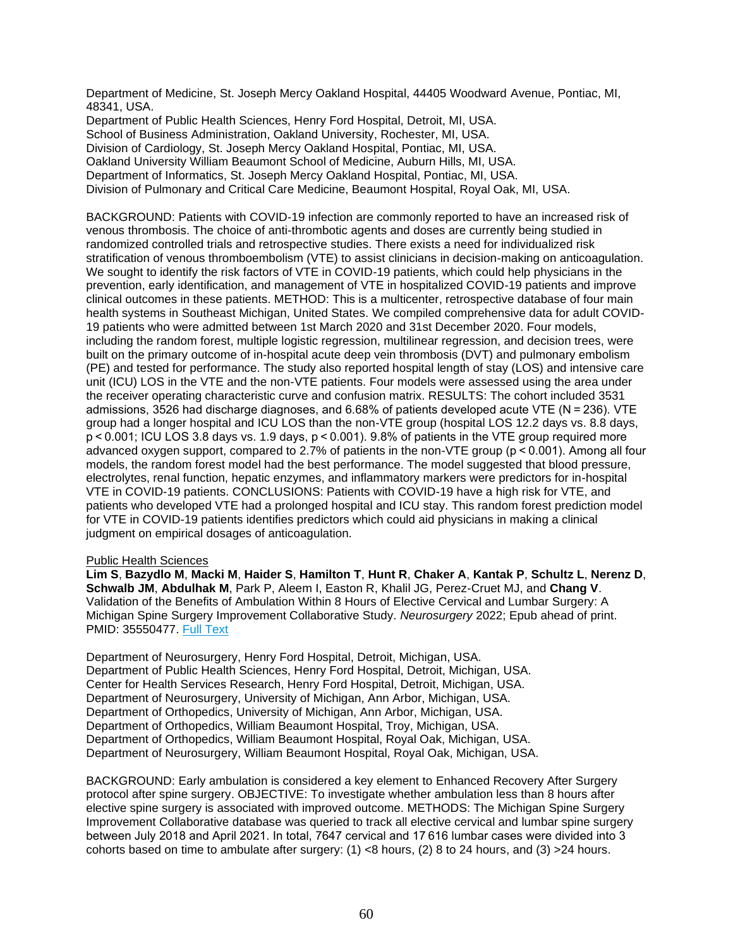Department of Medicine, St. Joseph Mercy Oakland Hospital, 44405 Woodward Avenue, Pontiac, MI, 48341, USA.

Department of Public Health Sciences, Henry Ford Hospital, Detroit, MI, USA. School of Business Administration, Oakland University, Rochester, MI, USA. Division of Cardiology, St. Joseph Mercy Oakland Hospital, Pontiac, MI, USA. Oakland University William Beaumont School of Medicine, Auburn Hills, MI, USA. Department of Informatics, St. Joseph Mercy Oakland Hospital, Pontiac, MI, USA. Division of Pulmonary and Critical Care Medicine, Beaumont Hospital, Royal Oak, MI, USA.

BACKGROUND: Patients with COVID-19 infection are commonly reported to have an increased risk of venous thrombosis. The choice of anti-thrombotic agents and doses are currently being studied in randomized controlled trials and retrospective studies. There exists a need for individualized risk stratification of venous thromboembolism (VTE) to assist clinicians in decision-making on anticoagulation. We sought to identify the risk factors of VTE in COVID-19 patients, which could help physicians in the prevention, early identification, and management of VTE in hospitalized COVID-19 patients and improve clinical outcomes in these patients. METHOD: This is a multicenter, retrospective database of four main health systems in Southeast Michigan, United States. We compiled comprehensive data for adult COVID-19 patients who were admitted between 1st March 2020 and 31st December 2020. Four models, including the random forest, multiple logistic regression, multilinear regression, and decision trees, were built on the primary outcome of in-hospital acute deep vein thrombosis (DVT) and pulmonary embolism (PE) and tested for performance. The study also reported hospital length of stay (LOS) and intensive care unit (ICU) LOS in the VTE and the non-VTE patients. Four models were assessed using the area under the receiver operating characteristic curve and confusion matrix. RESULTS: The cohort included 3531 admissions, 3526 had discharge diagnoses, and 6.68% of patients developed acute VTE (N = 236). VTE group had a longer hospital and ICU LOS than the non-VTE group (hospital LOS 12.2 days vs. 8.8 days, p < 0.001; ICU LOS 3.8 days vs. 1.9 days, p < 0.001). 9.8% of patients in the VTE group required more advanced oxygen support, compared to 2.7% of patients in the non-VTE group (p < 0.001). Among all four models, the random forest model had the best performance. The model suggested that blood pressure, electrolytes, renal function, hepatic enzymes, and inflammatory markers were predictors for in-hospital VTE in COVID-19 patients. CONCLUSIONS: Patients with COVID-19 have a high risk for VTE, and patients who developed VTE had a prolonged hospital and ICU stay. This random forest prediction model for VTE in COVID-19 patients identifies predictors which could aid physicians in making a clinical judgment on empirical dosages of anticoagulation.

## Public Health Sciences

**Lim S**, **Bazydlo M**, **Macki M**, **Haider S**, **Hamilton T**, **Hunt R**, **Chaker A**, **Kantak P**, **Schultz L**, **Nerenz D**, **Schwalb JM**, **Abdulhak M**, Park P, Aleem I, Easton R, Khalil JG, Perez-Cruet MJ, and **Chang V**. Validation of the Benefits of Ambulation Within 8 Hours of Elective Cervical and Lumbar Surgery: A Michigan Spine Surgery Improvement Collaborative Study. *Neurosurgery* 2022; Epub ahead of print. PMID: 35550477. [Full Text](https://libkey.io/35550477)

Department of Neurosurgery, Henry Ford Hospital, Detroit, Michigan, USA. Department of Public Health Sciences, Henry Ford Hospital, Detroit, Michigan, USA. Center for Health Services Research, Henry Ford Hospital, Detroit, Michigan, USA. Department of Neurosurgery, University of Michigan, Ann Arbor, Michigan, USA. Department of Orthopedics, University of Michigan, Ann Arbor, Michigan, USA. Department of Orthopedics, William Beaumont Hospital, Troy, Michigan, USA. Department of Orthopedics, William Beaumont Hospital, Royal Oak, Michigan, USA. Department of Neurosurgery, William Beaumont Hospital, Royal Oak, Michigan, USA.

BACKGROUND: Early ambulation is considered a key element to Enhanced Recovery After Surgery protocol after spine surgery. OBJECTIVE: To investigate whether ambulation less than 8 hours after elective spine surgery is associated with improved outcome. METHODS: The Michigan Spine Surgery Improvement Collaborative database was queried to track all elective cervical and lumbar spine surgery between July 2018 and April 2021. In total, 7647 cervical and 17 616 lumbar cases were divided into 3 cohorts based on time to ambulate after surgery:  $(1)$  <8 hours,  $(2)$  8 to 24 hours, and  $(3)$  >24 hours.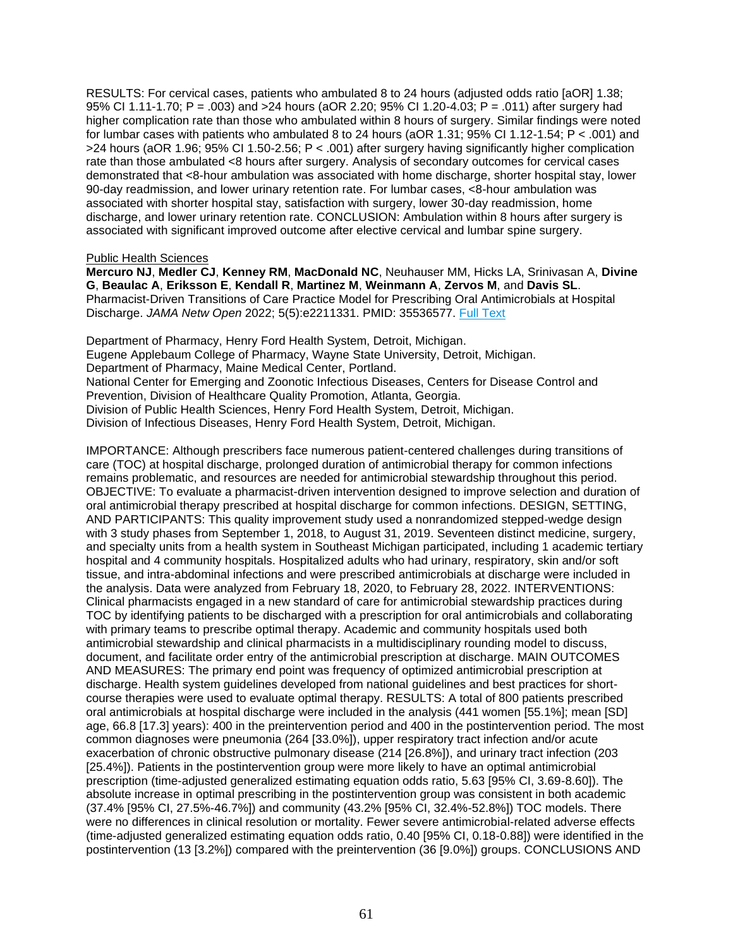RESULTS: For cervical cases, patients who ambulated 8 to 24 hours (adjusted odds ratio [aOR] 1.38; 95% CI 1.11-1.70; P = .003) and >24 hours (aOR 2.20; 95% CI 1.20-4.03; P = .011) after surgery had higher complication rate than those who ambulated within 8 hours of surgery. Similar findings were noted for lumbar cases with patients who ambulated 8 to 24 hours (aOR 1.31; 95% CI 1.12-1.54; P < .001) and >24 hours (aOR 1.96; 95% CI 1.50-2.56; P < .001) after surgery having significantly higher complication rate than those ambulated <8 hours after surgery. Analysis of secondary outcomes for cervical cases demonstrated that <8-hour ambulation was associated with home discharge, shorter hospital stay, lower 90-day readmission, and lower urinary retention rate. For lumbar cases, <8-hour ambulation was associated with shorter hospital stay, satisfaction with surgery, lower 30-day readmission, home discharge, and lower urinary retention rate. CONCLUSION: Ambulation within 8 hours after surgery is associated with significant improved outcome after elective cervical and lumbar spine surgery.

### Public Health Sciences

**Mercuro NJ**, **Medler CJ**, **Kenney RM**, **MacDonald NC**, Neuhauser MM, Hicks LA, Srinivasan A, **Divine G**, **Beaulac A**, **Eriksson E**, **Kendall R**, **Martinez M**, **Weinmann A**, **Zervos M**, and **Davis SL**. Pharmacist-Driven Transitions of Care Practice Model for Prescribing Oral Antimicrobials at Hospital Discharge. *JAMA Netw Open* 2022; 5(5):e2211331. PMID: 35536577. [Full Text](https://libkey.io/35536577)

Department of Pharmacy, Henry Ford Health System, Detroit, Michigan. Eugene Applebaum College of Pharmacy, Wayne State University, Detroit, Michigan. Department of Pharmacy, Maine Medical Center, Portland. National Center for Emerging and Zoonotic Infectious Diseases, Centers for Disease Control and Prevention, Division of Healthcare Quality Promotion, Atlanta, Georgia. Division of Public Health Sciences, Henry Ford Health System, Detroit, Michigan. Division of Infectious Diseases, Henry Ford Health System, Detroit, Michigan.

IMPORTANCE: Although prescribers face numerous patient-centered challenges during transitions of care (TOC) at hospital discharge, prolonged duration of antimicrobial therapy for common infections remains problematic, and resources are needed for antimicrobial stewardship throughout this period. OBJECTIVE: To evaluate a pharmacist-driven intervention designed to improve selection and duration of oral antimicrobial therapy prescribed at hospital discharge for common infections. DESIGN, SETTING, AND PARTICIPANTS: This quality improvement study used a nonrandomized stepped-wedge design with 3 study phases from September 1, 2018, to August 31, 2019. Seventeen distinct medicine, surgery, and specialty units from a health system in Southeast Michigan participated, including 1 academic tertiary hospital and 4 community hospitals. Hospitalized adults who had urinary, respiratory, skin and/or soft tissue, and intra-abdominal infections and were prescribed antimicrobials at discharge were included in the analysis. Data were analyzed from February 18, 2020, to February 28, 2022. INTERVENTIONS: Clinical pharmacists engaged in a new standard of care for antimicrobial stewardship practices during TOC by identifying patients to be discharged with a prescription for oral antimicrobials and collaborating with primary teams to prescribe optimal therapy. Academic and community hospitals used both antimicrobial stewardship and clinical pharmacists in a multidisciplinary rounding model to discuss, document, and facilitate order entry of the antimicrobial prescription at discharge. MAIN OUTCOMES AND MEASURES: The primary end point was frequency of optimized antimicrobial prescription at discharge. Health system guidelines developed from national guidelines and best practices for shortcourse therapies were used to evaluate optimal therapy. RESULTS: A total of 800 patients prescribed oral antimicrobials at hospital discharge were included in the analysis (441 women [55.1%]; mean [SD] age, 66.8 [17.3] years): 400 in the preintervention period and 400 in the postintervention period. The most common diagnoses were pneumonia (264 [33.0%]), upper respiratory tract infection and/or acute exacerbation of chronic obstructive pulmonary disease (214 [26.8%]), and urinary tract infection (203 [25.4%]). Patients in the postintervention group were more likely to have an optimal antimicrobial prescription (time-adjusted generalized estimating equation odds ratio, 5.63 [95% CI, 3.69-8.60]). The absolute increase in optimal prescribing in the postintervention group was consistent in both academic (37.4% [95% CI, 27.5%-46.7%]) and community (43.2% [95% CI, 32.4%-52.8%]) TOC models. There were no differences in clinical resolution or mortality. Fewer severe antimicrobial-related adverse effects (time-adjusted generalized estimating equation odds ratio, 0.40 [95% CI, 0.18-0.88]) were identified in the postintervention (13 [3.2%]) compared with the preintervention (36 [9.0%]) groups. CONCLUSIONS AND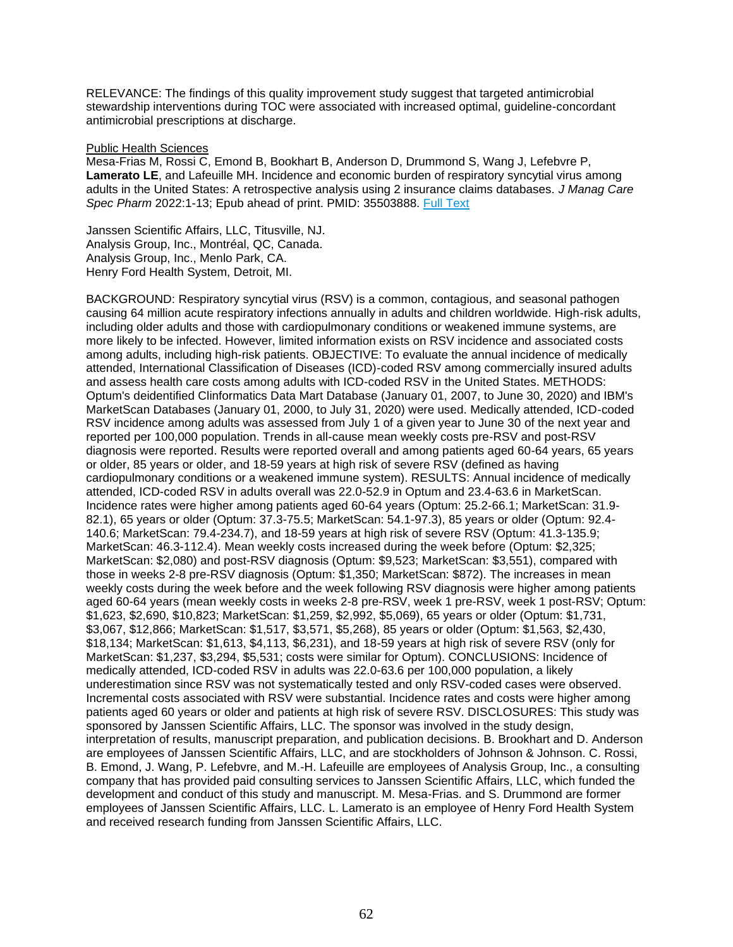RELEVANCE: The findings of this quality improvement study suggest that targeted antimicrobial stewardship interventions during TOC were associated with increased optimal, guideline-concordant antimicrobial prescriptions at discharge.

#### Public Health Sciences

Mesa-Frias M, Rossi C, Emond B, Bookhart B, Anderson D, Drummond S, Wang J, Lefebvre P, **Lamerato LE**, and Lafeuille MH. Incidence and economic burden of respiratory syncytial virus among adults in the United States: A retrospective analysis using 2 insurance claims databases. *J Manag Care Spec Pharm* 2022:1-13; Epub ahead of print. PMID: 35503888. [Full Text](https://libkey.io/35503888)

Janssen Scientific Affairs, LLC, Titusville, NJ. Analysis Group, Inc., Montréal, QC, Canada. Analysis Group, Inc., Menlo Park, CA. Henry Ford Health System, Detroit, MI.

BACKGROUND: Respiratory syncytial virus (RSV) is a common, contagious, and seasonal pathogen causing 64 million acute respiratory infections annually in adults and children worldwide. High-risk adults, including older adults and those with cardiopulmonary conditions or weakened immune systems, are more likely to be infected. However, limited information exists on RSV incidence and associated costs among adults, including high-risk patients. OBJECTIVE: To evaluate the annual incidence of medically attended, International Classification of Diseases (ICD)-coded RSV among commercially insured adults and assess health care costs among adults with ICD-coded RSV in the United States. METHODS: Optum's deidentified Clinformatics Data Mart Database (January 01, 2007, to June 30, 2020) and IBM's MarketScan Databases (January 01, 2000, to July 31, 2020) were used. Medically attended, ICD-coded RSV incidence among adults was assessed from July 1 of a given year to June 30 of the next year and reported per 100,000 population. Trends in all-cause mean weekly costs pre-RSV and post-RSV diagnosis were reported. Results were reported overall and among patients aged 60-64 years, 65 years or older, 85 years or older, and 18-59 years at high risk of severe RSV (defined as having cardiopulmonary conditions or a weakened immune system). RESULTS: Annual incidence of medically attended, ICD-coded RSV in adults overall was 22.0-52.9 in Optum and 23.4-63.6 in MarketScan. Incidence rates were higher among patients aged 60-64 years (Optum: 25.2-66.1; MarketScan: 31.9- 82.1), 65 years or older (Optum: 37.3-75.5; MarketScan: 54.1-97.3), 85 years or older (Optum: 92.4- 140.6; MarketScan: 79.4-234.7), and 18-59 years at high risk of severe RSV (Optum: 41.3-135.9; MarketScan: 46.3-112.4). Mean weekly costs increased during the week before (Optum: \$2,325; MarketScan: \$2,080) and post-RSV diagnosis (Optum: \$9,523; MarketScan: \$3,551), compared with those in weeks 2-8 pre-RSV diagnosis (Optum: \$1,350; MarketScan: \$872). The increases in mean weekly costs during the week before and the week following RSV diagnosis were higher among patients aged 60-64 years (mean weekly costs in weeks 2-8 pre-RSV, week 1 pre-RSV, week 1 post-RSV; Optum: \$1,623, \$2,690, \$10,823; MarketScan: \$1,259, \$2,992, \$5,069), 65 years or older (Optum: \$1,731, \$3,067, \$12,866; MarketScan: \$1,517, \$3,571, \$5,268), 85 years or older (Optum: \$1,563, \$2,430, \$18,134; MarketScan: \$1,613, \$4,113, \$6,231), and 18-59 years at high risk of severe RSV (only for MarketScan: \$1,237, \$3,294, \$5,531; costs were similar for Optum). CONCLUSIONS: Incidence of medically attended, ICD-coded RSV in adults was 22.0-63.6 per 100,000 population, a likely underestimation since RSV was not systematically tested and only RSV-coded cases were observed. Incremental costs associated with RSV were substantial. Incidence rates and costs were higher among patients aged 60 years or older and patients at high risk of severe RSV. DISCLOSURES: This study was sponsored by Janssen Scientific Affairs, LLC. The sponsor was involved in the study design, interpretation of results, manuscript preparation, and publication decisions. B. Brookhart and D. Anderson are employees of Janssen Scientific Affairs, LLC, and are stockholders of Johnson & Johnson. C. Rossi, B. Emond, J. Wang, P. Lefebvre, and M.-H. Lafeuille are employees of Analysis Group, Inc., a consulting company that has provided paid consulting services to Janssen Scientific Affairs, LLC, which funded the development and conduct of this study and manuscript. M. Mesa-Frias. and S. Drummond are former employees of Janssen Scientific Affairs, LLC. L. Lamerato is an employee of Henry Ford Health System and received research funding from Janssen Scientific Affairs, LLC.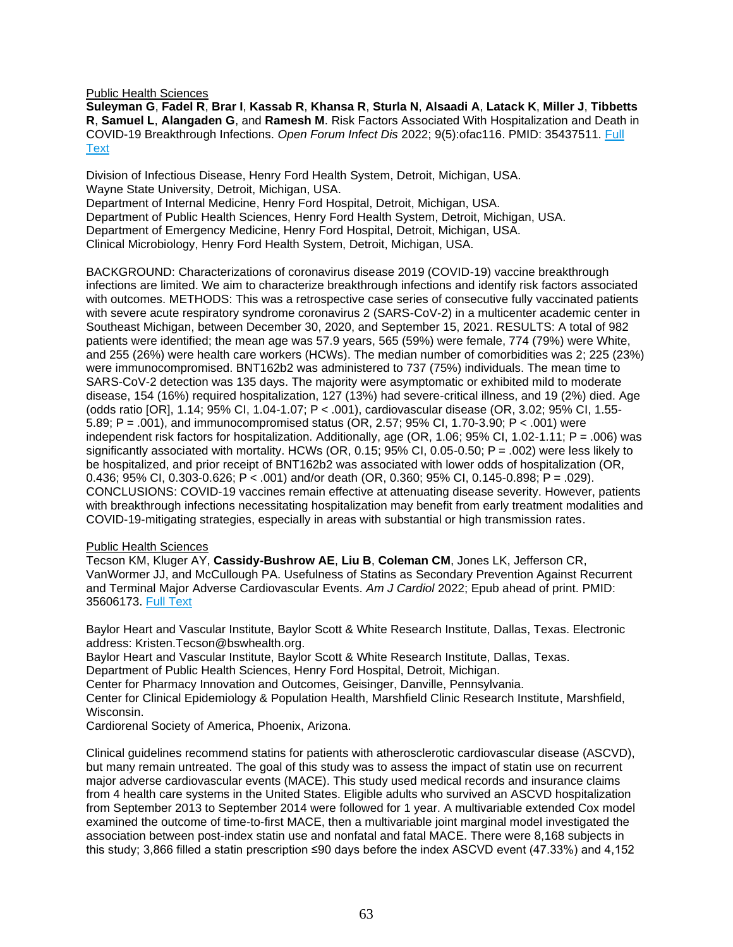Public Health Sciences

**Suleyman G**, **Fadel R**, **Brar I**, **Kassab R**, **Khansa R**, **Sturla N**, **Alsaadi A**, **Latack K**, **Miller J**, **Tibbetts R**, **Samuel L**, **Alangaden G**, and **Ramesh M**. Risk Factors Associated With Hospitalization and Death in COVID-19 Breakthrough Infections. *Open Forum Infect Dis* 2022; 9(5):ofac116. PMID: 35437511. [Full](https://libkey.io/35437511)  [Text](https://libkey.io/35437511)

Division of Infectious Disease, Henry Ford Health System, Detroit, Michigan, USA. Wayne State University, Detroit, Michigan, USA. Department of Internal Medicine, Henry Ford Hospital, Detroit, Michigan, USA. Department of Public Health Sciences, Henry Ford Health System, Detroit, Michigan, USA. Department of Emergency Medicine, Henry Ford Hospital, Detroit, Michigan, USA. Clinical Microbiology, Henry Ford Health System, Detroit, Michigan, USA.

BACKGROUND: Characterizations of coronavirus disease 2019 (COVID-19) vaccine breakthrough infections are limited. We aim to characterize breakthrough infections and identify risk factors associated with outcomes. METHODS: This was a retrospective case series of consecutive fully vaccinated patients with severe acute respiratory syndrome coronavirus 2 (SARS-CoV-2) in a multicenter academic center in Southeast Michigan, between December 30, 2020, and September 15, 2021. RESULTS: A total of 982 patients were identified; the mean age was 57.9 years, 565 (59%) were female, 774 (79%) were White, and 255 (26%) were health care workers (HCWs). The median number of comorbidities was 2; 225 (23%) were immunocompromised. BNT162b2 was administered to 737 (75%) individuals. The mean time to SARS-CoV-2 detection was 135 days. The majority were asymptomatic or exhibited mild to moderate disease, 154 (16%) required hospitalization, 127 (13%) had severe-critical illness, and 19 (2%) died. Age (odds ratio [OR], 1.14; 95% CI, 1.04-1.07; P < .001), cardiovascular disease (OR, 3.02; 95% CI, 1.55- 5.89; P = .001), and immunocompromised status (OR, 2.57; 95% CI, 1.70-3.90; P < .001) were independent risk factors for hospitalization. Additionally, age (OR, 1.06; 95% CI, 1.02-1.11; P = .006) was significantly associated with mortality. HCWs (OR, 0.15;  $95\%$  CI, 0.05-0.50; P = .002) were less likely to be hospitalized, and prior receipt of BNT162b2 was associated with lower odds of hospitalization (OR, 0.436; 95% CI, 0.303-0.626; P < .001) and/or death (OR, 0.360; 95% CI, 0.145-0.898; P = .029). CONCLUSIONS: COVID-19 vaccines remain effective at attenuating disease severity. However, patients with breakthrough infections necessitating hospitalization may benefit from early treatment modalities and COVID-19-mitigating strategies, especially in areas with substantial or high transmission rates.

## Public Health Sciences

Tecson KM, Kluger AY, **Cassidy-Bushrow AE**, **Liu B**, **Coleman CM**, Jones LK, Jefferson CR, VanWormer JJ, and McCullough PA. Usefulness of Statins as Secondary Prevention Against Recurrent and Terminal Major Adverse Cardiovascular Events. *Am J Cardiol* 2022; Epub ahead of print. PMID: 35606173. [Full Text](https://libkey.io/35606173)

Baylor Heart and Vascular Institute, Baylor Scott & White Research Institute, Dallas, Texas. Electronic address: Kristen.Tecson@bswhealth.org.

Baylor Heart and Vascular Institute, Baylor Scott & White Research Institute, Dallas, Texas.

Department of Public Health Sciences, Henry Ford Hospital, Detroit, Michigan.

Center for Pharmacy Innovation and Outcomes, Geisinger, Danville, Pennsylvania.

Center for Clinical Epidemiology & Population Health, Marshfield Clinic Research Institute, Marshfield, Wisconsin.

Cardiorenal Society of America, Phoenix, Arizona.

Clinical guidelines recommend statins for patients with atherosclerotic cardiovascular disease (ASCVD), but many remain untreated. The goal of this study was to assess the impact of statin use on recurrent major adverse cardiovascular events (MACE). This study used medical records and insurance claims from 4 health care systems in the United States. Eligible adults who survived an ASCVD hospitalization from September 2013 to September 2014 were followed for 1 year. A multivariable extended Cox model examined the outcome of time-to-first MACE, then a multivariable joint marginal model investigated the association between post-index statin use and nonfatal and fatal MACE. There were 8,168 subjects in this study; 3,866 filled a statin prescription ≤90 days before the index ASCVD event (47.33%) and 4,152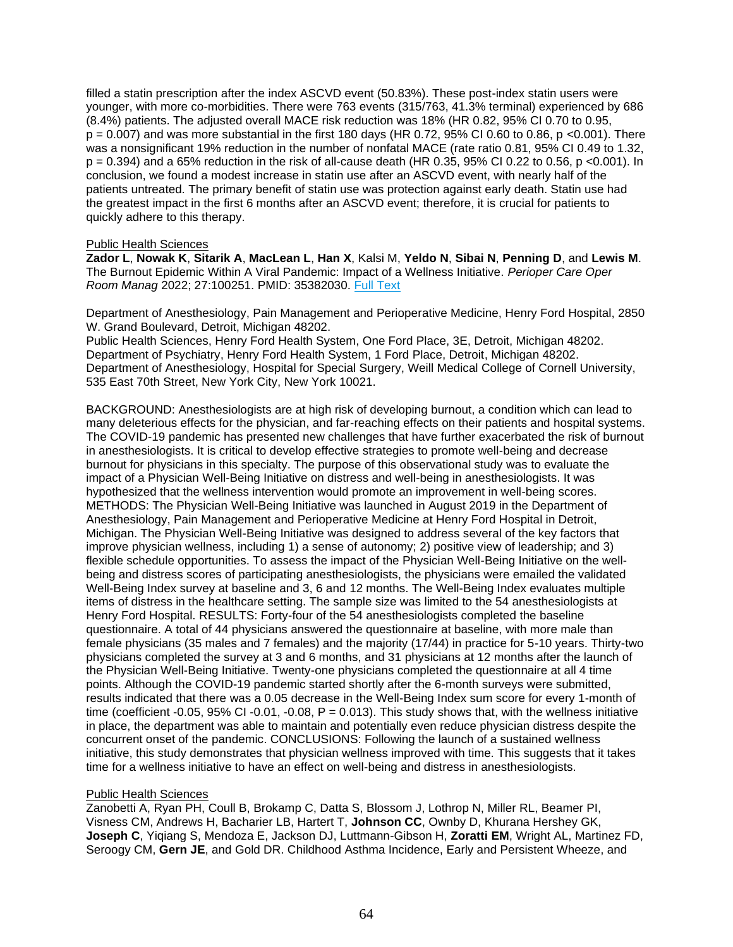filled a statin prescription after the index ASCVD event (50.83%). These post-index statin users were younger, with more co-morbidities. There were 763 events (315/763, 41.3% terminal) experienced by 686 (8.4%) patients. The adjusted overall MACE risk reduction was 18% (HR 0.82, 95% CI 0.70 to 0.95,  $p = 0.007$ ) and was more substantial in the first 180 days (HR 0.72, 95% CI 0.60 to 0.86, p <0.001). There was a nonsignificant 19% reduction in the number of nonfatal MACE (rate ratio 0.81, 95% CI 0.49 to 1.32,  $p = 0.394$ ) and a 65% reduction in the risk of all-cause death (HR 0.35, 95% CI 0.22 to 0.56, p <0.001). In conclusion, we found a modest increase in statin use after an ASCVD event, with nearly half of the patients untreated. The primary benefit of statin use was protection against early death. Statin use had the greatest impact in the first 6 months after an ASCVD event; therefore, it is crucial for patients to quickly adhere to this therapy.

## Public Health Sciences

**Zador L**, **Nowak K**, **Sitarik A**, **MacLean L**, **Han X**, Kalsi M, **Yeldo N**, **Sibai N**, **Penning D**, and **Lewis M**. The Burnout Epidemic Within A Viral Pandemic: Impact of a Wellness Initiative. *Perioper Care Oper Room Manag* 2022; 27:100251. PMID: 35382030. [Full Text](https://libkey.io/35382030)

Department of Anesthesiology, Pain Management and Perioperative Medicine, Henry Ford Hospital, 2850 W. Grand Boulevard, Detroit, Michigan 48202.

Public Health Sciences, Henry Ford Health System, One Ford Place, 3E, Detroit, Michigan 48202. Department of Psychiatry, Henry Ford Health System, 1 Ford Place, Detroit, Michigan 48202. Department of Anesthesiology, Hospital for Special Surgery, Weill Medical College of Cornell University, 535 East 70th Street, New York City, New York 10021.

BACKGROUND: Anesthesiologists are at high risk of developing burnout, a condition which can lead to many deleterious effects for the physician, and far-reaching effects on their patients and hospital systems. The COVID-19 pandemic has presented new challenges that have further exacerbated the risk of burnout in anesthesiologists. It is critical to develop effective strategies to promote well-being and decrease burnout for physicians in this specialty. The purpose of this observational study was to evaluate the impact of a Physician Well-Being Initiative on distress and well-being in anesthesiologists. It was hypothesized that the wellness intervention would promote an improvement in well-being scores. METHODS: The Physician Well-Being Initiative was launched in August 2019 in the Department of Anesthesiology, Pain Management and Perioperative Medicine at Henry Ford Hospital in Detroit, Michigan. The Physician Well-Being Initiative was designed to address several of the key factors that improve physician wellness, including 1) a sense of autonomy; 2) positive view of leadership; and 3) flexible schedule opportunities. To assess the impact of the Physician Well-Being Initiative on the wellbeing and distress scores of participating anesthesiologists, the physicians were emailed the validated Well-Being Index survey at baseline and 3, 6 and 12 months. The Well-Being Index evaluates multiple items of distress in the healthcare setting. The sample size was limited to the 54 anesthesiologists at Henry Ford Hospital. RESULTS: Forty-four of the 54 anesthesiologists completed the baseline questionnaire. A total of 44 physicians answered the questionnaire at baseline, with more male than female physicians (35 males and 7 females) and the majority (17/44) in practice for 5-10 years. Thirty-two physicians completed the survey at 3 and 6 months, and 31 physicians at 12 months after the launch of the Physician Well-Being Initiative. Twenty-one physicians completed the questionnaire at all 4 time points. Although the COVID-19 pandemic started shortly after the 6-month surveys were submitted, results indicated that there was a 0.05 decrease in the Well-Being Index sum score for every 1-month of time (coefficient -0.05, 95% CI -0.01, -0.08,  $P = 0.013$ ). This study shows that, with the wellness initiative in place, the department was able to maintain and potentially even reduce physician distress despite the concurrent onset of the pandemic. CONCLUSIONS: Following the launch of a sustained wellness initiative, this study demonstrates that physician wellness improved with time. This suggests that it takes time for a wellness initiative to have an effect on well-being and distress in anesthesiologists.

#### Public Health Sciences

Zanobetti A, Ryan PH, Coull B, Brokamp C, Datta S, Blossom J, Lothrop N, Miller RL, Beamer PI, Visness CM, Andrews H, Bacharier LB, Hartert T, **Johnson CC**, Ownby D, Khurana Hershey GK, **Joseph C**, Yiqiang S, Mendoza E, Jackson DJ, Luttmann-Gibson H, **Zoratti EM**, Wright AL, Martinez FD, Seroogy CM, **Gern JE**, and Gold DR. Childhood Asthma Incidence, Early and Persistent Wheeze, and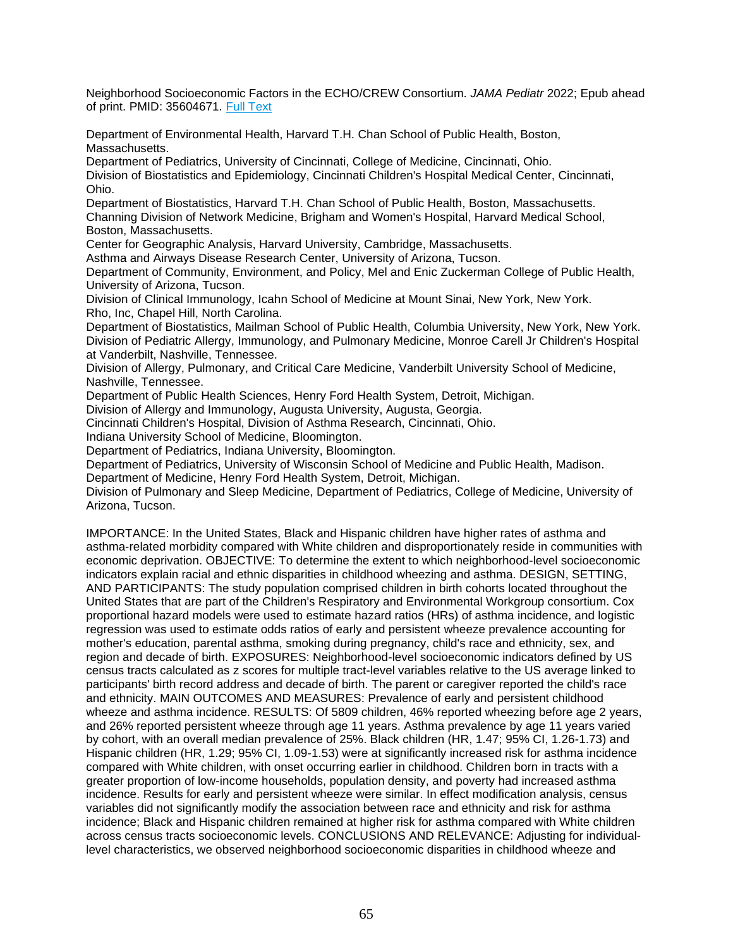Neighborhood Socioeconomic Factors in the ECHO/CREW Consortium. *JAMA Pediatr* 2022; Epub ahead of print. PMID: 35604671. [Full Text](https://libkey.io/35604671)

Department of Environmental Health, Harvard T.H. Chan School of Public Health, Boston, Massachusetts.

Department of Pediatrics, University of Cincinnati, College of Medicine, Cincinnati, Ohio.

Division of Biostatistics and Epidemiology, Cincinnati Children's Hospital Medical Center, Cincinnati, Ohio.

Department of Biostatistics, Harvard T.H. Chan School of Public Health, Boston, Massachusetts.

Channing Division of Network Medicine, Brigham and Women's Hospital, Harvard Medical School, Boston, Massachusetts.

Center for Geographic Analysis, Harvard University, Cambridge, Massachusetts.

Asthma and Airways Disease Research Center, University of Arizona, Tucson.

Department of Community, Environment, and Policy, Mel and Enic Zuckerman College of Public Health, University of Arizona, Tucson.

Division of Clinical Immunology, Icahn School of Medicine at Mount Sinai, New York, New York. Rho, Inc, Chapel Hill, North Carolina.

Department of Biostatistics, Mailman School of Public Health, Columbia University, New York, New York. Division of Pediatric Allergy, Immunology, and Pulmonary Medicine, Monroe Carell Jr Children's Hospital at Vanderbilt, Nashville, Tennessee.

Division of Allergy, Pulmonary, and Critical Care Medicine, Vanderbilt University School of Medicine, Nashville, Tennessee.

Department of Public Health Sciences, Henry Ford Health System, Detroit, Michigan.

Division of Allergy and Immunology, Augusta University, Augusta, Georgia.

Cincinnati Children's Hospital, Division of Asthma Research, Cincinnati, Ohio.

Indiana University School of Medicine, Bloomington.

Department of Pediatrics, Indiana University, Bloomington.

Department of Pediatrics, University of Wisconsin School of Medicine and Public Health, Madison.

Department of Medicine, Henry Ford Health System, Detroit, Michigan.

Division of Pulmonary and Sleep Medicine, Department of Pediatrics, College of Medicine, University of Arizona, Tucson.

IMPORTANCE: In the United States, Black and Hispanic children have higher rates of asthma and asthma-related morbidity compared with White children and disproportionately reside in communities with economic deprivation. OBJECTIVE: To determine the extent to which neighborhood-level socioeconomic indicators explain racial and ethnic disparities in childhood wheezing and asthma. DESIGN, SETTING, AND PARTICIPANTS: The study population comprised children in birth cohorts located throughout the United States that are part of the Children's Respiratory and Environmental Workgroup consortium. Cox proportional hazard models were used to estimate hazard ratios (HRs) of asthma incidence, and logistic regression was used to estimate odds ratios of early and persistent wheeze prevalence accounting for mother's education, parental asthma, smoking during pregnancy, child's race and ethnicity, sex, and region and decade of birth. EXPOSURES: Neighborhood-level socioeconomic indicators defined by US census tracts calculated as z scores for multiple tract-level variables relative to the US average linked to participants' birth record address and decade of birth. The parent or caregiver reported the child's race and ethnicity. MAIN OUTCOMES AND MEASURES: Prevalence of early and persistent childhood wheeze and asthma incidence. RESULTS: Of 5809 children, 46% reported wheezing before age 2 years, and 26% reported persistent wheeze through age 11 years. Asthma prevalence by age 11 years varied by cohort, with an overall median prevalence of 25%. Black children (HR, 1.47; 95% CI, 1.26-1.73) and Hispanic children (HR, 1.29; 95% CI, 1.09-1.53) were at significantly increased risk for asthma incidence compared with White children, with onset occurring earlier in childhood. Children born in tracts with a greater proportion of low-income households, population density, and poverty had increased asthma incidence. Results for early and persistent wheeze were similar. In effect modification analysis, census variables did not significantly modify the association between race and ethnicity and risk for asthma incidence; Black and Hispanic children remained at higher risk for asthma compared with White children across census tracts socioeconomic levels. CONCLUSIONS AND RELEVANCE: Adjusting for individuallevel characteristics, we observed neighborhood socioeconomic disparities in childhood wheeze and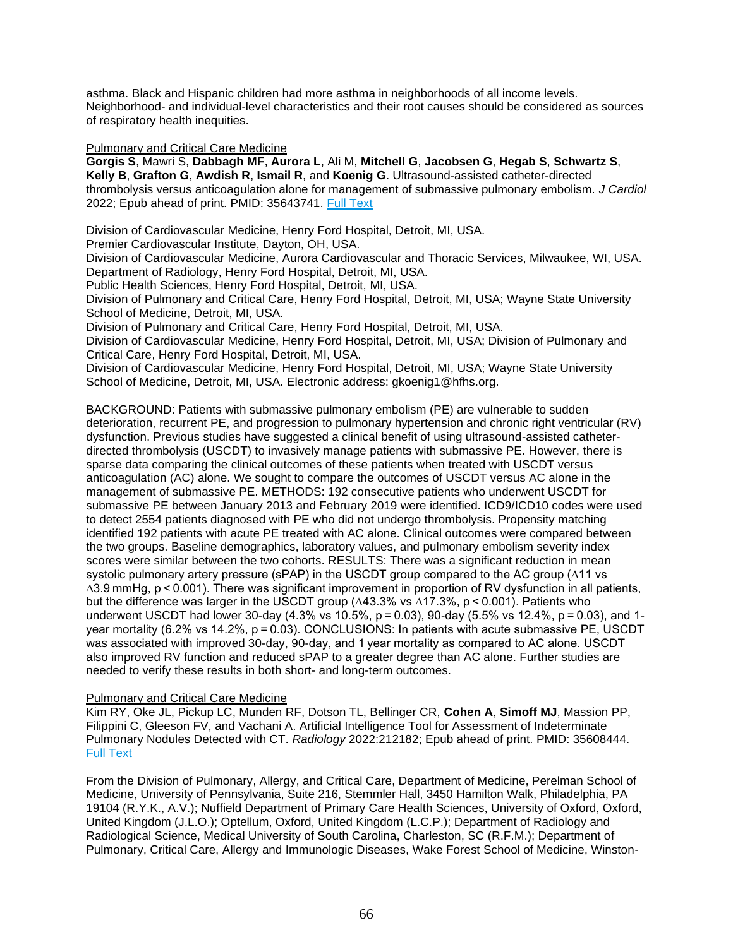asthma. Black and Hispanic children had more asthma in neighborhoods of all income levels. Neighborhood- and individual-level characteristics and their root causes should be considered as sources of respiratory health inequities.

### Pulmonary and Critical Care Medicine

**Gorgis S**, Mawri S, **Dabbagh MF**, **Aurora L**, Ali M, **Mitchell G**, **Jacobsen G**, **Hegab S**, **Schwartz S**, **Kelly B**, **Grafton G**, **Awdish R**, **Ismail R**, and **Koenig G**. Ultrasound-assisted catheter-directed thrombolysis versus anticoagulation alone for management of submassive pulmonary embolism. *J Cardiol* 2022; Epub ahead of print. PMID: 35643741. [Full Text](https://libkey.io/35643741)

Division of Cardiovascular Medicine, Henry Ford Hospital, Detroit, MI, USA.

Premier Cardiovascular Institute, Dayton, OH, USA.

Division of Cardiovascular Medicine, Aurora Cardiovascular and Thoracic Services, Milwaukee, WI, USA. Department of Radiology, Henry Ford Hospital, Detroit, MI, USA.

Public Health Sciences, Henry Ford Hospital, Detroit, MI, USA.

Division of Pulmonary and Critical Care, Henry Ford Hospital, Detroit, MI, USA; Wayne State University School of Medicine, Detroit, MI, USA.

Division of Pulmonary and Critical Care, Henry Ford Hospital, Detroit, MI, USA.

Division of Cardiovascular Medicine, Henry Ford Hospital, Detroit, MI, USA; Division of Pulmonary and Critical Care, Henry Ford Hospital, Detroit, MI, USA.

Division of Cardiovascular Medicine, Henry Ford Hospital, Detroit, MI, USA; Wayne State University School of Medicine, Detroit, MI, USA. Electronic address: gkoenig1@hfhs.org.

BACKGROUND: Patients with submassive pulmonary embolism (PE) are vulnerable to sudden deterioration, recurrent PE, and progression to pulmonary hypertension and chronic right ventricular (RV) dysfunction. Previous studies have suggested a clinical benefit of using ultrasound-assisted catheterdirected thrombolysis (USCDT) to invasively manage patients with submassive PE. However, there is sparse data comparing the clinical outcomes of these patients when treated with USCDT versus anticoagulation (AC) alone. We sought to compare the outcomes of USCDT versus AC alone in the management of submassive PE. METHODS: 192 consecutive patients who underwent USCDT for submassive PE between January 2013 and February 2019 were identified. ICD9/ICD10 codes were used to detect 2554 patients diagnosed with PE who did not undergo thrombolysis. Propensity matching identified 192 patients with acute PE treated with AC alone. Clinical outcomes were compared between the two groups. Baseline demographics, laboratory values, and pulmonary embolism severity index scores were similar between the two cohorts. RESULTS: There was a significant reduction in mean systolic pulmonary artery pressure (sPAP) in the USCDT group compared to the AC group (∆11 vs ∆3.9 mmHg, p < 0.001). There was significant improvement in proportion of RV dysfunction in all patients, but the difference was larger in the USCDT group (∆43.3% vs ∆17.3%, p < 0.001). Patients who underwent USCDT had lower 30-day (4.3% vs 10.5%, p = 0.03), 90-day (5.5% vs 12.4%, p = 0.03), and 1 year mortality (6.2% vs 14.2%, p = 0.03). CONCLUSIONS: In patients with acute submassive PE, USCDT was associated with improved 30-day, 90-day, and 1 year mortality as compared to AC alone. USCDT also improved RV function and reduced sPAP to a greater degree than AC alone. Further studies are needed to verify these results in both short- and long-term outcomes.

## Pulmonary and Critical Care Medicine

Kim RY, Oke JL, Pickup LC, Munden RF, Dotson TL, Bellinger CR, **Cohen A**, **Simoff MJ**, Massion PP, Filippini C, Gleeson FV, and Vachani A. Artificial Intelligence Tool for Assessment of Indeterminate Pulmonary Nodules Detected with CT. *Radiology* 2022:212182; Epub ahead of print. PMID: 35608444. [Full Text](https://libkey.io/35608444)

From the Division of Pulmonary, Allergy, and Critical Care, Department of Medicine, Perelman School of Medicine, University of Pennsylvania, Suite 216, Stemmler Hall, 3450 Hamilton Walk, Philadelphia, PA 19104 (R.Y.K., A.V.); Nuffield Department of Primary Care Health Sciences, University of Oxford, Oxford, United Kingdom (J.L.O.); Optellum, Oxford, United Kingdom (L.C.P.); Department of Radiology and Radiological Science, Medical University of South Carolina, Charleston, SC (R.F.M.); Department of Pulmonary, Critical Care, Allergy and Immunologic Diseases, Wake Forest School of Medicine, Winston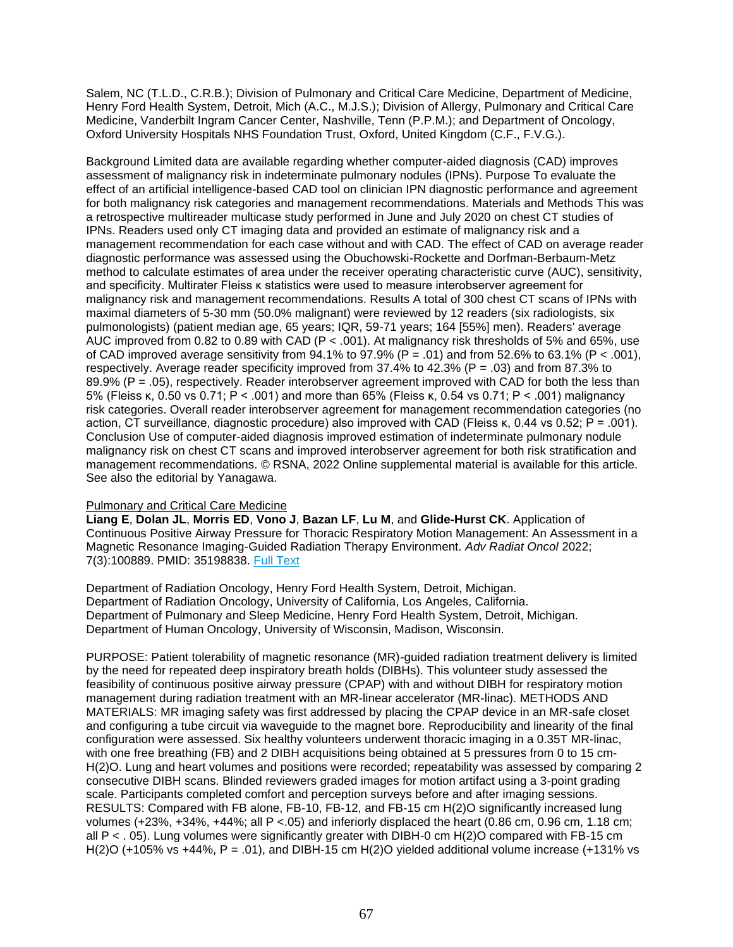Salem, NC (T.L.D., C.R.B.); Division of Pulmonary and Critical Care Medicine, Department of Medicine, Henry Ford Health System, Detroit, Mich (A.C., M.J.S.); Division of Allergy, Pulmonary and Critical Care Medicine, Vanderbilt Ingram Cancer Center, Nashville, Tenn (P.P.M.); and Department of Oncology, Oxford University Hospitals NHS Foundation Trust, Oxford, United Kingdom (C.F., F.V.G.).

Background Limited data are available regarding whether computer-aided diagnosis (CAD) improves assessment of malignancy risk in indeterminate pulmonary nodules (IPNs). Purpose To evaluate the effect of an artificial intelligence-based CAD tool on clinician IPN diagnostic performance and agreement for both malignancy risk categories and management recommendations. Materials and Methods This was a retrospective multireader multicase study performed in June and July 2020 on chest CT studies of IPNs. Readers used only CT imaging data and provided an estimate of malignancy risk and a management recommendation for each case without and with CAD. The effect of CAD on average reader diagnostic performance was assessed using the Obuchowski-Rockette and Dorfman-Berbaum-Metz method to calculate estimates of area under the receiver operating characteristic curve (AUC), sensitivity, and specificity. Multirater Fleiss κ statistics were used to measure interobserver agreement for malignancy risk and management recommendations. Results A total of 300 chest CT scans of IPNs with maximal diameters of 5-30 mm (50.0% malignant) were reviewed by 12 readers (six radiologists, six pulmonologists) (patient median age, 65 years; IQR, 59-71 years; 164 [55%] men). Readers' average AUC improved from 0.82 to 0.89 with CAD (P < .001). At malignancy risk thresholds of 5% and 65%, use of CAD improved average sensitivity from  $94.1\%$  to  $97.9\%$  (P = .01) and from 52.6% to 63.1% (P < .001), respectively. Average reader specificity improved from 37.4% to 42.3% (P = .03) and from 87.3% to 89.9% (P = .05), respectively. Reader interobserver agreement improved with CAD for both the less than 5% (Fleiss κ, 0.50 vs 0.71; P < .001) and more than 65% (Fleiss κ, 0.54 vs 0.71; P < .001) malignancy risk categories. Overall reader interobserver agreement for management recommendation categories (no action, CT surveillance, diagnostic procedure) also improved with CAD (Fleiss κ, 0.44 vs 0.52; P = .001). Conclusion Use of computer-aided diagnosis improved estimation of indeterminate pulmonary nodule malignancy risk on chest CT scans and improved interobserver agreement for both risk stratification and management recommendations. © RSNA, 2022 Online supplemental material is available for this article. See also the editorial by Yanagawa.

## Pulmonary and Critical Care Medicine

**Liang E**, **Dolan JL**, **Morris ED**, **Vono J**, **Bazan LF**, **Lu M**, and **Glide-Hurst CK**. Application of Continuous Positive Airway Pressure for Thoracic Respiratory Motion Management: An Assessment in a Magnetic Resonance Imaging-Guided Radiation Therapy Environment. *Adv Radiat Oncol* 2022; 7(3):100889. PMID: 35198838. [Full Text](https://libkey.io/35198838)

Department of Radiation Oncology, Henry Ford Health System, Detroit, Michigan. Department of Radiation Oncology, University of California, Los Angeles, California. Department of Pulmonary and Sleep Medicine, Henry Ford Health System, Detroit, Michigan. Department of Human Oncology, University of Wisconsin, Madison, Wisconsin.

PURPOSE: Patient tolerability of magnetic resonance (MR)-guided radiation treatment delivery is limited by the need for repeated deep inspiratory breath holds (DIBHs). This volunteer study assessed the feasibility of continuous positive airway pressure (CPAP) with and without DIBH for respiratory motion management during radiation treatment with an MR-linear accelerator (MR-linac). METHODS AND MATERIALS: MR imaging safety was first addressed by placing the CPAP device in an MR-safe closet and configuring a tube circuit via waveguide to the magnet bore. Reproducibility and linearity of the final configuration were assessed. Six healthy volunteers underwent thoracic imaging in a 0.35T MR-linac, with one free breathing (FB) and 2 DIBH acquisitions being obtained at 5 pressures from 0 to 15 cm-H(2)O. Lung and heart volumes and positions were recorded; repeatability was assessed by comparing 2 consecutive DIBH scans. Blinded reviewers graded images for motion artifact using a 3-point grading scale. Participants completed comfort and perception surveys before and after imaging sessions. RESULTS: Compared with FB alone, FB-10, FB-12, and FB-15 cm H(2)O significantly increased lung volumes (+23%, +34%, +44%; all P <.05) and inferiorly displaced the heart (0.86 cm, 0.96 cm, 1.18 cm; all P < . 05). Lung volumes were significantly greater with DIBH-0 cm H(2)O compared with FB-15 cm H(2)O (+105% vs +44%,  $P = .01$ ), and DIBH-15 cm H(2)O yielded additional volume increase (+131% vs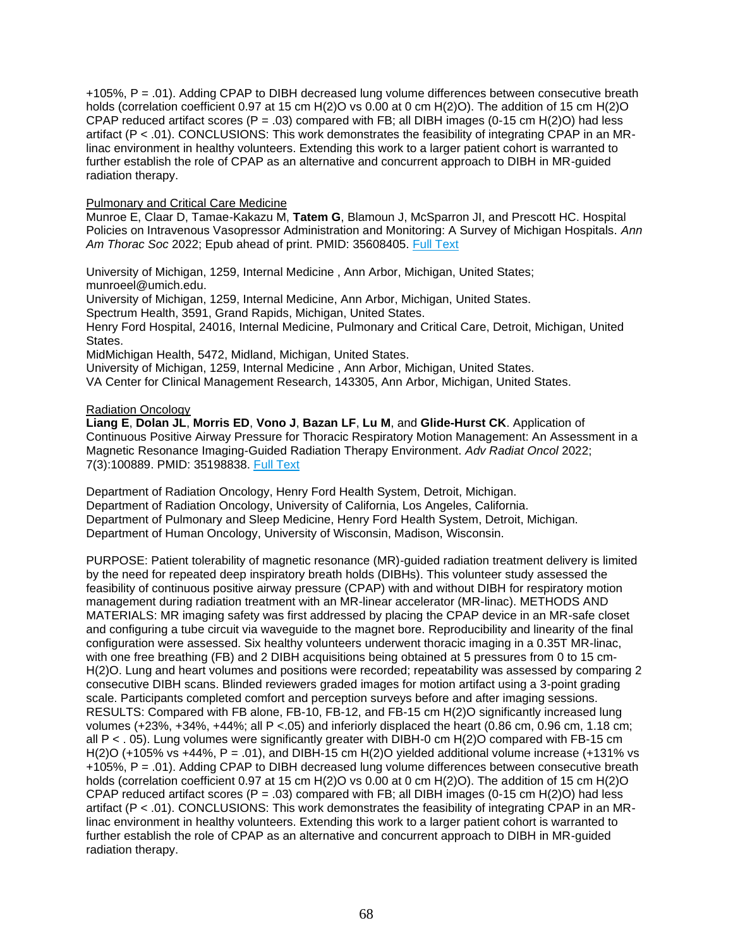+105%, P = .01). Adding CPAP to DIBH decreased lung volume differences between consecutive breath holds (correlation coefficient 0.97 at 15 cm H(2)O vs 0.00 at 0 cm H(2)O). The addition of 15 cm H(2)O CPAP reduced artifact scores ( $P = .03$ ) compared with FB; all DIBH images (0-15 cm H(2)O) had less artifact (P < .01). CONCLUSIONS: This work demonstrates the feasibility of integrating CPAP in an MRlinac environment in healthy volunteers. Extending this work to a larger patient cohort is warranted to further establish the role of CPAP as an alternative and concurrent approach to DIBH in MR-guided radiation therapy.

# Pulmonary and Critical Care Medicine

Munroe E, Claar D, Tamae-Kakazu M, **Tatem G**, Blamoun J, McSparron JI, and Prescott HC. Hospital Policies on Intravenous Vasopressor Administration and Monitoring: A Survey of Michigan Hospitals. *Ann Am Thorac Soc* 2022; Epub ahead of print. PMID: 35608405. [Full Text](https://libkey.io/35608405)

University of Michigan, 1259, Internal Medicine , Ann Arbor, Michigan, United States; munroeel@umich.edu.

University of Michigan, 1259, Internal Medicine, Ann Arbor, Michigan, United States.

Spectrum Health, 3591, Grand Rapids, Michigan, United States.

Henry Ford Hospital, 24016, Internal Medicine, Pulmonary and Critical Care, Detroit, Michigan, United States.

MidMichigan Health, 5472, Midland, Michigan, United States.

University of Michigan, 1259, Internal Medicine , Ann Arbor, Michigan, United States.

VA Center for Clinical Management Research, 143305, Ann Arbor, Michigan, United States.

## Radiation Oncology

**Liang E**, **Dolan JL**, **Morris ED**, **Vono J**, **Bazan LF**, **Lu M**, and **Glide-Hurst CK**. Application of Continuous Positive Airway Pressure for Thoracic Respiratory Motion Management: An Assessment in a Magnetic Resonance Imaging-Guided Radiation Therapy Environment. *Adv Radiat Oncol* 2022; 7(3):100889. PMID: 35198838. [Full Text](https://libkey.io/35198838)

Department of Radiation Oncology, Henry Ford Health System, Detroit, Michigan. Department of Radiation Oncology, University of California, Los Angeles, California. Department of Pulmonary and Sleep Medicine, Henry Ford Health System, Detroit, Michigan. Department of Human Oncology, University of Wisconsin, Madison, Wisconsin.

PURPOSE: Patient tolerability of magnetic resonance (MR)-guided radiation treatment delivery is limited by the need for repeated deep inspiratory breath holds (DIBHs). This volunteer study assessed the feasibility of continuous positive airway pressure (CPAP) with and without DIBH for respiratory motion management during radiation treatment with an MR-linear accelerator (MR-linac). METHODS AND MATERIALS: MR imaging safety was first addressed by placing the CPAP device in an MR-safe closet and configuring a tube circuit via waveguide to the magnet bore. Reproducibility and linearity of the final configuration were assessed. Six healthy volunteers underwent thoracic imaging in a 0.35T MR-linac, with one free breathing (FB) and 2 DIBH acquisitions being obtained at 5 pressures from 0 to 15 cm-H(2)O. Lung and heart volumes and positions were recorded; repeatability was assessed by comparing 2 consecutive DIBH scans. Blinded reviewers graded images for motion artifact using a 3-point grading scale. Participants completed comfort and perception surveys before and after imaging sessions. RESULTS: Compared with FB alone, FB-10, FB-12, and FB-15 cm H(2)O significantly increased lung volumes (+23%, +34%, +44%; all P <.05) and inferiorly displaced the heart (0.86 cm, 0.96 cm, 1.18 cm; all P < . 05). Lung volumes were significantly greater with DIBH-0 cm H(2)O compared with FB-15 cm H(2)O (+105% vs +44%,  $P = .01$ ), and DIBH-15 cm H(2)O yielded additional volume increase (+131% vs +105%, P = .01). Adding CPAP to DIBH decreased lung volume differences between consecutive breath holds (correlation coefficient 0.97 at 15 cm H(2)O vs 0.00 at 0 cm H(2)O). The addition of 15 cm H(2)O CPAP reduced artifact scores ( $P = .03$ ) compared with FB; all DIBH images (0-15 cm H(2)O) had less artifact (P < .01). CONCLUSIONS: This work demonstrates the feasibility of integrating CPAP in an MRlinac environment in healthy volunteers. Extending this work to a larger patient cohort is warranted to further establish the role of CPAP as an alternative and concurrent approach to DIBH in MR-guided radiation therapy.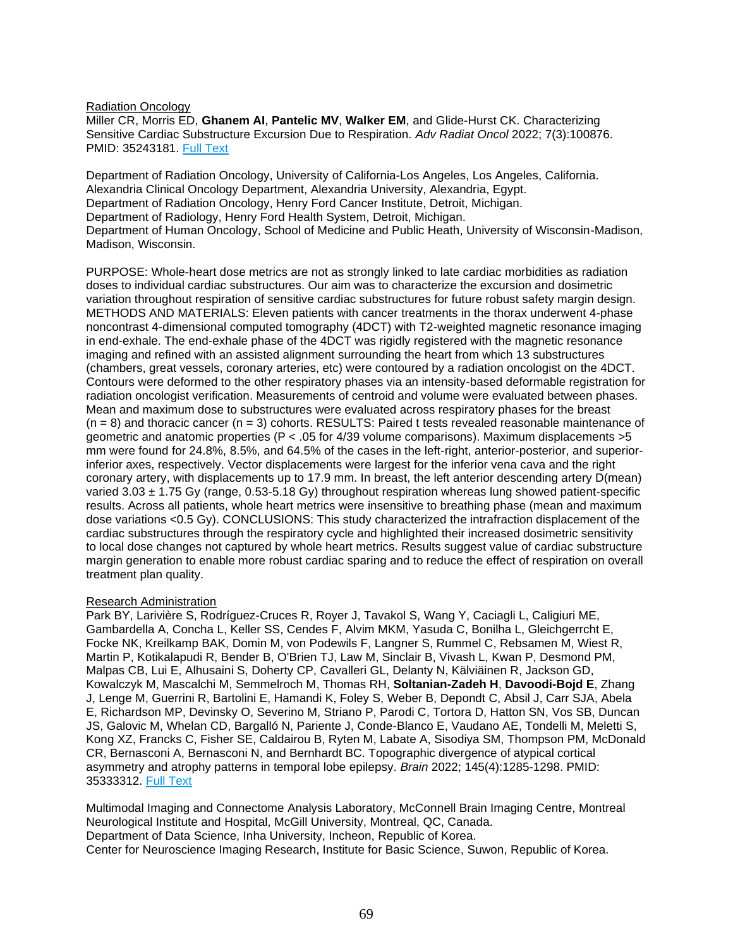### Radiation Oncology

Miller CR, Morris ED, **Ghanem AI**, **Pantelic MV**, **Walker EM**, and Glide-Hurst CK. Characterizing Sensitive Cardiac Substructure Excursion Due to Respiration. *Adv Radiat Oncol* 2022; 7(3):100876. PMID: 35243181. [Full Text](https://libkey.io/35243181)

Department of Radiation Oncology, University of California-Los Angeles, Los Angeles, California. Alexandria Clinical Oncology Department, Alexandria University, Alexandria, Egypt. Department of Radiation Oncology, Henry Ford Cancer Institute, Detroit, Michigan. Department of Radiology, Henry Ford Health System, Detroit, Michigan. Department of Human Oncology, School of Medicine and Public Heath, University of Wisconsin-Madison, Madison, Wisconsin.

PURPOSE: Whole-heart dose metrics are not as strongly linked to late cardiac morbidities as radiation doses to individual cardiac substructures. Our aim was to characterize the excursion and dosimetric variation throughout respiration of sensitive cardiac substructures for future robust safety margin design. METHODS AND MATERIALS: Eleven patients with cancer treatments in the thorax underwent 4-phase noncontrast 4-dimensional computed tomography (4DCT) with T2-weighted magnetic resonance imaging in end-exhale. The end-exhale phase of the 4DCT was rigidly registered with the magnetic resonance imaging and refined with an assisted alignment surrounding the heart from which 13 substructures (chambers, great vessels, coronary arteries, etc) were contoured by a radiation oncologist on the 4DCT. Contours were deformed to the other respiratory phases via an intensity-based deformable registration for radiation oncologist verification. Measurements of centroid and volume were evaluated between phases. Mean and maximum dose to substructures were evaluated across respiratory phases for the breast  $(n = 8)$  and thoracic cancer  $(n = 3)$  cohorts. RESULTS: Paired t tests revealed reasonable maintenance of geometric and anatomic properties (P < .05 for 4/39 volume comparisons). Maximum displacements >5 mm were found for 24.8%, 8.5%, and 64.5% of the cases in the left-right, anterior-posterior, and superiorinferior axes, respectively. Vector displacements were largest for the inferior vena cava and the right coronary artery, with displacements up to 17.9 mm. In breast, the left anterior descending artery D(mean) varied  $3.03 \pm 1.75$  Gy (range, 0.53-5.18 Gy) throughout respiration whereas lung showed patient-specific results. Across all patients, whole heart metrics were insensitive to breathing phase (mean and maximum dose variations <0.5 Gy). CONCLUSIONS: This study characterized the intrafraction displacement of the cardiac substructures through the respiratory cycle and highlighted their increased dosimetric sensitivity to local dose changes not captured by whole heart metrics. Results suggest value of cardiac substructure margin generation to enable more robust cardiac sparing and to reduce the effect of respiration on overall treatment plan quality.

## Research Administration

Park BY, Larivière S, Rodríguez-Cruces R, Royer J, Tavakol S, Wang Y, Caciagli L, Caligiuri ME, Gambardella A, Concha L, Keller SS, Cendes F, Alvim MKM, Yasuda C, Bonilha L, Gleichgerrcht E, Focke NK, Kreilkamp BAK, Domin M, von Podewils F, Langner S, Rummel C, Rebsamen M, Wiest R, Martin P, Kotikalapudi R, Bender B, O'Brien TJ, Law M, Sinclair B, Vivash L, Kwan P, Desmond PM, Malpas CB, Lui E, Alhusaini S, Doherty CP, Cavalleri GL, Delanty N, Kälviäinen R, Jackson GD, Kowalczyk M, Mascalchi M, Semmelroch M, Thomas RH, **Soltanian-Zadeh H**, **Davoodi-Bojd E**, Zhang J, Lenge M, Guerrini R, Bartolini E, Hamandi K, Foley S, Weber B, Depondt C, Absil J, Carr SJA, Abela E, Richardson MP, Devinsky O, Severino M, Striano P, Parodi C, Tortora D, Hatton SN, Vos SB, Duncan JS, Galovic M, Whelan CD, Bargalló N, Pariente J, Conde-Blanco E, Vaudano AE, Tondelli M, Meletti S, Kong XZ, Francks C, Fisher SE, Caldairou B, Ryten M, Labate A, Sisodiya SM, Thompson PM, McDonald CR, Bernasconi A, Bernasconi N, and Bernhardt BC. Topographic divergence of atypical cortical asymmetry and atrophy patterns in temporal lobe epilepsy. *Brain* 2022; 145(4):1285-1298. PMID: 35333312. [Full Text](https://libkey.io/35333312)

Multimodal Imaging and Connectome Analysis Laboratory, McConnell Brain Imaging Centre, Montreal Neurological Institute and Hospital, McGill University, Montreal, QC, Canada. Department of Data Science, Inha University, Incheon, Republic of Korea. Center for Neuroscience Imaging Research, Institute for Basic Science, Suwon, Republic of Korea.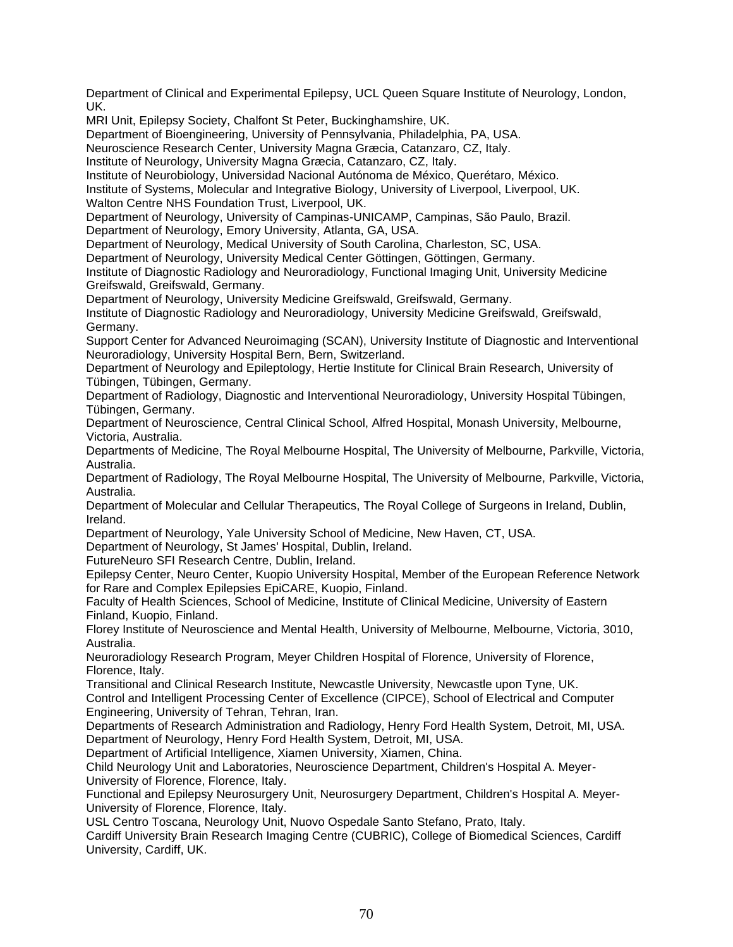Department of Clinical and Experimental Epilepsy, UCL Queen Square Institute of Neurology, London, UK.

MRI Unit, Epilepsy Society, Chalfont St Peter, Buckinghamshire, UK.

Department of Bioengineering, University of Pennsylvania, Philadelphia, PA, USA.

Neuroscience Research Center, University Magna Græcia, Catanzaro, CZ, Italy.

Institute of Neurology, University Magna Græcia, Catanzaro, CZ, Italy.

Institute of Neurobiology, Universidad Nacional Autónoma de México, Querétaro, México.

Institute of Systems, Molecular and Integrative Biology, University of Liverpool, Liverpool, UK. Walton Centre NHS Foundation Trust, Liverpool, UK.

Department of Neurology, University of Campinas-UNICAMP, Campinas, São Paulo, Brazil.

Department of Neurology, Emory University, Atlanta, GA, USA.

Department of Neurology, Medical University of South Carolina, Charleston, SC, USA.

Department of Neurology, University Medical Center Göttingen, Göttingen, Germany.

Institute of Diagnostic Radiology and Neuroradiology, Functional Imaging Unit, University Medicine Greifswald, Greifswald, Germany.

Department of Neurology, University Medicine Greifswald, Greifswald, Germany.

Institute of Diagnostic Radiology and Neuroradiology, University Medicine Greifswald, Greifswald, Germany.

Support Center for Advanced Neuroimaging (SCAN), University Institute of Diagnostic and Interventional Neuroradiology, University Hospital Bern, Bern, Switzerland.

Department of Neurology and Epileptology, Hertie Institute for Clinical Brain Research, University of Tübingen, Tübingen, Germany.

Department of Radiology, Diagnostic and Interventional Neuroradiology, University Hospital Tübingen, Tübingen, Germany.

Department of Neuroscience, Central Clinical School, Alfred Hospital, Monash University, Melbourne, Victoria, Australia.

Departments of Medicine, The Royal Melbourne Hospital, The University of Melbourne, Parkville, Victoria, Australia.

Department of Radiology, The Royal Melbourne Hospital, The University of Melbourne, Parkville, Victoria, Australia.

Department of Molecular and Cellular Therapeutics, The Royal College of Surgeons in Ireland, Dublin, Ireland.

Department of Neurology, Yale University School of Medicine, New Haven, CT, USA.

Department of Neurology, St James' Hospital, Dublin, Ireland.

FutureNeuro SFI Research Centre, Dublin, Ireland.

Epilepsy Center, Neuro Center, Kuopio University Hospital, Member of the European Reference Network for Rare and Complex Epilepsies EpiCARE, Kuopio, Finland.

Faculty of Health Sciences, School of Medicine, Institute of Clinical Medicine, University of Eastern Finland, Kuopio, Finland.

Florey Institute of Neuroscience and Mental Health, University of Melbourne, Melbourne, Victoria, 3010, Australia.

Neuroradiology Research Program, Meyer Children Hospital of Florence, University of Florence, Florence, Italy.

Transitional and Clinical Research Institute, Newcastle University, Newcastle upon Tyne, UK. Control and Intelligent Processing Center of Excellence (CIPCE), School of Electrical and Computer Engineering, University of Tehran, Tehran, Iran.

Departments of Research Administration and Radiology, Henry Ford Health System, Detroit, MI, USA. Department of Neurology, Henry Ford Health System, Detroit, MI, USA.

Department of Artificial Intelligence, Xiamen University, Xiamen, China.

Child Neurology Unit and Laboratories, Neuroscience Department, Children's Hospital A. Meyer-University of Florence, Florence, Italy.

Functional and Epilepsy Neurosurgery Unit, Neurosurgery Department, Children's Hospital A. Meyer-University of Florence, Florence, Italy.

USL Centro Toscana, Neurology Unit, Nuovo Ospedale Santo Stefano, Prato, Italy.

Cardiff University Brain Research Imaging Centre (CUBRIC), College of Biomedical Sciences, Cardiff University, Cardiff, UK.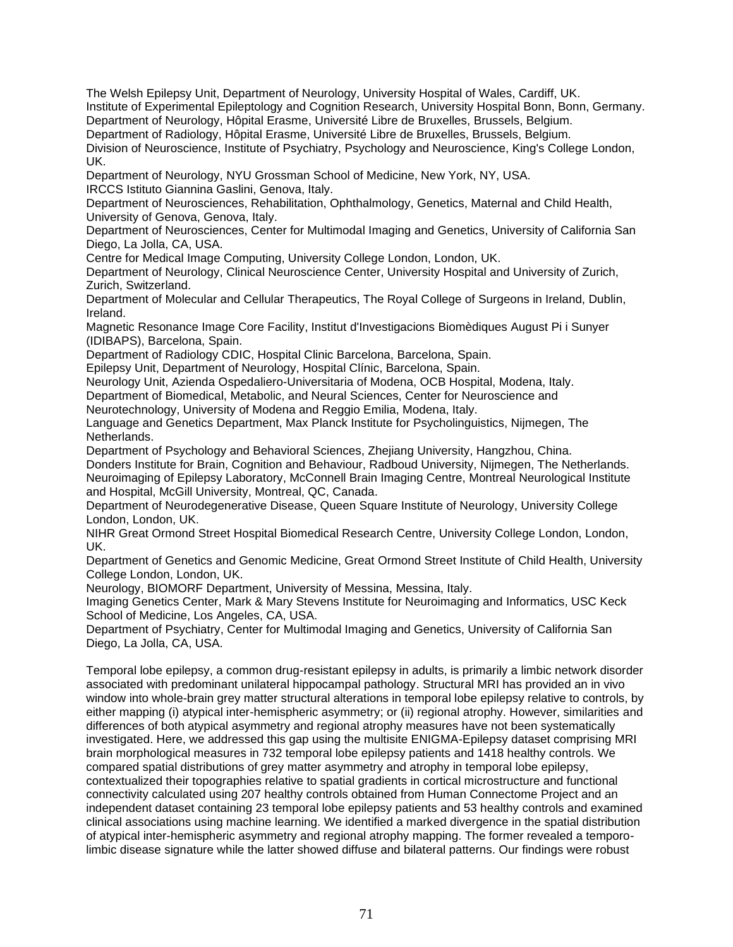The Welsh Epilepsy Unit, Department of Neurology, University Hospital of Wales, Cardiff, UK. Institute of Experimental Epileptology and Cognition Research, University Hospital Bonn, Bonn, Germany. Department of Neurology, Hôpital Erasme, Université Libre de Bruxelles, Brussels, Belgium. Department of Radiology, Hôpital Erasme, Université Libre de Bruxelles, Brussels, Belgium. Division of Neuroscience, Institute of Psychiatry, Psychology and Neuroscience, King's College London, UK.

Department of Neurology, NYU Grossman School of Medicine, New York, NY, USA. IRCCS Istituto Giannina Gaslini, Genova, Italy.

Department of Neurosciences, Rehabilitation, Ophthalmology, Genetics, Maternal and Child Health, University of Genova, Genova, Italy.

Department of Neurosciences, Center for Multimodal Imaging and Genetics, University of California San Diego, La Jolla, CA, USA.

Centre for Medical Image Computing, University College London, London, UK.

Department of Neurology, Clinical Neuroscience Center, University Hospital and University of Zurich, Zurich, Switzerland.

Department of Molecular and Cellular Therapeutics, The Royal College of Surgeons in Ireland, Dublin, Ireland.

Magnetic Resonance Image Core Facility, Institut d'Investigacions Biomèdiques August Pi i Sunyer (IDIBAPS), Barcelona, Spain.

Department of Radiology CDIC, Hospital Clinic Barcelona, Barcelona, Spain.

Epilepsy Unit, Department of Neurology, Hospital Clínic, Barcelona, Spain.

Neurology Unit, Azienda Ospedaliero-Universitaria of Modena, OCB Hospital, Modena, Italy.

Department of Biomedical, Metabolic, and Neural Sciences, Center for Neuroscience and

Neurotechnology, University of Modena and Reggio Emilia, Modena, Italy.

Language and Genetics Department, Max Planck Institute for Psycholinguistics, Nijmegen, The Netherlands.

Department of Psychology and Behavioral Sciences, Zhejiang University, Hangzhou, China.

Donders Institute for Brain, Cognition and Behaviour, Radboud University, Nijmegen, The Netherlands. Neuroimaging of Epilepsy Laboratory, McConnell Brain Imaging Centre, Montreal Neurological Institute

and Hospital, McGill University, Montreal, QC, Canada.

Department of Neurodegenerative Disease, Queen Square Institute of Neurology, University College London, London, UK.

NIHR Great Ormond Street Hospital Biomedical Research Centre, University College London, London, UK.

Department of Genetics and Genomic Medicine, Great Ormond Street Institute of Child Health, University College London, London, UK.

Neurology, BIOMORF Department, University of Messina, Messina, Italy.

Imaging Genetics Center, Mark & Mary Stevens Institute for Neuroimaging and Informatics, USC Keck School of Medicine, Los Angeles, CA, USA.

Department of Psychiatry, Center for Multimodal Imaging and Genetics, University of California San Diego, La Jolla, CA, USA.

Temporal lobe epilepsy, a common drug-resistant epilepsy in adults, is primarily a limbic network disorder associated with predominant unilateral hippocampal pathology. Structural MRI has provided an in vivo window into whole-brain grey matter structural alterations in temporal lobe epilepsy relative to controls, by either mapping (i) atypical inter-hemispheric asymmetry; or (ii) regional atrophy. However, similarities and differences of both atypical asymmetry and regional atrophy measures have not been systematically investigated. Here, we addressed this gap using the multisite ENIGMA-Epilepsy dataset comprising MRI brain morphological measures in 732 temporal lobe epilepsy patients and 1418 healthy controls. We compared spatial distributions of grey matter asymmetry and atrophy in temporal lobe epilepsy, contextualized their topographies relative to spatial gradients in cortical microstructure and functional connectivity calculated using 207 healthy controls obtained from Human Connectome Project and an independent dataset containing 23 temporal lobe epilepsy patients and 53 healthy controls and examined clinical associations using machine learning. We identified a marked divergence in the spatial distribution of atypical inter-hemispheric asymmetry and regional atrophy mapping. The former revealed a temporolimbic disease signature while the latter showed diffuse and bilateral patterns. Our findings were robust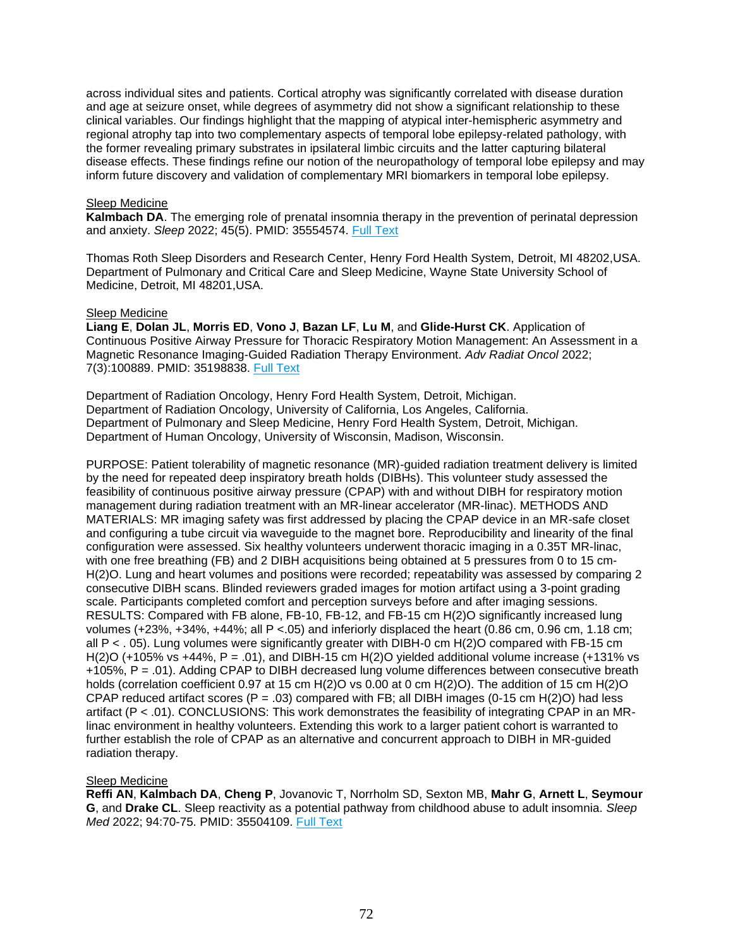across individual sites and patients. Cortical atrophy was significantly correlated with disease duration and age at seizure onset, while degrees of asymmetry did not show a significant relationship to these clinical variables. Our findings highlight that the mapping of atypical inter-hemispheric asymmetry and regional atrophy tap into two complementary aspects of temporal lobe epilepsy-related pathology, with the former revealing primary substrates in ipsilateral limbic circuits and the latter capturing bilateral disease effects. These findings refine our notion of the neuropathology of temporal lobe epilepsy and may inform future discovery and validation of complementary MRI biomarkers in temporal lobe epilepsy.

### Sleep Medicine

**Kalmbach DA**. The emerging role of prenatal insomnia therapy in the prevention of perinatal depression and anxiety. *Sleep* 2022; 45(5). PMID: 35554574. [Full Text](https://libkey.io/35554574)

Thomas Roth Sleep Disorders and Research Center, Henry Ford Health System, Detroit, MI 48202,USA. Department of Pulmonary and Critical Care and Sleep Medicine, Wayne State University School of Medicine, Detroit, MI 48201,USA.

#### Sleep Medicine

**Liang E**, **Dolan JL**, **Morris ED**, **Vono J**, **Bazan LF**, **Lu M**, and **Glide-Hurst CK**. Application of Continuous Positive Airway Pressure for Thoracic Respiratory Motion Management: An Assessment in a Magnetic Resonance Imaging-Guided Radiation Therapy Environment. *Adv Radiat Oncol* 2022; 7(3):100889. PMID: 35198838. [Full Text](https://libkey.io/35198838)

Department of Radiation Oncology, Henry Ford Health System, Detroit, Michigan. Department of Radiation Oncology, University of California, Los Angeles, California. Department of Pulmonary and Sleep Medicine, Henry Ford Health System, Detroit, Michigan. Department of Human Oncology, University of Wisconsin, Madison, Wisconsin.

PURPOSE: Patient tolerability of magnetic resonance (MR)-guided radiation treatment delivery is limited by the need for repeated deep inspiratory breath holds (DIBHs). This volunteer study assessed the feasibility of continuous positive airway pressure (CPAP) with and without DIBH for respiratory motion management during radiation treatment with an MR-linear accelerator (MR-linac). METHODS AND MATERIALS: MR imaging safety was first addressed by placing the CPAP device in an MR-safe closet and configuring a tube circuit via waveguide to the magnet bore. Reproducibility and linearity of the final configuration were assessed. Six healthy volunteers underwent thoracic imaging in a 0.35T MR-linac, with one free breathing (FB) and 2 DIBH acquisitions being obtained at 5 pressures from 0 to 15 cm-H(2)O. Lung and heart volumes and positions were recorded; repeatability was assessed by comparing 2 consecutive DIBH scans. Blinded reviewers graded images for motion artifact using a 3-point grading scale. Participants completed comfort and perception surveys before and after imaging sessions. RESULTS: Compared with FB alone, FB-10, FB-12, and FB-15 cm H(2)O significantly increased lung volumes (+23%, +34%, +44%; all P <.05) and inferiorly displaced the heart (0.86 cm, 0.96 cm, 1.18 cm; all P < . 05). Lung volumes were significantly greater with DIBH-0 cm H(2)O compared with FB-15 cm H(2)O (+105% vs +44%,  $P = .01$ ), and DIBH-15 cm H(2)O yielded additional volume increase (+131% vs +105%, P = .01). Adding CPAP to DIBH decreased lung volume differences between consecutive breath holds (correlation coefficient 0.97 at 15 cm H(2)O vs 0.00 at 0 cm H(2)O). The addition of 15 cm H(2)O CPAP reduced artifact scores ( $P = .03$ ) compared with FB; all DIBH images (0-15 cm H(2)O) had less artifact (P < .01). CONCLUSIONS: This work demonstrates the feasibility of integrating CPAP in an MRlinac environment in healthy volunteers. Extending this work to a larger patient cohort is warranted to further establish the role of CPAP as an alternative and concurrent approach to DIBH in MR-guided radiation therapy.

## Sleep Medicine

**Reffi AN**, **Kalmbach DA**, **Cheng P**, Jovanovic T, Norrholm SD, Sexton MB, **Mahr G**, **Arnett L**, **Seymour G**, and **Drake CL**. Sleep reactivity as a potential pathway from childhood abuse to adult insomnia. *Sleep Med* 2022; 94:70-75. PMID: 35504109. [Full Text](https://libkey.io/35504109)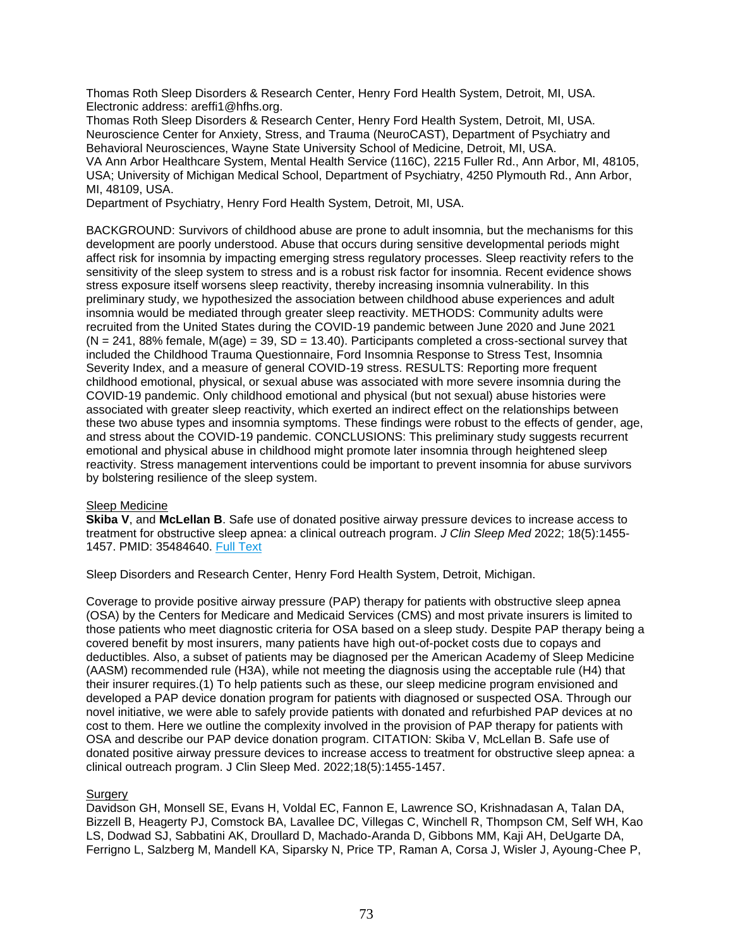Thomas Roth Sleep Disorders & Research Center, Henry Ford Health System, Detroit, MI, USA. Electronic address: areffi1@hfhs.org.

Thomas Roth Sleep Disorders & Research Center, Henry Ford Health System, Detroit, MI, USA. Neuroscience Center for Anxiety, Stress, and Trauma (NeuroCAST), Department of Psychiatry and Behavioral Neurosciences, Wayne State University School of Medicine, Detroit, MI, USA. VA Ann Arbor Healthcare System, Mental Health Service (116C), 2215 Fuller Rd., Ann Arbor, MI, 48105, USA; University of Michigan Medical School, Department of Psychiatry, 4250 Plymouth Rd., Ann Arbor, MI, 48109, USA.

Department of Psychiatry, Henry Ford Health System, Detroit, MI, USA.

BACKGROUND: Survivors of childhood abuse are prone to adult insomnia, but the mechanisms for this development are poorly understood. Abuse that occurs during sensitive developmental periods might affect risk for insomnia by impacting emerging stress regulatory processes. Sleep reactivity refers to the sensitivity of the sleep system to stress and is a robust risk factor for insomnia. Recent evidence shows stress exposure itself worsens sleep reactivity, thereby increasing insomnia vulnerability. In this preliminary study, we hypothesized the association between childhood abuse experiences and adult insomnia would be mediated through greater sleep reactivity. METHODS: Community adults were recruited from the United States during the COVID-19 pandemic between June 2020 and June 2021  $(N = 241, 88\%$  female,  $M(age) = 39, SD = 13.40$ . Participants completed a cross-sectional survey that included the Childhood Trauma Questionnaire, Ford Insomnia Response to Stress Test, Insomnia Severity Index, and a measure of general COVID-19 stress. RESULTS: Reporting more frequent childhood emotional, physical, or sexual abuse was associated with more severe insomnia during the COVID-19 pandemic. Only childhood emotional and physical (but not sexual) abuse histories were associated with greater sleep reactivity, which exerted an indirect effect on the relationships between these two abuse types and insomnia symptoms. These findings were robust to the effects of gender, age, and stress about the COVID-19 pandemic. CONCLUSIONS: This preliminary study suggests recurrent emotional and physical abuse in childhood might promote later insomnia through heightened sleep reactivity. Stress management interventions could be important to prevent insomnia for abuse survivors by bolstering resilience of the sleep system.

# Sleep Medicine

**Skiba V**, and **McLellan B**. Safe use of donated positive airway pressure devices to increase access to treatment for obstructive sleep apnea: a clinical outreach program. *J Clin Sleep Med* 2022; 18(5):1455- 1457. PMID: 35484640. [Full Text](https://libkey.io/35484640)

Sleep Disorders and Research Center, Henry Ford Health System, Detroit, Michigan.

Coverage to provide positive airway pressure (PAP) therapy for patients with obstructive sleep apnea (OSA) by the Centers for Medicare and Medicaid Services (CMS) and most private insurers is limited to those patients who meet diagnostic criteria for OSA based on a sleep study. Despite PAP therapy being a covered benefit by most insurers, many patients have high out-of-pocket costs due to copays and deductibles. Also, a subset of patients may be diagnosed per the American Academy of Sleep Medicine (AASM) recommended rule (H3A), while not meeting the diagnosis using the acceptable rule (H4) that their insurer requires.(1) To help patients such as these, our sleep medicine program envisioned and developed a PAP device donation program for patients with diagnosed or suspected OSA. Through our novel initiative, we were able to safely provide patients with donated and refurbished PAP devices at no cost to them. Here we outline the complexity involved in the provision of PAP therapy for patients with OSA and describe our PAP device donation program. CITATION: Skiba V, McLellan B. Safe use of donated positive airway pressure devices to increase access to treatment for obstructive sleep apnea: a clinical outreach program. J Clin Sleep Med. 2022;18(5):1455-1457.

# **Surgery**

Davidson GH, Monsell SE, Evans H, Voldal EC, Fannon E, Lawrence SO, Krishnadasan A, Talan DA, Bizzell B, Heagerty PJ, Comstock BA, Lavallee DC, Villegas C, Winchell R, Thompson CM, Self WH, Kao LS, Dodwad SJ, Sabbatini AK, Droullard D, Machado-Aranda D, Gibbons MM, Kaji AH, DeUgarte DA, Ferrigno L, Salzberg M, Mandell KA, Siparsky N, Price TP, Raman A, Corsa J, Wisler J, Ayoung-Chee P,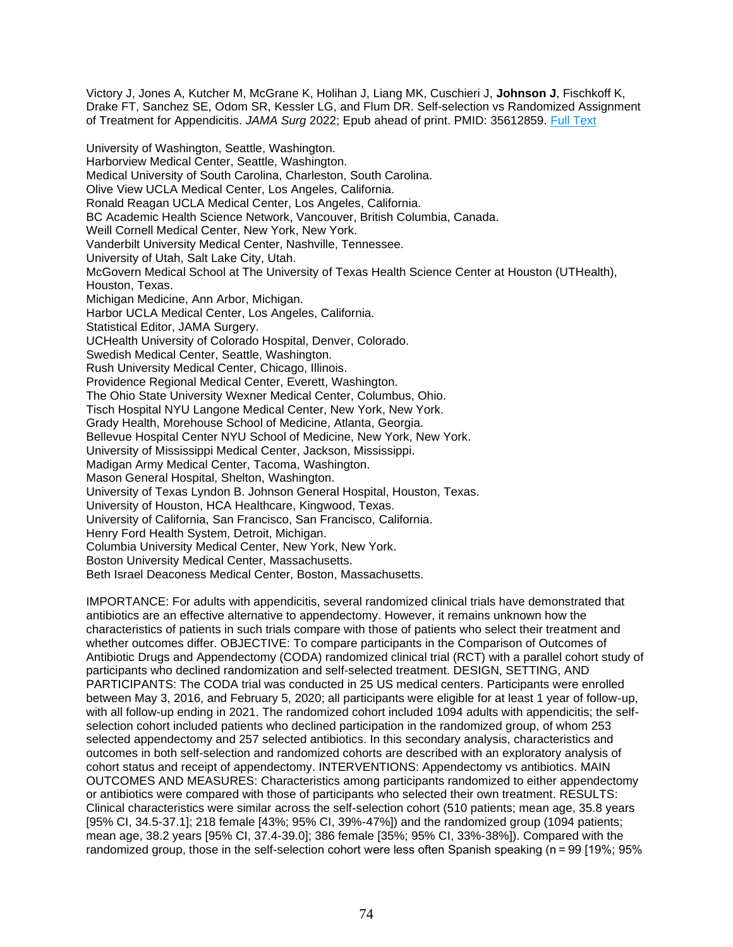Victory J, Jones A, Kutcher M, McGrane K, Holihan J, Liang MK, Cuschieri J, **Johnson J**, Fischkoff K, Drake FT, Sanchez SE, Odom SR, Kessler LG, and Flum DR. Self-selection vs Randomized Assignment of Treatment for Appendicitis. *JAMA Surg* 2022; Epub ahead of print. PMID: 35612859. [Full Text](https://libkey.io/35612859)

University of Washington, Seattle, Washington. Harborview Medical Center, Seattle, Washington. Medical University of South Carolina, Charleston, South Carolina. Olive View UCLA Medical Center, Los Angeles, California. Ronald Reagan UCLA Medical Center, Los Angeles, California. BC Academic Health Science Network, Vancouver, British Columbia, Canada. Weill Cornell Medical Center, New York, New York. Vanderbilt University Medical Center, Nashville, Tennessee. University of Utah, Salt Lake City, Utah. McGovern Medical School at The University of Texas Health Science Center at Houston (UTHealth), Houston, Texas. Michigan Medicine, Ann Arbor, Michigan. Harbor UCLA Medical Center, Los Angeles, California. Statistical Editor, JAMA Surgery. UCHealth University of Colorado Hospital, Denver, Colorado. Swedish Medical Center, Seattle, Washington. Rush University Medical Center, Chicago, Illinois. Providence Regional Medical Center, Everett, Washington. The Ohio State University Wexner Medical Center, Columbus, Ohio. Tisch Hospital NYU Langone Medical Center, New York, New York. Grady Health, Morehouse School of Medicine, Atlanta, Georgia. Bellevue Hospital Center NYU School of Medicine, New York, New York. University of Mississippi Medical Center, Jackson, Mississippi. Madigan Army Medical Center, Tacoma, Washington. Mason General Hospital, Shelton, Washington. University of Texas Lyndon B. Johnson General Hospital, Houston, Texas. University of Houston, HCA Healthcare, Kingwood, Texas. University of California, San Francisco, San Francisco, California. Henry Ford Health System, Detroit, Michigan. Columbia University Medical Center, New York, New York. Boston University Medical Center, Massachusetts. Beth Israel Deaconess Medical Center, Boston, Massachusetts.

IMPORTANCE: For adults with appendicitis, several randomized clinical trials have demonstrated that antibiotics are an effective alternative to appendectomy. However, it remains unknown how the characteristics of patients in such trials compare with those of patients who select their treatment and whether outcomes differ. OBJECTIVE: To compare participants in the Comparison of Outcomes of Antibiotic Drugs and Appendectomy (CODA) randomized clinical trial (RCT) with a parallel cohort study of participants who declined randomization and self-selected treatment. DESIGN, SETTING, AND PARTICIPANTS: The CODA trial was conducted in 25 US medical centers. Participants were enrolled between May 3, 2016, and February 5, 2020; all participants were eligible for at least 1 year of follow-up, with all follow-up ending in 2021. The randomized cohort included 1094 adults with appendicitis; the selfselection cohort included patients who declined participation in the randomized group, of whom 253 selected appendectomy and 257 selected antibiotics. In this secondary analysis, characteristics and outcomes in both self-selection and randomized cohorts are described with an exploratory analysis of cohort status and receipt of appendectomy. INTERVENTIONS: Appendectomy vs antibiotics. MAIN OUTCOMES AND MEASURES: Characteristics among participants randomized to either appendectomy or antibiotics were compared with those of participants who selected their own treatment. RESULTS: Clinical characteristics were similar across the self-selection cohort (510 patients; mean age, 35.8 years [95% CI, 34.5-37.1]; 218 female [43%; 95% CI, 39%-47%]) and the randomized group (1094 patients; mean age, 38.2 years [95% CI, 37.4-39.0]; 386 female [35%; 95% CI, 33%-38%]). Compared with the randomized group, those in the self-selection cohort were less often Spanish speaking (n = 99 [19%; 95%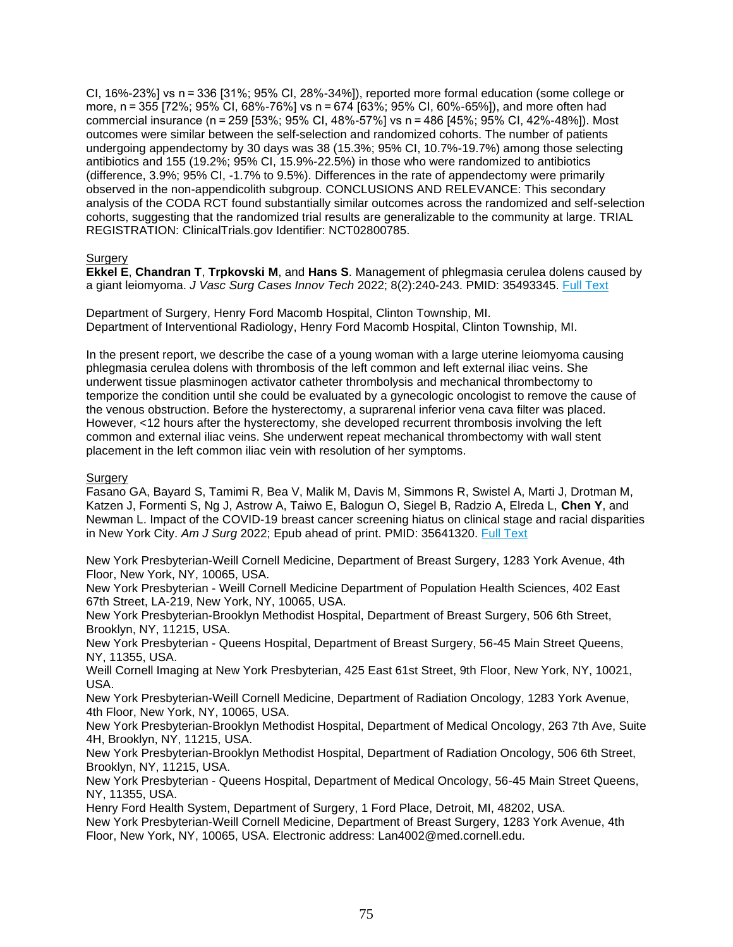CI, 16%-23%] vs n = 336 [31%; 95% CI, 28%-34%]), reported more formal education (some college or more, n = 355 [72%; 95% CI, 68%-76%] vs n = 674 [63%; 95% CI, 60%-65%]), and more often had commercial insurance (n = 259 [53%; 95% CI, 48%-57%] vs n = 486 [45%; 95% CI, 42%-48%]). Most outcomes were similar between the self-selection and randomized cohorts. The number of patients undergoing appendectomy by 30 days was 38 (15.3%; 95% CI, 10.7%-19.7%) among those selecting antibiotics and 155 (19.2%; 95% CI, 15.9%-22.5%) in those who were randomized to antibiotics (difference, 3.9%; 95% CI, -1.7% to 9.5%). Differences in the rate of appendectomy were primarily observed in the non-appendicolith subgroup. CONCLUSIONS AND RELEVANCE: This secondary analysis of the CODA RCT found substantially similar outcomes across the randomized and self-selection cohorts, suggesting that the randomized trial results are generalizable to the community at large. TRIAL REGISTRATION: ClinicalTrials.gov Identifier: NCT02800785.

# **Surgery**

**Ekkel E**, **Chandran T**, **Trpkovski M**, and **Hans S**. Management of phlegmasia cerulea dolens caused by a giant leiomyoma. *J Vasc Surg Cases Innov Tech* 2022; 8(2):240-243. PMID: 35493345. [Full Text](https://libkey.io/35493345)

Department of Surgery, Henry Ford Macomb Hospital, Clinton Township, MI. Department of Interventional Radiology, Henry Ford Macomb Hospital, Clinton Township, MI.

In the present report, we describe the case of a young woman with a large uterine leiomyoma causing phlegmasia cerulea dolens with thrombosis of the left common and left external iliac veins. She underwent tissue plasminogen activator catheter thrombolysis and mechanical thrombectomy to temporize the condition until she could be evaluated by a gynecologic oncologist to remove the cause of the venous obstruction. Before the hysterectomy, a suprarenal inferior vena cava filter was placed. However, <12 hours after the hysterectomy, she developed recurrent thrombosis involving the left common and external iliac veins. She underwent repeat mechanical thrombectomy with wall stent placement in the left common iliac vein with resolution of her symptoms.

# Surgery

Fasano GA, Bayard S, Tamimi R, Bea V, Malik M, Davis M, Simmons R, Swistel A, Marti J, Drotman M, Katzen J, Formenti S, Ng J, Astrow A, Taiwo E, Balogun O, Siegel B, Radzio A, Elreda L, **Chen Y**, and Newman L. Impact of the COVID-19 breast cancer screening hiatus on clinical stage and racial disparities in New York City. *Am J Surg* 2022; Epub ahead of print. PMID: 35641320. [Full Text](https://libkey.io/35641320)

New York Presbyterian-Weill Cornell Medicine, Department of Breast Surgery, 1283 York Avenue, 4th Floor, New York, NY, 10065, USA.

New York Presbyterian - Weill Cornell Medicine Department of Population Health Sciences, 402 East 67th Street, LA-219, New York, NY, 10065, USA.

New York Presbyterian-Brooklyn Methodist Hospital, Department of Breast Surgery, 506 6th Street, Brooklyn, NY, 11215, USA.

New York Presbyterian - Queens Hospital, Department of Breast Surgery, 56-45 Main Street Queens, NY, 11355, USA.

Weill Cornell Imaging at New York Presbyterian, 425 East 61st Street, 9th Floor, New York, NY, 10021, USA.

New York Presbyterian-Weill Cornell Medicine, Department of Radiation Oncology, 1283 York Avenue, 4th Floor, New York, NY, 10065, USA.

New York Presbyterian-Brooklyn Methodist Hospital, Department of Medical Oncology, 263 7th Ave, Suite 4H, Brooklyn, NY, 11215, USA.

New York Presbyterian-Brooklyn Methodist Hospital, Department of Radiation Oncology, 506 6th Street, Brooklyn, NY, 11215, USA.

New York Presbyterian - Queens Hospital, Department of Medical Oncology, 56-45 Main Street Queens, NY, 11355, USA.

Henry Ford Health System, Department of Surgery, 1 Ford Place, Detroit, MI, 48202, USA. New York Presbyterian-Weill Cornell Medicine, Department of Breast Surgery, 1283 York Avenue, 4th

Floor, New York, NY, 10065, USA. Electronic address: Lan4002@med.cornell.edu.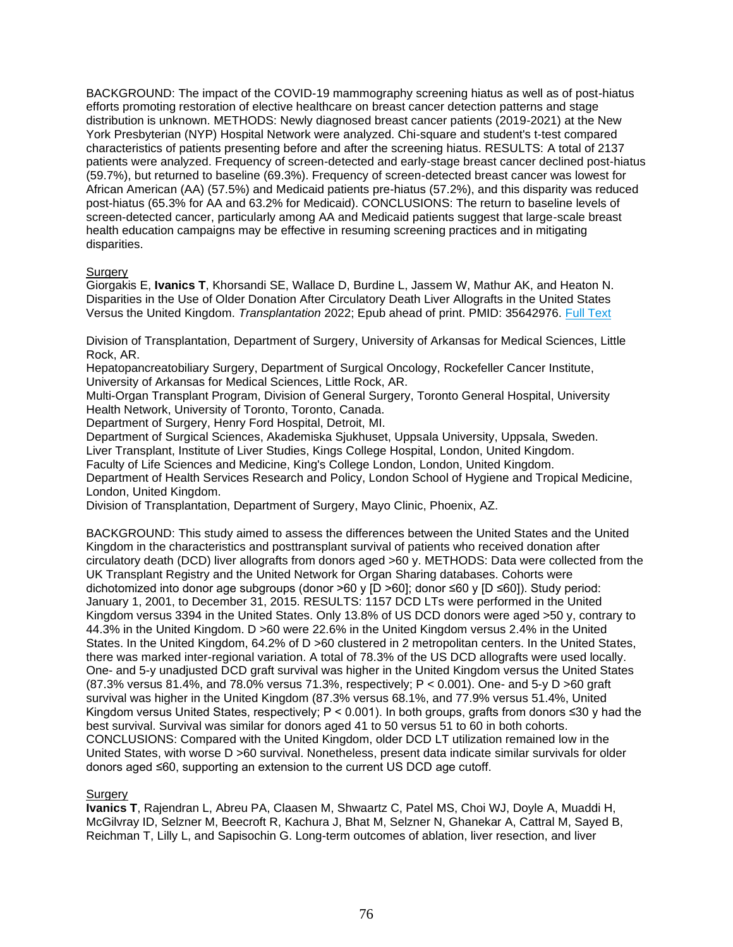BACKGROUND: The impact of the COVID-19 mammography screening hiatus as well as of post-hiatus efforts promoting restoration of elective healthcare on breast cancer detection patterns and stage distribution is unknown. METHODS: Newly diagnosed breast cancer patients (2019-2021) at the New York Presbyterian (NYP) Hospital Network were analyzed. Chi-square and student's t-test compared characteristics of patients presenting before and after the screening hiatus. RESULTS: A total of 2137 patients were analyzed. Frequency of screen-detected and early-stage breast cancer declined post-hiatus (59.7%), but returned to baseline (69.3%). Frequency of screen-detected breast cancer was lowest for African American (AA) (57.5%) and Medicaid patients pre-hiatus (57.2%), and this disparity was reduced post-hiatus (65.3% for AA and 63.2% for Medicaid). CONCLUSIONS: The return to baseline levels of screen-detected cancer, particularly among AA and Medicaid patients suggest that large-scale breast health education campaigns may be effective in resuming screening practices and in mitigating disparities.

# **Surgery**

Giorgakis E, **Ivanics T**, Khorsandi SE, Wallace D, Burdine L, Jassem W, Mathur AK, and Heaton N. Disparities in the Use of Older Donation After Circulatory Death Liver Allografts in the United States Versus the United Kingdom. *Transplantation* 2022; Epub ahead of print. PMID: 35642976. [Full Text](https://libkey.io/35642976)

Division of Transplantation, Department of Surgery, University of Arkansas for Medical Sciences, Little Rock, AR.

Hepatopancreatobiliary Surgery, Department of Surgical Oncology, Rockefeller Cancer Institute, University of Arkansas for Medical Sciences, Little Rock, AR.

Multi-Organ Transplant Program, Division of General Surgery, Toronto General Hospital, University Health Network, University of Toronto, Toronto, Canada.

Department of Surgery, Henry Ford Hospital, Detroit, MI.

Department of Surgical Sciences, Akademiska Sjukhuset, Uppsala University, Uppsala, Sweden. Liver Transplant, Institute of Liver Studies, Kings College Hospital, London, United Kingdom.

Faculty of Life Sciences and Medicine, King's College London, London, United Kingdom. Department of Health Services Research and Policy, London School of Hygiene and Tropical Medicine, London, United Kingdom.

Division of Transplantation, Department of Surgery, Mayo Clinic, Phoenix, AZ.

BACKGROUND: This study aimed to assess the differences between the United States and the United Kingdom in the characteristics and posttransplant survival of patients who received donation after circulatory death (DCD) liver allografts from donors aged >60 y. METHODS: Data were collected from the UK Transplant Registry and the United Network for Organ Sharing databases. Cohorts were dichotomized into donor age subgroups (donor >60 y [D >60]; donor ≤60 y [D ≤60]). Study period: January 1, 2001, to December 31, 2015. RESULTS: 1157 DCD LTs were performed in the United Kingdom versus 3394 in the United States. Only 13.8% of US DCD donors were aged >50 y, contrary to 44.3% in the United Kingdom. D >60 were 22.6% in the United Kingdom versus 2.4% in the United States. In the United Kingdom, 64.2% of D >60 clustered in 2 metropolitan centers. In the United States, there was marked inter-regional variation. A total of 78.3% of the US DCD allografts were used locally. One- and 5-y unadjusted DCD graft survival was higher in the United Kingdom versus the United States (87.3% versus 81.4%, and 78.0% versus 71.3%, respectively; P < 0.001). One- and 5-y D >60 graft survival was higher in the United Kingdom (87.3% versus 68.1%, and 77.9% versus 51.4%, United Kingdom versus United States, respectively; P < 0.001). In both groups, grafts from donors ≤30 y had the best survival. Survival was similar for donors aged 41 to 50 versus 51 to 60 in both cohorts. CONCLUSIONS: Compared with the United Kingdom, older DCD LT utilization remained low in the United States, with worse D >60 survival. Nonetheless, present data indicate similar survivals for older donors aged ≤60, supporting an extension to the current US DCD age cutoff.

# **Surgery**

**Ivanics T**, Rajendran L, Abreu PA, Claasen M, Shwaartz C, Patel MS, Choi WJ, Doyle A, Muaddi H, McGilvray ID, Selzner M, Beecroft R, Kachura J, Bhat M, Selzner N, Ghanekar A, Cattral M, Sayed B, Reichman T, Lilly L, and Sapisochin G. Long-term outcomes of ablation, liver resection, and liver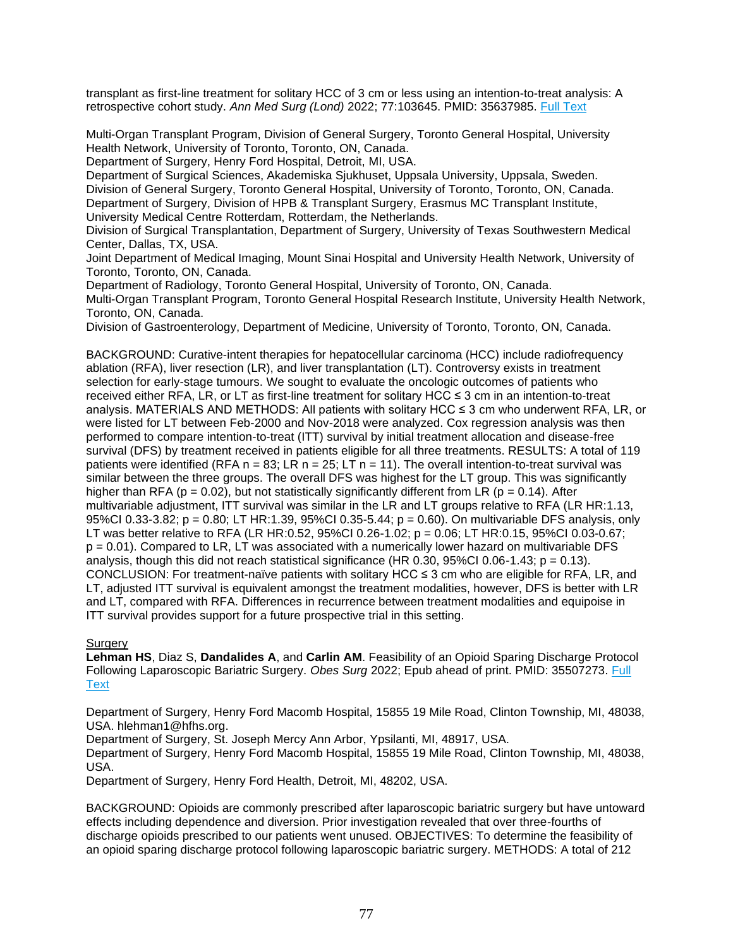transplant as first-line treatment for solitary HCC of 3 cm or less using an intention-to-treat analysis: A retrospective cohort study. *Ann Med Surg (Lond)* 2022; 77:103645. PMID: 35637985. [Full Text](https://libkey.io/35637985)

Multi-Organ Transplant Program, Division of General Surgery, Toronto General Hospital, University Health Network, University of Toronto, Toronto, ON, Canada.

Department of Surgery, Henry Ford Hospital, Detroit, MI, USA.

Department of Surgical Sciences, Akademiska Sjukhuset, Uppsala University, Uppsala, Sweden. Division of General Surgery, Toronto General Hospital, University of Toronto, Toronto, ON, Canada. Department of Surgery, Division of HPB & Transplant Surgery, Erasmus MC Transplant Institute, University Medical Centre Rotterdam, Rotterdam, the Netherlands.

Division of Surgical Transplantation, Department of Surgery, University of Texas Southwestern Medical Center, Dallas, TX, USA.

Joint Department of Medical Imaging, Mount Sinai Hospital and University Health Network, University of Toronto, Toronto, ON, Canada.

Department of Radiology, Toronto General Hospital, University of Toronto, ON, Canada.

Multi-Organ Transplant Program, Toronto General Hospital Research Institute, University Health Network, Toronto, ON, Canada.

Division of Gastroenterology, Department of Medicine, University of Toronto, Toronto, ON, Canada.

BACKGROUND: Curative-intent therapies for hepatocellular carcinoma (HCC) include radiofrequency ablation (RFA), liver resection (LR), and liver transplantation (LT). Controversy exists in treatment selection for early-stage tumours. We sought to evaluate the oncologic outcomes of patients who received either RFA, LR, or LT as first-line treatment for solitary HCC ≤ 3 cm in an intention-to-treat analysis. MATERIALS AND METHODS: All patients with solitary HCC ≤ 3 cm who underwent RFA, LR, or were listed for LT between Feb-2000 and Nov-2018 were analyzed. Cox regression analysis was then performed to compare intention-to-treat (ITT) survival by initial treatment allocation and disease-free survival (DFS) by treatment received in patients eligible for all three treatments. RESULTS: A total of 119 patients were identified (RFA  $n = 83$ ; LR  $n = 25$ ; LT  $n = 11$ ). The overall intention-to-treat survival was similar between the three groups. The overall DFS was highest for the LT group. This was significantly higher than RFA ( $p = 0.02$ ), but not statistically significantly different from LR ( $p = 0.14$ ). After multivariable adjustment, ITT survival was similar in the LR and LT groups relative to RFA (LR HR:1.13, 95%CI 0.33-3.82; p = 0.80; LT HR:1.39, 95%CI 0.35-5.44; p = 0.60). On multivariable DFS analysis, only LT was better relative to RFA (LR HR:0.52, 95%CI 0.26-1.02; p = 0.06; LT HR:0.15, 95%CI 0.03-0.67;  $p = 0.01$ ). Compared to LR, LT was associated with a numerically lower hazard on multivariable DFS analysis, though this did not reach statistical significance (HR 0.30, 95%CI 0.06-1.43;  $p = 0.13$ ). CONCLUSION: For treatment-naïve patients with solitary HCC ≤ 3 cm who are eligible for RFA, LR, and LT, adjusted ITT survival is equivalent amongst the treatment modalities, however, DFS is better with LR and LT, compared with RFA. Differences in recurrence between treatment modalities and equipoise in ITT survival provides support for a future prospective trial in this setting.

# **Surgery**

**Lehman HS**, Diaz S, **Dandalides A**, and **Carlin AM**. Feasibility of an Opioid Sparing Discharge Protocol Following Laparoscopic Bariatric Surgery. *Obes Surg* 2022; Epub ahead of print. PMID: 35507273. [Full](https://libkey.io/35507273)  **[Text](https://libkey.io/35507273)** 

Department of Surgery, Henry Ford Macomb Hospital, 15855 19 Mile Road, Clinton Township, MI, 48038, USA. hlehman1@hfhs.org.

Department of Surgery, St. Joseph Mercy Ann Arbor, Ypsilanti, MI, 48917, USA.

Department of Surgery, Henry Ford Macomb Hospital, 15855 19 Mile Road, Clinton Township, MI, 48038, USA.

Department of Surgery, Henry Ford Health, Detroit, MI, 48202, USA.

BACKGROUND: Opioids are commonly prescribed after laparoscopic bariatric surgery but have untoward effects including dependence and diversion. Prior investigation revealed that over three-fourths of discharge opioids prescribed to our patients went unused. OBJECTIVES: To determine the feasibility of an opioid sparing discharge protocol following laparoscopic bariatric surgery. METHODS: A total of 212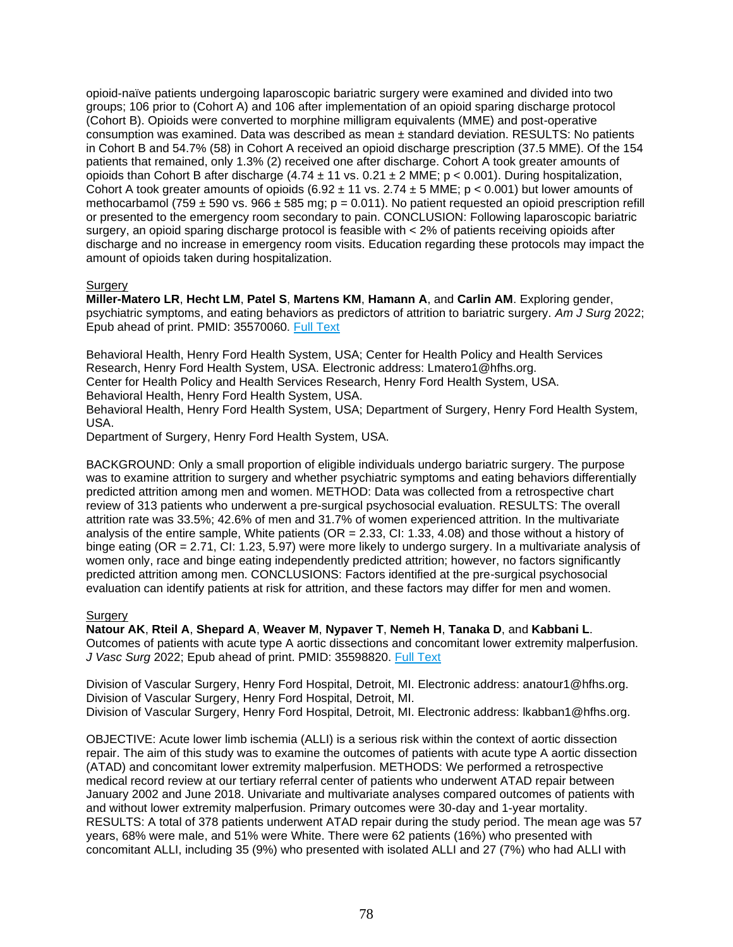opioid-naïve patients undergoing laparoscopic bariatric surgery were examined and divided into two groups; 106 prior to (Cohort A) and 106 after implementation of an opioid sparing discharge protocol (Cohort B). Opioids were converted to morphine milligram equivalents (MME) and post-operative consumption was examined. Data was described as mean ± standard deviation. RESULTS: No patients in Cohort B and 54.7% (58) in Cohort A received an opioid discharge prescription (37.5 MME). Of the 154 patients that remained, only 1.3% (2) received one after discharge. Cohort A took greater amounts of opioids than Cohort B after discharge  $(4.74 \pm 11 \text{ vs. } 0.21 \pm 2 \text{ MME}; p < 0.001)$ . During hospitalization, Cohort A took greater amounts of opioids  $(6.92 \pm 11 \text{ vs. } 2.74 \pm 5 \text{ MHz}; p < 0.001)$  but lower amounts of methocarbamol (759  $\pm$  590 vs. 966  $\pm$  585 mg; p = 0.011). No patient requested an opioid prescription refill or presented to the emergency room secondary to pain. CONCLUSION: Following laparoscopic bariatric surgery, an opioid sparing discharge protocol is feasible with < 2% of patients receiving opioids after discharge and no increase in emergency room visits. Education regarding these protocols may impact the amount of opioids taken during hospitalization.

# **Surgery**

**Miller-Matero LR**, **Hecht LM**, **Patel S**, **Martens KM**, **Hamann A**, and **Carlin AM**. Exploring gender, psychiatric symptoms, and eating behaviors as predictors of attrition to bariatric surgery. *Am J Surg* 2022; Epub ahead of print. PMID: 35570060. [Full Text](https://libkey.io/35570060)

Behavioral Health, Henry Ford Health System, USA; Center for Health Policy and Health Services Research, Henry Ford Health System, USA. Electronic address: Lmatero1@hfhs.org. Center for Health Policy and Health Services Research, Henry Ford Health System, USA. Behavioral Health, Henry Ford Health System, USA. Behavioral Health, Henry Ford Health System, USA; Department of Surgery, Henry Ford Health System, USA.

Department of Surgery, Henry Ford Health System, USA.

BACKGROUND: Only a small proportion of eligible individuals undergo bariatric surgery. The purpose was to examine attrition to surgery and whether psychiatric symptoms and eating behaviors differentially predicted attrition among men and women. METHOD: Data was collected from a retrospective chart review of 313 patients who underwent a pre-surgical psychosocial evaluation. RESULTS: The overall attrition rate was 33.5%; 42.6% of men and 31.7% of women experienced attrition. In the multivariate analysis of the entire sample, White patients (OR = 2.33, CI: 1.33, 4.08) and those without a history of binge eating (OR = 2.71, CI: 1.23, 5.97) were more likely to undergo surgery. In a multivariate analysis of women only, race and binge eating independently predicted attrition; however, no factors significantly predicted attrition among men. CONCLUSIONS: Factors identified at the pre-surgical psychosocial evaluation can identify patients at risk for attrition, and these factors may differ for men and women.

# **Surgery**

**Natour AK**, **Rteil A**, **Shepard A**, **Weaver M**, **Nypaver T**, **Nemeh H**, **Tanaka D**, and **Kabbani L**. Outcomes of patients with acute type A aortic dissections and concomitant lower extremity malperfusion. *J Vasc Surg* 2022; Epub ahead of print. PMID: 35598820. [Full Text](https://libkey.io/35598820)

Division of Vascular Surgery, Henry Ford Hospital, Detroit, MI. Electronic address: anatour1@hfhs.org. Division of Vascular Surgery, Henry Ford Hospital, Detroit, MI. Division of Vascular Surgery, Henry Ford Hospital, Detroit, MI. Electronic address: lkabban1@hfhs.org.

OBJECTIVE: Acute lower limb ischemia (ALLI) is a serious risk within the context of aortic dissection repair. The aim of this study was to examine the outcomes of patients with acute type A aortic dissection (ATAD) and concomitant lower extremity malperfusion. METHODS: We performed a retrospective medical record review at our tertiary referral center of patients who underwent ATAD repair between January 2002 and June 2018. Univariate and multivariate analyses compared outcomes of patients with and without lower extremity malperfusion. Primary outcomes were 30-day and 1-year mortality. RESULTS: A total of 378 patients underwent ATAD repair during the study period. The mean age was 57 years, 68% were male, and 51% were White. There were 62 patients (16%) who presented with concomitant ALLI, including 35 (9%) who presented with isolated ALLI and 27 (7%) who had ALLI with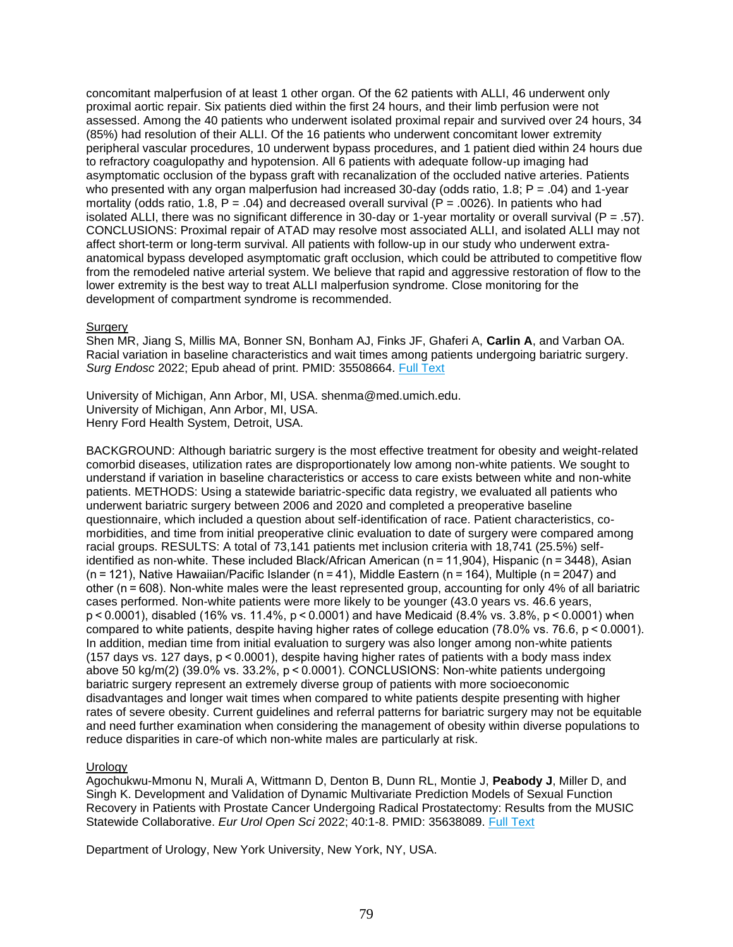concomitant malperfusion of at least 1 other organ. Of the 62 patients with ALLI, 46 underwent only proximal aortic repair. Six patients died within the first 24 hours, and their limb perfusion were not assessed. Among the 40 patients who underwent isolated proximal repair and survived over 24 hours, 34 (85%) had resolution of their ALLI. Of the 16 patients who underwent concomitant lower extremity peripheral vascular procedures, 10 underwent bypass procedures, and 1 patient died within 24 hours due to refractory coagulopathy and hypotension. All 6 patients with adequate follow-up imaging had asymptomatic occlusion of the bypass graft with recanalization of the occluded native arteries. Patients who presented with any organ malperfusion had increased 30-day (odds ratio, 1.8;  $P = .04$ ) and 1-year mortality (odds ratio, 1.8,  $P = .04$ ) and decreased overall survival ( $P = .0026$ ). In patients who had isolated ALLI, there was no significant difference in 30-day or 1-year mortality or overall survival (P = .57). CONCLUSIONS: Proximal repair of ATAD may resolve most associated ALLI, and isolated ALLI may not affect short-term or long-term survival. All patients with follow-up in our study who underwent extraanatomical bypass developed asymptomatic graft occlusion, which could be attributed to competitive flow from the remodeled native arterial system. We believe that rapid and aggressive restoration of flow to the lower extremity is the best way to treat ALLI malperfusion syndrome. Close monitoring for the development of compartment syndrome is recommended.

### **Surgery**

Shen MR, Jiang S, Millis MA, Bonner SN, Bonham AJ, Finks JF, Ghaferi A, **Carlin A**, and Varban OA. Racial variation in baseline characteristics and wait times among patients undergoing bariatric surgery. *Surg Endosc* 2022; Epub ahead of print. PMID: 35508664. [Full Text](https://libkey.io/35508664)

University of Michigan, Ann Arbor, MI, USA. shenma@med.umich.edu. University of Michigan, Ann Arbor, MI, USA. Henry Ford Health System, Detroit, USA.

BACKGROUND: Although bariatric surgery is the most effective treatment for obesity and weight-related comorbid diseases, utilization rates are disproportionately low among non-white patients. We sought to understand if variation in baseline characteristics or access to care exists between white and non-white patients. METHODS: Using a statewide bariatric-specific data registry, we evaluated all patients who underwent bariatric surgery between 2006 and 2020 and completed a preoperative baseline questionnaire, which included a question about self-identification of race. Patient characteristics, comorbidities, and time from initial preoperative clinic evaluation to date of surgery were compared among racial groups. RESULTS: A total of 73,141 patients met inclusion criteria with 18,741 (25.5%) selfidentified as non-white. These included Black/African American (n = 11,904), Hispanic (n = 3448), Asian (n = 121), Native Hawaiian/Pacific Islander (n = 41), Middle Eastern (n = 164), Multiple (n = 2047) and other (n = 608). Non-white males were the least represented group, accounting for only 4% of all bariatric cases performed. Non-white patients were more likely to be younger (43.0 years vs. 46.6 years, p < 0.0001), disabled (16% vs. 11.4%, p < 0.0001) and have Medicaid (8.4% vs. 3.8%, p < 0.0001) when compared to white patients, despite having higher rates of college education (78.0% vs. 76.6, p < 0.0001). In addition, median time from initial evaluation to surgery was also longer among non-white patients (157 days vs. 127 days, p < 0.0001), despite having higher rates of patients with a body mass index above 50 kg/m(2) (39.0% vs. 33.2%, p < 0.0001). CONCLUSIONS: Non-white patients undergoing bariatric surgery represent an extremely diverse group of patients with more socioeconomic disadvantages and longer wait times when compared to white patients despite presenting with higher rates of severe obesity. Current guidelines and referral patterns for bariatric surgery may not be equitable and need further examination when considering the management of obesity within diverse populations to reduce disparities in care-of which non-white males are particularly at risk.

# **Urology**

Agochukwu-Mmonu N, Murali A, Wittmann D, Denton B, Dunn RL, Montie J, **Peabody J**, Miller D, and Singh K. Development and Validation of Dynamic Multivariate Prediction Models of Sexual Function Recovery in Patients with Prostate Cancer Undergoing Radical Prostatectomy: Results from the MUSIC Statewide Collaborative. *Eur Urol Open Sci* 2022; 40:1-8. PMID: 35638089. [Full Text](https://libkey.io/35638089)

Department of Urology, New York University, New York, NY, USA.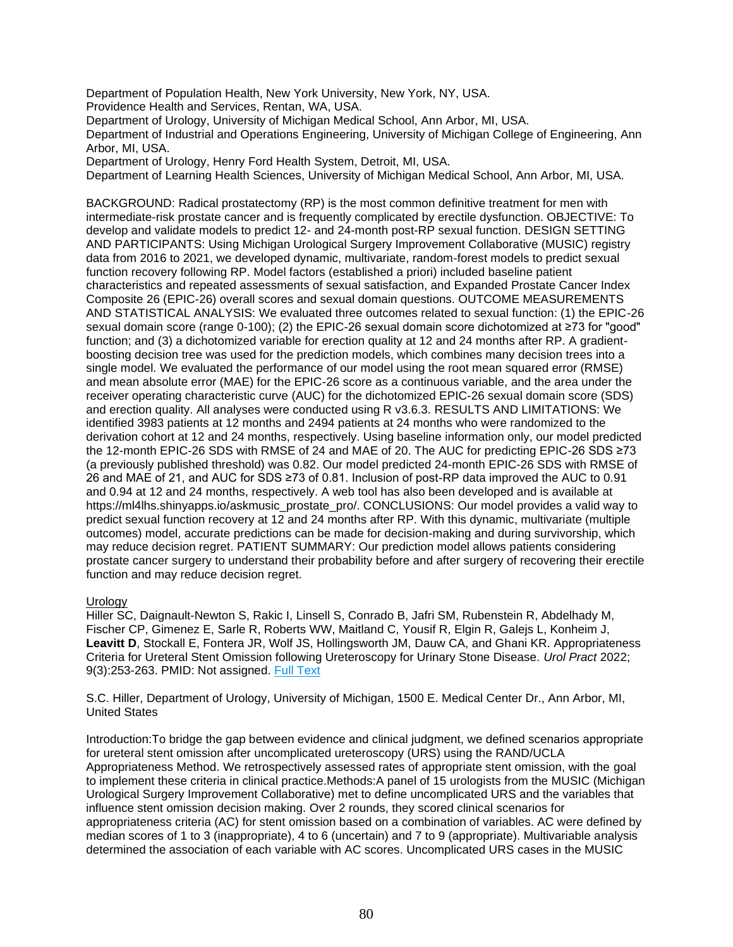Department of Population Health, New York University, New York, NY, USA.

Providence Health and Services, Rentan, WA, USA.

Department of Urology, University of Michigan Medical School, Ann Arbor, MI, USA.

Department of Industrial and Operations Engineering, University of Michigan College of Engineering, Ann Arbor, MI, USA.

Department of Urology, Henry Ford Health System, Detroit, MI, USA.

Department of Learning Health Sciences, University of Michigan Medical School, Ann Arbor, MI, USA.

BACKGROUND: Radical prostatectomy (RP) is the most common definitive treatment for men with intermediate-risk prostate cancer and is frequently complicated by erectile dysfunction. OBJECTIVE: To develop and validate models to predict 12- and 24-month post-RP sexual function. DESIGN SETTING AND PARTICIPANTS: Using Michigan Urological Surgery Improvement Collaborative (MUSIC) registry data from 2016 to 2021, we developed dynamic, multivariate, random-forest models to predict sexual function recovery following RP. Model factors (established a priori) included baseline patient characteristics and repeated assessments of sexual satisfaction, and Expanded Prostate Cancer Index Composite 26 (EPIC-26) overall scores and sexual domain questions. OUTCOME MEASUREMENTS AND STATISTICAL ANALYSIS: We evaluated three outcomes related to sexual function: (1) the EPIC-26 sexual domain score (range 0-100); (2) the EPIC-26 sexual domain score dichotomized at ≥73 for "good" function; and (3) a dichotomized variable for erection quality at 12 and 24 months after RP. A gradientboosting decision tree was used for the prediction models, which combines many decision trees into a single model. We evaluated the performance of our model using the root mean squared error (RMSE) and mean absolute error (MAE) for the EPIC-26 score as a continuous variable, and the area under the receiver operating characteristic curve (AUC) for the dichotomized EPIC-26 sexual domain score (SDS) and erection quality. All analyses were conducted using R v3.6.3. RESULTS AND LIMITATIONS: We identified 3983 patients at 12 months and 2494 patients at 24 months who were randomized to the derivation cohort at 12 and 24 months, respectively. Using baseline information only, our model predicted the 12-month EPIC-26 SDS with RMSE of 24 and MAE of 20. The AUC for predicting EPIC-26 SDS ≥73 (a previously published threshold) was 0.82. Our model predicted 24-month EPIC-26 SDS with RMSE of 26 and MAE of 21, and AUC for SDS ≥73 of 0.81. Inclusion of post-RP data improved the AUC to 0.91 and 0.94 at 12 and 24 months, respectively. A web tool has also been developed and is available at https://ml4lhs.shinyapps.io/askmusic\_prostate\_pro/. CONCLUSIONS: Our model provides a valid way to predict sexual function recovery at 12 and 24 months after RP. With this dynamic, multivariate (multiple outcomes) model, accurate predictions can be made for decision-making and during survivorship, which may reduce decision regret. PATIENT SUMMARY: Our prediction model allows patients considering prostate cancer surgery to understand their probability before and after surgery of recovering their erectile function and may reduce decision regret.

# Urology

Hiller SC, Daignault-Newton S, Rakic I, Linsell S, Conrado B, Jafri SM, Rubenstein R, Abdelhady M, Fischer CP, Gimenez E, Sarle R, Roberts WW, Maitland C, Yousif R, Elgin R, Galejs L, Konheim J, **Leavitt D**, Stockall E, Fontera JR, Wolf JS, Hollingsworth JM, Dauw CA, and Ghani KR. Appropriateness Criteria for Ureteral Stent Omission following Ureteroscopy for Urinary Stone Disease. *Urol Pract* 2022; 9(3):253-263. PMID: Not assigned. [Full Text](http://sfxhosted.exlibrisgroup.com/hfhs?sid=EMBASE&issn=23520779&id=doi:10.1097%2FUPJ.0000000000000302&atitle=Appropriateness+Criteria+for+Ureteral+Stent+Omission+following+Ureteroscopy+for+Urinary+Stone+Disease&stitle=Urol.+Pract.&title=Urology+Practice&volume=9&issue=3&spage=253&epage=263&aulast=Hiller&aufirst=Spencer+C.&auinit=S.C.&aufull=Hiller+S.C.&coden=&isbn=&pages=253-263&date=2022&auinit1=S&auinitm=C)

S.C. Hiller, Department of Urology, University of Michigan, 1500 E. Medical Center Dr., Ann Arbor, MI, United States

Introduction:To bridge the gap between evidence and clinical judgment, we defined scenarios appropriate for ureteral stent omission after uncomplicated ureteroscopy (URS) using the RAND/UCLA Appropriateness Method. We retrospectively assessed rates of appropriate stent omission, with the goal to implement these criteria in clinical practice.Methods:A panel of 15 urologists from the MUSIC (Michigan Urological Surgery Improvement Collaborative) met to define uncomplicated URS and the variables that influence stent omission decision making. Over 2 rounds, they scored clinical scenarios for appropriateness criteria (AC) for stent omission based on a combination of variables. AC were defined by median scores of 1 to 3 (inappropriate), 4 to 6 (uncertain) and 7 to 9 (appropriate). Multivariable analysis determined the association of each variable with AC scores. Uncomplicated URS cases in the MUSIC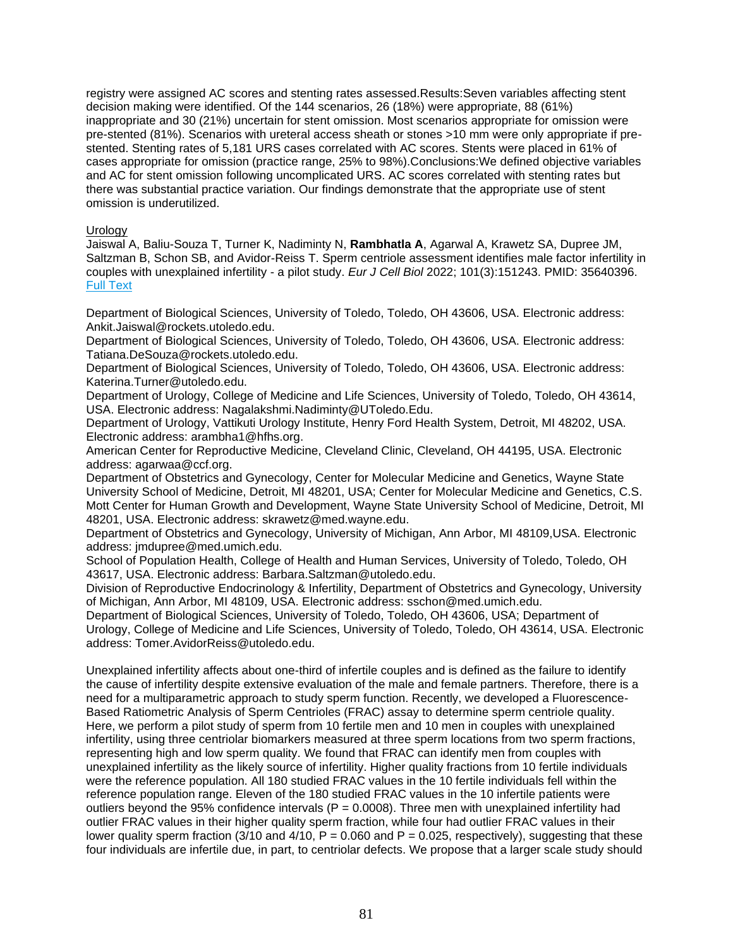registry were assigned AC scores and stenting rates assessed.Results:Seven variables affecting stent decision making were identified. Of the 144 scenarios, 26 (18%) were appropriate, 88 (61%) inappropriate and 30 (21%) uncertain for stent omission. Most scenarios appropriate for omission were pre-stented (81%). Scenarios with ureteral access sheath or stones >10 mm were only appropriate if prestented. Stenting rates of 5,181 URS cases correlated with AC scores. Stents were placed in 61% of cases appropriate for omission (practice range, 25% to 98%).Conclusions:We defined objective variables and AC for stent omission following uncomplicated URS. AC scores correlated with stenting rates but there was substantial practice variation. Our findings demonstrate that the appropriate use of stent omission is underutilized.

# Urology

Jaiswal A, Baliu-Souza T, Turner K, Nadiminty N, **Rambhatla A**, Agarwal A, Krawetz SA, Dupree JM, Saltzman B, Schon SB, and Avidor-Reiss T. Sperm centriole assessment identifies male factor infertility in couples with unexplained infertility - a pilot study. *Eur J Cell Biol* 2022; 101(3):151243. PMID: 35640396. [Full Text](https://libkey.io/35640396)

Department of Biological Sciences, University of Toledo, Toledo, OH 43606, USA. Electronic address: Ankit.Jaiswal@rockets.utoledo.edu.

Department of Biological Sciences, University of Toledo, Toledo, OH 43606, USA. Electronic address: Tatiana.DeSouza@rockets.utoledo.edu.

Department of Biological Sciences, University of Toledo, Toledo, OH 43606, USA. Electronic address: Katerina.Turner@utoledo.edu.

Department of Urology, College of Medicine and Life Sciences, University of Toledo, Toledo, OH 43614, USA. Electronic address: Nagalakshmi.Nadiminty@UToledo.Edu.

Department of Urology, Vattikuti Urology Institute, Henry Ford Health System, Detroit, MI 48202, USA. Electronic address: arambha1@hfhs.org.

American Center for Reproductive Medicine, Cleveland Clinic, Cleveland, OH 44195, USA. Electronic address: agarwaa@ccf.org.

Department of Obstetrics and Gynecology, Center for Molecular Medicine and Genetics, Wayne State University School of Medicine, Detroit, MI 48201, USA; Center for Molecular Medicine and Genetics, C.S. Mott Center for Human Growth and Development, Wayne State University School of Medicine, Detroit, MI 48201, USA. Electronic address: skrawetz@med.wayne.edu.

Department of Obstetrics and Gynecology, University of Michigan, Ann Arbor, MI 48109,USA. Electronic address: jmdupree@med.umich.edu.

School of Population Health, College of Health and Human Services, University of Toledo, Toledo, OH 43617, USA. Electronic address: Barbara.Saltzman@utoledo.edu.

Division of Reproductive Endocrinology & Infertility, Department of Obstetrics and Gynecology, University of Michigan, Ann Arbor, MI 48109, USA. Electronic address: sschon@med.umich.edu.

Department of Biological Sciences, University of Toledo, Toledo, OH 43606, USA; Department of Urology, College of Medicine and Life Sciences, University of Toledo, Toledo, OH 43614, USA. Electronic address: Tomer.AvidorReiss@utoledo.edu.

Unexplained infertility affects about one-third of infertile couples and is defined as the failure to identify the cause of infertility despite extensive evaluation of the male and female partners. Therefore, there is a need for a multiparametric approach to study sperm function. Recently, we developed a Fluorescence-Based Ratiometric Analysis of Sperm Centrioles (FRAC) assay to determine sperm centriole quality. Here, we perform a pilot study of sperm from 10 fertile men and 10 men in couples with unexplained infertility, using three centriolar biomarkers measured at three sperm locations from two sperm fractions, representing high and low sperm quality. We found that FRAC can identify men from couples with unexplained infertility as the likely source of infertility. Higher quality fractions from 10 fertile individuals were the reference population. All 180 studied FRAC values in the 10 fertile individuals fell within the reference population range. Eleven of the 180 studied FRAC values in the 10 infertile patients were outliers beyond the 95% confidence intervals ( $P = 0.0008$ ). Three men with unexplained infertility had outlier FRAC values in their higher quality sperm fraction, while four had outlier FRAC values in their lower quality sperm fraction (3/10 and 4/10,  $P = 0.060$  and  $P = 0.025$ , respectively), suggesting that these four individuals are infertile due, in part, to centriolar defects. We propose that a larger scale study should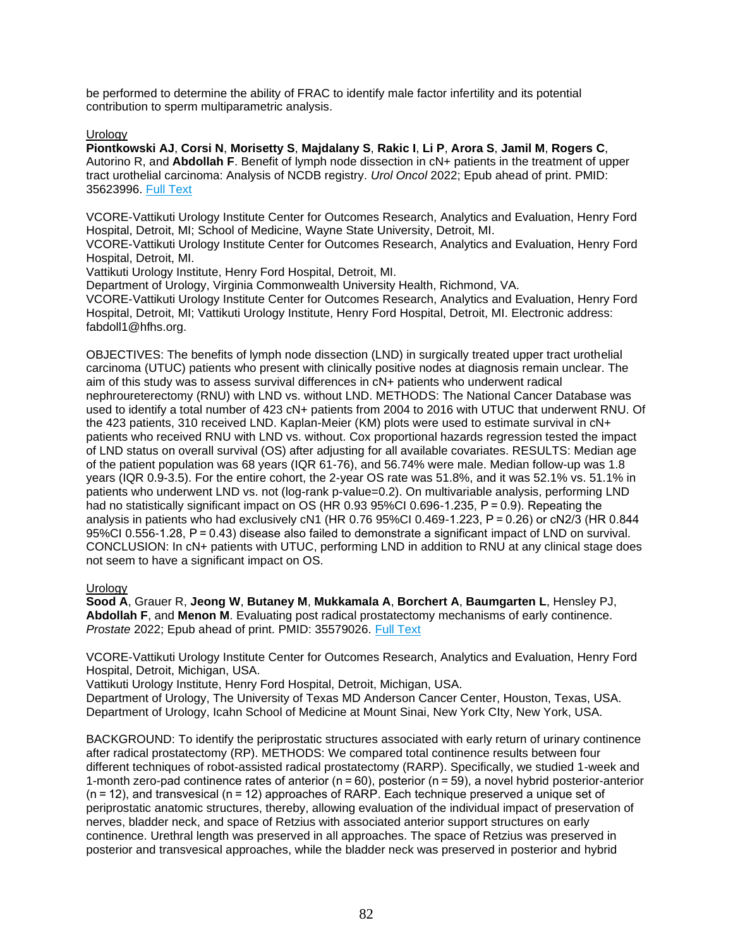be performed to determine the ability of FRAC to identify male factor infertility and its potential contribution to sperm multiparametric analysis.

# **Urology**

**Piontkowski AJ**, **Corsi N**, **Morisetty S**, **Majdalany S**, **Rakic I**, **Li P**, **Arora S**, **Jamil M**, **Rogers C**, Autorino R, and **Abdollah F**. Benefit of lymph node dissection in cN+ patients in the treatment of upper tract urothelial carcinoma: Analysis of NCDB registry. *Urol Oncol* 2022; Epub ahead of print. PMID: 35623996. [Full Text](https://libkey.io/35623996)

VCORE-Vattikuti Urology Institute Center for Outcomes Research, Analytics and Evaluation, Henry Ford Hospital, Detroit, MI; School of Medicine, Wayne State University, Detroit, MI.

VCORE-Vattikuti Urology Institute Center for Outcomes Research, Analytics and Evaluation, Henry Ford Hospital, Detroit, MI.

Vattikuti Urology Institute, Henry Ford Hospital, Detroit, MI.

Department of Urology, Virginia Commonwealth University Health, Richmond, VA. VCORE-Vattikuti Urology Institute Center for Outcomes Research, Analytics and Evaluation, Henry Ford Hospital, Detroit, MI; Vattikuti Urology Institute, Henry Ford Hospital, Detroit, MI. Electronic address: fabdoll1@hfhs.org.

OBJECTIVES: The benefits of lymph node dissection (LND) in surgically treated upper tract urothelial carcinoma (UTUC) patients who present with clinically positive nodes at diagnosis remain unclear. The aim of this study was to assess survival differences in cN+ patients who underwent radical nephroureterectomy (RNU) with LND vs. without LND. METHODS: The National Cancer Database was used to identify a total number of 423 cN+ patients from 2004 to 2016 with UTUC that underwent RNU. Of the 423 patients, 310 received LND. Kaplan-Meier (KM) plots were used to estimate survival in cN+ patients who received RNU with LND vs. without. Cox proportional hazards regression tested the impact of LND status on overall survival (OS) after adjusting for all available covariates. RESULTS: Median age of the patient population was 68 years (IQR 61-76), and 56.74% were male. Median follow-up was 1.8 years (IQR 0.9-3.5). For the entire cohort, the 2-year OS rate was 51.8%, and it was 52.1% vs. 51.1% in patients who underwent LND vs. not (log-rank p-value=0.2). On multivariable analysis, performing LND had no statistically significant impact on OS (HR 0.93 95%CI 0.696-1.235, P = 0.9). Repeating the analysis in patients who had exclusively cN1 (HR 0.76 95%CI 0.469-1.223, P = 0.26) or cN2/3 (HR 0.844 95%CI 0.556-1.28, P = 0.43) disease also failed to demonstrate a significant impact of LND on survival. CONCLUSION: In cN+ patients with UTUC, performing LND in addition to RNU at any clinical stage does not seem to have a significant impact on OS.

# Urology

**Sood A**, Grauer R, **Jeong W**, **Butaney M**, **Mukkamala A**, **Borchert A**, **Baumgarten L**, Hensley PJ, **Abdollah F**, and **Menon M**. Evaluating post radical prostatectomy mechanisms of early continence. *Prostate* 2022; Epub ahead of print. PMID: 35579026. [Full Text](https://libkey.io/35579026)

VCORE-Vattikuti Urology Institute Center for Outcomes Research, Analytics and Evaluation, Henry Ford Hospital, Detroit, Michigan, USA.

Vattikuti Urology Institute, Henry Ford Hospital, Detroit, Michigan, USA.

Department of Urology, The University of Texas MD Anderson Cancer Center, Houston, Texas, USA. Department of Urology, Icahn School of Medicine at Mount Sinai, New York CIty, New York, USA.

BACKGROUND: To identify the periprostatic structures associated with early return of urinary continence after radical prostatectomy (RP). METHODS: We compared total continence results between four different techniques of robot-assisted radical prostatectomy (RARP). Specifically, we studied 1-week and 1-month zero-pad continence rates of anterior (n = 60), posterior (n = 59), a novel hybrid posterior-anterior (n = 12), and transvesical (n = 12) approaches of RARP. Each technique preserved a unique set of periprostatic anatomic structures, thereby, allowing evaluation of the individual impact of preservation of nerves, bladder neck, and space of Retzius with associated anterior support structures on early continence. Urethral length was preserved in all approaches. The space of Retzius was preserved in posterior and transvesical approaches, while the bladder neck was preserved in posterior and hybrid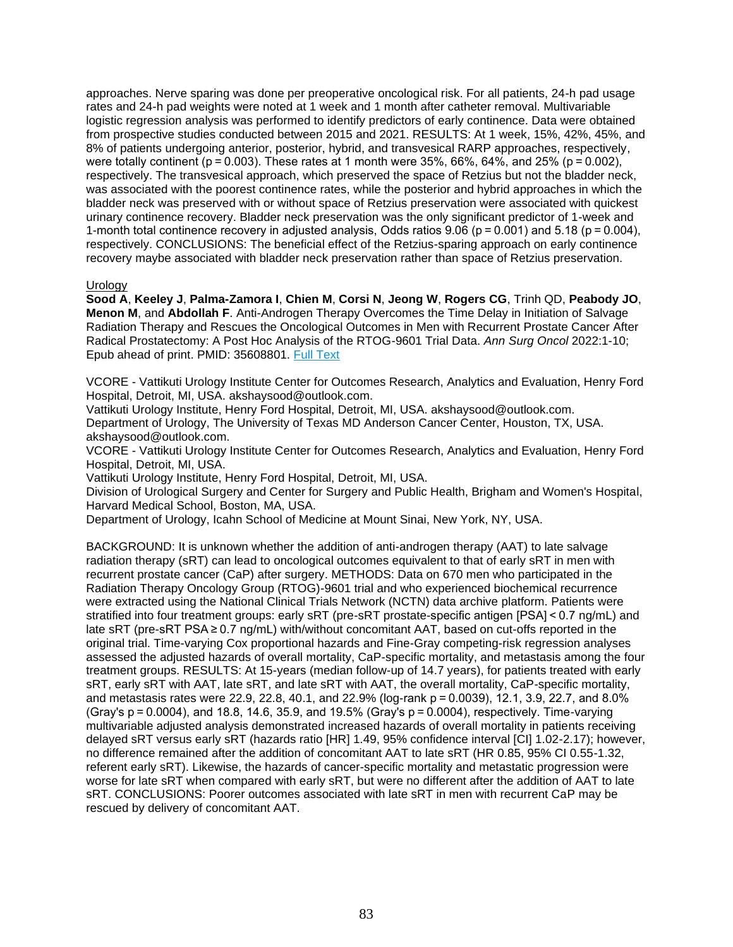approaches. Nerve sparing was done per preoperative oncological risk. For all patients, 24-h pad usage rates and 24-h pad weights were noted at 1 week and 1 month after catheter removal. Multivariable logistic regression analysis was performed to identify predictors of early continence. Data were obtained from prospective studies conducted between 2015 and 2021. RESULTS: At 1 week, 15%, 42%, 45%, and 8% of patients undergoing anterior, posterior, hybrid, and transvesical RARP approaches, respectively, were totally continent ( $p = 0.003$ ). These rates at 1 month were 35%, 66%, 64%, and 25% ( $p = 0.002$ ), respectively. The transvesical approach, which preserved the space of Retzius but not the bladder neck, was associated with the poorest continence rates, while the posterior and hybrid approaches in which the bladder neck was preserved with or without space of Retzius preservation were associated with quickest urinary continence recovery. Bladder neck preservation was the only significant predictor of 1-week and 1-month total continence recovery in adjusted analysis, Odds ratios 9.06 (p = 0.001) and 5.18 (p = 0.004), respectively. CONCLUSIONS: The beneficial effect of the Retzius-sparing approach on early continence recovery maybe associated with bladder neck preservation rather than space of Retzius preservation.

# Urology

**Sood A**, **Keeley J**, **Palma-Zamora I**, **Chien M**, **Corsi N**, **Jeong W**, **Rogers CG**, Trinh QD, **Peabody JO**, **Menon M**, and **Abdollah F**. Anti-Androgen Therapy Overcomes the Time Delay in Initiation of Salvage Radiation Therapy and Rescues the Oncological Outcomes in Men with Recurrent Prostate Cancer After Radical Prostatectomy: A Post Hoc Analysis of the RTOG-9601 Trial Data. *Ann Surg Oncol* 2022:1-10; Epub ahead of print. PMID: 35608801. [Full Text](https://libkey.io/35608801)

VCORE - Vattikuti Urology Institute Center for Outcomes Research, Analytics and Evaluation, Henry Ford Hospital, Detroit, MI, USA. akshaysood@outlook.com.

Vattikuti Urology Institute, Henry Ford Hospital, Detroit, MI, USA. akshaysood@outlook.com.

Department of Urology, The University of Texas MD Anderson Cancer Center, Houston, TX, USA. akshaysood@outlook.com.

VCORE - Vattikuti Urology Institute Center for Outcomes Research, Analytics and Evaluation, Henry Ford Hospital, Detroit, MI, USA.

Vattikuti Urology Institute, Henry Ford Hospital, Detroit, MI, USA.

Division of Urological Surgery and Center for Surgery and Public Health, Brigham and Women's Hospital, Harvard Medical School, Boston, MA, USA.

Department of Urology, Icahn School of Medicine at Mount Sinai, New York, NY, USA.

BACKGROUND: It is unknown whether the addition of anti-androgen therapy (AAT) to late salvage radiation therapy (sRT) can lead to oncological outcomes equivalent to that of early sRT in men with recurrent prostate cancer (CaP) after surgery. METHODS: Data on 670 men who participated in the Radiation Therapy Oncology Group (RTOG)-9601 trial and who experienced biochemical recurrence were extracted using the National Clinical Trials Network (NCTN) data archive platform. Patients were stratified into four treatment groups: early sRT (pre-sRT prostate-specific antigen [PSA] < 0.7 ng/mL) and late sRT (pre-sRT PSA ≥ 0.7 ng/mL) with/without concomitant AAT, based on cut-offs reported in the original trial. Time-varying Cox proportional hazards and Fine-Gray competing-risk regression analyses assessed the adjusted hazards of overall mortality, CaP-specific mortality, and metastasis among the four treatment groups. RESULTS: At 15-years (median follow-up of 14.7 years), for patients treated with early sRT, early sRT with AAT, late sRT, and late sRT with AAT, the overall mortality, CaP-specific mortality, and metastasis rates were 22.9, 22.8, 40.1, and 22.9% (log-rank p = 0.0039), 12.1, 3.9, 22.7, and 8.0% (Gray's p = 0.0004), and 18.8, 14.6, 35.9, and 19.5% (Gray's p = 0.0004), respectively. Time-varying multivariable adjusted analysis demonstrated increased hazards of overall mortality in patients receiving delayed sRT versus early sRT (hazards ratio [HR] 1.49, 95% confidence interval [CI] 1.02-2.17); however, no difference remained after the addition of concomitant AAT to late sRT (HR 0.85, 95% CI 0.55-1.32, referent early sRT). Likewise, the hazards of cancer-specific mortality and metastatic progression were worse for late sRT when compared with early sRT, but were no different after the addition of AAT to late sRT. CONCLUSIONS: Poorer outcomes associated with late sRT in men with recurrent CaP may be rescued by delivery of concomitant AAT.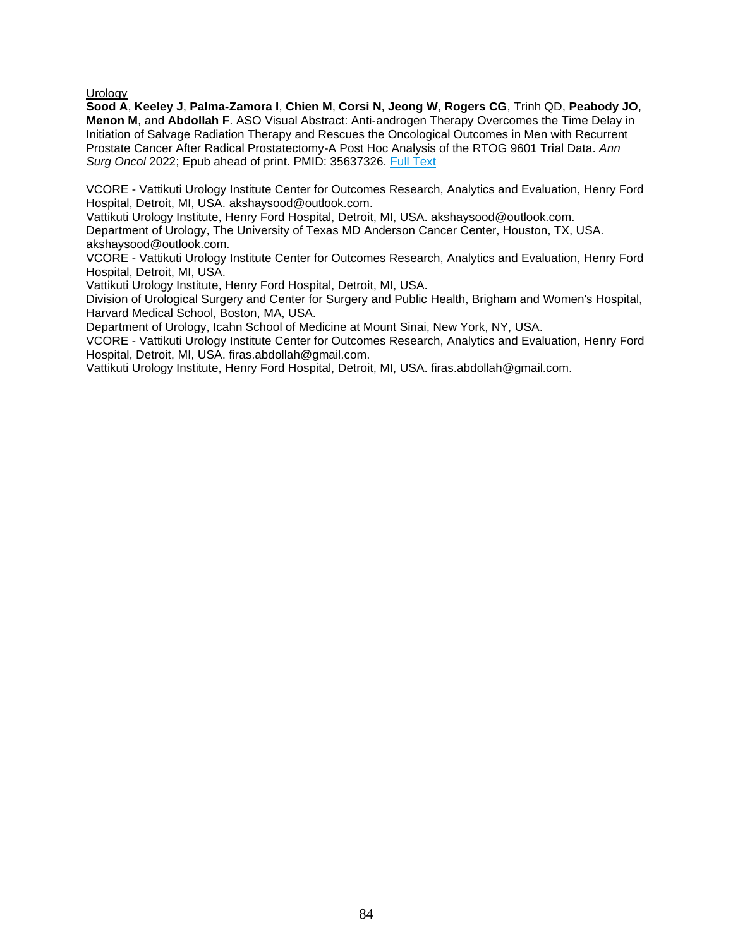**Urology** 

**Sood A**, **Keeley J**, **Palma-Zamora I**, **Chien M**, **Corsi N**, **Jeong W**, **Rogers CG**, Trinh QD, **Peabody JO**, **Menon M**, and **Abdollah F**. ASO Visual Abstract: Anti-androgen Therapy Overcomes the Time Delay in Initiation of Salvage Radiation Therapy and Rescues the Oncological Outcomes in Men with Recurrent Prostate Cancer After Radical Prostatectomy-A Post Hoc Analysis of the RTOG 9601 Trial Data. *Ann Surg Oncol* 2022; Epub ahead of print. PMID: 35637326. [Full Text](https://libkey.io/35637326)

VCORE - Vattikuti Urology Institute Center for Outcomes Research, Analytics and Evaluation, Henry Ford Hospital, Detroit, MI, USA. akshaysood@outlook.com.

Vattikuti Urology Institute, Henry Ford Hospital, Detroit, MI, USA. akshaysood@outlook.com.

Department of Urology, The University of Texas MD Anderson Cancer Center, Houston, TX, USA. akshaysood@outlook.com.

VCORE - Vattikuti Urology Institute Center for Outcomes Research, Analytics and Evaluation, Henry Ford Hospital, Detroit, MI, USA.

Vattikuti Urology Institute, Henry Ford Hospital, Detroit, MI, USA.

Division of Urological Surgery and Center for Surgery and Public Health, Brigham and Women's Hospital, Harvard Medical School, Boston, MA, USA.

Department of Urology, Icahn School of Medicine at Mount Sinai, New York, NY, USA.

VCORE - Vattikuti Urology Institute Center for Outcomes Research, Analytics and Evaluation, Henry Ford Hospital, Detroit, MI, USA. firas.abdollah@gmail.com.

Vattikuti Urology Institute, Henry Ford Hospital, Detroit, MI, USA. firas.abdollah@gmail.com.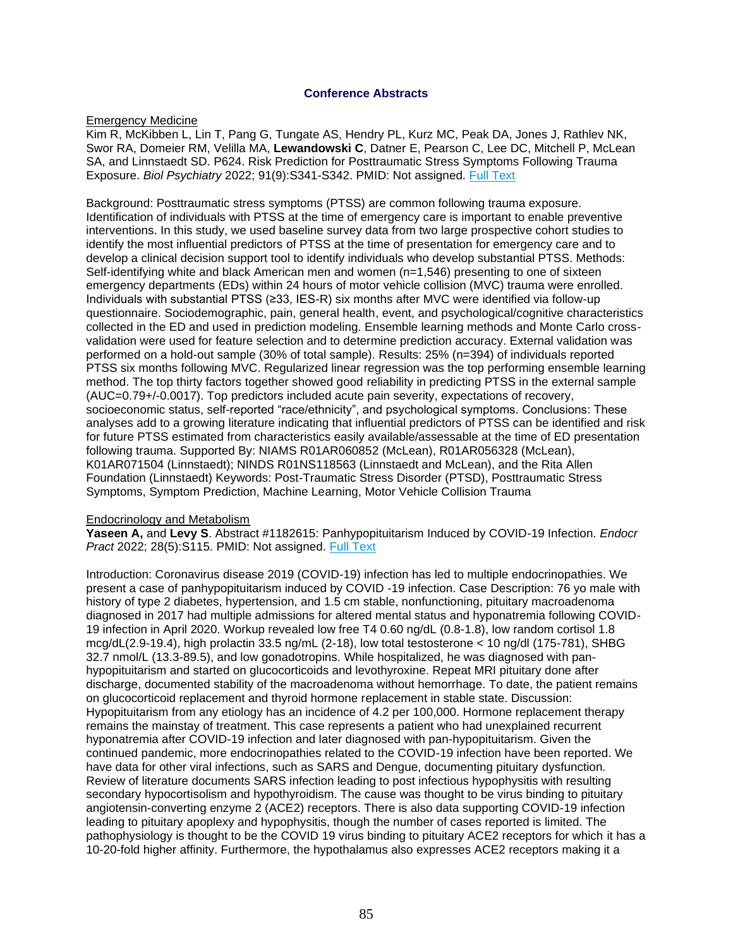# **Conference Abstracts**

# Emergency Medicine

Kim R, McKibben L, Lin T, Pang G, Tungate AS, Hendry PL, Kurz MC, Peak DA, Jones J, Rathlev NK, Swor RA, Domeier RM, Velilla MA, **Lewandowski C**, Datner E, Pearson C, Lee DC, Mitchell P, McLean SA, and Linnstaedt SD. P624. Risk Prediction for Posttraumatic Stress Symptoms Following Trauma Exposure. *Biol Psychiatry* 2022; 91(9):S341-S342. PMID: Not assigned. [Full Text](https://libkey.io/10.1016/j.biopsych.2022.02.861)

Background: Posttraumatic stress symptoms (PTSS) are common following trauma exposure. Identification of individuals with PTSS at the time of emergency care is important to enable preventive interventions. In this study, we used baseline survey data from two large prospective cohort studies to identify the most influential predictors of PTSS at the time of presentation for emergency care and to develop a clinical decision support tool to identify individuals who develop substantial PTSS. Methods: Self-identifying white and black American men and women (n=1,546) presenting to one of sixteen emergency departments (EDs) within 24 hours of motor vehicle collision (MVC) trauma were enrolled. Individuals with substantial PTSS (≥33, IES-R) six months after MVC were identified via follow-up questionnaire. Sociodemographic, pain, general health, event, and psychological/cognitive characteristics collected in the ED and used in prediction modeling. Ensemble learning methods and Monte Carlo crossvalidation were used for feature selection and to determine prediction accuracy. External validation was performed on a hold-out sample (30% of total sample). Results: 25% (n=394) of individuals reported PTSS six months following MVC. Regularized linear regression was the top performing ensemble learning method. The top thirty factors together showed good reliability in predicting PTSS in the external sample (AUC=0.79+/-0.0017). Top predictors included acute pain severity, expectations of recovery, socioeconomic status, self-reported "race/ethnicity", and psychological symptoms. Conclusions: These analyses add to a growing literature indicating that influential predictors of PTSS can be identified and risk for future PTSS estimated from characteristics easily available/assessable at the time of ED presentation following trauma. Supported By: NIAMS R01AR060852 (McLean), R01AR056328 (McLean), K01AR071504 (Linnstaedt); NINDS R01NS118563 (Linnstaedt and McLean), and the Rita Allen Foundation (Linnstaedt) Keywords: Post-Traumatic Stress Disorder (PTSD), Posttraumatic Stress Symptoms, Symptom Prediction, Machine Learning, Motor Vehicle Collision Trauma

# Endocrinology and Metabolism

**Yaseen A,** and **Levy S**. Abstract #1182615: Panhypopituitarism Induced by COVID-19 Infection. *Endocr Pract* 2022; 28(5):S115. PMID: Not assigned. [Full Text](https://libkey.io/10.1016/j.eprac.2022.03.272)

Introduction: Coronavirus disease 2019 (COVID-19) infection has led to multiple endocrinopathies. We present a case of panhypopituitarism induced by COVID -19 infection. Case Description: 76 yo male with history of type 2 diabetes, hypertension, and 1.5 cm stable, nonfunctioning, pituitary macroadenoma diagnosed in 2017 had multiple admissions for altered mental status and hyponatremia following COVID-19 infection in April 2020. Workup revealed low free T4 0.60 ng/dL (0.8-1.8), low random cortisol 1.8 mcg/dL(2.9-19.4), high prolactin 33.5 ng/mL (2-18), low total testosterone < 10 ng/dl (175-781), SHBG 32.7 nmol/L (13.3-89.5), and low gonadotropins. While hospitalized, he was diagnosed with panhypopituitarism and started on glucocorticoids and levothyroxine. Repeat MRI pituitary done after discharge, documented stability of the macroadenoma without hemorrhage. To date, the patient remains on glucocorticoid replacement and thyroid hormone replacement in stable state. Discussion: Hypopituitarism from any etiology has an incidence of 4.2 per 100,000. Hormone replacement therapy remains the mainstay of treatment. This case represents a patient who had unexplained recurrent hyponatremia after COVID-19 infection and later diagnosed with pan-hypopituitarism. Given the continued pandemic, more endocrinopathies related to the COVID-19 infection have been reported. We have data for other viral infections, such as SARS and Dengue, documenting pituitary dysfunction. Review of literature documents SARS infection leading to post infectious hypophysitis with resulting secondary hypocortisolism and hypothyroidism. The cause was thought to be virus binding to pituitary angiotensin-converting enzyme 2 (ACE2) receptors. There is also data supporting COVID-19 infection leading to pituitary apoplexy and hypophysitis, though the number of cases reported is limited. The pathophysiology is thought to be the COVID 19 virus binding to pituitary ACE2 receptors for which it has a 10-20-fold higher affinity. Furthermore, the hypothalamus also expresses ACE2 receptors making it a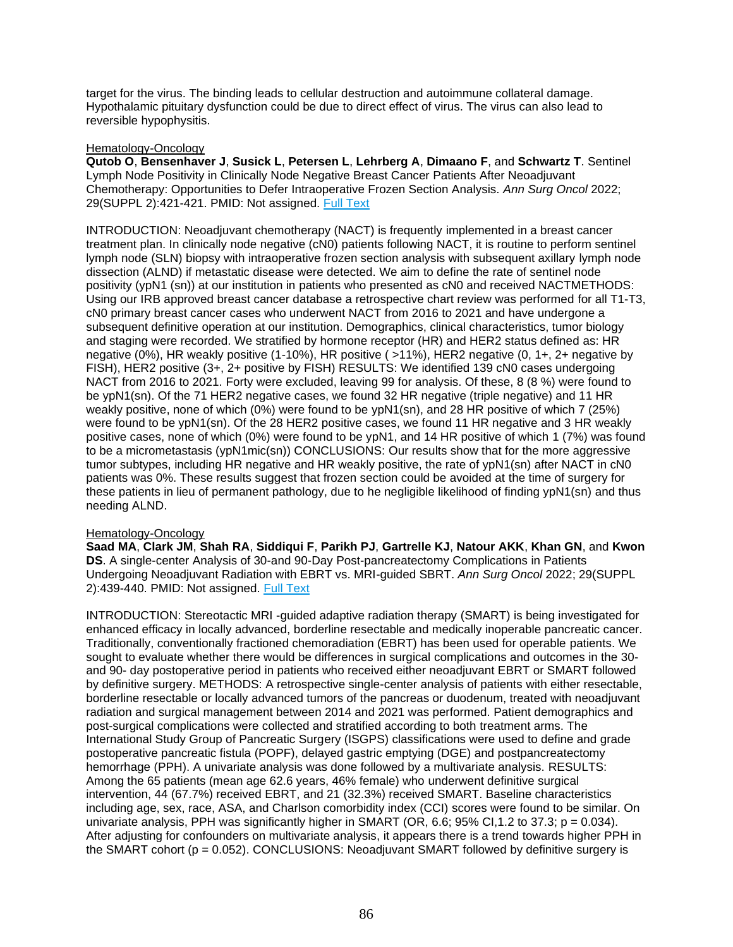target for the virus. The binding leads to cellular destruction and autoimmune collateral damage. Hypothalamic pituitary dysfunction could be due to direct effect of virus. The virus can also lead to reversible hypophysitis.

# Hematology-Oncology

**Qutob O**, **Bensenhaver J**, **Susick L**, **Petersen L**, **Lehrberg A**, **Dimaano F**, and **Schwartz T**. Sentinel Lymph Node Positivity in Clinically Node Negative Breast Cancer Patients After Neoadjuvant Chemotherapy: Opportunities to Defer Intraoperative Frozen Section Analysis. *Ann Surg Oncol* 2022; 29(SUPPL 2):421-421. PMID: Not assigned. [Full Text](https://doi.org/10.1093/neuonc/noac139)

INTRODUCTION: Neoadjuvant chemotherapy (NACT) is frequently implemented in a breast cancer treatment plan. In clinically node negative (cN0) patients following NACT, it is routine to perform sentinel lymph node (SLN) biopsy with intraoperative frozen section analysis with subsequent axillary lymph node dissection (ALND) if metastatic disease were detected. We aim to define the rate of sentinel node positivity (ypN1 (sn)) at our institution in patients who presented as cN0 and received NACTMETHODS: Using our IRB approved breast cancer database a retrospective chart review was performed for all T1-T3, cN0 primary breast cancer cases who underwent NACT from 2016 to 2021 and have undergone a subsequent definitive operation at our institution. Demographics, clinical characteristics, tumor biology and staging were recorded. We stratified by hormone receptor (HR) and HER2 status defined as: HR negative (0%), HR weakly positive (1-10%), HR positive ( >11%), HER2 negative (0, 1+, 2+ negative by FISH), HER2 positive (3+, 2+ positive by FISH) RESULTS: We identified 139 cN0 cases undergoing NACT from 2016 to 2021. Forty were excluded, leaving 99 for analysis. Of these, 8 (8 %) were found to be ypN1(sn). Of the 71 HER2 negative cases, we found 32 HR negative (triple negative) and 11 HR weakly positive, none of which (0%) were found to be ypN1(sn), and 28 HR positive of which 7 (25%) were found to be ypN1(sn). Of the 28 HER2 positive cases, we found 11 HR negative and 3 HR weakly positive cases, none of which (0%) were found to be ypN1, and 14 HR positive of which 1 (7%) was found to be a micrometastasis (ypN1mic(sn)) CONCLUSIONS: Our results show that for the more aggressive tumor subtypes, including HR negative and HR weakly positive, the rate of ypN1(sn) after NACT in cN0 patients was 0%. These results suggest that frozen section could be avoided at the time of surgery for these patients in lieu of permanent pathology, due to he negligible likelihood of finding ypN1(sn) and thus needing ALND.

# Hematology-Oncology

**Saad MA**, **Clark JM**, **Shah RA**, **Siddiqui F**, **Parikh PJ**, **Gartrelle KJ**, **Natour AKK**, **Khan GN**, and **Kwon DS**. A single-center Analysis of 30-and 90-Day Post-pancreatectomy Complications in Patients Undergoing Neoadjuvant Radiation with EBRT vs. MRI-guided SBRT. *Ann Surg Oncol* 2022; 29(SUPPL 2):439-440. PMID: Not assigned. [Full Text](http://sfxhosted.exlibrisgroup.com/hfhs?url_ver=Z39.88-2004&url_ctx_fmt=info:ofi/fmt:kev:mtx:ctx&rft.atitle=A+single-center+Analysis+of+30-and+90-Day+Post-pancreatectomy+Complications+in+Patients+Undergoing+Neoadjuvant+Radiation+with+EBRT+vs.+MRI-guided+SBRT&rft.aufirst=Mariam+A.&rft.auinit=MA&rft.aulast=Saad&rft.date=2022&rft.eissn=1534-4681&rft.epage=440&rft.genre=proceeding&rft.issn=1068-9265&rft.issue=SUPPL+2&rft.jtitle=ANNALS+OF+SURGICAL+ONCOLOGY&rft_val_fmt=info:ofi/fmt:kev:mtx:journal&rft.pages=439-440&rfr_id=info:sid/webofscience.com:WOS:WOS&rft.spage=439&rft.stitle=ANN+SURG+ONCOL&rft.volume=29&rft.au=Saad%2C+Mariam+A.&rft.au=Clark%2C+Julie+M.&rft.au=Shah%2C+Rupen+A.&rft.au=Siddiqui%2C+Farzan&rft.au=Parikh%2C+Parag+J.&rft.au=Gartrelle%2C+Kendyll+J.&rft.au=Natour%2C+Abdul+Kader+K.&rft.au=Khan%2C+Gazala+N.&rft.au=Kwon%2C+David+S)

INTRODUCTION: Stereotactic MRI-quided adaptive radiation therapy (SMART) is being investigated for enhanced efficacy in locally advanced, borderline resectable and medically inoperable pancreatic cancer. Traditionally, conventionally fractioned chemoradiation (EBRT) has been used for operable patients. We sought to evaluate whether there would be differences in surgical complications and outcomes in the 30 and 90- day postoperative period in patients who received either neoadjuvant EBRT or SMART followed by definitive surgery. METHODS: A retrospective single-center analysis of patients with either resectable, borderline resectable or locally advanced tumors of the pancreas or duodenum, treated with neoadjuvant radiation and surgical management between 2014 and 2021 was performed. Patient demographics and post-surgical complications were collected and stratified according to both treatment arms. The International Study Group of Pancreatic Surgery (ISGPS) classifications were used to define and grade postoperative pancreatic fistula (POPF), delayed gastric emptying (DGE) and postpancreatectomy hemorrhage (PPH). A univariate analysis was done followed by a multivariate analysis. RESULTS: Among the 65 patients (mean age 62.6 years, 46% female) who underwent definitive surgical intervention, 44 (67.7%) received EBRT, and 21 (32.3%) received SMART. Baseline characteristics including age, sex, race, ASA, and Charlson comorbidity index (CCI) scores were found to be similar. On univariate analysis, PPH was significantly higher in SMART (OR, 6.6; 95% CI, 1.2 to 37.3;  $p = 0.034$ ). After adjusting for confounders on multivariate analysis, it appears there is a trend towards higher PPH in the SMART cohort  $(p = 0.052)$ . CONCLUSIONS: Neoadjuvant SMART followed by definitive surgery is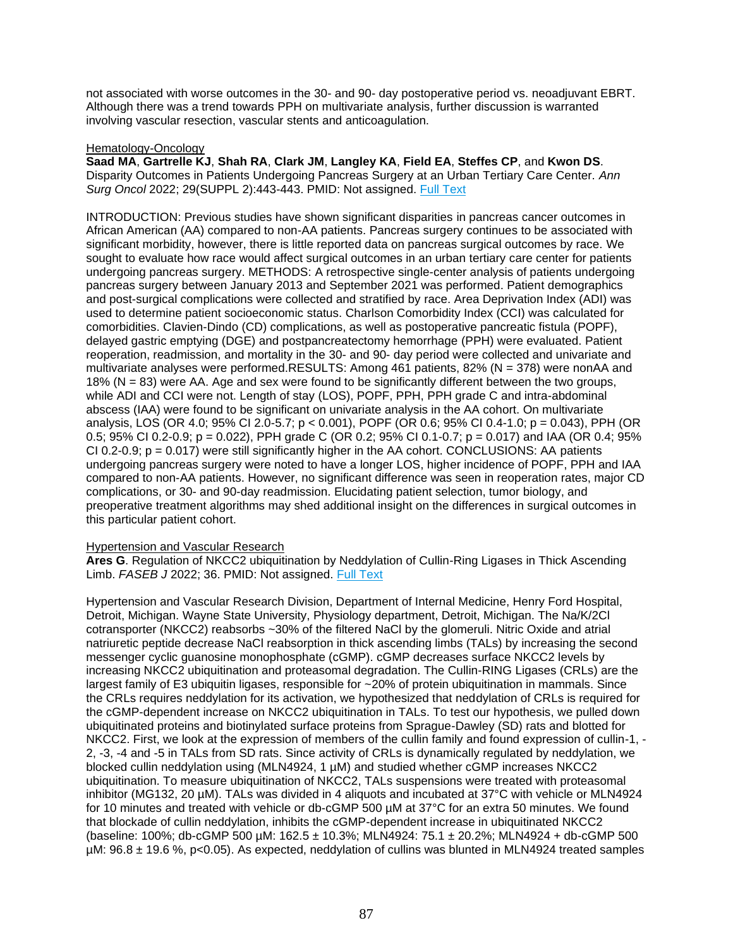not associated with worse outcomes in the 30- and 90- day postoperative period vs. neoadjuvant EBRT. Although there was a trend towards PPH on multivariate analysis, further discussion is warranted involving vascular resection, vascular stents and anticoagulation.

# Hematology-Oncology

**Saad MA**, **Gartrelle KJ**, **Shah RA**, **Clark JM**, **Langley KA**, **Field EA**, **Steffes CP**, and **Kwon DS**. Disparity Outcomes in Patients Undergoing Pancreas Surgery at an Urban Tertiary Care Center. *Ann Surg Oncol* 2022; 29(SUPPL 2):443-443. PMID: Not assigned. [Full Text](http://sfxhosted.exlibrisgroup.com/hfhs?url_ver=Z39.88-2004&url_ctx_fmt=info:ofi/fmt:kev:mtx:ctx&rft.atitle=Disparity+Outcomes+in+Patients+Undergoing+Pancreas+Surgery+at+an+Urban+Tertiary+Care+Center&rft.aufirst=Mariam+A.&rft.auinit=MA&rft.aulast=Saad&rft.date=2022&rft.eissn=1534-4681&rft.epage=443&rft.genre=proceeding&rft.issn=1068-9265&rft.issue=SUPPL+2&rft.jtitle=ANNALS+OF+SURGICAL+ONCOLOGY&rft_val_fmt=info:ofi/fmt:kev:mtx:journal&rft.pages=443-443&rfr_id=info:sid/webofscience.com:WOS:WOS&rft.spage=443&rft.stitle=ANN+SURG+ONCOL&rft.volume=29&rft.au=Saad%2C+Mariam+A.&rft.au=Gartrelle%2C+Kendyll+J.&rft.au=Shah%2C+Rupen+A.&rft.au=Clark%2C+Julie+M.&rft.au=Langley%2C+Kyra+A.&rft.au=Field%2C+Elizabeth+A.&rft.au=Steffes%2C+Christopher+P.&rft.au=Kwon%2C+David+S.)

INTRODUCTION: Previous studies have shown significant disparities in pancreas cancer outcomes in African American (AA) compared to non-AA patients. Pancreas surgery continues to be associated with significant morbidity, however, there is little reported data on pancreas surgical outcomes by race. We sought to evaluate how race would affect surgical outcomes in an urban tertiary care center for patients undergoing pancreas surgery. METHODS: A retrospective single-center analysis of patients undergoing pancreas surgery between January 2013 and September 2021 was performed. Patient demographics and post-surgical complications were collected and stratified by race. Area Deprivation Index (ADI) was used to determine patient socioeconomic status. Charlson Comorbidity Index (CCI) was calculated for comorbidities. Clavien-Dindo (CD) complications, as well as postoperative pancreatic fistula (POPF), delayed gastric emptying (DGE) and postpancreatectomy hemorrhage (PPH) were evaluated. Patient reoperation, readmission, and mortality in the 30- and 90- day period were collected and univariate and multivariate analyses were performed.RESULTS: Among 461 patients, 82% (N = 378) were nonAA and 18% (N = 83) were AA. Age and sex were found to be significantly different between the two groups, while ADI and CCI were not. Length of stay (LOS), POPF, PPH, PPH grade C and intra-abdominal abscess (IAA) were found to be significant on univariate analysis in the AA cohort. On multivariate analysis, LOS (OR 4.0; 95% CI 2.0-5.7; p < 0.001), POPF (OR 0.6; 95% CI 0.4-1.0; p = 0.043), PPH (OR 0.5; 95% CI 0.2-0.9;  $p = 0.022$ ), PPH grade C (OR 0.2; 95% CI 0.1-0.7;  $p = 0.017$ ) and IAA (OR 0.4; 95%  $CI 0.2-0.9$ ;  $p = 0.017$ ) were still significantly higher in the AA cohort. CONCLUSIONS: AA patients undergoing pancreas surgery were noted to have a longer LOS, higher incidence of POPF, PPH and IAA compared to non-AA patients. However, no significant difference was seen in reoperation rates, major CD complications, or 30- and 90-day readmission. Elucidating patient selection, tumor biology, and preoperative treatment algorithms may shed additional insight on the differences in surgical outcomes in this particular patient cohort.

# Hypertension and Vascular Research

**Ares G**. Regulation of NKCC2 ubiquitination by Neddylation of Cullin-Ring Ligases in Thick Ascending Limb. *FASEB J* 2022; 36. PMID: Not assigned. [Full Text](https://libkey.io/10.1096/fasebj.2022.36.S1.R3742)

Hypertension and Vascular Research Division, Department of Internal Medicine, Henry Ford Hospital, Detroit, Michigan. Wayne State University, Physiology department, Detroit, Michigan. The Na/K/2Cl cotransporter (NKCC2) reabsorbs ~30% of the filtered NaCl by the glomeruli. Nitric Oxide and atrial natriuretic peptide decrease NaCl reabsorption in thick ascending limbs (TALs) by increasing the second messenger cyclic guanosine monophosphate (cGMP). cGMP decreases surface NKCC2 levels by increasing NKCC2 ubiquitination and proteasomal degradation. The Cullin-RING Ligases (CRLs) are the largest family of E3 ubiquitin ligases, responsible for ~20% of protein ubiquitination in mammals. Since the CRLs requires neddylation for its activation, we hypothesized that neddylation of CRLs is required for the cGMP-dependent increase on NKCC2 ubiquitination in TALs. To test our hypothesis, we pulled down ubiquitinated proteins and biotinylated surface proteins from Sprague-Dawley (SD) rats and blotted for NKCC2. First, we look at the expression of members of the cullin family and found expression of cullin-1, - 2, -3, -4 and -5 in TALs from SD rats. Since activity of CRLs is dynamically regulated by neddylation, we blocked cullin neddylation using (MLN4924, 1 µM) and studied whether cGMP increases NKCC2 ubiquitination. To measure ubiquitination of NKCC2, TALs suspensions were treated with proteasomal inhibitor (MG132, 20 µM). TALs was divided in 4 aliquots and incubated at 37°C with vehicle or MLN4924 for 10 minutes and treated with vehicle or db-cGMP 500 µM at 37°C for an extra 50 minutes. We found that blockade of cullin neddylation, inhibits the cGMP-dependent increase in ubiquitinated NKCC2 (baseline: 100%; db-cGMP 500 µM: 162.5 ± 10.3%; MLN4924: 75.1 ± 20.2%; MLN4924 + db-cGMP 500 µM: 96.8 ± 19.6 %, p<0.05). As expected, neddylation of cullins was blunted in MLN4924 treated samples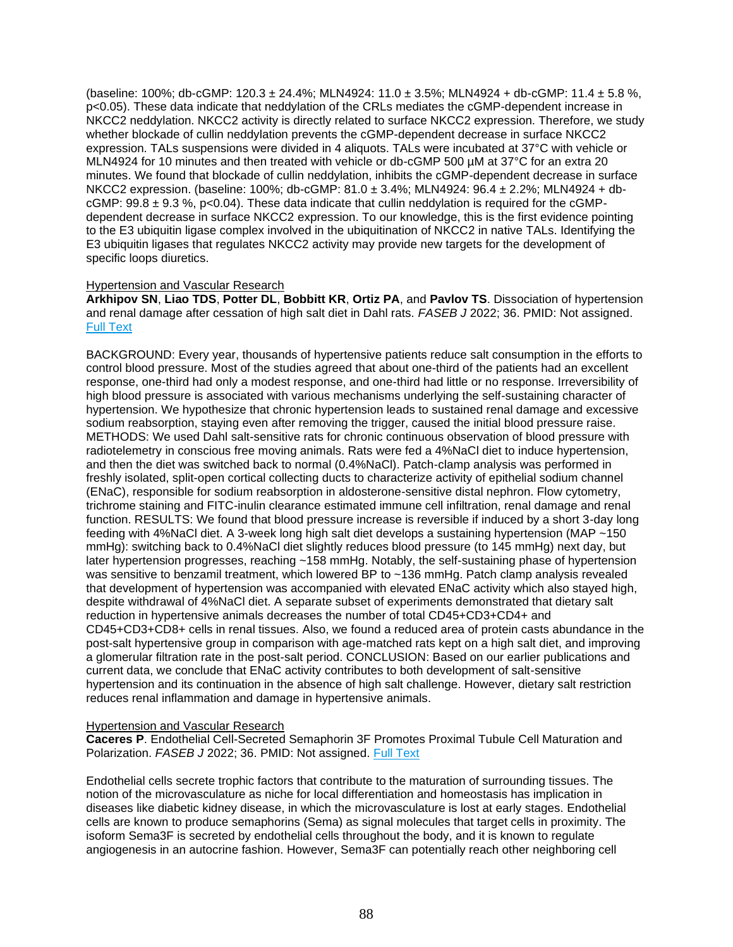(baseline: 100%; db-cGMP: 120.3 ± 24.4%; MLN4924: 11.0 ± 3.5%; MLN4924 + db-cGMP: 11.4 ± 5.8 %, p<0.05). These data indicate that neddylation of the CRLs mediates the cGMP-dependent increase in NKCC2 neddylation. NKCC2 activity is directly related to surface NKCC2 expression. Therefore, we study whether blockade of cullin neddylation prevents the cGMP-dependent decrease in surface NKCC2 expression. TALs suspensions were divided in 4 aliquots. TALs were incubated at 37°C with vehicle or MLN4924 for 10 minutes and then treated with vehicle or db-cGMP 500 µM at 37°C for an extra 20 minutes. We found that blockade of cullin neddylation, inhibits the cGMP-dependent decrease in surface NKCC2 expression. (baseline: 100%; db-cGMP: 81.0 ± 3.4%; MLN4924: 96.4 ± 2.2%; MLN4924 + dbcGMP:  $99.8 \pm 9.3$  %, p<0.04). These data indicate that cullin neddylation is required for the cGMPdependent decrease in surface NKCC2 expression. To our knowledge, this is the first evidence pointing to the E3 ubiquitin ligase complex involved in the ubiquitination of NKCC2 in native TALs. Identifying the E3 ubiquitin ligases that regulates NKCC2 activity may provide new targets for the development of specific loops diuretics.

# Hypertension and Vascular Research

**Arkhipov SN**, **Liao TDS**, **Potter DL**, **Bobbitt KR**, **Ortiz PA**, and **Pavlov TS**. Dissociation of hypertension and renal damage after cessation of high salt diet in Dahl rats. *FASEB J* 2022; 36. PMID: Not assigned. [Full Text](https://libkey.io/10.1096/fasebj.2022.36.S1.R2362)

BACKGROUND: Every year, thousands of hypertensive patients reduce salt consumption in the efforts to control blood pressure. Most of the studies agreed that about one-third of the patients had an excellent response, one-third had only a modest response, and one-third had little or no response. Irreversibility of high blood pressure is associated with various mechanisms underlying the self-sustaining character of hypertension. We hypothesize that chronic hypertension leads to sustained renal damage and excessive sodium reabsorption, staying even after removing the trigger, caused the initial blood pressure raise. METHODS: We used Dahl salt-sensitive rats for chronic continuous observation of blood pressure with radiotelemetry in conscious free moving animals. Rats were fed a 4%NaCl diet to induce hypertension, and then the diet was switched back to normal (0.4%NaCl). Patch-clamp analysis was performed in freshly isolated, split-open cortical collecting ducts to characterize activity of epithelial sodium channel (ENaC), responsible for sodium reabsorption in aldosterone-sensitive distal nephron. Flow cytometry, trichrome staining and FITC-inulin clearance estimated immune cell infiltration, renal damage and renal function. RESULTS: We found that blood pressure increase is reversible if induced by a short 3-day long feeding with 4%NaCl diet. A 3-week long high salt diet develops a sustaining hypertension (MAP ~150 mmHg): switching back to 0.4%NaCl diet slightly reduces blood pressure (to 145 mmHg) next day, but later hypertension progresses, reaching ~158 mmHg. Notably, the self-sustaining phase of hypertension was sensitive to benzamil treatment, which lowered BP to ~136 mmHg. Patch clamp analysis revealed that development of hypertension was accompanied with elevated ENaC activity which also stayed high, despite withdrawal of 4%NaCl diet. A separate subset of experiments demonstrated that dietary salt reduction in hypertensive animals decreases the number of total CD45+CD3+CD4+ and CD45+CD3+CD8+ cells in renal tissues. Also, we found a reduced area of protein casts abundance in the post-salt hypertensive group in comparison with age-matched rats kept on a high salt diet, and improving a glomerular filtration rate in the post-salt period. CONCLUSION: Based on our earlier publications and current data, we conclude that ENaC activity contributes to both development of salt-sensitive hypertension and its continuation in the absence of high salt challenge. However, dietary salt restriction reduces renal inflammation and damage in hypertensive animals.

# Hypertension and Vascular Research

**Caceres P**. Endothelial Cell-Secreted Semaphorin 3F Promotes Proximal Tubule Cell Maturation and Polarization. *FASEB J* 2022; 36. PMID: Not assigned. [Full Text](https://libkey.io/10.1096/fasebj.2022.36.S1.R4368)

Endothelial cells secrete trophic factors that contribute to the maturation of surrounding tissues. The notion of the microvasculature as niche for local differentiation and homeostasis has implication in diseases like diabetic kidney disease, in which the microvasculature is lost at early stages. Endothelial cells are known to produce semaphorins (Sema) as signal molecules that target cells in proximity. The isoform Sema3F is secreted by endothelial cells throughout the body, and it is known to regulate angiogenesis in an autocrine fashion. However, Sema3F can potentially reach other neighboring cell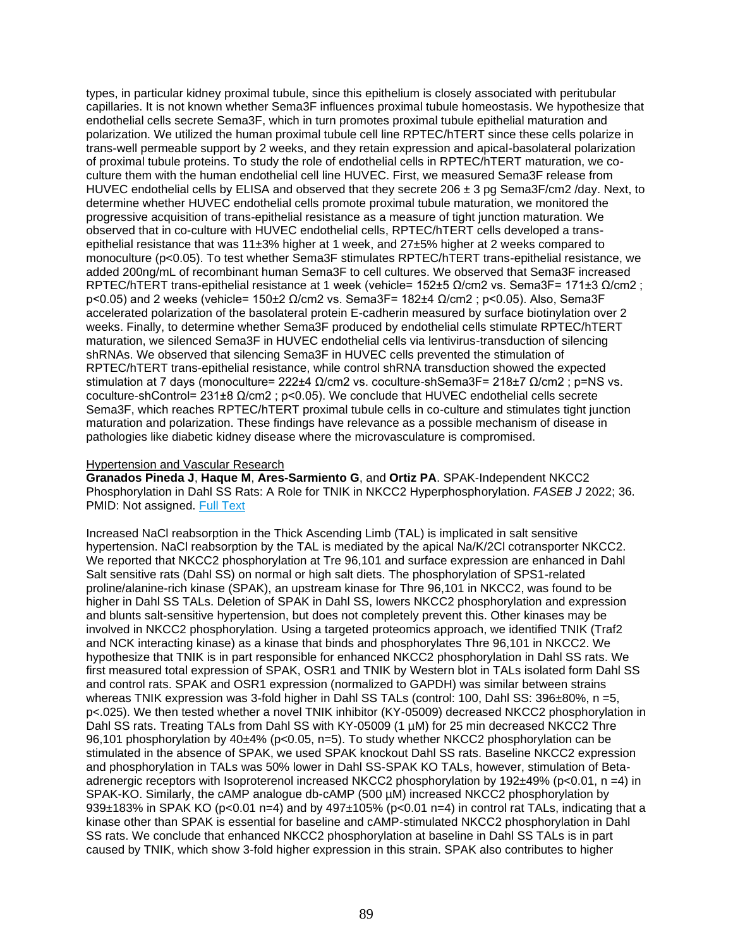types, in particular kidney proximal tubule, since this epithelium is closely associated with peritubular capillaries. It is not known whether Sema3F influences proximal tubule homeostasis. We hypothesize that endothelial cells secrete Sema3F, which in turn promotes proximal tubule epithelial maturation and polarization. We utilized the human proximal tubule cell line RPTEC/hTERT since these cells polarize in trans-well permeable support by 2 weeks, and they retain expression and apical-basolateral polarization of proximal tubule proteins. To study the role of endothelial cells in RPTEC/hTERT maturation, we coculture them with the human endothelial cell line HUVEC. First, we measured Sema3F release from HUVEC endothelial cells by ELISA and observed that they secrete  $206 \pm 3$  pg Sema3F/cm2 /day. Next, to determine whether HUVEC endothelial cells promote proximal tubule maturation, we monitored the progressive acquisition of trans-epithelial resistance as a measure of tight junction maturation. We observed that in co-culture with HUVEC endothelial cells, RPTEC/hTERT cells developed a transepithelial resistance that was 11±3% higher at 1 week, and 27±5% higher at 2 weeks compared to monoculture (p<0.05). To test whether Sema3F stimulates RPTEC/hTERT trans-epithelial resistance, we added 200ng/mL of recombinant human Sema3F to cell cultures. We observed that Sema3F increased RPTEC/hTERT trans-epithelial resistance at 1 week (vehicle= 152±5 Ω/cm2 vs. Sema3F= 171±3 Ω/cm2 ; p<0.05) and 2 weeks (vehicle= 150±2 Ω/cm2 vs. Sema3F= 182±4 Ω/cm2 ; p<0.05). Also, Sema3F accelerated polarization of the basolateral protein E-cadherin measured by surface biotinylation over 2 weeks. Finally, to determine whether Sema3F produced by endothelial cells stimulate RPTEC/hTERT maturation, we silenced Sema3F in HUVEC endothelial cells via lentivirus-transduction of silencing shRNAs. We observed that silencing Sema3F in HUVEC cells prevented the stimulation of RPTEC/hTERT trans-epithelial resistance, while control shRNA transduction showed the expected stimulation at 7 days (monoculture= 222±4 Ω/cm2 vs. coculture-shSema3F= 218±7 Ω/cm2 ; p=NS vs. coculture-shControl= 231±8 Ω/cm2 ; p<0.05). We conclude that HUVEC endothelial cells secrete Sema3F, which reaches RPTEC/hTERT proximal tubule cells in co-culture and stimulates tight junction maturation and polarization. These findings have relevance as a possible mechanism of disease in pathologies like diabetic kidney disease where the microvasculature is compromised.

### Hypertension and Vascular Research

**Granados Pineda J**, **Haque M**, **Ares-Sarmiento G**, and **Ortiz PA**. SPAK-Independent NKCC2 Phosphorylation in Dahl SS Rats: A Role for TNIK in NKCC2 Hyperphosphorylation. *FASEB J* 2022; 36. PMID: Not assigned. [Full Text](https://libkey.io/10.1096/fasebj.2022.36.S1.R4049)

Increased NaCl reabsorption in the Thick Ascending Limb (TAL) is implicated in salt sensitive hypertension. NaCl reabsorption by the TAL is mediated by the apical Na/K/2Cl cotransporter NKCC2. We reported that NKCC2 phosphorylation at Tre 96,101 and surface expression are enhanced in Dahl Salt sensitive rats (Dahl SS) on normal or high salt diets. The phosphorylation of SPS1-related proline/alanine-rich kinase (SPAK), an upstream kinase for Thre 96,101 in NKCC2, was found to be higher in Dahl SS TALs. Deletion of SPAK in Dahl SS, lowers NKCC2 phosphorylation and expression and blunts salt-sensitive hypertension, but does not completely prevent this. Other kinases may be involved in NKCC2 phosphorylation. Using a targeted proteomics approach, we identified TNIK (Traf2 and NCK interacting kinase) as a kinase that binds and phosphorylates Thre 96,101 in NKCC2. We hypothesize that TNIK is in part responsible for enhanced NKCC2 phosphorylation in Dahl SS rats. We first measured total expression of SPAK, OSR1 and TNIK by Western blot in TALs isolated form Dahl SS and control rats. SPAK and OSR1 expression (normalized to GAPDH) was similar between strains whereas TNIK expression was 3-fold higher in Dahl SS TALs (control: 100, Dahl SS: 396±80%, n =5, p<.025). We then tested whether a novel TNIK inhibitor (KY-05009) decreased NKCC2 phosphorylation in Dahl SS rats. Treating TALs from Dahl SS with KY-05009 (1 µM) for 25 min decreased NKCC2 Thre 96,101 phosphorylation by 40±4% (p<0.05, n=5). To study whether NKCC2 phosphorylation can be stimulated in the absence of SPAK, we used SPAK knockout Dahl SS rats. Baseline NKCC2 expression and phosphorylation in TALs was 50% lower in Dahl SS-SPAK KO TALs, however, stimulation of Betaadrenergic receptors with Isoproterenol increased NKCC2 phosphorylation by 192±49% (p<0.01, n =4) in SPAK-KO. Similarly, the cAMP analogue db-cAMP (500 µM) increased NKCC2 phosphorylation by 939 $\pm$ 183% in SPAK KO (p<0.01 n=4) and by 497 $\pm$ 105% (p<0.01 n=4) in control rat TALs, indicating that a kinase other than SPAK is essential for baseline and cAMP-stimulated NKCC2 phosphorylation in Dahl SS rats. We conclude that enhanced NKCC2 phosphorylation at baseline in Dahl SS TALs is in part caused by TNIK, which show 3-fold higher expression in this strain. SPAK also contributes to higher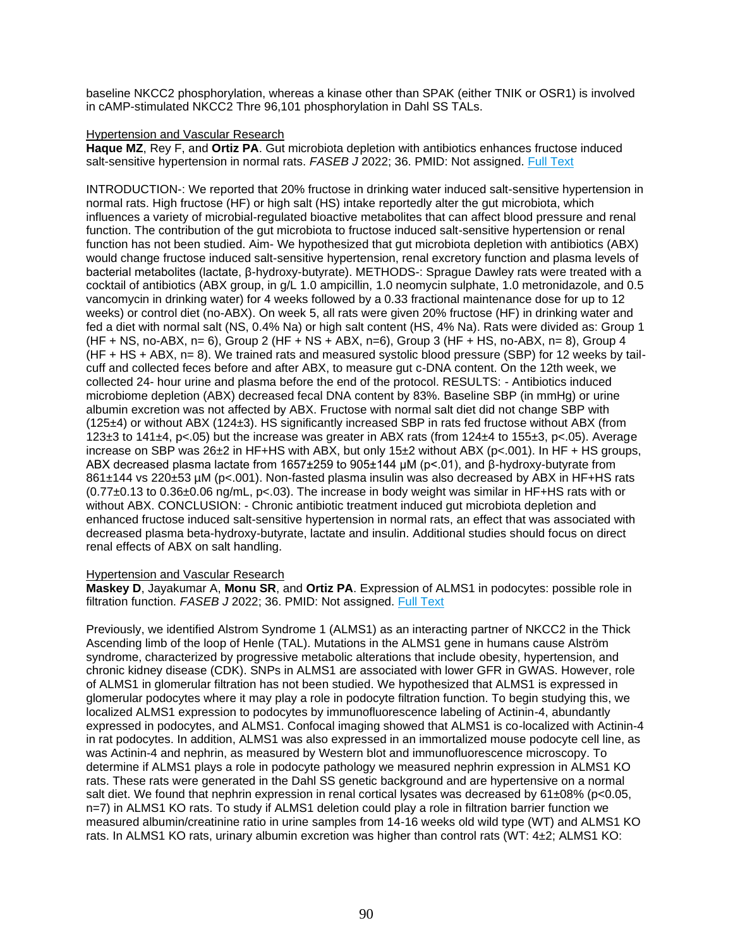baseline NKCC2 phosphorylation, whereas a kinase other than SPAK (either TNIK or OSR1) is involved in cAMP-stimulated NKCC2 Thre 96,101 phosphorylation in Dahl SS TALs.

# Hypertension and Vascular Research

**Haque MZ**, Rey F, and **Ortiz PA**. Gut microbiota depletion with antibiotics enhances fructose induced salt-sensitive hypertension in normal rats. *FASEB J* 2022; 36. PMID: Not assigned. [Full Text](https://libkey.io/10.1096/fasebj.2022.36.S1.R4532)

INTRODUCTION-: We reported that 20% fructose in drinking water induced salt-sensitive hypertension in normal rats. High fructose (HF) or high salt (HS) intake reportedly alter the gut microbiota, which influences a variety of microbial-regulated bioactive metabolites that can affect blood pressure and renal function. The contribution of the gut microbiota to fructose induced salt-sensitive hypertension or renal function has not been studied. Aim- We hypothesized that gut microbiota depletion with antibiotics (ABX) would change fructose induced salt-sensitive hypertension, renal excretory function and plasma levels of bacterial metabolites (lactate, β-hydroxy-butyrate). METHODS-: Sprague Dawley rats were treated with a cocktail of antibiotics (ABX group, in g/L 1.0 ampicillin, 1.0 neomycin sulphate, 1.0 metronidazole, and 0.5 vancomycin in drinking water) for 4 weeks followed by a 0.33 fractional maintenance dose for up to 12 weeks) or control diet (no-ABX). On week 5, all rats were given 20% fructose (HF) in drinking water and fed a diet with normal salt (NS, 0.4% Na) or high salt content (HS, 4% Na). Rats were divided as: Group 1 (HF + NS, no-ABX, n= 6), Group 2 (HF + NS + ABX, n=6), Group 3 (HF + HS, no-ABX, n= 8), Group 4 (HF + HS + ABX, n= 8). We trained rats and measured systolic blood pressure (SBP) for 12 weeks by tailcuff and collected feces before and after ABX, to measure gut c-DNA content. On the 12th week, we collected 24- hour urine and plasma before the end of the protocol. RESULTS: - Antibiotics induced microbiome depletion (ABX) decreased fecal DNA content by 83%. Baseline SBP (in mmHg) or urine albumin excretion was not affected by ABX. Fructose with normal salt diet did not change SBP with (125±4) or without ABX (124±3). HS significantly increased SBP in rats fed fructose without ABX (from 123±3 to 141±4, p<.05) but the increase was greater in ABX rats (from 124±4 to 155±3, p<.05). Average increase on SBP was  $26\pm2$  in HF+HS with ABX, but only 15 $\pm2$  without ABX (p<.001). In HF + HS groups, ABX decreased plasma lactate from 1657±259 to 905±144 µM (p<.01), and β-hydroxy-butyrate from 861±144 vs 220±53 µM (p<.001). Non-fasted plasma insulin was also decreased by ABX in HF+HS rats (0.77±0.13 to 0.36±0.06 ng/mL, p<.03). The increase in body weight was similar in HF+HS rats with or without ABX. CONCLUSION: - Chronic antibiotic treatment induced gut microbiota depletion and enhanced fructose induced salt-sensitive hypertension in normal rats, an effect that was associated with decreased plasma beta-hydroxy-butyrate, lactate and insulin. Additional studies should focus on direct renal effects of ABX on salt handling.

# Hypertension and Vascular Research

**Maskey D**, Jayakumar A, **Monu SR**, and **Ortiz PA**. Expression of ALMS1 in podocytes: possible role in filtration function. *FASEB J* 2022; 36. PMID: Not assigned. [Full Text](https://libkey.io/10.1096/fasebj.2022.36.S1.R4851/)

Previously, we identified Alstrom Syndrome 1 (ALMS1) as an interacting partner of NKCC2 in the Thick Ascending limb of the loop of Henle (TAL). Mutations in the ALMS1 gene in humans cause Alström syndrome, characterized by progressive metabolic alterations that include obesity, hypertension, and chronic kidney disease (CDK). SNPs in ALMS1 are associated with lower GFR in GWAS. However, role of ALMS1 in glomerular filtration has not been studied. We hypothesized that ALMS1 is expressed in glomerular podocytes where it may play a role in podocyte filtration function. To begin studying this, we localized ALMS1 expression to podocytes by immunofluorescence labeling of Actinin-4, abundantly expressed in podocytes, and ALMS1. Confocal imaging showed that ALMS1 is co-localized with Actinin-4 in rat podocytes. In addition, ALMS1 was also expressed in an immortalized mouse podocyte cell line, as was Actinin-4 and nephrin, as measured by Western blot and immunofluorescence microscopy. To determine if ALMS1 plays a role in podocyte pathology we measured nephrin expression in ALMS1 KO rats. These rats were generated in the Dahl SS genetic background and are hypertensive on a normal salt diet. We found that nephrin expression in renal cortical lysates was decreased by 61±08% (p<0.05, n=7) in ALMS1 KO rats. To study if ALMS1 deletion could play a role in filtration barrier function we measured albumin/creatinine ratio in urine samples from 14-16 weeks old wild type (WT) and ALMS1 KO rats. In ALMS1 KO rats, urinary albumin excretion was higher than control rats (WT: 4±2; ALMS1 KO: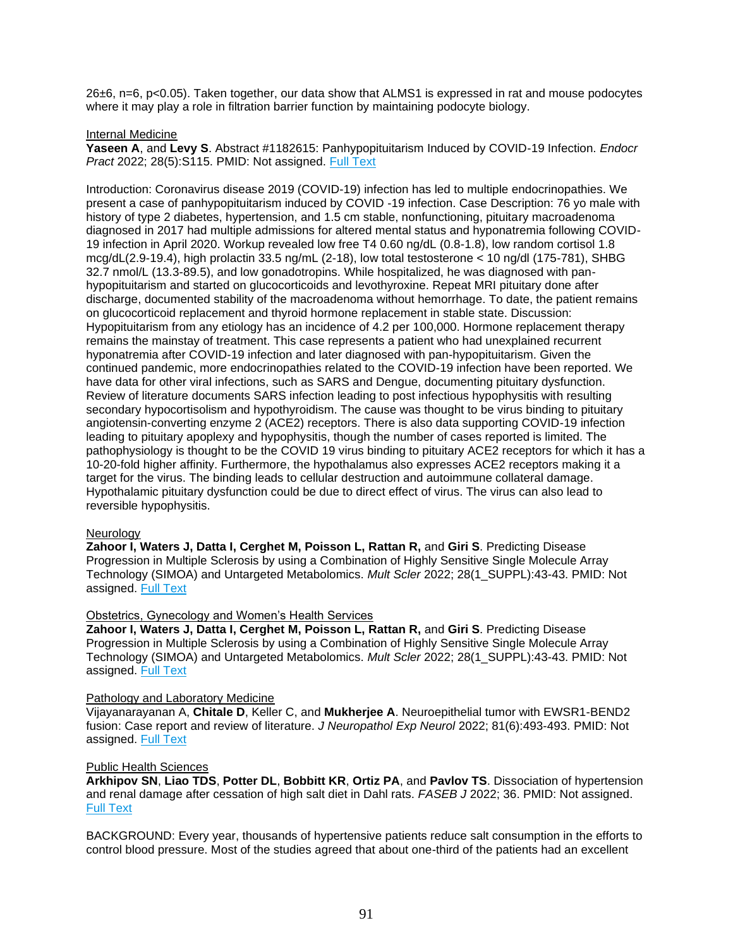26±6, n=6, p<0.05). Taken together, our data show that ALMS1 is expressed in rat and mouse podocytes where it may play a role in filtration barrier function by maintaining podocyte biology.

### Internal Medicine

**Yaseen A**, and **Levy S**. Abstract #1182615: Panhypopituitarism Induced by COVID-19 Infection. *Endocr Pract* 2022; 28(5):S115. PMID: Not assigned. [Full Text](https://libkey.io/10.1016/j.eprac.2022.03.272)

Introduction: Coronavirus disease 2019 (COVID-19) infection has led to multiple endocrinopathies. We present a case of panhypopituitarism induced by COVID -19 infection. Case Description: 76 yo male with history of type 2 diabetes, hypertension, and 1.5 cm stable, nonfunctioning, pituitary macroadenoma diagnosed in 2017 had multiple admissions for altered mental status and hyponatremia following COVID-19 infection in April 2020. Workup revealed low free T4 0.60 ng/dL (0.8-1.8), low random cortisol 1.8 mcg/dL(2.9-19.4), high prolactin 33.5 ng/mL (2-18), low total testosterone < 10 ng/dl (175-781), SHBG 32.7 nmol/L (13.3-89.5), and low gonadotropins. While hospitalized, he was diagnosed with panhypopituitarism and started on glucocorticoids and levothyroxine. Repeat MRI pituitary done after discharge, documented stability of the macroadenoma without hemorrhage. To date, the patient remains on glucocorticoid replacement and thyroid hormone replacement in stable state. Discussion: Hypopituitarism from any etiology has an incidence of 4.2 per 100,000. Hormone replacement therapy remains the mainstay of treatment. This case represents a patient who had unexplained recurrent hyponatremia after COVID-19 infection and later diagnosed with pan-hypopituitarism. Given the continued pandemic, more endocrinopathies related to the COVID-19 infection have been reported. We have data for other viral infections, such as SARS and Dengue, documenting pituitary dysfunction. Review of literature documents SARS infection leading to post infectious hypophysitis with resulting secondary hypocortisolism and hypothyroidism. The cause was thought to be virus binding to pituitary angiotensin-converting enzyme 2 (ACE2) receptors. There is also data supporting COVID-19 infection leading to pituitary apoplexy and hypophysitis, though the number of cases reported is limited. The pathophysiology is thought to be the COVID 19 virus binding to pituitary ACE2 receptors for which it has a 10-20-fold higher affinity. Furthermore, the hypothalamus also expresses ACE2 receptors making it a target for the virus. The binding leads to cellular destruction and autoimmune collateral damage. Hypothalamic pituitary dysfunction could be due to direct effect of virus. The virus can also lead to reversible hypophysitis.

#### Neurology

**Zahoor I, Waters J, Datta I, Cerghet M, Poisson L, Rattan R,** and **Giri S**. Predicting Disease Progression in Multiple Sclerosis by using a Combination of Highly Sensitive Single Molecule Array Technology (SIMOA) and Untargeted Metabolomics. *Mult Scler* 2022; 28(1\_SUPPL):43-43. PMID: Not assigned. [Full Text](https://www.webofscience.com/wos/woscc/full-record/WOS:000796572500088?SID=USW2EC0B7C41mNQCvoRWlKMzDDgLN)

#### Obstetrics, Gynecology and Women's Health Services

**Zahoor I, Waters J, Datta I, Cerghet M, Poisson L, Rattan R,** and **Giri S**. Predicting Disease Progression in Multiple Sclerosis by using a Combination of Highly Sensitive Single Molecule Array Technology (SIMOA) and Untargeted Metabolomics. *Mult Scler* 2022; 28(1\_SUPPL):43-43. PMID: Not assigned. [Full Text](https://www.webofscience.com/wos/woscc/full-record/WOS:000796572500088?SID=USW2EC0B7C41mNQCvoRWlKMzDDgLN)

#### Pathology and Laboratory Medicine

Vijayanarayanan A, **Chitale D**, Keller C, and **Mukherjee A**. Neuroepithelial tumor with EWSR1-BEND2 fusion: Case report and review of literature. *J Neuropathol Exp Neurol* 2022; 81(6):493-493. PMID: Not assigned. [Full Text](http://sfxhosted.exlibrisgroup.com/hfhs?url_ver=Z39.88-2004&url_ctx_fmt=info:ofi/fmt:kev:mtx:ctx&rft.atitle=Neuroepithelial+tumor+with+EWSR1-BEND2+fusion%3A+Case+report+and+review+of+literature&rft.aufirst=Anjanaa&rft.auinit=A&rft.aulast=Vijayanarayanan&rft.date=2022&rft.eissn=1554-6578&rft.epage=493&rft.genre=proceeding&rft.issn=0022-3069&rft.issue=6&rft.jtitle=JOURNAL+OF+NEUROPATHOLOGY+AND+EXPERIMENTAL+NEUROLOGY&rft_val_fmt=info:ofi/fmt:kev:mtx:journal&rft.pages=493-493&rfr_id=info:sid/webofscience.com:WOS:WOS&rft.spage=493&rft.stitle=J+NEUROPATH+EXP+NEUR&rft.volume=81&rft.au=Vijayanarayanan%2C+Anjanaa&rft.au=Chitale%2C+Dhananjay&rft.au=Keller%2C+Christian&rft.au=Mukherjee%2C+Abir)

#### Public Health Sciences

**Arkhipov SN**, **Liao TDS**, **Potter DL**, **Bobbitt KR**, **Ortiz PA**, and **Pavlov TS**. Dissociation of hypertension and renal damage after cessation of high salt diet in Dahl rats. *FASEB J* 2022; 36. PMID: Not assigned. [Full Text](https://libkey.io/10.1096/fasebj.2022.36.S1.R2362)

BACKGROUND: Every year, thousands of hypertensive patients reduce salt consumption in the efforts to control blood pressure. Most of the studies agreed that about one-third of the patients had an excellent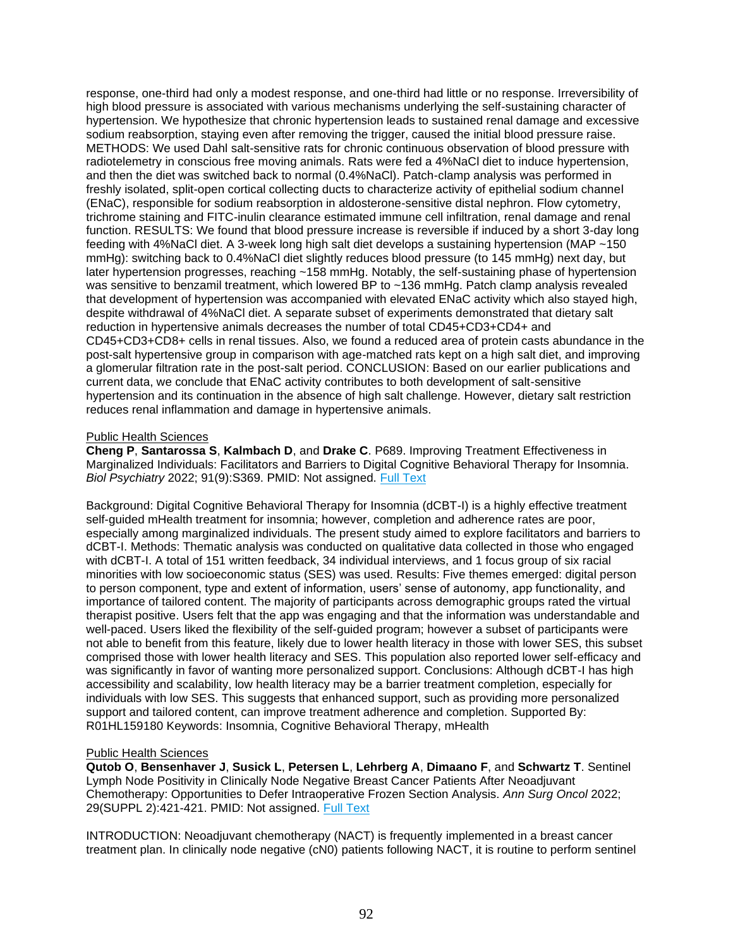response, one-third had only a modest response, and one-third had little or no response. Irreversibility of high blood pressure is associated with various mechanisms underlying the self-sustaining character of hypertension. We hypothesize that chronic hypertension leads to sustained renal damage and excessive sodium reabsorption, staying even after removing the trigger, caused the initial blood pressure raise. METHODS: We used Dahl salt-sensitive rats for chronic continuous observation of blood pressure with radiotelemetry in conscious free moving animals. Rats were fed a 4%NaCl diet to induce hypertension, and then the diet was switched back to normal (0.4%NaCl). Patch-clamp analysis was performed in freshly isolated, split-open cortical collecting ducts to characterize activity of epithelial sodium channel (ENaC), responsible for sodium reabsorption in aldosterone-sensitive distal nephron. Flow cytometry, trichrome staining and FITC-inulin clearance estimated immune cell infiltration, renal damage and renal function. RESULTS: We found that blood pressure increase is reversible if induced by a short 3-day long feeding with 4%NaCl diet. A 3-week long high salt diet develops a sustaining hypertension (MAP ~150 mmHg): switching back to 0.4%NaCl diet slightly reduces blood pressure (to 145 mmHg) next day, but later hypertension progresses, reaching ~158 mmHg. Notably, the self-sustaining phase of hypertension was sensitive to benzamil treatment, which lowered BP to ~136 mmHg. Patch clamp analysis revealed that development of hypertension was accompanied with elevated ENaC activity which also stayed high, despite withdrawal of 4%NaCl diet. A separate subset of experiments demonstrated that dietary salt reduction in hypertensive animals decreases the number of total CD45+CD3+CD4+ and CD45+CD3+CD8+ cells in renal tissues. Also, we found a reduced area of protein casts abundance in the post-salt hypertensive group in comparison with age-matched rats kept on a high salt diet, and improving a glomerular filtration rate in the post-salt period. CONCLUSION: Based on our earlier publications and current data, we conclude that ENaC activity contributes to both development of salt-sensitive hypertension and its continuation in the absence of high salt challenge. However, dietary salt restriction reduces renal inflammation and damage in hypertensive animals.

### Public Health Sciences

**Cheng P**, **Santarossa S**, **Kalmbach D**, and **Drake C**. P689. Improving Treatment Effectiveness in Marginalized Individuals: Facilitators and Barriers to Digital Cognitive Behavioral Therapy for Insomnia. *Biol Psychiatry* 2022; 91(9):S369. PMID: Not assigned. [Full Text](https://libkey.io/10.1016/j.biopsych.2022.02.926)

Background: Digital Cognitive Behavioral Therapy for Insomnia (dCBT-I) is a highly effective treatment self-guided mHealth treatment for insomnia; however, completion and adherence rates are poor, especially among marginalized individuals. The present study aimed to explore facilitators and barriers to dCBT-I. Methods: Thematic analysis was conducted on qualitative data collected in those who engaged with dCBT-I. A total of 151 written feedback, 34 individual interviews, and 1 focus group of six racial minorities with low socioeconomic status (SES) was used. Results: Five themes emerged: digital person to person component, type and extent of information, users' sense of autonomy, app functionality, and importance of tailored content. The majority of participants across demographic groups rated the virtual therapist positive. Users felt that the app was engaging and that the information was understandable and well-paced. Users liked the flexibility of the self-guided program; however a subset of participants were not able to benefit from this feature, likely due to lower health literacy in those with lower SES, this subset comprised those with lower health literacy and SES. This population also reported lower self-efficacy and was significantly in favor of wanting more personalized support. Conclusions: Although dCBT-I has high accessibility and scalability, low health literacy may be a barrier treatment completion, especially for individuals with low SES. This suggests that enhanced support, such as providing more personalized support and tailored content, can improve treatment adherence and completion. Supported By: R01HL159180 Keywords: Insomnia, Cognitive Behavioral Therapy, mHealth

#### Public Health Sciences

**Qutob O**, **Bensenhaver J**, **Susick L**, **Petersen L**, **Lehrberg A**, **Dimaano F**, and **Schwartz T**. Sentinel Lymph Node Positivity in Clinically Node Negative Breast Cancer Patients After Neoadjuvant Chemotherapy: Opportunities to Defer Intraoperative Frozen Section Analysis. *Ann Surg Oncol* 2022; 29(SUPPL 2):421-421. PMID: Not assigned. [Full Text](https://doi.org/10.1093/neuonc/noac139)

INTRODUCTION: Neoadjuvant chemotherapy (NACT) is frequently implemented in a breast cancer treatment plan. In clinically node negative (cN0) patients following NACT, it is routine to perform sentinel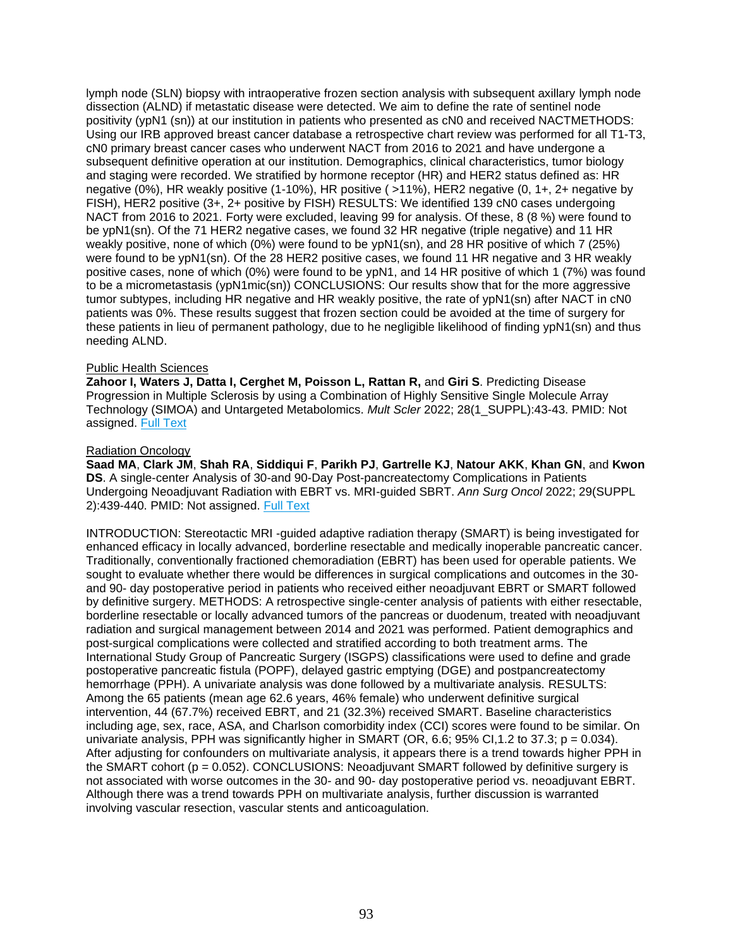lymph node (SLN) biopsy with intraoperative frozen section analysis with subsequent axillary lymph node dissection (ALND) if metastatic disease were detected. We aim to define the rate of sentinel node positivity (ypN1 (sn)) at our institution in patients who presented as cN0 and received NACTMETHODS: Using our IRB approved breast cancer database a retrospective chart review was performed for all T1-T3, cN0 primary breast cancer cases who underwent NACT from 2016 to 2021 and have undergone a subsequent definitive operation at our institution. Demographics, clinical characteristics, tumor biology and staging were recorded. We stratified by hormone receptor (HR) and HER2 status defined as: HR negative (0%), HR weakly positive (1-10%), HR positive ( >11%), HER2 negative (0, 1+, 2+ negative by FISH), HER2 positive (3+, 2+ positive by FISH) RESULTS: We identified 139 cN0 cases undergoing NACT from 2016 to 2021. Forty were excluded, leaving 99 for analysis. Of these, 8 (8 %) were found to be ypN1(sn). Of the 71 HER2 negative cases, we found 32 HR negative (triple negative) and 11 HR weakly positive, none of which (0%) were found to be ypN1(sn), and 28 HR positive of which 7 (25%) were found to be ypN1(sn). Of the 28 HER2 positive cases, we found 11 HR negative and 3 HR weakly positive cases, none of which (0%) were found to be ypN1, and 14 HR positive of which 1 (7%) was found to be a micrometastasis (ypN1mic(sn)) CONCLUSIONS: Our results show that for the more aggressive tumor subtypes, including HR negative and HR weakly positive, the rate of ypN1(sn) after NACT in cN0 patients was 0%. These results suggest that frozen section could be avoided at the time of surgery for these patients in lieu of permanent pathology, due to he negligible likelihood of finding ypN1(sn) and thus needing ALND.

# Public Health Sciences

**Zahoor I, Waters J, Datta I, Cerghet M, Poisson L, Rattan R,** and **Giri S**. Predicting Disease Progression in Multiple Sclerosis by using a Combination of Highly Sensitive Single Molecule Array Technology (SIMOA) and Untargeted Metabolomics. *Mult Scler* 2022; 28(1\_SUPPL):43-43. PMID: Not assigned. [Full Text](https://www.webofscience.com/wos/woscc/full-record/WOS:000796572500088?SID=USW2EC0B7C41mNQCvoRWlKMzDDgLN)

# Radiation Oncology

**Saad MA**, **Clark JM**, **Shah RA**, **Siddiqui F**, **Parikh PJ**, **Gartrelle KJ**, **Natour AKK**, **Khan GN**, and **Kwon DS**. A single-center Analysis of 30-and 90-Day Post-pancreatectomy Complications in Patients Undergoing Neoadjuvant Radiation with EBRT vs. MRI-guided SBRT. *Ann Surg Oncol* 2022; 29(SUPPL 2):439-440. PMID: Not assigned. [Full Text](http://sfxhosted.exlibrisgroup.com/hfhs?url_ver=Z39.88-2004&url_ctx_fmt=info:ofi/fmt:kev:mtx:ctx&rft.atitle=A+single-center+Analysis+of+30-and+90-Day+Post-pancreatectomy+Complications+in+Patients+Undergoing+Neoadjuvant+Radiation+with+EBRT+vs.+MRI-guided+SBRT&rft.aufirst=Mariam+A.&rft.auinit=MA&rft.aulast=Saad&rft.date=2022&rft.eissn=1534-4681&rft.epage=440&rft.genre=proceeding&rft.issn=1068-9265&rft.issue=SUPPL+2&rft.jtitle=ANNALS+OF+SURGICAL+ONCOLOGY&rft_val_fmt=info:ofi/fmt:kev:mtx:journal&rft.pages=439-440&rfr_id=info:sid/webofscience.com:WOS:WOS&rft.spage=439&rft.stitle=ANN+SURG+ONCOL&rft.volume=29&rft.au=Saad%2C+Mariam+A.&rft.au=Clark%2C+Julie+M.&rft.au=Shah%2C+Rupen+A.&rft.au=Siddiqui%2C+Farzan&rft.au=Parikh%2C+Parag+J.&rft.au=Gartrelle%2C+Kendyll+J.&rft.au=Natour%2C+Abdul+Kader+K.&rft.au=Khan%2C+Gazala+N.&rft.au=Kwon%2C+David+S)

INTRODUCTION: Stereotactic MRI -guided adaptive radiation therapy (SMART) is being investigated for enhanced efficacy in locally advanced, borderline resectable and medically inoperable pancreatic cancer. Traditionally, conventionally fractioned chemoradiation (EBRT) has been used for operable patients. We sought to evaluate whether there would be differences in surgical complications and outcomes in the 30 and 90- day postoperative period in patients who received either neoadjuvant EBRT or SMART followed by definitive surgery. METHODS: A retrospective single-center analysis of patients with either resectable, borderline resectable or locally advanced tumors of the pancreas or duodenum, treated with neoadjuvant radiation and surgical management between 2014 and 2021 was performed. Patient demographics and post-surgical complications were collected and stratified according to both treatment arms. The International Study Group of Pancreatic Surgery (ISGPS) classifications were used to define and grade postoperative pancreatic fistula (POPF), delayed gastric emptying (DGE) and postpancreatectomy hemorrhage (PPH). A univariate analysis was done followed by a multivariate analysis. RESULTS: Among the 65 patients (mean age 62.6 years, 46% female) who underwent definitive surgical intervention, 44 (67.7%) received EBRT, and 21 (32.3%) received SMART. Baseline characteristics including age, sex, race, ASA, and Charlson comorbidity index (CCI) scores were found to be similar. On univariate analysis, PPH was significantly higher in SMART (OR, 6.6; 95% CI, 1.2 to 37.3;  $p = 0.034$ ). After adjusting for confounders on multivariate analysis, it appears there is a trend towards higher PPH in the SMART cohort (p = 0.052). CONCLUSIONS: Neoadjuvant SMART followed by definitive surgery is not associated with worse outcomes in the 30- and 90- day postoperative period vs. neoadjuvant EBRT. Although there was a trend towards PPH on multivariate analysis, further discussion is warranted involving vascular resection, vascular stents and anticoagulation.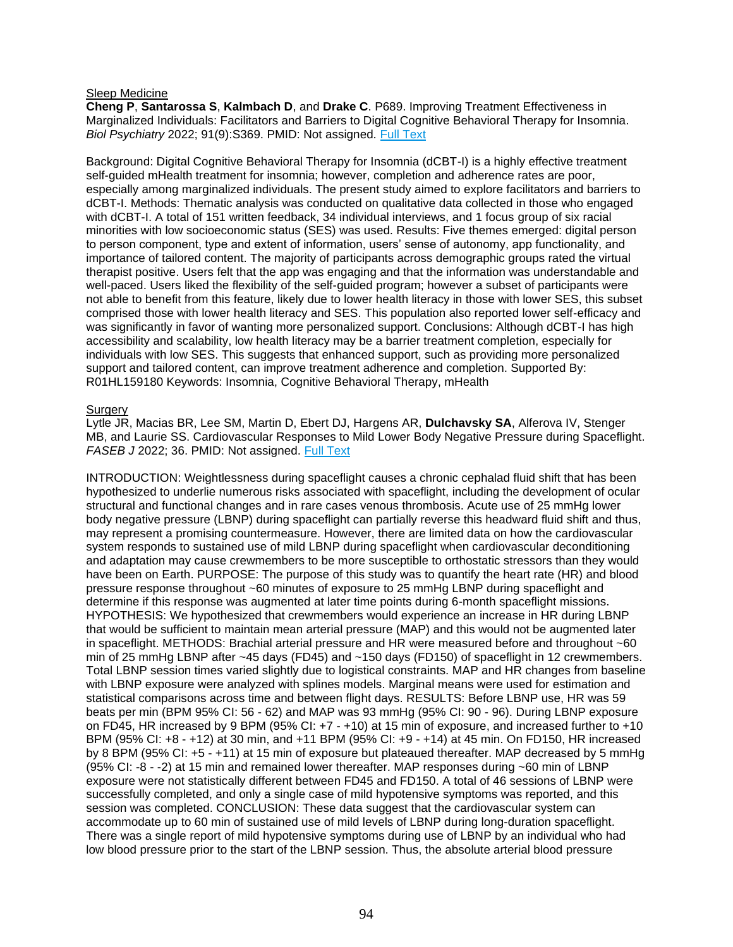#### Sleep Medicine

**Cheng P**, **Santarossa S**, **Kalmbach D**, and **Drake C**. P689. Improving Treatment Effectiveness in Marginalized Individuals: Facilitators and Barriers to Digital Cognitive Behavioral Therapy for Insomnia. *Biol Psychiatry* 2022; 91(9):S369. PMID: Not assigned. [Full Text](https://libkey.io/10.1016/j.biopsych.2022.02.926)

Background: Digital Cognitive Behavioral Therapy for Insomnia (dCBT-I) is a highly effective treatment self-guided mHealth treatment for insomnia; however, completion and adherence rates are poor, especially among marginalized individuals. The present study aimed to explore facilitators and barriers to dCBT-I. Methods: Thematic analysis was conducted on qualitative data collected in those who engaged with dCBT-I. A total of 151 written feedback, 34 individual interviews, and 1 focus group of six racial minorities with low socioeconomic status (SES) was used. Results: Five themes emerged: digital person to person component, type and extent of information, users' sense of autonomy, app functionality, and importance of tailored content. The majority of participants across demographic groups rated the virtual therapist positive. Users felt that the app was engaging and that the information was understandable and well-paced. Users liked the flexibility of the self-guided program; however a subset of participants were not able to benefit from this feature, likely due to lower health literacy in those with lower SES, this subset comprised those with lower health literacy and SES. This population also reported lower self-efficacy and was significantly in favor of wanting more personalized support. Conclusions: Although dCBT-I has high accessibility and scalability, low health literacy may be a barrier treatment completion, especially for individuals with low SES. This suggests that enhanced support, such as providing more personalized support and tailored content, can improve treatment adherence and completion. Supported By: R01HL159180 Keywords: Insomnia, Cognitive Behavioral Therapy, mHealth

### Surgery

Lytle JR, Macias BR, Lee SM, Martin D, Ebert DJ, Hargens AR, **Dulchavsky SA**, Alferova IV, Stenger MB, and Laurie SS. Cardiovascular Responses to Mild Lower Body Negative Pressure during Spaceflight. *FASEB J* 2022; 36. PMID: Not assigned. [Full Text](https://libkey.io/10.1096/fasebj.2022.36.S1.R5373)

INTRODUCTION: Weightlessness during spaceflight causes a chronic cephalad fluid shift that has been hypothesized to underlie numerous risks associated with spaceflight, including the development of ocular structural and functional changes and in rare cases venous thrombosis. Acute use of 25 mmHg lower body negative pressure (LBNP) during spaceflight can partially reverse this headward fluid shift and thus, may represent a promising countermeasure. However, there are limited data on how the cardiovascular system responds to sustained use of mild LBNP during spaceflight when cardiovascular deconditioning and adaptation may cause crewmembers to be more susceptible to orthostatic stressors than they would have been on Earth. PURPOSE: The purpose of this study was to quantify the heart rate (HR) and blood pressure response throughout ~60 minutes of exposure to 25 mmHg LBNP during spaceflight and determine if this response was augmented at later time points during 6-month spaceflight missions. HYPOTHESIS: We hypothesized that crewmembers would experience an increase in HR during LBNP that would be sufficient to maintain mean arterial pressure (MAP) and this would not be augmented later in spaceflight. METHODS: Brachial arterial pressure and HR were measured before and throughout ~60 min of 25 mmHg LBNP after ~45 days (FD45) and ~150 days (FD150) of spaceflight in 12 crewmembers. Total LBNP session times varied slightly due to logistical constraints. MAP and HR changes from baseline with LBNP exposure were analyzed with splines models. Marginal means were used for estimation and statistical comparisons across time and between flight days. RESULTS: Before LBNP use, HR was 59 beats per min (BPM 95% CI: 56 - 62) and MAP was 93 mmHg (95% CI: 90 - 96). During LBNP exposure on FD45, HR increased by 9 BPM (95% CI: +7 - +10) at 15 min of exposure, and increased further to +10 BPM (95% CI: +8 - +12) at 30 min, and +11 BPM (95% CI: +9 - +14) at 45 min. On FD150, HR increased by 8 BPM (95% CI: +5 - +11) at 15 min of exposure but plateaued thereafter. MAP decreased by 5 mmHg (95% CI: -8 - -2) at 15 min and remained lower thereafter. MAP responses during ~60 min of LBNP exposure were not statistically different between FD45 and FD150. A total of 46 sessions of LBNP were successfully completed, and only a single case of mild hypotensive symptoms was reported, and this session was completed. CONCLUSION: These data suggest that the cardiovascular system can accommodate up to 60 min of sustained use of mild levels of LBNP during long-duration spaceflight. There was a single report of mild hypotensive symptoms during use of LBNP by an individual who had low blood pressure prior to the start of the LBNP session. Thus, the absolute arterial blood pressure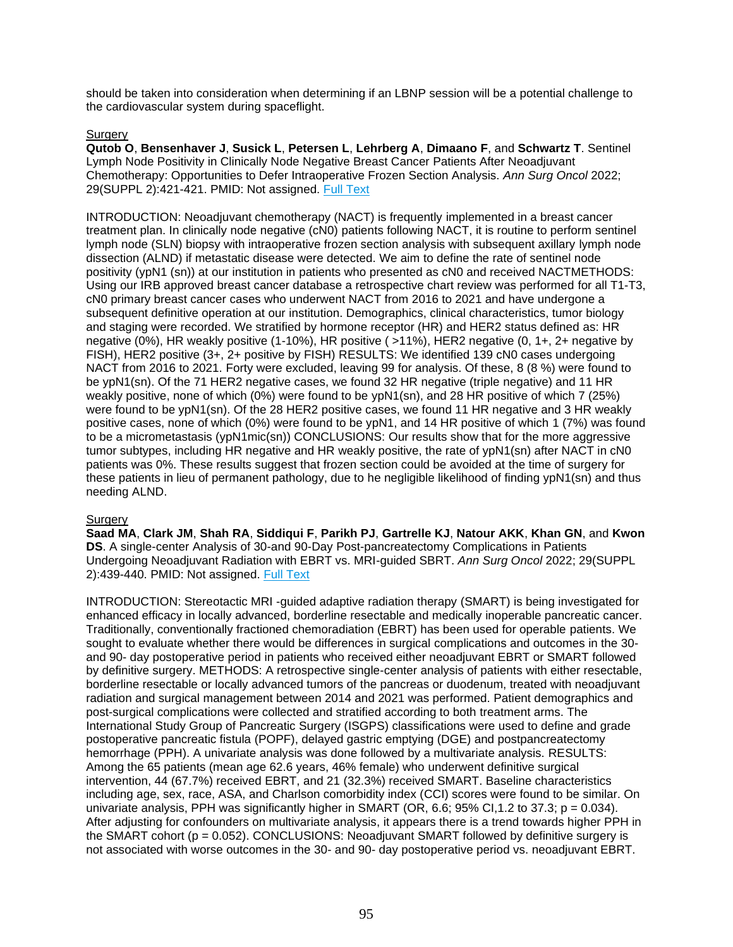should be taken into consideration when determining if an LBNP session will be a potential challenge to the cardiovascular system during spaceflight.

# **Surgery**

**Qutob O**, **Bensenhaver J**, **Susick L**, **Petersen L**, **Lehrberg A**, **Dimaano F**, and **Schwartz T**. Sentinel Lymph Node Positivity in Clinically Node Negative Breast Cancer Patients After Neoadjuvant Chemotherapy: Opportunities to Defer Intraoperative Frozen Section Analysis. *Ann Surg Oncol* 2022; 29(SUPPL 2):421-421. PMID: Not assigned. [Full Text](https://doi.org/10.1093/neuonc/noac139)

INTRODUCTION: Neoadjuvant chemotherapy (NACT) is frequently implemented in a breast cancer treatment plan. In clinically node negative (cN0) patients following NACT, it is routine to perform sentinel lymph node (SLN) biopsy with intraoperative frozen section analysis with subsequent axillary lymph node dissection (ALND) if metastatic disease were detected. We aim to define the rate of sentinel node positivity (ypN1 (sn)) at our institution in patients who presented as cN0 and received NACTMETHODS: Using our IRB approved breast cancer database a retrospective chart review was performed for all T1-T3, cN0 primary breast cancer cases who underwent NACT from 2016 to 2021 and have undergone a subsequent definitive operation at our institution. Demographics, clinical characteristics, tumor biology and staging were recorded. We stratified by hormone receptor (HR) and HER2 status defined as: HR negative (0%), HR weakly positive (1-10%), HR positive ( >11%), HER2 negative (0, 1+, 2+ negative by FISH), HER2 positive (3+, 2+ positive by FISH) RESULTS: We identified 139 cN0 cases undergoing NACT from 2016 to 2021. Forty were excluded, leaving 99 for analysis. Of these, 8 (8 %) were found to be ypN1(sn). Of the 71 HER2 negative cases, we found 32 HR negative (triple negative) and 11 HR weakly positive, none of which (0%) were found to be ypN1(sn), and 28 HR positive of which 7 (25%) were found to be ypN1(sn). Of the 28 HER2 positive cases, we found 11 HR negative and 3 HR weakly positive cases, none of which (0%) were found to be ypN1, and 14 HR positive of which 1 (7%) was found to be a micrometastasis (ypN1mic(sn)) CONCLUSIONS: Our results show that for the more aggressive tumor subtypes, including HR negative and HR weakly positive, the rate of ypN1(sn) after NACT in cN0 patients was 0%. These results suggest that frozen section could be avoided at the time of surgery for these patients in lieu of permanent pathology, due to he negligible likelihood of finding ypN1(sn) and thus needing ALND.

# **Surgery**

**Saad MA**, **Clark JM**, **Shah RA**, **Siddiqui F**, **Parikh PJ**, **Gartrelle KJ**, **Natour AKK**, **Khan GN**, and **Kwon DS**. A single-center Analysis of 30-and 90-Day Post-pancreatectomy Complications in Patients Undergoing Neoadjuvant Radiation with EBRT vs. MRI-guided SBRT. *Ann Surg Oncol* 2022; 29(SUPPL 2):439-440. PMID: Not assigned. [Full Text](http://sfxhosted.exlibrisgroup.com/hfhs?url_ver=Z39.88-2004&url_ctx_fmt=info:ofi/fmt:kev:mtx:ctx&rft.atitle=A+single-center+Analysis+of+30-and+90-Day+Post-pancreatectomy+Complications+in+Patients+Undergoing+Neoadjuvant+Radiation+with+EBRT+vs.+MRI-guided+SBRT&rft.aufirst=Mariam+A.&rft.auinit=MA&rft.aulast=Saad&rft.date=2022&rft.eissn=1534-4681&rft.epage=440&rft.genre=proceeding&rft.issn=1068-9265&rft.issue=SUPPL+2&rft.jtitle=ANNALS+OF+SURGICAL+ONCOLOGY&rft_val_fmt=info:ofi/fmt:kev:mtx:journal&rft.pages=439-440&rfr_id=info:sid/webofscience.com:WOS:WOS&rft.spage=439&rft.stitle=ANN+SURG+ONCOL&rft.volume=29&rft.au=Saad%2C+Mariam+A.&rft.au=Clark%2C+Julie+M.&rft.au=Shah%2C+Rupen+A.&rft.au=Siddiqui%2C+Farzan&rft.au=Parikh%2C+Parag+J.&rft.au=Gartrelle%2C+Kendyll+J.&rft.au=Natour%2C+Abdul+Kader+K.&rft.au=Khan%2C+Gazala+N.&rft.au=Kwon%2C+David+S)

INTRODUCTION: Stereotactic MRI -guided adaptive radiation therapy (SMART) is being investigated for enhanced efficacy in locally advanced, borderline resectable and medically inoperable pancreatic cancer. Traditionally, conventionally fractioned chemoradiation (EBRT) has been used for operable patients. We sought to evaluate whether there would be differences in surgical complications and outcomes in the 30 and 90- day postoperative period in patients who received either neoadjuvant EBRT or SMART followed by definitive surgery. METHODS: A retrospective single-center analysis of patients with either resectable, borderline resectable or locally advanced tumors of the pancreas or duodenum, treated with neoadjuvant radiation and surgical management between 2014 and 2021 was performed. Patient demographics and post-surgical complications were collected and stratified according to both treatment arms. The International Study Group of Pancreatic Surgery (ISGPS) classifications were used to define and grade postoperative pancreatic fistula (POPF), delayed gastric emptying (DGE) and postpancreatectomy hemorrhage (PPH). A univariate analysis was done followed by a multivariate analysis. RESULTS: Among the 65 patients (mean age 62.6 years, 46% female) who underwent definitive surgical intervention, 44 (67.7%) received EBRT, and 21 (32.3%) received SMART. Baseline characteristics including age, sex, race, ASA, and Charlson comorbidity index (CCI) scores were found to be similar. On univariate analysis, PPH was significantly higher in SMART (OR, 6.6; 95% Cl, 1.2 to 37.3;  $p = 0.034$ ). After adjusting for confounders on multivariate analysis, it appears there is a trend towards higher PPH in the SMART cohort (p = 0.052). CONCLUSIONS: Neoadjuvant SMART followed by definitive surgery is not associated with worse outcomes in the 30- and 90- day postoperative period vs. neoadjuvant EBRT.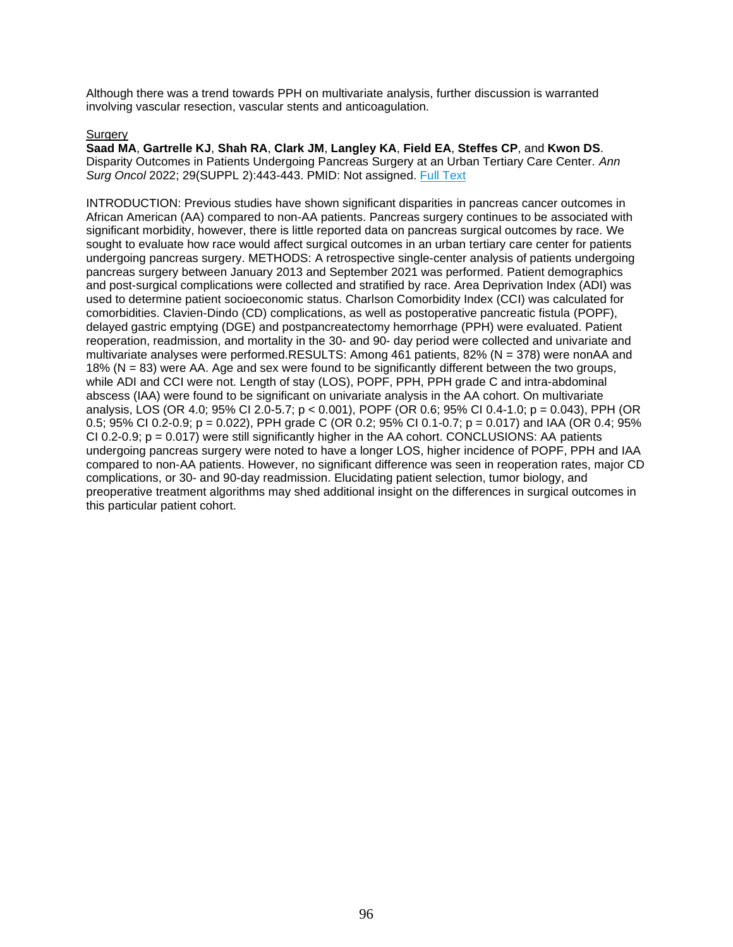Although there was a trend towards PPH on multivariate analysis, further discussion is warranted involving vascular resection, vascular stents and anticoagulation.

# **Surgery**

**Saad MA**, **Gartrelle KJ**, **Shah RA**, **Clark JM**, **Langley KA**, **Field EA**, **Steffes CP**, and **Kwon DS**. Disparity Outcomes in Patients Undergoing Pancreas Surgery at an Urban Tertiary Care Center. *Ann Surg Oncol* 2022; 29(SUPPL 2):443-443. PMID: Not assigned. [Full Text](http://sfxhosted.exlibrisgroup.com/hfhs?url_ver=Z39.88-2004&url_ctx_fmt=info:ofi/fmt:kev:mtx:ctx&rft.atitle=Disparity+Outcomes+in+Patients+Undergoing+Pancreas+Surgery+at+an+Urban+Tertiary+Care+Center&rft.aufirst=Mariam+A.&rft.auinit=MA&rft.aulast=Saad&rft.date=2022&rft.eissn=1534-4681&rft.epage=443&rft.genre=proceeding&rft.issn=1068-9265&rft.issue=SUPPL+2&rft.jtitle=ANNALS+OF+SURGICAL+ONCOLOGY&rft_val_fmt=info:ofi/fmt:kev:mtx:journal&rft.pages=443-443&rfr_id=info:sid/webofscience.com:WOS:WOS&rft.spage=443&rft.stitle=ANN+SURG+ONCOL&rft.volume=29&rft.au=Saad%2C+Mariam+A.&rft.au=Gartrelle%2C+Kendyll+J.&rft.au=Shah%2C+Rupen+A.&rft.au=Clark%2C+Julie+M.&rft.au=Langley%2C+Kyra+A.&rft.au=Field%2C+Elizabeth+A.&rft.au=Steffes%2C+Christopher+P.&rft.au=Kwon%2C+David+S.)

INTRODUCTION: Previous studies have shown significant disparities in pancreas cancer outcomes in African American (AA) compared to non-AA patients. Pancreas surgery continues to be associated with significant morbidity, however, there is little reported data on pancreas surgical outcomes by race. We sought to evaluate how race would affect surgical outcomes in an urban tertiary care center for patients undergoing pancreas surgery. METHODS: A retrospective single-center analysis of patients undergoing pancreas surgery between January 2013 and September 2021 was performed. Patient demographics and post-surgical complications were collected and stratified by race. Area Deprivation Index (ADI) was used to determine patient socioeconomic status. Charlson Comorbidity Index (CCI) was calculated for comorbidities. Clavien-Dindo (CD) complications, as well as postoperative pancreatic fistula (POPF), delayed gastric emptying (DGE) and postpancreatectomy hemorrhage (PPH) were evaluated. Patient reoperation, readmission, and mortality in the 30- and 90- day period were collected and univariate and multivariate analyses were performed.RESULTS: Among 461 patients, 82% (N = 378) were nonAA and 18% (N = 83) were AA. Age and sex were found to be significantly different between the two groups, while ADI and CCI were not. Length of stay (LOS), POPF, PPH, PPH grade C and intra-abdominal abscess (IAA) were found to be significant on univariate analysis in the AA cohort. On multivariate analysis, LOS (OR 4.0; 95% CI 2.0-5.7; p < 0.001), POPF (OR 0.6; 95% CI 0.4-1.0; p = 0.043), PPH (OR 0.5; 95% CI 0.2-0.9; p = 0.022), PPH grade C (OR 0.2; 95% CI 0.1-0.7; p = 0.017) and IAA (OR 0.4; 95%  $CI 0.2-0.9$ ;  $p = 0.017$ ) were still significantly higher in the AA cohort. CONCLUSIONS: AA patients undergoing pancreas surgery were noted to have a longer LOS, higher incidence of POPF, PPH and IAA compared to non-AA patients. However, no significant difference was seen in reoperation rates, major CD complications, or 30- and 90-day readmission. Elucidating patient selection, tumor biology, and preoperative treatment algorithms may shed additional insight on the differences in surgical outcomes in this particular patient cohort.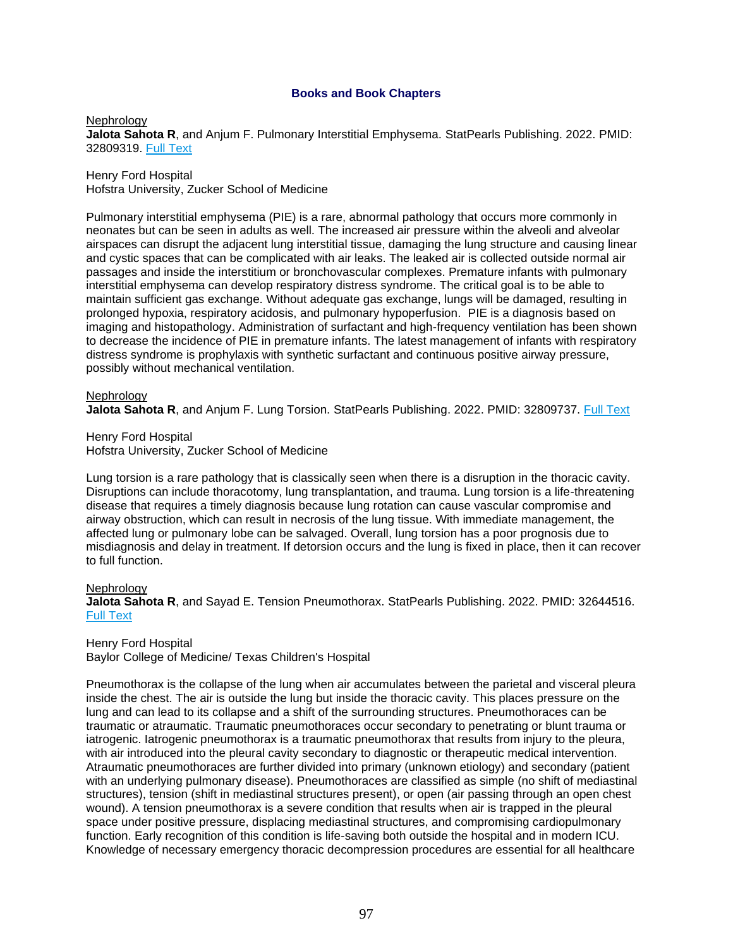# **Books and Book Chapters**

### **Nephrology**

**Jalota Sahota R**, and Anjum F. Pulmonary Interstitial Emphysema. StatPearls Publishing. 2022. PMID: 32809319. [Full Text](https://libkey.io/32809319)

Henry Ford Hospital Hofstra University, Zucker School of Medicine

Pulmonary interstitial emphysema (PIE) is a rare, abnormal pathology that occurs more commonly in neonates but can be seen in adults as well. The increased air pressure within the alveoli and alveolar airspaces can disrupt the adjacent lung interstitial tissue, damaging the lung structure and causing linear and cystic spaces that can be complicated with air leaks. The leaked air is collected outside normal air passages and inside the interstitium or bronchovascular complexes. Premature infants with pulmonary interstitial emphysema can develop respiratory distress syndrome. The critical goal is to be able to maintain sufficient gas exchange. Without adequate gas exchange, lungs will be damaged, resulting in prolonged hypoxia, respiratory acidosis, and pulmonary hypoperfusion. PIE is a diagnosis based on imaging and histopathology. Administration of surfactant and high-frequency ventilation has been shown to decrease the incidence of PIE in premature infants. The latest management of infants with respiratory distress syndrome is prophylaxis with synthetic surfactant and continuous positive airway pressure, possibly without mechanical ventilation.

### Nephrology

**Jalota Sahota R**, and Anjum F. Lung Torsion. StatPearls Publishing. 2022. PMID: 32809737. [Full Text](https://libkey.io/32809737)

Henry Ford Hospital Hofstra University, Zucker School of Medicine

Lung torsion is a rare pathology that is classically seen when there is a disruption in the thoracic cavity. Disruptions can include thoracotomy, lung transplantation, and trauma. Lung torsion is a life-threatening disease that requires a timely diagnosis because lung rotation can cause vascular compromise and airway obstruction, which can result in necrosis of the lung tissue. With immediate management, the affected lung or pulmonary lobe can be salvaged. Overall, lung torsion has a poor prognosis due to misdiagnosis and delay in treatment. If detorsion occurs and the lung is fixed in place, then it can recover to full function.

#### **Nephrology**

**Jalota Sahota R**, and Sayad E. Tension Pneumothorax. StatPearls Publishing. 2022. PMID: 32644516. [Full Text](https://libkey.io/32644516)

Henry Ford Hospital

Baylor College of Medicine/ Texas Children's Hospital

Pneumothorax is the collapse of the lung when air accumulates between the parietal and visceral pleura inside the chest. The air is outside the lung but inside the thoracic cavity. This places pressure on the lung and can lead to its collapse and a shift of the surrounding structures. Pneumothoraces can be traumatic or atraumatic. Traumatic pneumothoraces occur secondary to penetrating or blunt trauma or iatrogenic. Iatrogenic pneumothorax is a traumatic pneumothorax that results from injury to the pleura, with air introduced into the pleural cavity secondary to diagnostic or therapeutic medical intervention. Atraumatic pneumothoraces are further divided into primary (unknown etiology) and secondary (patient with an underlying pulmonary disease). Pneumothoraces are classified as simple (no shift of mediastinal structures), tension (shift in mediastinal structures present), or open (air passing through an open chest wound). A tension pneumothorax is a severe condition that results when air is trapped in the pleural space under positive pressure, displacing mediastinal structures, and compromising cardiopulmonary function. Early recognition of this condition is life-saving both outside the hospital and in modern ICU. Knowledge of necessary emergency thoracic decompression procedures are essential for all healthcare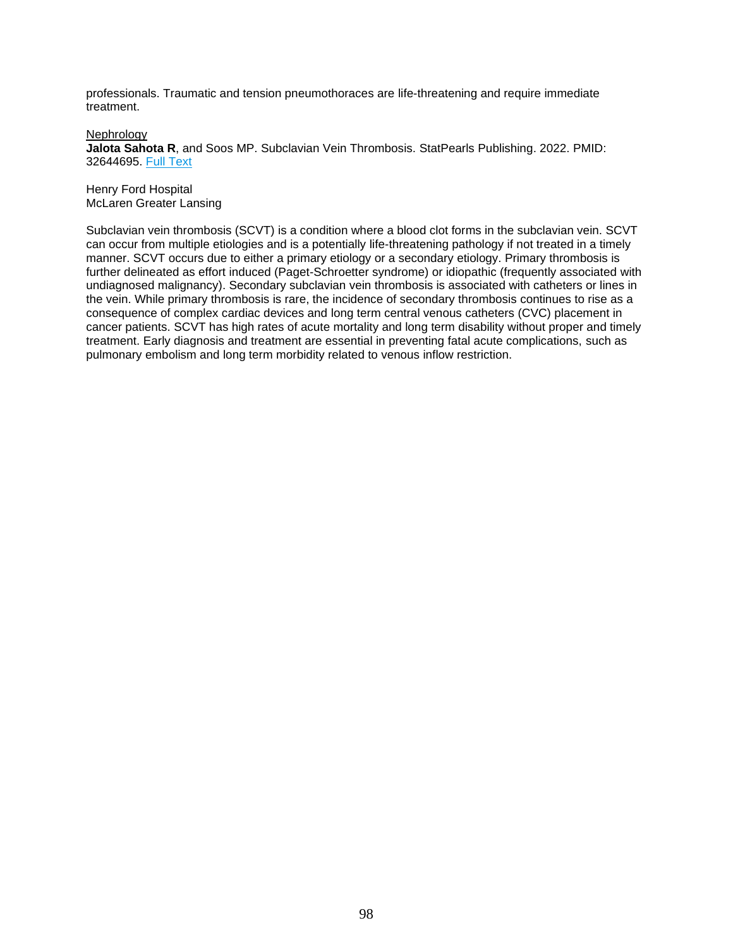professionals. Traumatic and tension pneumothoraces are life-threatening and require immediate treatment.

**Nephrology** 

**Jalota Sahota R**, and Soos MP. Subclavian Vein Thrombosis. StatPearls Publishing. 2022. PMID: 32644695. [Full Text](https://libkey.io/32644695)

Henry Ford Hospital McLaren Greater Lansing

Subclavian vein thrombosis (SCVT) is a condition where a blood clot forms in the subclavian vein. SCVT can occur from multiple etiologies and is a potentially life-threatening pathology if not treated in a timely manner. SCVT occurs due to either a primary etiology or a secondary etiology. Primary thrombosis is further delineated as effort induced (Paget-Schroetter syndrome) or idiopathic (frequently associated with undiagnosed malignancy). Secondary subclavian vein thrombosis is associated with catheters or lines in the vein. While primary thrombosis is rare, the incidence of secondary thrombosis continues to rise as a consequence of complex cardiac devices and long term central venous catheters (CVC) placement in cancer patients. SCVT has high rates of acute mortality and long term disability without proper and timely treatment. Early diagnosis and treatment are essential in preventing fatal acute complications, such as pulmonary embolism and long term morbidity related to venous inflow restriction.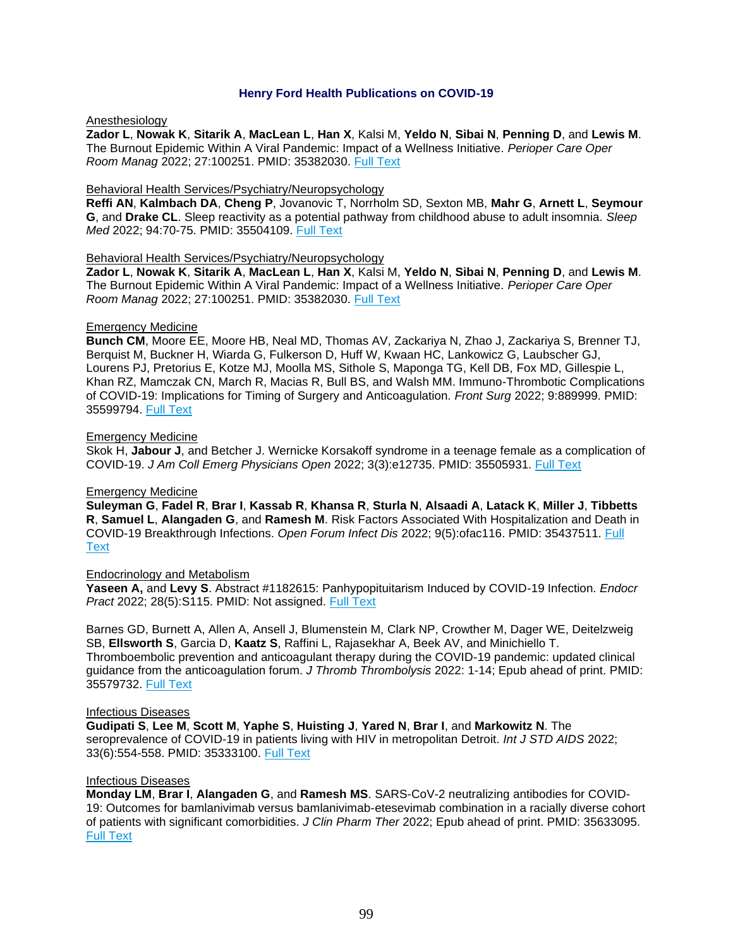# **Henry Ford Health Publications on COVID-19**

# Anesthesiology

**Zador L**, **Nowak K**, **Sitarik A**, **MacLean L**, **Han X**, Kalsi M, **Yeldo N**, **Sibai N**, **Penning D**, and **Lewis M**. The Burnout Epidemic Within A Viral Pandemic: Impact of a Wellness Initiative. *Perioper Care Oper Room Manag* 2022; 27:100251. PMID: 35382030. [Full Text](https://libkey.io/35382030)

# Behavioral Health Services/Psychiatry/Neuropsychology

**Reffi AN**, **Kalmbach DA**, **Cheng P**, Jovanovic T, Norrholm SD, Sexton MB, **Mahr G**, **Arnett L**, **Seymour G**, and **Drake CL**. Sleep reactivity as a potential pathway from childhood abuse to adult insomnia. *Sleep Med* 2022; 94:70-75. PMID: 35504109. [Full Text](https://libkey.io/35504109)

### Behavioral Health Services/Psychiatry/Neuropsychology

**Zador L**, **Nowak K**, **Sitarik A**, **MacLean L**, **Han X**, Kalsi M, **Yeldo N**, **Sibai N**, **Penning D**, and **Lewis M**. The Burnout Epidemic Within A Viral Pandemic: Impact of a Wellness Initiative. *Perioper Care Oper Room Manag* 2022; 27:100251. PMID: 35382030. [Full Text](https://libkey.io/35382030)

### Emergency Medicine

**Bunch CM**, Moore EE, Moore HB, Neal MD, Thomas AV, Zackariya N, Zhao J, Zackariya S, Brenner TJ, Berquist M, Buckner H, Wiarda G, Fulkerson D, Huff W, Kwaan HC, Lankowicz G, Laubscher GJ, Lourens PJ, Pretorius E, Kotze MJ, Moolla MS, Sithole S, Maponga TG, Kell DB, Fox MD, Gillespie L, Khan RZ, Mamczak CN, March R, Macias R, Bull BS, and Walsh MM. Immuno-Thrombotic Complications of COVID-19: Implications for Timing of Surgery and Anticoagulation. *Front Surg* 2022; 9:889999. PMID: 35599794. [Full Text](https://libkey.io/35599794)

### Emergency Medicine

Skok H, **Jabour J**, and Betcher J. Wernicke Korsakoff syndrome in a teenage female as a complication of COVID-19. *J Am Coll Emerg Physicians Open* 2022; 3(3):e12735. PMID: 35505931. [Full Text](https://libkey.io/35505931)

# Emergency Medicine

**Suleyman G**, **Fadel R**, **Brar I**, **Kassab R**, **Khansa R**, **Sturla N**, **Alsaadi A**, **Latack K**, **Miller J**, **Tibbetts R**, **Samuel L**, **Alangaden G**, and **Ramesh M**. Risk Factors Associated With Hospitalization and Death in COVID-19 Breakthrough Infections. *Open Forum Infect Dis* 2022; 9(5):ofac116. PMID: 35437511. [Full](https://libkey.io/35437511)  **[Text](https://libkey.io/35437511)** 

# Endocrinology and Metabolism

**Yaseen A,** and **Levy S**. Abstract #1182615: Panhypopituitarism Induced by COVID-19 Infection. *Endocr Pract* 2022; 28(5):S115. PMID: Not assigned. [Full Text](https://libkey.io/10.1016/j.eprac.2022.03.272)

Barnes GD, Burnett A, Allen A, Ansell J, Blumenstein M, Clark NP, Crowther M, Dager WE, Deitelzweig SB, **Ellsworth S**, Garcia D, **Kaatz S**, Raffini L, Rajasekhar A, Beek AV, and Minichiello T. Thromboembolic prevention and anticoagulant therapy during the COVID-19 pandemic: updated clinical guidance from the anticoagulation forum. *J Thromb Thrombolysis* 2022: 1-14; Epub ahead of print. PMID: 35579732. [Full Text](https://libkey.io/35579732)

#### Infectious Diseases

**Gudipati S**, **Lee M**, **Scott M**, **Yaphe S**, **Huisting J**, **Yared N**, **Brar I**, and **Markowitz N**. The seroprevalence of COVID-19 in patients living with HIV in metropolitan Detroit. *Int J STD AIDS* 2022; 33(6):554-558. PMID: 35333100. [Full Text](https://libkey.io/35333100)

#### Infectious Diseases

**Monday LM**, **Brar I**, **Alangaden G**, and **Ramesh MS**. SARS-CoV-2 neutralizing antibodies for COVID-19: Outcomes for bamlanivimab versus bamlanivimab-etesevimab combination in a racially diverse cohort of patients with significant comorbidities. *J Clin Pharm Ther* 2022; Epub ahead of print. PMID: 35633095. [Full Text](https://libkey.io/35633095)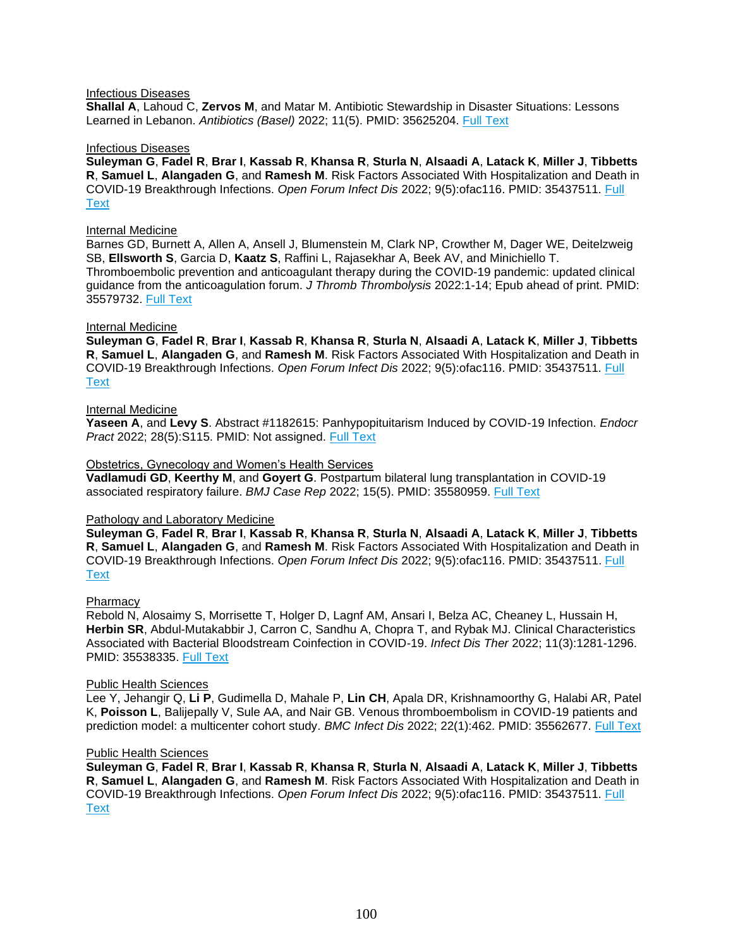#### Infectious Diseases

**Shallal A**, Lahoud C, **Zervos M**, and Matar M. Antibiotic Stewardship in Disaster Situations: Lessons Learned in Lebanon. *Antibiotics (Basel)* 2022; 11(5). PMID: 35625204. [Full Text](https://libkey.io/35625204)

#### Infectious Diseases

**Suleyman G**, **Fadel R**, **Brar I**, **Kassab R**, **Khansa R**, **Sturla N**, **Alsaadi A**, **Latack K**, **Miller J**, **Tibbetts R**, **Samuel L**, **Alangaden G**, and **Ramesh M**. Risk Factors Associated With Hospitalization and Death in COVID-19 Breakthrough Infections. *Open Forum Infect Dis* 2022; 9(5):ofac116. PMID: 35437511. [Full](https://libkey.io/35437511)  **[Text](https://libkey.io/35437511)** 

#### Internal Medicine

Barnes GD, Burnett A, Allen A, Ansell J, Blumenstein M, Clark NP, Crowther M, Dager WE, Deitelzweig SB, **Ellsworth S**, Garcia D, **Kaatz S**, Raffini L, Rajasekhar A, Beek AV, and Minichiello T. Thromboembolic prevention and anticoagulant therapy during the COVID-19 pandemic: updated clinical guidance from the anticoagulation forum. *J Thromb Thrombolysis* 2022:1-14; Epub ahead of print. PMID: 35579732. [Full Text](https://libkey.io/35579732)

#### Internal Medicine

**Suleyman G**, **Fadel R**, **Brar I**, **Kassab R**, **Khansa R**, **Sturla N**, **Alsaadi A**, **Latack K**, **Miller J**, **Tibbetts R**, **Samuel L**, **Alangaden G**, and **Ramesh M**. Risk Factors Associated With Hospitalization and Death in COVID-19 Breakthrough Infections. *Open Forum Infect Dis* 2022; 9(5):ofac116. PMID: 35437511. [Full](https://libkey.io/35437511)  **[Text](https://libkey.io/35437511)** 

#### Internal Medicine

**Yaseen A**, and **Levy S**. Abstract #1182615: Panhypopituitarism Induced by COVID-19 Infection. *Endocr Pract* 2022; 28(5):S115. PMID: Not assigned. [Full Text](https://libkey.io/10.1016/j.eprac.2022.03.272)

#### Obstetrics, Gynecology and Women's Health Services

**Vadlamudi GD**, **Keerthy M**, and **Goyert G**. Postpartum bilateral lung transplantation in COVID-19 associated respiratory failure. *BMJ Case Rep* 2022; 15(5). PMID: 35580959. [Full Text](https://libkey.io/35580959)

#### Pathology and Laboratory Medicine

**Suleyman G**, **Fadel R**, **Brar I**, **Kassab R**, **Khansa R**, **Sturla N**, **Alsaadi A**, **Latack K**, **Miller J**, **Tibbetts R**, **Samuel L**, **Alangaden G**, and **Ramesh M**. Risk Factors Associated With Hospitalization and Death in COVID-19 Breakthrough Infections. *Open Forum Infect Dis* 2022; 9(5):ofac116. PMID: 35437511. [Full](https://libkey.io/35437511)  **[Text](https://libkey.io/35437511)** 

#### **Pharmacy**

Rebold N, Alosaimy S, Morrisette T, Holger D, Lagnf AM, Ansari I, Belza AC, Cheaney L, Hussain H, **Herbin SR**, Abdul-Mutakabbir J, Carron C, Sandhu A, Chopra T, and Rybak MJ. Clinical Characteristics Associated with Bacterial Bloodstream Coinfection in COVID-19. *Infect Dis Ther* 2022; 11(3):1281-1296. PMID: 35538335. [Full Text](https://libkey.io/35538335)

#### Public Health Sciences

Lee Y, Jehangir Q, **Li P**, Gudimella D, Mahale P, **Lin CH**, Apala DR, Krishnamoorthy G, Halabi AR, Patel K, **Poisson L**, Balijepally V, Sule AA, and Nair GB. Venous thromboembolism in COVID-19 patients and prediction model: a multicenter cohort study. *BMC Infect Dis* 2022; 22(1):462. PMID: 35562677. [Full Text](https://libkey.io/35562677)

#### Public Health Sciences

**Suleyman G**, **Fadel R**, **Brar I**, **Kassab R**, **Khansa R**, **Sturla N**, **Alsaadi A**, **Latack K**, **Miller J**, **Tibbetts R**, **Samuel L**, **Alangaden G**, and **Ramesh M**. Risk Factors Associated With Hospitalization and Death in COVID-19 Breakthrough Infections. *Open Forum Infect Dis* 2022; 9(5):ofac116. PMID: 35437511. [Full](https://libkey.io/35437511)  **[Text](https://libkey.io/35437511)**